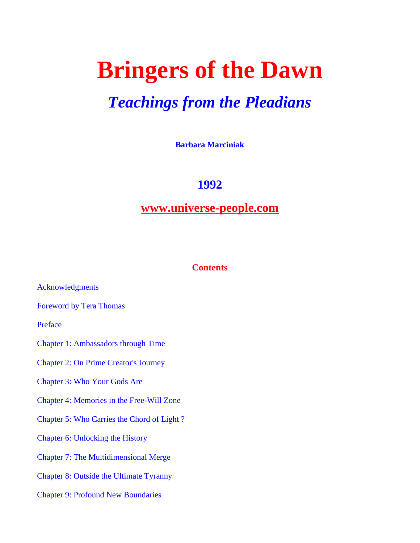# **Bringers of the Dawn**

# *Teachings from the Pleadians*

**Barbara Marciniak** 

### **1992**

## **www.universe-people.com**

**Contents** 

Acknowledgments

Foreword by Tera Thomas

Preface

Chapter 1: Ambassadors through Time

Chapter 2: On Prime Creator's Journey

Chapter 3: Who Your Gods Are

Chapter 4: Memories in the Free-Will Zone

Chapter 5: Who Carries the Chord of Light ?

Chapter 6: Unlocking the History

Chapter 7: The Multidimensional Merge

Chapter 8: Outside the Ultimate Tyranny

Chapter 9: Profound New Boundaries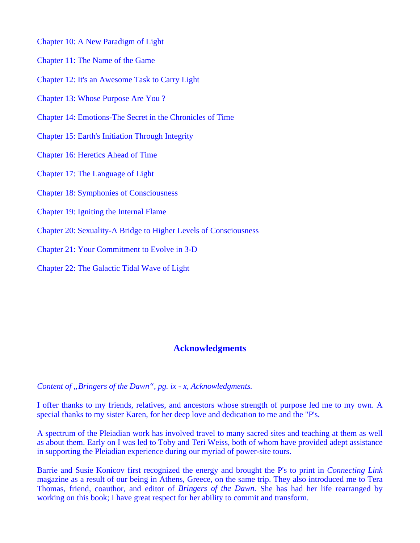- Chapter 10: A New Paradigm of Light
- Chapter 11: The Name of the Game
- Chapter 12: It's an Awesome Task to Carry Light
- Chapter 13: Whose Purpose Are You ?
- Chapter 14: Emotions-The Secret in the Chronicles of Time
- Chapter 15: Earth's Initiation Through Integrity
- Chapter 16: Heretics Ahead of Time
- Chapter 17: The Language of Light
- Chapter 18: Symphonies of Consciousness
- Chapter 19: Igniting the Internal Flame
- Chapter 20: Sexuality-A Bridge to Higher Levels of Consciousness
- Chapter 21: Your Commitment to Evolve in 3-D
- Chapter 22: The Galactic Tidal Wave of Light

#### **Acknowledgments**

*Content of "Bringers of the Dawn", pg. ix - x, Acknowledgments.* 

I offer thanks to my friends, relatives, and ancestors whose strength of purpose led me to my own. A special thanks to my sister Karen, for her deep love and dedication to me and the "P's.

A spectrum of the Pleiadian work has involved travel to many sacred sites and teaching at them as well as about them. Early on I was led to Toby and Teri Weiss, both of whom have provided adept assistance in supporting the Pleiadian experience during our myriad of power-site tours.

Barrie and Susie Konicov first recognized the energy and brought the P's to print in *Connecting Link* magazine as a result of our being in Athens, Greece, on the same trip. They also introduced me to Tera Thomas, friend, coauthor, and editor of *Bringers of the Dawn.* She has had her life rearranged by working on this book; I have great respect for her ability to commit and transform.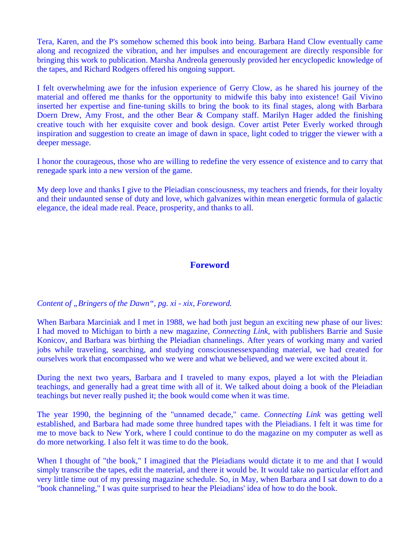Tera, Karen, and the P's somehow schemed this book into being. Barbara Hand Clow eventually came along and recognized the vibration, and her impulses and encouragement are directly responsible for bringing this work to publication. Marsha Andreola generously provided her encyclopedic knowledge of the tapes, and Richard Rodgers offered his ongoing support.

I felt overwhelming awe for the infusion experience of Gerry Clow, as he shared his journey of the material and offered me thanks for the opportunity to midwife this baby into existence! Gail Vivino inserted her expertise and fine-tuning skills to bring the book to its final stages, along with Barbara Doern Drew, Amy Frost, and the other Bear & Company staff. Marilyn Hager added the finishing creative touch with her exquisite cover and book design. Cover artist Peter Everly worked through inspiration and suggestion to create an image of dawn in space, light coded to trigger the viewer with a deeper message.

I honor the courageous, those who are willing to redefine the very essence of existence and to carry that renegade spark into a new version of the game.

My deep love and thanks I give to the Pleiadian consciousness, my teachers and friends, for their loyalty and their undaunted sense of duty and love, which galvanizes within mean energetic formula of galactic elegance, the ideal made real. Peace, prosperity, and thanks to all.

#### **Foreword**

#### *Content of "Bringers of the Dawn", pg. xi - xix, Foreword.*

When Barbara Marciniak and I met in 1988, we had both just begun an exciting new phase of our lives: I had moved to Michigan to birth a new magazine, *Connecting Link,* with publishers Barrie and Susie Konicov, and Barbara was birthing the Pleiadian channelings. After years of working many and varied jobs while traveling, searching, and studying consciousnessexpanding material, we had created for ourselves work that encompassed who we were and what we believed, and we were excited about it.

During the next two years, Barbara and I traveled to many expos, played a lot with the Pleiadian teachings, and generally had a great time with all of it. We talked about doing a book of the Pleiadian teachings but never really pushed it; the book would come when it was time.

The year 1990, the beginning of the "unnamed decade," came. *Connecting Link* was getting well established, and Barbara had made some three hundred tapes with the Pleiadians. I felt it was time for me to move back to New York, where I could continue to do the magazine on my computer as well as do more networking. I also felt it was time to do the book.

When I thought of "the book," I imagined that the Pleiadians would dictate it to me and that I would simply transcribe the tapes, edit the material, and there it would be. It would take no particular effort and very little time out of my pressing magazine schedule. So, in May, when Barbara and I sat down to do a "book channeling," I was quite surprised to hear the Pleiadians' idea of how to do the book.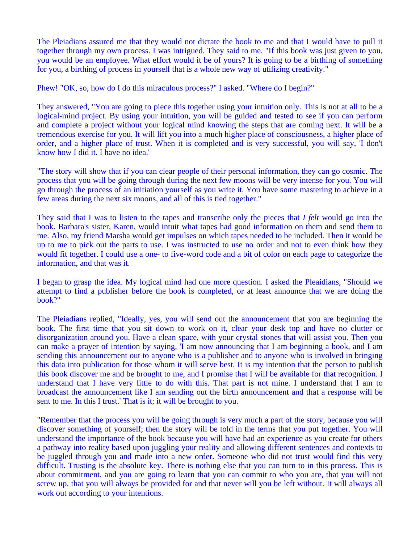The Pleiadians assured me that they would not dictate the book to me and that I would have to pull it together through my own process. I was intrigued. They said to me, "If this book was just given to you, you would be an employee. What effort would it be of yours? It is going to be a birthing of something for you, a birthing of process in yourself that is a whole new way of utilizing creativity."

Phew! "OK, so, how do I do this miraculous process?" I asked. "Where do I begin?"

They answered, "You are going to piece this together using your intuition only. This is not at all to be a logical-mind project. By using your intuition, you will be guided and tested to see if you can perform and complete a project without your logical mind knowing the steps that are coming next. It will be a tremendous exercise for you. It will lift you into a much higher place of consciousness, a higher place of order, and a higher place of trust. When it is completed and is very successful, you will say, 'I don't know how I did it. I have no idea.'

"The story will show that if you can clear people of their personal information, they can go cosmic. The process that you will be going through during the next few moons will be very intense for you. You will go through the process of an initiation yourself as you write it. You have some mastering to achieve in a few areas during the next six moons, and all of this is tied together."

They said that I was to listen to the tapes and transcribe only the pieces that *I felt* would go into the book. Barbara's sister, Karen, would intuit what tapes had good information on them and send them to me. Also, my friend Marsha would get impulses on which tapes needed to be included. Then it would be up to me to pick out the parts to use. I was instructed to use no order and not to even think how they would fit together. I could use a one- to five-word code and a bit of color on each page to categorize the information, and that was it.

I began to grasp the idea. My logical mind had one more question. I asked the Pleaidians, "Should we attempt to find a publisher before the book is completed, or at least announce that we are doing the book?"

The Pleiadians replied, "Ideally, yes, you will send out the announcement that you are beginning the book. The first time that you sit down to work on it, clear your desk top and have no clutter or disorganization around you. Have a clean space, with your crystal stones that will assist you. Then you can make a prayer of intention by saying, 'I am now announcing that I am beginning a book, and I am sending this announcement out to anyone who is a publisher and to anyone who is involved in bringing this data into publication for those whom it will serve best. It is my intention that the person to publish this book discover me and be brought to me, and I promise that I will be available for that recognition. I understand that I have very little to do with this. That part is not mine. I understand that I am to broadcast the announcement like I am sending out the birth announcement and that a response will be sent to me. In this I trust.' That is it; it will be brought to you.

"Remember that the process you will be going through is very much a part of the story, because you will discover something of yourself; then the story will be told in the terms that you put together. You will understand the importance of the book because you will have had an experience as you create for others a pathway into reality based upon juggling your reality and allowing different sentences and contexts to be juggled through you and made into a new order. Someone who did not trust would find this very difficult. Trusting is the absolute key. There is nothing else that you can turn to in this process. This is about commitment, and you are going to learn that you can commit to who you are, that you will not screw up, that you will always be provided for and that never will you be left without. It will always all work out according to your intentions.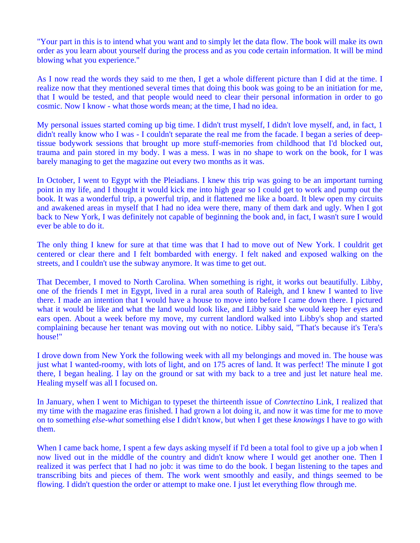"Your part in this is to intend what you want and to simply let the data flow. The book will make its own order as you learn about yourself during the process and as you code certain information. It will be mind blowing what you experience."

As I now read the words they said to me then, I get a whole different picture than I did at the time. I realize now that they mentioned several times that doing this book was going to be an initiation for me, that I would be tested, and that people would need to clear their personal information in order to go cosmic. Now I know - what those words mean; at the time, I had no idea.

My personal issues started coming up big time. I didn't trust myself, I didn't love myself, and, in fact, 1 didn't really know who I was - I couldn't separate the real me from the facade. I began a series of deeptissue bodywork sessions that brought up more stuff-memories from childhood that I'd blocked out, trauma and pain stored in my body. I was a mess. I was in no shape to work on the book, for I was barely managing to get the magazine out every two months as it was.

In October, I went to Egypt with the Pleiadians. I knew this trip was going to be an important turning point in my life, and I thought it would kick me into high gear so I could get to work and pump out the book. It was a wonderful trip, a powerful trip, and it flattened me like a board. It blew open my circuits and awakened areas in myself that I had no idea were there, many of them dark and ugly. When I got back to New York, I was definitely not capable of beginning the book and, in fact, I wasn't sure I would ever be able to do it.

The only thing I knew for sure at that time was that I had to move out of New York. I couldrit get centered or clear there and I felt bombarded with energy. I felt naked and exposed walking on the streets, and I couldn't use the subway anymore. It was time to get out.

That December, I moved to North Carolina. When something is right, it works out beautifully. Libby, one of the friends I met in Egypt, lived in a rural area south of Raleigh, and I knew I wanted to live there. I made an intention that I would have a house to move into before I came down there. I pictured what it would be like and what the land would look like, and Libby said she would keep her eyes and ears open. About a week before my move, my current landlord walked into Libby's shop and started complaining because her tenant was moving out with no notice. Libby said, "That's because it's Tera's house!"

I drove down from New York the following week with all my belongings and moved in. The house was just what I wanted-roomy, with lots of light, and on 175 acres of land. It was perfect! The minute I got there, I began healing. I lay on the ground or sat with my back to a tree and just let nature heal me. Healing myself was all I focused on.

In January, when I went to Michigan to typeset the thirteenth issue of *Conrtectino* Link, I realized that my time with the magazine eras finished. I had grown a lot doing it, and now it was time for me to move on to something *else-what* something else I didn't know, but when I get these *knowings* I have to go with them.

When I came back home, I spent a few days asking myself if I'd been a total fool to give up a job when I now lived out in the middle of the country and didn't know where I would get another one. Then I realized it was perfect that I had no job: it was time to do the book. I began listening to the tapes and transcribing bits and pieces of them. The work went smoothly and easily, and things seemed to be flowing. I didn't question the order or attempt to make one. I just let everything flow through me.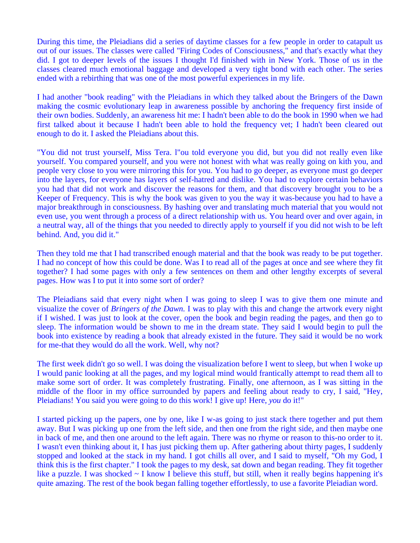During this time, the Pleiadians did a series of daytime classes for a few people in order to catapult us out of our issues. The classes were called "Firing Codes of Consciousness," and that's exactly what they did. I got to deeper levels of the issues I thought I'd finished with in New York. Those of us in the classes cleared much emotional baggage and developed a very tight bond with each other. The series ended with a rebirthing that was one of the most powerful experiences in my life.

I had another "book reading" with the Pleiadians in which they talked about the Bringers of the Dawn making the cosmic evolutionary leap in awareness possible by anchoring the frequency first inside of their own bodies. Suddenly, an awareness hit me: I hadn't been able to do the book in 1990 when we had first talked about it because I hadn't been able to hold the frequency vet; I hadn't been cleared out enough to do it. I asked the Pleiadians about this.

"You did not trust yourself, Miss Tera. l"ou told everyone you did, but you did not really even like yourself. You compared yourself, and you were not honest with what was really going on kith you, and people very close to you were mirroring this for you. You had to go deeper, as everyone must go deeper into the layers, for everyone has layers of self-hatred and dislike. You had to explore certain behaviors you had that did not work and discover the reasons for them, and that discovery brought you to be a Keeper of Frequency. This is why the book was given to you the way it was-because you had to have a major breakthrough in consciousness. By hashing over and translating much material that you would not even use, you went through a process of a direct relationship with us. You heard over and over again, in a neutral way, all of the things that you needed to directly apply to yourself if you did not wish to be left behind. And, you did it."

Then they told me that I had transcribed enough material and that the book was ready to be put together. I had no concept of how this could be done. Was I to read all of the pages at once and see where they fit together? I had some pages with only a few sentences on them and other lengthy excerpts of several pages. How was I to put it into some sort of order?

The Pleiadians said that every night when I was going to sleep I was to give them one minute and visualize the cover of *Bringers of the Dawn.* I was to play with this and change the artwork every night if I wished. I was just to look at the cover, open the book and begin reading the pages, and then go to sleep. The information would be shown to me in the dream state. They said I would begin to pull the book into existence by reading a book that already existed in the future. They said it would be no work for me-that they would do all the work. Well, why not?

The first week didn't go so well. I was doing the visualization before I went to sleep, but when I woke up I would panic looking at all the pages, and my logical mind would frantically attempt to read them all to make some sort of order. It was completely frustrating. Finally, one afternoon, as I was sitting in the middle of the floor in my office surrounded by papers and feeling about ready to cry, I said, "Hey, Pleiadians! You said you were going to do this work! I give up! Here, *you* do it!"

I started picking up the papers, one by one, like I w-as going to just stack there together and put them away. But I was picking up one from the left side, and then one from the right side, and then maybe one in back of me, and then one around to the left again. There was no rhyme or reason to this-no order to it. I wasn't even thinking about it, I has just picking them up. After gathering about thirty pages, I suddenly stopped and looked at the stack in my hand. I got chills all over, and I said to myself, "Oh my God, I think this is the first chapter." I took the pages to my desk, sat down and began reading. They fit together like a puzzle. I was shocked  $\sim$  I know I believe this stuff, but still, when it really begins happening it's quite amazing. The rest of the book began falling together effortlessly, to use a favorite Pleiadian word.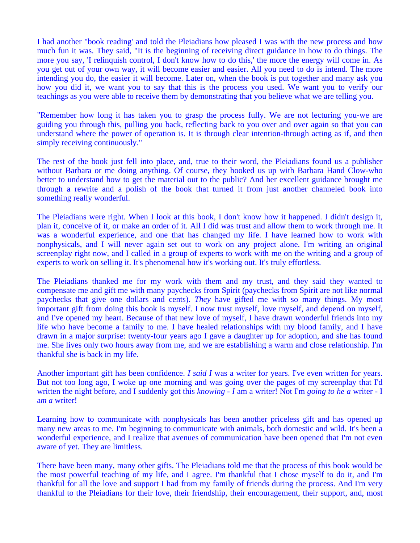I had another "book reading' and told the Pleiadians how pleased I was with the new process and how much fun it was. They said, "It is the beginning of receiving direct guidance in how to do things. The more you say, 'I relinquish control, I don't know how to do this,' the more the energy will come in. As you get out of your own way, it will become easier and easier. All you need to do is intend. The more intending you do, the easier it will become. Later on, when the book is put together and many ask you how you did it, we want you to say that this is the process you used. We want you to verify our teachings as you were able to receive them by demonstrating that you believe what we are telling you.

"Remember how long it has taken you to grasp the process fully. We are not lecturing you-we are guiding you through this, pulling you back, reflecting back to you over and over again so that you can understand where the power of operation is. It is through clear intention-through acting as if, and then simply receiving continuously."

The rest of the book just fell into place, and, true to their word, the Pleiadians found us a publisher without Barbara or me doing anything. Of course, they hooked us up with Barbara Hand Clow-who better to understand how to get the material out to the public? And her excellent guidance brought me through a rewrite and a polish of the book that turned it from just another channeled book into something really wonderful.

The Pleiadians were right. When I look at this book, I don't know how it happened. I didn't design it, plan it, conceive of it, or make an order of it. All I did was trust and allow them to work through me. It was a wonderful experience, and one that has changed my life. I have learned how to work with nonphysicals, and I will never again set out to work on any project alone. I'm writing an original screenplay right now, and I called in a group of experts to work with me on the writing and a group of experts to work on selling it. It's phenomenal how it's working out. It's truly effortless.

The Pleiadians thanked me for my work with them and my trust, and they said they wanted to compensate me and gift me with many paychecks from Spirit (paychecks from Spirit are not like normal paychecks that give one dollars and cents). *They* have gifted me with so many things. My most important gift from doing this book is myself. I now trust myself, love myself, and depend on myself, and I've opened my heart. Because of that new love of myself, I have drawn wonderful friends into my life who have become a family to me. I have healed relationships with my blood family, and I have drawn in a major surprise: twenty-four years ago I gave a daughter up for adoption, and she has found me. She lives only two hours away from me, and we are establishing a warm and close relationship. I'm thankful she is back in my life.

Another important gift has been confidence. *I said I* was a writer for years. I've even written for years. But not too long ago, I woke up one morning and was going over the pages of my screenplay that I'd written the night before, and I suddenly got this *knowing - I* am a writer! Not I'm *going to he a* writer - I a*m a* writer!

Learning how to communicate with nonphysicals has been another priceless gift and has opened up many new areas to me. I'm beginning to communicate with animals, both domestic and wild. It's been a wonderful experience, and I realize that avenues of communication have been opened that I'm not even aware of yet. They are limitless.

There have been many, many other gifts. The Pleiadians told me that the process of this book would be the most powerful teaching of my life, and I agree. I'm thankful that I chose myself to do it, and I'm thankful for all the love and support I had from my family of friends during the process. And I'm very thankful to the Pleiadians for their love, their friendship, their encouragement, their support, and, most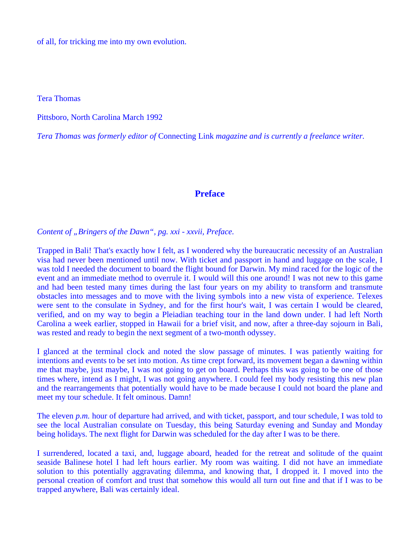of all, for tricking me into my own evolution.

Tera Thomas

Pittsboro, North Carolina March 1992

*Tera Thomas was formerly editor of* Connecting Link *magazine and is currently a freelance writer.*

#### **Preface**

*Content of "Bringers of the Dawn", pg. xxi - xxvii, Preface.* 

Trapped in Bali! That's exactly how I felt, as I wondered why the bureaucratic necessity of an Australian visa had never been mentioned until now. With ticket and passport in hand and luggage on the scale, I was told I needed the document to board the flight bound for Darwin. My mind raced for the logic of the event and an immediate method to overrule it. I would will this one around! I was not new to this game and had been tested many times during the last four years on my ability to transform and transmute obstacles into messages and to move with the living symbols into a new vista of experience. Telexes were sent to the consulate in Sydney, and for the first hour's wait, I was certain I would be cleared, verified, and on my way to begin a Pleiadian teaching tour in the land down under. I had left North Carolina a week earlier, stopped in Hawaii for a brief visit, and now, after a three-day sojourn in Bali, was rested and ready to begin the next segment of a two-month odyssey.

I glanced at the terminal clock and noted the slow passage of minutes. I was patiently waiting for intentions and events to be set into motion. As time crept forward, its movement began a dawning within me that maybe, just maybe, I was not going to get on board. Perhaps this was going to be one of those times where, intend as I might, I was not going anywhere. I could feel my body resisting this new plan and the rearrangements that potentially would have to be made because I could not board the plane and meet my tour schedule. It felt ominous. Damn!

The eleven *p.m.* hour of departure had arrived, and with ticket, passport, and tour schedule, I was told to see the local Australian consulate on Tuesday, this being Saturday evening and Sunday and Monday being holidays. The next flight for Darwin was scheduled for the day after I was to be there.

I surrendered, located a taxi, and, luggage aboard, headed for the retreat and solitude of the quaint seaside Balinese hotel I had left hours earlier. My room was waiting. I did not have an immediate solution to this potentially aggravating dilemma, and knowing that, I dropped it. I moved into the personal creation of comfort and trust that somehow this would all turn out fine and that if I was to be trapped anywhere, Bali was certainly ideal.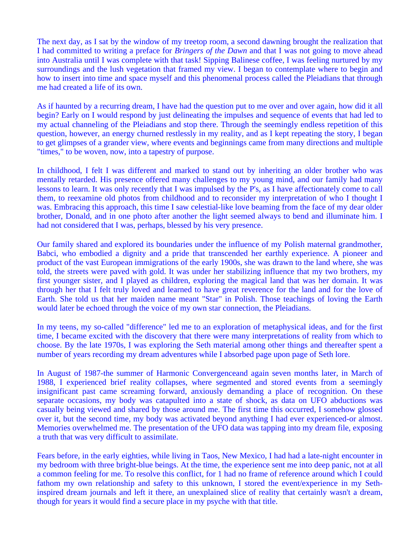The next day, as I sat by the window of my treetop room, a second dawning brought the realization that I had committed to writing a preface for *Bringers of the Dawn* and that I was not going to move ahead into Australia until I was complete with that task! Sipping Balinese coffee, I was feeling nurtured by my surroundings and the lush vegetation that framed my view. I began to contemplate where to begin and how to insert into time and space myself and this phenomenal process called the Pleiadians that through me had created a life of its own.

As if haunted by a recurring dream, I have had the question put to me over and over again, how did it all begin? Early on I would respond by just delineating the impulses and sequence of events that had led to my actual channeling of the Pleiadians and stop there. Through the seemingly endless repetition of this question, however, an energy churned restlessly in my reality, and as I kept repeating the story, I began to get glimpses of a grander view, where events and beginnings came from many directions and multiple "times," to be woven, now, into a tapestry of purpose.

In childhood, I felt I was different and marked to stand out by inheriting an older brother who was mentally retarded. His presence offered many challenges to my young mind, and our family had many lessons to learn. It was only recently that I was impulsed by the P's, as I have affectionately come to call them, to reexamine old photos from childhood and to reconsider my interpretation of who I thought I was. Embracing this approach, this time I saw celestial-like love beaming from the face of my dear older brother, Donald, and in one photo after another the light seemed always to bend and illuminate him. I had not considered that I was, perhaps, blessed by his very presence.

Our family shared and explored its boundaries under the influence of my Polish maternal grandmother, Babci, who embodied a dignity and a pride that transcended her earthly experience. A pioneer and product of the vast European immigrations of the early 1900s, she was drawn to the land where, she was told, the streets were paved with gold. It was under her stabilizing influence that my two brothers, my first younger sister, and I played as children, exploring the magical land that was her domain. It was through her that I felt truly loved and learned to have great reverence for the land and for the love of Earth. She told us that her maiden name meant "Star" in Polish. Those teachings of loving the Earth would later be echoed through the voice of my own star connection, the Pleiadians.

In my teens, my so-called "difference" led me to an exploration of metaphysical ideas, and for the first time, I became excited with the discovery that there were many interpretations of reality from which to choose. By the late 1970s, I was exploring the Seth material among other things and thereafter spent a number of years recording my dream adventures while I absorbed page upon page of Seth lore.

In August of 1987-the summer of Harmonic Convergenceand again seven months later, in March of 1988, I experienced brief reality collapses, where segmented and stored events from a seemingly insignificant past came screaming forward, anxiously demanding a place of recognition. On these separate occasions, my body was catapulted into a state of shock, as data on UFO abductions was casually being viewed and shared by those around me. The first time this occurred, I somehow glossed over it, but the second time, my body was activated beyond anything I had ever experienced-or almost. Memories overwhelmed me. The presentation of the UFO data was tapping into my dream file, exposing a truth that was very difficult to assimilate.

Fears before, in the early eighties, while living in Taos, New Mexico, I had had a late-night encounter in my bedroom with three bright-blue beings. At the time, the experience sent me into deep panic, not at all a common feeling for me. To resolve this conflict, for 1 had no frame of reference around which I could fathom my own relationship and safety to this unknown, I stored the event/experience in my Sethinspired dream journals and left it there, an unexplained slice of reality that certainly wasn't a dream, though for years it would find a secure place in my psyche with that title.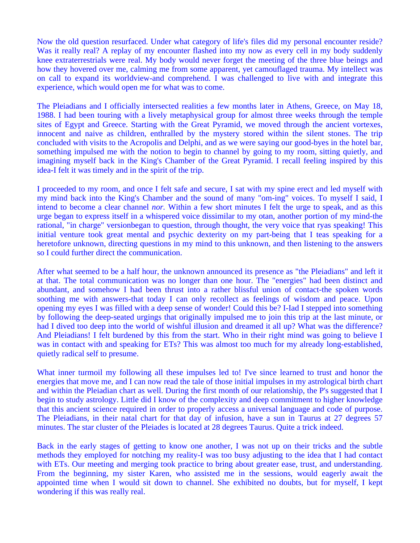Now the old question resurfaced. Under what category of life's files did my personal encounter reside? Was it really real? A replay of my encounter flashed into my now as every cell in my body suddenly knee extraterrestrials were real. My body would never forget the meeting of the three blue beings and how they hovered over me, calming me from some apparent, yet camouflaged trauma. My intellect was on call to expand its worldview-and comprehend. I was challenged to live with and integrate this experience, which would open me for what was to come.

The Pleiadians and I officially intersected realities a few months later in Athens, Greece, on May 18, 1988. I had been touring with a lively metaphysical group for almost three weeks through the temple sites of Egypt and Greece. Starting with the Great Pyramid, we moved through the ancient vortexes, innocent and naive as children, enthralled by the mystery stored within the silent stones. The trip concluded with visits to the Acropolis and Delphi, and as we were saying our good-byes in the hotel bar, something impulsed me with the notion to begin to channel by going to my room, sitting quietly, and imagining myself back in the King's Chamber of the Great Pyramid. I recall feeling inspired by this idea-I felt it was timely and in the spirit of the trip.

I proceeded to my room, and once I felt safe and secure, I sat with my spine erect and led myself with my mind back into the King's Chamber and the sound of many "om-ing" voices. To myself I said, I intend to become a clear channel *nor.* Within a few short minutes I felt the urge to speak, and as this urge began to express itself in a whispered voice dissimilar to my otan, another portion of my mind-the rational, "in charge" versionbegan to question, through thought, the very voice that ryas speaking! This initial venture took great mental and psychic dexterity on my part-being that I teas speaking for a heretofore unknown, directing questions in my mind to this unknown, and then listening to the answers so I could further direct the communication.

After what seemed to be a half hour, the unknown announced its presence as "the Pleiadians" and left it at that. The total communication was no longer than one hour. The "energies" had been distinct and abundant, and somehow I had been thrust into a rather blissful union of contact-the spoken words soothing me with answers-that today I can only recollect as feelings of wisdom and peace. Upon opening my eyes I was filled with a deep sense of wonder! Could this be? I-Iad I stepped into something by following the deep-seated urgings that originally impulsed me to join this trip at the last minute, or had I dived too deep into the world of wishful illusion and dreamed it all up? What was the difference? And Pleiadians! I felt burdened by this from the start. Who in their right mind was going to believe I was in contact with and speaking for ETs? This was almost too much for my already long-established, quietly radical self to presume.

What inner turmoil my following all these impulses led to! I've since learned to trust and honor the energies that move me, and I can now read the tale of those initial impulses in my astrological birth chart and within the Pleiadian chart as well. During the first month of our relationship, the P's suggested that I begin to study astrology. Little did I know of the complexity and deep commitment to higher knowledge that this ancient science required in order to properly access a universal language and code of purpose. The Pleiadians, in their natal chart for that day of infusion, have a sun in Taurus at 27 degrees 57 minutes. The star cluster of the Pleiades is located at 28 degrees Taurus. Quite a trick indeed.

Back in the early stages of getting to know one another, I was not up on their tricks and the subtle methods they employed for notching my reality-I was too busy adjusting to the idea that I had contact with ETs. Our meeting and merging took practice to bring about greater ease, trust, and understanding. From the beginning, my sister Karen, who assisted me in the sessions, would eagerly await the appointed time when I would sit down to channel. She exhibited no doubts, but for myself, I kept wondering if this was really real.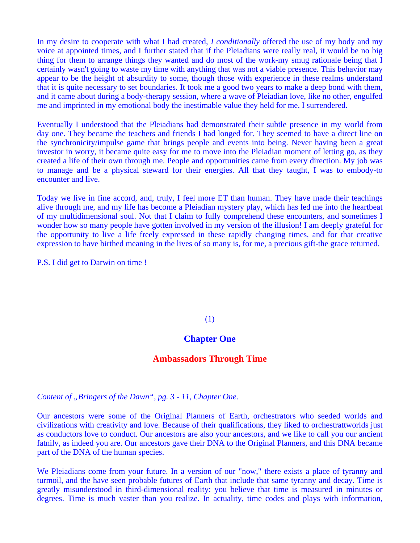In my desire to cooperate with what I had created, *I conditionally* offered the use of my body and my voice at appointed times, and I further stated that if the Pleiadians were really real, it would be no big thing for them to arrange things they wanted and do most of the work-my smug rationale being that I certainly wasn't going to waste my time with anything that was not a viable presence. This behavior may appear to be the height of absurdity to some, though those with experience in these realms understand that it is quite necessary to set boundaries. It took me a good two years to make a deep bond with them, and it came about during a body-therapy session, where a wave of Pleiadian love, like no other, engulfed me and imprinted in my emotional body the inestimable value they held for me. I surrendered.

Eventually I understood that the Pleiadians had demonstrated their subtle presence in my world from day one. They became the teachers and friends I had longed for. They seemed to have a direct line on the synchronicity/impulse game that brings people and events into being. Never having been a great investor in worry, it became quite easy for me to move into the Pleiadian moment of letting go, as they created a life of their own through me. People and opportunities came from every direction. My job was to manage and be a physical steward for their energies. All that they taught, I was to embody-to encounter and live.

Today we live in fine accord, and, truly, I feel more ET than human. They have made their teachings alive through me, and my life has become a Pleiadian mystery play, which has led me into the heartbeat of my multidimensional soul. Not that I claim to fully comprehend these encounters, and sometimes I wonder how so many people have gotten involved in my version of the illusion! I am deeply grateful for the opportunity to live a life freely expressed in these rapidly changing times, and for that creative expression to have birthed meaning in the lives of so many is, for me, a precious gift-the grace returned.

P.S. I did get to Darwin on time !

#### (1)

#### **Chapter One**

#### **Ambassadors Through Time**

*Content of "Bringers of the Dawn", pg. 3 - 11, Chapter One.* 

Our ancestors were some of the Original Planners of Earth, orchestrators who seeded worlds and civilizations with creativity and love. Because of their qualifications, they liked to orchestrattworlds just as conductors love to conduct. Our ancestors are also your ancestors, and we like to call you our ancient fatnilv, as indeed you are. Our ancestors gave their DNA to the Original Planners, and this DNA became part of the DNA of the human species.

We Pleiadians come from your future. In a version of our "now," there exists a place of tyranny and turmoil, and the have seen probable futures of Earth that include that same tyranny and decay. Time is greatly misunderstood in third-dimensional reality: you believe that time is measured in minutes or degrees. Time is much vaster than you realize. In actuality, time codes and plays with information,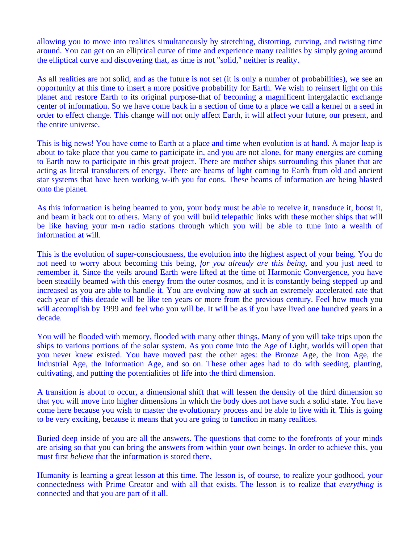allowing you to move into realities simultaneously by stretching, distorting, curving, and twisting time around. You can get on an elliptical curve of time and experience many realities by simply going around the elliptical curve and discovering that, as time is not "solid," neither is reality.

As all realities are not solid, and as the future is not set (it is only a number of probabilities), we see an opportunity at this time to insert a more positive probability for Earth. We wish to reinsert light on this planet and restore Earth to its original purpose-that of becoming a magnificent intergalactic exchange center of information. So we have come back in a section of time to a place we call a kernel or a seed in order to effect change. This change will not only affect Earth, it will affect your future, our present, and the entire universe.

This is big news! You have come to Earth at a place and time when evolution is at hand. A major leap is about to take place that you came to participate in, and you are not alone, for many energies are coming to Earth now to participate in this great project. There are mother ships surrounding this planet that are acting as literal transducers of energy. There are beams of light coming to Earth from old and ancient star systems that have been working w-ith you for eons. These beams of information are being blasted onto the planet.

As this information is being beamed to you, your body must be able to receive it, transduce it, boost it, and beam it back out to others. Many of you will build telepathic links with these mother ships that will be like having your m-n radio stations through which you will be able to tune into a wealth of information at will.

This is the evolution of super-consciousness, the evolution into the highest aspect of your being. You do not need to worry about becoming this being, *for you already are this being,* and you just need to remember it. Since the veils around Earth were lifted at the time of Harmonic Convergence, you have been steadily beamed with this energy from the outer cosmos, and it is constantly being stepped up and increased as you are able to handle it. You are evolving now at such an extremely accelerated rate that each year of this decade will be like ten years or more from the previous century. Feel how much you will accomplish by 1999 and feel who you will be. It will be as if you have lived one hundred years in a decade.

You will be flooded with memory, flooded with many other things. Many of you will take trips upon the ships to various portions of the solar system. As you come into the Age of Light, worlds will open that you never knew existed. You have moved past the other ages: the Bronze Age, the Iron Age, the Industrial Age, the Information Age, and so on. These other ages had to do with seeding, planting, cultivating, and putting the potentialities of life into the third dimension.

A transition is about to occur, a dimensional shift that will lessen the density of the third dimension so that you will move into higher dimensions in which the body does not have such a solid state. You have come here because you wish to master the evolutionary process and be able to live with it. This is going to be very exciting, because it means that you are going to function in many realities.

Buried deep inside of you are all the answers. The questions that come to the forefronts of your minds are arising so that you can bring the answers from within your own beings. In order to achieve this, you must first *believe* that the information is stored there.

Humanity is learning a great lesson at this time. The lesson is, of course, to realize your godhood, your connectedness with Prime Creator and with all that exists. The lesson is to realize that *everything* is connected and that you are part of it all.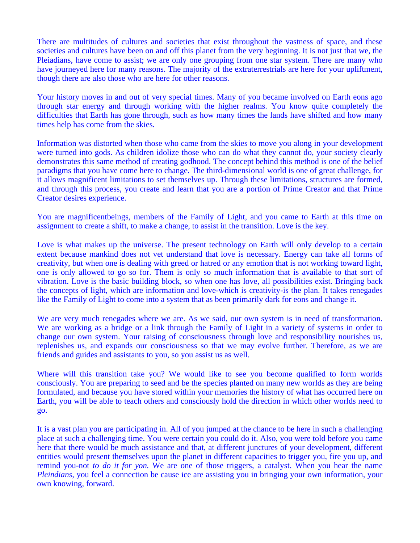There are multitudes of cultures and societies that exist throughout the vastness of space, and these societies and cultures have been on and off this planet from the very beginning. It is not just that we, the Pleiadians, have come to assist; we are only one grouping from one star system. There are many who have journeyed here for many reasons. The majority of the extraterrestrials are here for your upliftment, though there are also those who are here for other reasons.

Your history moves in and out of very special times. Many of you became involved on Earth eons ago through star energy and through working with the higher realms. You know quite completely the difficulties that Earth has gone through, such as how many times the lands have shifted and how many times help has come from the skies.

Information was distorted when those who came from the skies to move you along in your development were turned into gods. As children idolize those who can do what they cannot do, your society clearly demonstrates this same method of creating godhood. The concept behind this method is one of the belief paradigms that you have come here to change. The third-dimensional world is one of great challenge, for it allows magnificent limitations to set themselves up. Through these limitations, structures are formed, and through this process, you create and learn that you are a portion of Prime Creator and that Prime Creator desires experience.

You are magnificentbeings, members of the Family of Light, and you came to Earth at this time on assignment to create a shift, to make a change, to assist in the transition. Love is the key.

Love is what makes up the universe. The present technology on Earth will only develop to a certain extent because mankind does not vet understand that love is necessary. Energy can take all forms of creativity, but when one is dealing with greed or hatred or any emotion that is not working toward light, one is only allowed to go so for. Them is only so much information that is available to that sort of vibration. Love is the basic building block, so when one has love, all possibilities exist. Bringing back the concepts of light, which are information and love-which is creativity-is the plan. It takes renegades like the Family of Light to come into a system that as been primarily dark for eons and change it.

We are very much renegades where we are. As we said, our own system is in need of transformation. We are working as a bridge or a link through the Family of Light in a variety of systems in order to change our own system. Your raising of consciousness through love and responsibility nourishes us, replenishes us, and expands our consciousness so that we may evolve further. Therefore, as we are friends and guides and assistants to you, so you assist us as well.

Where will this transition take you? We would like to see you become qualified to form worlds consciously. You are preparing to seed and be the species planted on many new worlds as they are being formulated, and because you have stored within your memories the history of what has occurred here on Earth, you will be able to teach others and consciously hold the direction in which other worlds need to go.

It is a vast plan you are participating in. All of you jumped at the chance to be here in such a challenging place at such a challenging time. You were certain you could do it. Also, you were told before you came here that there would be much assistance and that, at different junctures of your development, different entities would present themselves upon the planet in different capacities to trigger you, fire you up, and remind you-not *to do it for yon.* We are one of those triggers, a catalyst. When you hear the name *Pleindians*, you feel a connection be cause ice are assisting you in bringing your own information, your own knowing, forward.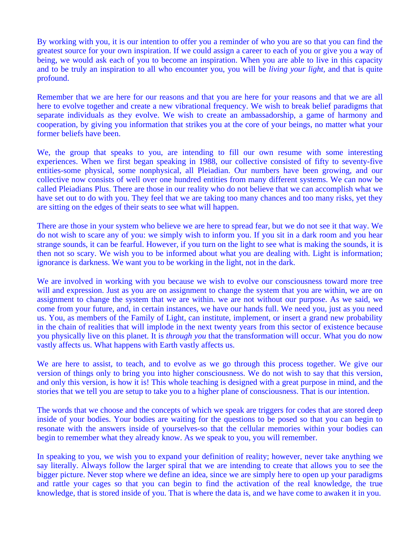By working with you, it is our intention to offer you a reminder of who you are so that you can find the greatest source for your own inspiration. If we could assign a career to each of you or give you a way of being, we would ask each of you to become an inspiration. When you are able to live in this capacity and to be truly an inspiration to all who encounter you, you will be *living your light,* and that is quite profound.

Remember that we are here for our reasons and that you are here for your reasons and that we are all here to evolve together and create a new vibrational frequency. We wish to break belief paradigms that separate individuals as they evolve. We wish to create an ambassadorship, a game of harmony and cooperation, by giving you information that strikes you at the core of your beings, no matter what your former beliefs have been.

We, the group that speaks to you, are intending to fill our own resume with some interesting experiences. When we first began speaking in 1988, our collective consisted of fifty to seventy-five entities-some physical, some nonphysical, all Pleiadian. Our numbers have been growing, and our collective now consists of well over one hundred entities from many different systems. We can now be called Pleiadians Plus. There are those in our reality who do not believe that we can accomplish what we have set out to do with you. They feel that we are taking too many chances and too many risks, yet they are sitting on the edges of their seats to see what will happen.

There are those in your system who believe we are here to spread fear, but we do not see it that way. We do not wish to scare any of you: we simply wish to inform you. If you sit in a dark room and you hear strange sounds, it can be fearful. However, if you turn on the light to see what is making the sounds, it is then not so scary. We wish you to be informed about what you are dealing with. Light is information; ignorance is darkness. We want you to be working in the light, not in the dark.

We are involved in working with you because we wish to evolve our consciousness toward more tree will and expression. Just as you are on assignment to change the system that you are within, we are on assignment to change the system that we are within. we are not without our purpose. As we said, we come from your future, and, in certain instances, we have our hands full. We need you, just as you need us. You, as members of the Family of Light, can institute, implement, or insert a grand new probability in the chain of realities that will implode in the next twenty years from this sector of existence because you physically live on this planet. It is *through you* that the transformation will occur. What you do now vastly affects us. What happens with Earth vastly affects us.

We are here to assist, to teach, and to evolve as we go through this process together. We give our version of things only to bring you into higher consciousness. We do not wish to say that this version, and only this version, is how it is! This whole teaching is designed with a great purpose in mind, and the stories that we tell you are setup to take you to a higher plane of consciousness. That is our intention.

The words that we choose and the concepts of which we speak are triggers for codes that are stored deep inside of your bodies. Your bodies are waiting for the questions to be posed so that you can begin to resonate with the answers inside of yourselves-so that the cellular memories within your bodies can begin to remember what they already know. As we speak to you, you will remember.

In speaking to you, we wish you to expand your definition of reality; however, never take anything we say literally. Always follow the larger spiral that we are intending to create that allows you to see the bigger picture. Never stop where we define an idea, since we are simply here to open up your paradigms and rattle your cages so that you can begin to find the activation of the real knowledge, the true knowledge, that is stored inside of you. That is where the data is, and we have come to awaken it in you.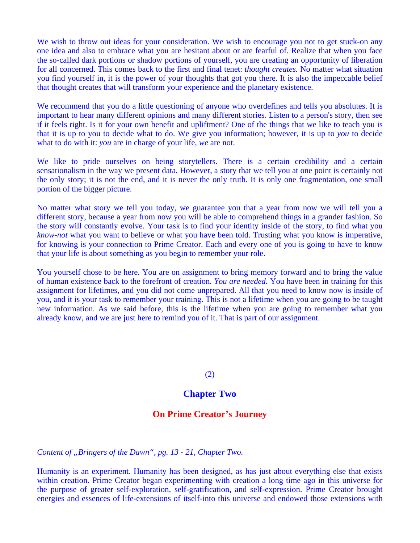We wish to throw out ideas for your consideration. We wish to encourage you not to get stuck-on any one idea and also to embrace what you are hesitant about or are fearful of. Realize that when you face the so-called dark portions or shadow portions of yourself, you are creating an opportunity of liberation for all concerned. This comes back to the first and final tenet: *thought creates.* No matter what situation you find yourself in, it is the power of your thoughts that got you there. It is also the impeccable belief that thought creates that will transform your experience and the planetary existence.

We recommend that you do a little questioning of anyone who overdefines and tells you absolutes. It is important to hear many different opinions and many different stories. Listen to a person's story, then see if it feels right. Is it for your own benefit and upliftment? One of the things that we like to teach you is that it is up to you to decide what to do. We give you information; however, it is up to *you* to decide what to do with it: *you* are in charge of your life, *we* are not.

We like to pride ourselves on being storytellers. There is a certain credibility and a certain sensationalism in the way we present data. However, a story that we tell you at one point is certainly not the only story; it is not the end, and it is never the only truth. It is only one fragmentation, one small portion of the bigger picture.

No matter what story we tell you today, we guarantee you that a year from now we will tell you a different story, because a year from now you will be able to comprehend things in a grander fashion. So the story will constantly evolve. Your task is to find your identity inside of the story, to find what you *know-not* what you want to believe or what you have been told. Trusting what you know is imperative, for knowing is your connection to Prime Creator. Each and every one of you is going to have to know that your life is about something as you begin to remember your role.

You yourself chose to be here. You are on assignment to bring memory forward and to bring the value of human existence back to the forefront of creation. *You are needed.* You have been in training for this assignment for lifetimes, and you did not come unprepared. All that you need to know now is inside of you, and it is your task to remember your training. This is not a lifetime when you are going to be taught new information. As we said before, this is the lifetime when you are going to remember what you already know, and we are just here to remind you of it. That is part of our assignment.

#### (2)

#### **Chapter Two**

#### **On Prime Creator's Journey**

#### *Content of "Bringers of the Dawn", pg. 13 - 21, Chapter Two.*

Humanity is an experiment. Humanity has been designed, as has just about everything else that exists within creation. Prime Creator began experimenting with creation a long time ago in this universe for the purpose of greater self-exploration, self-gratification, and self-expression. Prime Creator brought energies and essences of life-extensions of itself-into this universe and endowed those extensions with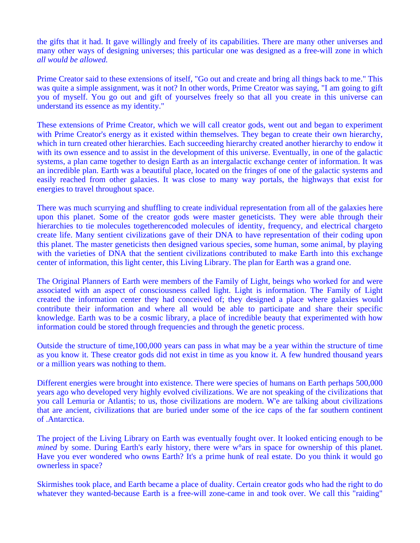the gifts that it had. It gave willingly and freely of its capabilities. There are many other universes and many other ways of designing universes; this particular one was designed as a free-will zone in which *all would be allowed.*

Prime Creator said to these extensions of itself, "Go out and create and bring all things back to me." This was quite a simple assignment, was it not? In other words, Prime Creator was saying, "I am going to gift you of myself. You go out and gift of yourselves freely so that all you create in this universe can understand its essence as my identity."

These extensions of Prime Creator, which we will call creator gods, went out and began to experiment with Prime Creator's energy as it existed within themselves. They began to create their own hierarchy, which in turn created other hierarchies. Each succeeding hierarchy created another hierarchy to endow it with its own essence and to assist in the development of this universe. Eventually, in one of the galactic systems, a plan came together to design Earth as an intergalactic exchange center of information. It was an incredible plan. Earth was a beautiful place, located on the fringes of one of the galactic systems and easily reached from other galaxies. It was close to many way portals, the highways that exist for energies to travel throughout space.

There was much scurrying and shuffling to create individual representation from all of the galaxies here upon this planet. Some of the creator gods were master geneticists. They were able through their hierarchies to tie molecules togetherencoded molecules of identity, frequency, and electrical chargeto create life. Many sentient civilizations gave of their DNA to have representation of their coding upon this planet. The master geneticists then designed various species, some human, some animal, by playing with the varieties of DNA that the sentient civilizations contributed to make Earth into this exchange center of information, this light center, this Living Library. The plan for Earth was a grand one.

The Original Planners of Earth were members of the Family of Light, beings who worked for and were associated with an aspect of consciousness called light. Light is information. The Family of Light created the information center they had conceived of; they designed a place where galaxies would contribute their information and where all would be able to participate and share their specific knowledge. Earth was to be a cosmic library, a place of incredible beauty that experimented with how information could be stored through frequencies and through the genetic process.

Outside the structure of time,100,000 years can pass in what may be a year within the structure of time as you know it. These creator gods did not exist in time as you know it. A few hundred thousand years or a million years was nothing to them.

Different energies were brought into existence. There were species of humans on Earth perhaps 500,000 years ago who developed very highly evolved civilizations. We are not speaking of the civilizations that you call Lemuria or Atlantis; to us, those civilizations are modern. W'e are talking about civilizations that are ancient, civilizations that are buried under some of the ice caps of the far southern continent of .Antarctica.

The project of the Living Library on Earth was eventually fought over. It looked enticing enough to be *mined* by some. During Earth's early history, there were w°ars in space for ownership of this planet. Have you ever wondered who owns Earth? It's a prime hunk of real estate. Do you think it would go ownerless in space?

Skirmishes took place, and Earth became a place of duality. Certain creator gods who had the right to do whatever they wanted-because Earth is a free-will zone-came in and took over. We call this "raiding"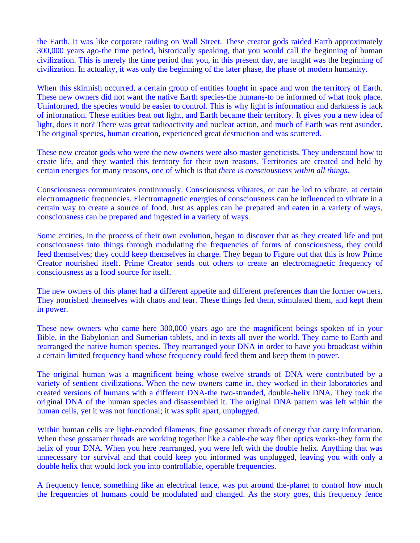the Earth. It was like corporate raiding on Wall Street. These creator gods raided Earth approximately 300,000 years ago-the time period, historically speaking, that you would call the beginning of human civilization. This is merely the time period that you, in this present day, are taught was the beginning of civilization. In actuality, it was only the beginning of the later phase, the phase of modern humanity.

When this skirmish occurred, a certain group of entities fought in space and won the territory of Earth. These new owners did not want the native Earth species-the humans-to be informed of what took place. Uninformed, the species would be easier to control. This is why light is information and darkness is lack of information. These entities beat out light, and Earth became their territory. It gives you a new idea of light, does it not? There was great radioactivity and nuclear action, and much of Earth was rent asunder. The original species, human creation, experienced great destruction and was scattered.

These new creator gods who were the new owners were also master geneticists. They understood how to create life, and they wanted this territory for their own reasons. Territories are created and held by certain energies for many reasons, one of which is that *there is consciousness within all things.*

Consciousness communicates continuously. Consciousness vibrates, or can be led to vibrate, at certain electromagnetic frequencies. Electromagnetic energies of consciousness can be influenced to vibrate in a certain way to create a source of food. Just as apples can he prepared and eaten in a variety of ways, consciousness can be prepared and ingested in a variety of ways.

Some entities, in the process of their own evolution, began to discover that as they created life and put consciousness into things through modulating the frequencies of forms of consciousness, they could feed themselves; they could keep themselves in charge. They began to Figure out that this is how Prime Creator nourished itself. Prime Creator sends out others to create an electromagnetic frequency of consciousness as a food source for itself.

The new owners of this planet had a different appetite and different preferences than the former owners. They nourished themselves with chaos and fear. These things fed them, stimulated them, and kept them in power.

These new owners who came here 300,000 years ago are the magnificent beings spoken of in your Bible, in the Babylonian and Sumerian tablets, and in texts all over the world. They came to Earth and rearranged the native human species. They rearranged your DNA in order to have you broadcast within a certain limited frequency band whose frequency could feed them and keep them in power.

The original human was a magnificent being whose twelve strands of DNA were contributed by a variety of sentient civilizations. When the new owners came in, they worked in their laboratories and created versions of humans with a different DNA-the two-stranded, double-helix DNA. They took the original DNA of the human species and disassembled it. The original DNA pattern was left within the human cells, yet it was not functional; it was split apart, unplugged.

Within human cells are light-encoded filaments, fine gossamer threads of energy that carry information. When these gossamer threads are working together like a cable-the way fiber optics works-they form the helix of your DNA. When you here rearranged, you were left with the double helix. Anything that was unnecessary for survival and that could keep you informed was unplugged, leaving you with only a double helix that would lock you into controllable, operable frequencies.

A frequency fence, something like an electrical fence, was put around the-planet to control how much the frequencies of humans could be modulated and changed. As the story goes, this frequency fence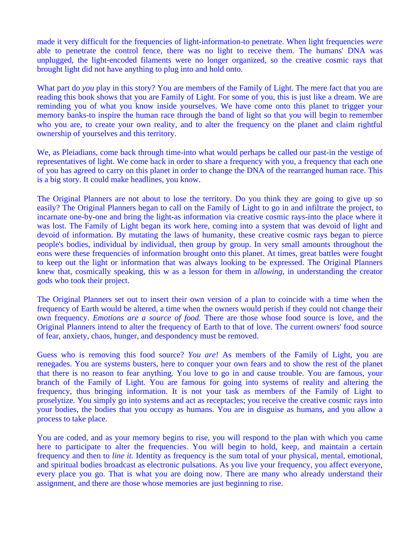made it very difficult for the frequencies of light-information-to penetrate. When light frequencies w*ere*  able to penetrate the control fence, there was no light to receive them. The humans' DNA was unplugged, the light-encoded filaments were no longer organized, so the creative cosmic rays that brought light did not have anything to plug into and hold onto.

What part do *you* play in this story? You are members of the Family of Light. The mere fact that you are reading this book shows that you are Family of Light. For some of you, this is just like a dream. We are reminding you of what you know inside yourselves. We have come onto this planet to trigger your memory banks-to inspire the human race through the band of light so that you will begin to remember who you are, to create your own reality, and to alter the frequency on the planet and claim rightful ownership of yourselves and this territory.

We, as Pleiadians, come back through time-into what would perhaps be called our past-in the vestige of representatives of light. We come back in order to share a frequency with you, a frequency that each one of you has agreed to carry on this planet in order to change the DNA of the rearranged human race. This is a big story. It could make headlines, you know.

The Original Planners are not about to lose the territory. Do you think they are going to give up so easily? The Original Planners began to call on the Family of Light to go in and infiltrate the project, to incarnate one-by-one and bring the light-as information via creative cosmic rays-into the place where it was lost. The Family of Light began its work here, coming into a system that was devoid of light and devoid of information. By mutating the laws of humanity, these creative cosmic rays began to pierce people's bodies, individual by individual, then group by group. In very small amounts throughout the eons were these frequencies of information brought onto this planet. At times, great battles were fought to keep out the light or information that was always looking to be expressed. The Original Planners knew that, cosmically speaking, this w as a lesson for them in a*llowing,* in understanding the creator gods who took their project.

The Original Planners set out to insert their own version of a plan to coincide with a time when the frequency of Earth would be altered, a time when the owners would perish if they could not change their own frequency. *Emotions are a source of food.* There are those whose food source is love, and the Original Planners intend to alter the frequency of Earth to that of love. The current owners' food source of fear, anxiety, chaos, hunger, and despondency must be removed.

Guess who is removing this food source? *You are!* As members of the Family of Light, you are renegades. You are systems busters, here to conquer your own fears and to show the rest of the planet that there is no reason to fear anything. You love to go in and cause trouble. You are famous, your branch of the Family of Light. You are famous for going into systems of reality and altering the frequency, thus bringing information. It is not your task as members of the Family of Light to proselytize. You simply go into systems and act as receptacles; you receive the creative cosmic rays into your bodies, the bodies that you occupy as humans. You are in disguise as humans, and you allow a process to take place.

You are coded, and as your memory begins to rise, you will respond to the plan with which you came here to participate to alter the frequencies. You will begin to hold, keep, and maintain a certain frequency and then to *line it.* Identity as frequency is the sum total of your physical, mental, emotional, and spiritual bodies broadcast as electronic pulsations. As you live your frequency, you affect everyone, every place you go. That is what y*ou* are doing now. There are many who already understand their assignment, and there are those whose memories are just beginning to rise.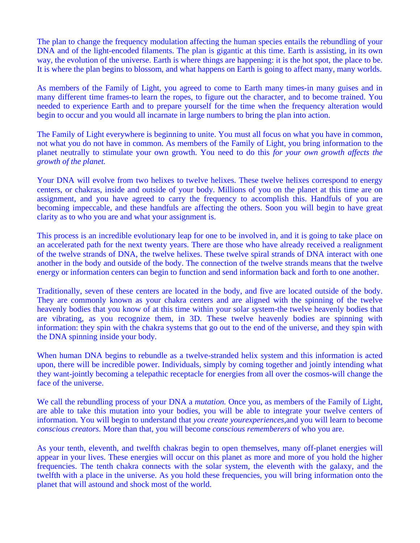The plan to change the frequency modulation affecting the human species entails the rebundling of your DNA and of the light-encoded filaments. The plan is gigantic at this time. Earth is assisting, in its own way, the evolution of the universe. Earth is where things are happening: it is the hot spot, the place to be. It is where the plan begins to blossom, and what happens on Earth is going to affect many, many worlds.

As members of the Family of Light, you agreed to come to Earth many times-in many guises and in many different time frames-to learn the ropes, to figure out the character, and to become trained. You needed to experience Earth and to prepare yourself for the time when the frequency alteration would begin to occur and you would all incarnate in large numbers to bring the plan into action.

The Family of Light everywhere is beginning to unite. You must all focus on what you have in common, not what you do not have in common. As members of the Family of Light, you bring information to the planet neutrally to stimulate your own growth. You need to do this *for your own growth affects the growth of the planet.*

Your DNA will evolve from two helixes to twelve helixes. These twelve helixes correspond to energy centers, or chakras, inside and outside of your body. Millions of you on the planet at this time are on assignment, and you have agreed to carry the frequency to accomplish this. Handfuls of you are becoming impeccable, and these handfuls are affecting the others. Soon you will begin to have great clarity as to who you are and what your assignment is.

This process is an incredible evolutionary leap for one to be involved in, and it is going to take place on an accelerated path for the next twenty years. There are those who have already received a realignment of the twelve strands of DNA, the twelve helixes. These twelve spiral strands of DNA interact with one another in the body and outside of the body. The connection of the twelve strands means that the twelve energy or information centers can begin to function and send information back and forth to one another.

Traditionally, seven of these centers are located in the body, and five are located outside of the body. They are commonly known as your chakra centers and are aligned with the spinning of the twelve heavenly bodies that you know of at this time within your solar system-the twelve heavenly bodies that are vibrating, as you recognize them, in 3D. These twelve heavenly bodies are spinning with information: they spin with the chakra systems that go out to the end of the universe, and they spin with the DNA spinning inside your body.

When human DNA begins to rebundle as a twelve-stranded helix system and this information is acted upon, there will be incredible power. Individuals, simply by coming together and jointly intending what they want-jointly becoming a telepathic receptacle for energies from all over the cosmos-will change the face of the universe.

We call the rebundling process of your DNA a *mutation*. Once you, as members of the Family of Light, are able to take this mutation into your bodies, you will be able to integrate your twelve centers of information. You will begin to understand that *you create yourexperiences,*and you will learn to become *conscious creators.* More than that, you will become *conscious rememberers* of who you are.

As your tenth, eleventh, and twelfth chakras begin to open themselves, many off-planet energies will appear in your lives. These energies will occur on this planet as more and more of you hold the higher frequencies. The tenth chakra connects with the solar system, the eleventh with the galaxy, and the twelfth with a place in the universe. As you hold these frequencies, you will bring information onto the planet that will astound and shock most of the world.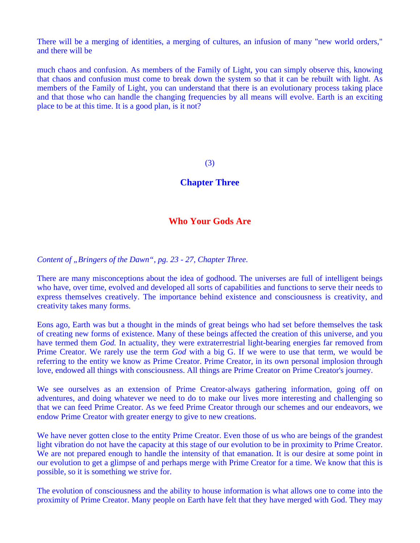There will be a merging of identities, a merging of cultures, an infusion of many "new world orders," and there will be

much chaos and confusion. As members of the Family of Light, you can simply observe this, knowing that chaos and confusion must come to break down the system so that it can be rebuilt with light. As members of the Family of Light, you can understand that there is an evolutionary process taking place and that those who can handle the changing frequencies by all means will evolve. Earth is an exciting place to be at this time. It is a good plan, is it not?

#### (3)

#### **Chapter Three**

#### **Who Your Gods Are**

*Content of "Bringers of the Dawn", pg. 23 - 27, Chapter Three.* 

There are many misconceptions about the idea of godhood. The universes are full of intelligent beings who have, over time, evolved and developed all sorts of capabilities and functions to serve their needs to express themselves creatively. The importance behind existence and consciousness is creativity, and creativity takes many forms.

Eons ago, Earth was but a thought in the minds of great beings who had set before themselves the task of creating new forms of existence. Many of these beings affected the creation of this universe, and you have termed them *God.* In actuality, they were extraterrestrial light-bearing energies far removed from Prime Creator. We rarely use the term *God* with a big G. If we were to use that term, we would be referring to the entity we know as Prime Creator. Prime Creator, in its own personal implosion through love, endowed all things with consciousness. All things are Prime Creator on Prime Creator's journey.

We see ourselves as an extension of Prime Creator-always gathering information, going off on adventures, and doing whatever we need to do to make our lives more interesting and challenging so that we can feed Prime Creator. As we feed Prime Creator through our schemes and our endeavors, we endow Prime Creator with greater energy to give to new creations.

We have never gotten close to the entity Prime Creator. Even those of us who are beings of the grandest light vibration do not have the capacity at this stage of our evolution to be in proximity to Prime Creator. We are not prepared enough to handle the intensity of that emanation. It is our desire at some point in our evolution to get a glimpse of and perhaps merge with Prime Creator for a time. We know that this is possible, so it is something we strive for.

The evolution of consciousness and the ability to house information is what allows one to come into the proximity of Prime Creator. Many people on Earth have felt that they have merged with God. They may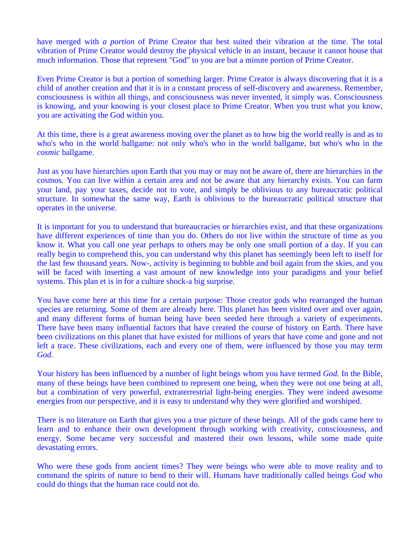have merged with *a portion* of Prime Creator that best suited their vibration at the time. The total vibration of Prime Creator would destroy the physical vehicle in an instant, because it cannot house that much information. Those that represent "God" to you are but a minute portion of Prime Creator.

Even Prime Creator is but a portion of something larger. Prime Creator is always discovering that it is a child of another creation and that it is in a constant process of self-discovery and awareness. Remember, consciousness is within all things, and consciousness was never invented, it simply was. Consciousness is knowing, and your knowing is your closest place to Prime Creator. When you trust what you know, you are activating the God within you.

At this time, there is a great awareness moving over the planet as to how big the world really is and as to who's who in the world ballgame: not only who's who in the world ballgame, but who's who in the *cosmic* ballgame.

Just as you have hierarchies upon Earth that you may or may not be aware of, there are hierarchies in the cosmos. You can live within a certain area and not be aware that any hierarchy exists. You can farm your land, pay your taxes, decide not to vote, and simply be oblivious to any bureaucratic political structure. In somewhat the same way, Earth is oblivious to the bureaucratic political structure that operates in the universe.

It is important for you to understand that bureaucracies or hierarchies exist, and that these organizations have different experiences of time than you do. Others do not live within the structure of time as you know it. What you call one year perhaps to others may be only one small portion of a day. If you can really begin to comprehend this, you can understand why this planet has seemingly been left to itself for the last few thousand years. Now-, activity is beginning to bubble and boil again from the skies, and you will be faced with inserting a vast amount of new knowledge into your paradigms and your belief systems. This plan et is in for a culture shock-a big surprise.

You have come here at this time for a certain purpose: Those creator gods who rearranged the human species are returning. Some of them are already here. This planet has been visited over and over again, and many different forms of human being have been seeded here through a variety of experiments. There have been many influential factors that have created the course of history on Earth. There have been civilizations on this planet that have existed for millions of years that have come and gone and not left a trace. These civilizations, each and every one of them, were influenced by those you may term *God.*

Your history has been influenced by a number of light beings whom you have termed *God.* In the Bible, many of these beings have been combined to represent one being, when they were not one being at all, but a combination of very powerful, extraterrestrial light-being energies. They were indeed awesome energies from our perspective, and it is easy to understand why they were glorified and worshiped.

There is no literature on Earth that gives you a true picture of these beings. All of the gods came here to learn and to enhance their own development through working with creativity, consciousness, and energy. Some became very successful and mastered their own lessons, while some made quite devastating errors.

Who were these gods from ancient times? They were beings who were able to move reality and to command the spirits of nature to bend to their will. Humans have traditionally called beings *God* who could do things that the human race could not do.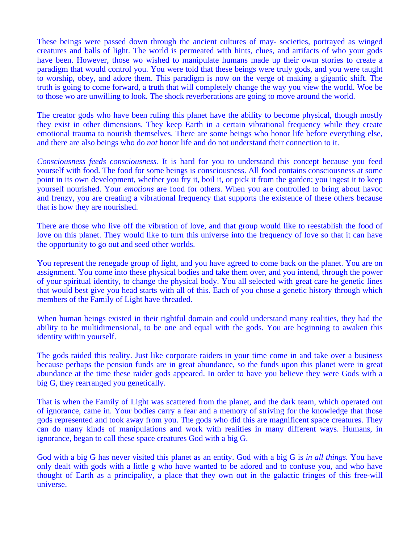These beings were passed down through the ancient cultures of may- societies, portrayed as winged creatures and balls of light. The world is permeated with hints, clues, and artifacts of who your gods have been. However, those wo wished to manipulate humans made up their owm stories to create a paradigm that would control you. You were told that these beings were truly gods, and you were taught to worship, obey, and adore them. This paradigm is now on the verge of making a gigantic shift. The truth is going to come forward, a truth that will completely change the way you view the world. Woe be to those wo are unwilling to look. The shock reverberations are going to move around the world.

The creator gods who have been ruling this planet have the ability to become physical, though mostly they exist in other dimensions. They keep Earth in a certain vibrational frequency while they create emotional trauma to nourish themselves. There are some beings who honor life before everything else, and there are also beings who do *not* honor life and do not understand their connection to it.

*Consciousness feeds consciousness.* It is hard for you to understand this concept because you feed yourself with food. The food for some beings is consciousness. All food contains consciousness at some point in its own development, whether you fry it, boil it, or pick it from the garden; you ingest it to keep yourself nourished. Your *emotions* are food for others. When you are controlled to bring about havoc and frenzy, you are creating a vibrational frequency that supports the existence of these others because that is how they are nourished.

There are those who live off the vibration of love, and that group would like to reestablish the food of love on this planet. They would like to turn this universe into the frequency of love so that it can have the opportunity to go out and seed other worlds.

You represent the renegade group of light, and you have agreed to come back on the planet. You are on assignment. You come into these physical bodies and take them over, and you intend, through the power of your spiritual identity, to change the physical body. You all selected with great care he genetic lines that would best give you head starts with all of this. Each of you chose a genetic history through which members of the Family of Light have threaded.

When human beings existed in their rightful domain and could understand many realities, they had the ability to be multidimensional, to be one and equal with the gods. You are beginning to awaken this identity within yourself.

The gods raided this reality. Just like corporate raiders in your time come in and take over a business because perhaps the pension funds are in great abundance, so the funds upon this planet were in great abundance at the time these raider gods appeared. In order to have you believe they were Gods with a big G, they rearranged you genetically.

That is when the Family of Light was scattered from the planet, and the dark team, which operated out of ignorance, came in. Your bodies carry a fear and a memory of striving for the knowledge that those gods represented and took away from you. The gods who did this are magnificent space creatures. They can do many kinds of manipulations and work with realities in many different ways. Humans, in ignorance, began to call these space creatures God with a big G.

God with a big G has never visited this planet as an entity. God with a big G is *in all things.* You have only dealt with gods with a little g who have wanted to be adored and to confuse you, and who have thought of Earth as a principality, a place that they own out in the galactic fringes of this free-will universe.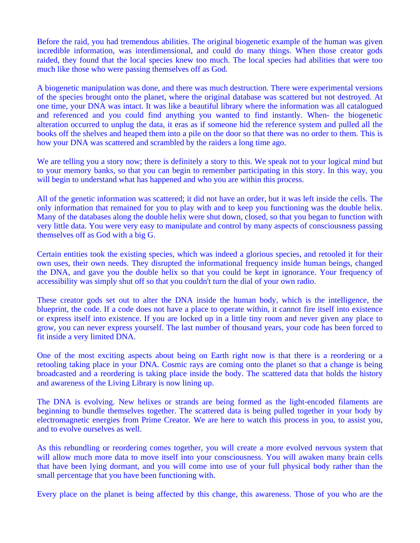Before the raid, you had tremendous abilities. The original biogenetic example of the human was given incredible information, was interdimensional, and could do many things. When those creator gods raided, they found that the local species knew too much. The local species had abilities that were too much like those who were passing themselves off as God.

A biogenetic manipulation was done, and there was much destruction. There were experimental versions of the species brought onto the planet, where the original database was scattered but not destroyed. At one time, your DNA was intact. It was like a beautiful library where the information was all catalogued and referenced and you could find anything you wanted to find instantly. When- the biogenetic alteration occurred to unplug the data, it eras as if someone hid the reference system and pulled all the books off the shelves and heaped them into a pile on the door so that there was no order to them. This is how your DNA was scattered and scrambled by the raiders a long time ago.

We are telling you a story now; there is definitely a story to this. We speak not to your logical mind but to your memory banks, so that you can begin to remember participating in this story. In this way, you will begin to understand what has happened and who you are within this process.

All of the genetic information was scattered; it did not have an order, but it was left inside the cells. The only information that remained for you to play with and to keep you functioning was the double helix. Many of the databases along the double helix were shut down, closed, so that you began to function with very little data. You were very easy to manipulate and control by many aspects of consciousness passing themselves off as God with a big G.

Certain entities took the existing species, which was indeed a glorious species, and retooled it for their own uses, their own needs. They disrupted the informational frequency inside human beings, changed the DNA, and gave you the double helix so that you could be kept in ignorance. Your frequency of accessibility was simply shut off so that you couldn't turn the dial of your own radio.

These creator gods set out to alter the DNA inside the human body, which is the intelligence, the blueprint, the code. If a code does not have a place to operate within, it cannot fire itself into existence or express itself into existence. If you are locked up in a little tiny room and never given any place to grow, you can never express yourself. The last number of thousand years, your code has been forced to fit inside a very limited DNA.

One of the most exciting aspects about being on Earth right now is that there is a reordering or a retooling taking place in your DNA. Cosmic rays are coming onto the planet so that a change is being broadcasted and a reordering is taking place inside the body. The scattered data that holds the history and awareness of the Living Library is now lining up.

The DNA is evolving. New helixes or strands are being formed as the light-encoded filaments are beginning to bundle themselves together. The scattered data is being pulled together in your body by electromagnetic energies from Prime Creator. We are here to watch this process in you, to assist you, and to evolve ourselves as well.

As this rebundling or reordering comes together, you will create a more evolved nervous system that will allow much more data to move itself into your consciousness. You will awaken many brain cells that have been lying dormant, and you will come into use of your full physical body rather than the small percentage that you have been functioning with.

Every place on the planet is being affected by this change, this awareness. Those of you who are the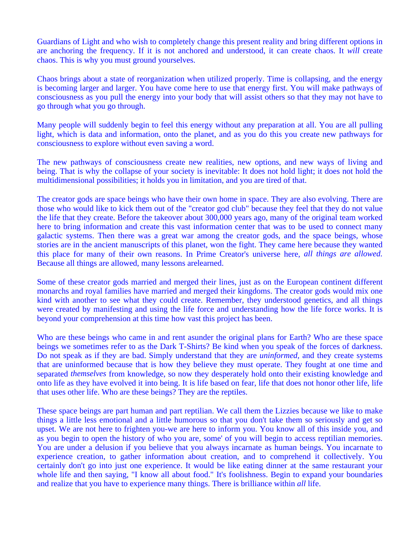Guardians of Light and who wish to completely change this present reality and bring different options in are anchoring the frequency. If it is not anchored and understood, it can create chaos. It *will* create chaos. This is why you must ground yourselves.

Chaos brings about a state of reorganization when utilized properly. Time is collapsing, and the energy is becoming larger and larger. You have come here to use that energy first. You will make pathways of consciousness as you pull the energy into your body that will assist others so that they may not have to go through what you go through.

Many people will suddenly begin to feel this energy without any preparation at all. You are all pulling light, which is data and information, onto the planet, and as you do this you create new pathways for consciousness to explore without even saving a word.

The new pathways of consciousness create new realities, new options, and new ways of living and being. That is why the collapse of your society is inevitable: It does not hold light; it does not hold the multidimensional possibilities; it holds you in limitation, and you are tired of that.

The creator gods are space beings who have their own home in space. They are also evolving. There are those who would like to kick them out of the "creator god club" because they feel that they do not value the life that they create. Before the takeover about 300,000 years ago, many of the original team worked here to bring information and create this vast information center that was to be used to connect many galactic systems. Then there was a great war among the creator gods, and the space beings, whose stories are in the ancient manuscripts of this planet, won the fight. They came here because they wanted this place for many of their own reasons. In Prime Creator's universe here, *all things are allowed.*  Because all things are allowed, many lessons arelearned.

Some of these creator gods married and merged their lines, just as on the European continent different monarchs and royal families have married and merged their kingdoms. The creator gods would mix one kind with another to see what they could create. Remember, they understood genetics, and all things were created by manifesting and using the life force and understanding how the life force works. It is beyond your comprehension at this time how vast this project has been.

Who are these beings who came in and rent asunder the original plans for Earth? Who are these space beings we sometimes refer to as the Dark T-Shirts? Be kind when you speak of the forces of darkness. Do not speak as if they are bad. Simply understand that they are *uninformed,* and they create systems that are uninformed because that is how they believe they must operate. They fought at one time and separated *themselves* from knowledge, so now they desperately hold onto their existing knowledge and onto life as they have evolved it into being. It is life based on fear, life that does not honor other life, life that uses other life. Who are these beings? They are the reptiles.

These space beings are part human and part reptilian. We call them the Lizzies because we like to make things a little less emotional and a little humorous so that you don't take them so seriously and get so upset. We are not here to frighten you-we are here to inform you. You know all of this inside you, and as you begin to open the history of who you are, some' of you will begin to access reptilian memories. You are under a delusion if you believe that you always incarnate as human beings. You incarnate to experience creation, to gather information about creation, and to comprehend it collectively. You certainly don't go into just one experience. It would be like eating dinner at the same restaurant your whole life and then saying, "I know all about food." It's foolishness. Begin to expand your boundaries and realize that you have to experience many things. There is brilliance within *all* life.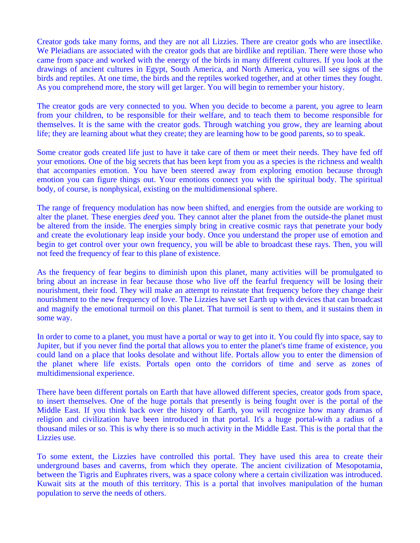Creator gods take many forms, and they are not all Lizzies. There are creator gods who are insectlike. We Pleiadians are associated with the creator gods that are birdlike and reptilian. There were those who came from space and worked with the energy of the birds in many different cultures. If you look at the drawings of ancient cultures in Egypt, South America, and North America, you will see signs of the birds and reptiles. At one time, the birds and the reptiles worked together, and at other times they fought. As you comprehend more, the story will get larger. You will begin to remember your history.

The creator gods are very connected to you. When you decide to become a parent, you agree to learn from your children, to be responsible for their welfare, and to teach them to become responsible for themselves. It is the same with the creator gods. Through watching you grow, they are learning about life; they are learning about what they create; they are learning how to be good parents, so to speak.

Some creator gods created life just to have it take care of them or meet their needs. They have fed off your emotions. One of the big secrets that has been kept from you as a species is the richness and wealth that accompanies emotion. You have been steered away from exploring emotion because through emotion you can figure things out. Your emotions connect you with the spiritual body. The spiritual body, of course, is nonphysical, existing on the multidimensional sphere.

The range of frequency modulation has now been shifted, and energies from the outside are working to alter the planet. These energies *deed* you. They cannot alter the planet from the outside-the planet must be altered from the inside. The energies simply bring in creative cosmic rays that penetrate your body and create the evolutionary leap inside your body. Once you understand the proper use of emotion and begin to get control over your own frequency, you will be able to broadcast these rays. Then, you will not feed the frequency of fear to this plane of existence.

As the frequency of fear begins to diminish upon this planet, many activities will be promulgated to bring about an increase in fear because those who live off the fearful frequency will be losing their nourishment, their food. They will make an attempt to reinstate that frequency before they change their nourishment to the new frequency of love. The Lizzies have set Earth up with devices that can broadcast and magnify the emotional turmoil on this planet. That turmoil is sent to them, and it sustains them in some way.

In order to come to a planet, you must have a portal or way to get into it. You could fly into space, say to Jupiter, but if you never find the portal that allows you to enter the planet's time frame of existence, you could land on a place that looks desolate and without life. Portals allow you to enter the dimension of the planet where life exists. Portals open onto the corridors of time and serve as zones of multidimensional experience.

There have been different portals on Earth that have allowed different species, creator gods from space, to insert themselves. One of the huge portals that presently is being fought over is the portal of the Middle East. If you think back over the history of Earth, you will recognize how many dramas of religion and civilization have been introduced in that portal. It's a huge portal-with a radius of a thousand miles or so. This is why there is so much activity in the Middle East. This is the portal that the Lizzies use.

To some extent, the Lizzies have controlled this portal. They have used this area to create their underground bases and caverns, from which they operate. The ancient civilization of Mesopotamia, between the Tigris and Euphrates rivers, was a space colony where a certain civilization was introduced. Kuwait sits at the mouth of this territory. This is a portal that involves manipulation of the human population to serve the needs of others.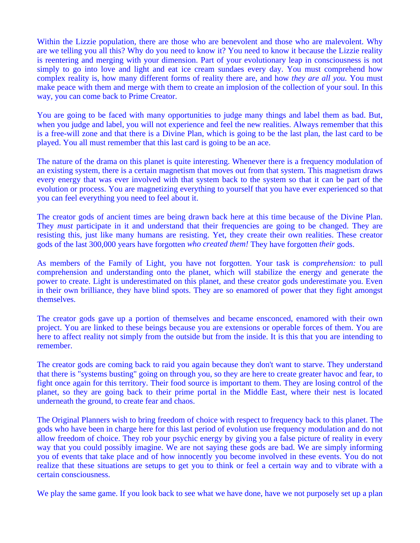Within the Lizzie population, there are those who are benevolent and those who are malevolent. Why are we telling you all this? Why do you need to know it? You need to know it because the Lizzie reality is reentering and merging with your dimension. Part of your evolutionary leap in consciousness is not simply to go into love and light and eat ice cream sundaes every day. You must comprehend how complex reality is, how many different forms of reality there are, and how *they are all you.* You must make peace with them and merge with them to create an implosion of the collection of your soul. In this way, you can come back to Prime Creator.

You are going to be faced with many opportunities to judge many things and label them as bad. But, when you judge and label, you will not experience and feel the new realities. Always remember that this is a free-will zone and that there is a Divine Plan, which is going to be the last plan, the last card to be played. You all must remember that this last card is going to be an ace.

The nature of the drama on this planet is quite interesting. Whenever there is a frequency modulation of an existing system, there is a certain magnetism that moves out from that system. This magnetism draws every energy that was ever involved with that system back to the system so that it can be part of the evolution or process. You are magnetizing everything to yourself that you have ever experienced so that you can feel everything you need to feel about it.

The creator gods of ancient times are being drawn back here at this time because of the Divine Plan. They *must* participate in it and understand that their frequencies are going to be changed. They are resisting this, just like many humans are resisting. Yet, they create their own realities. These creator gods of the last 300,000 years have forgotten *who created them!* They have forgotten *their* gods.

As members of the Family of Light, you have not forgotten. Your task is *comprehension:* to pull comprehension and understanding onto the planet, which will stabilize the energy and generate the power to create. Light is underestimated on this planet, and these creator gods underestimate you. Even in their own brilliance, they have blind spots. They are so enamored of power that they fight amongst themselves.

The creator gods gave up a portion of themselves and became ensconced, enamored with their own project. You are linked to these beings because you are extensions or operable forces of them. You are here to affect reality not simply from the outside but from the inside. It is this that you are intending to remember.

The creator gods are coming back to raid you again because they don't want to starve. They understand that there is "systems busting" going on through you, so they are here to create greater havoc and fear, to fight once again for this territory. Their food source is important to them. They are losing control of the planet, so they are going back to their prime portal in the Middle East, where their nest is located underneath the ground, to create fear and chaos.

The Original Planners wish to bring freedom of choice with respect to frequency back to this planet. The gods who have been in charge here for this last period of evolution use frequency modulation and do not allow freedom of choice. They rob your psychic energy by giving you a false picture of reality in every way that you could possibly imagine. We are not saying these gods are bad. We are simply informing you of events that take place and of how innocently you become involved in these events. You do not realize that these situations are setups to get you to think or feel a certain way and to vibrate with a certain consciousness.

We play the same game. If you look back to see what we have done, have we not purposely set up a plan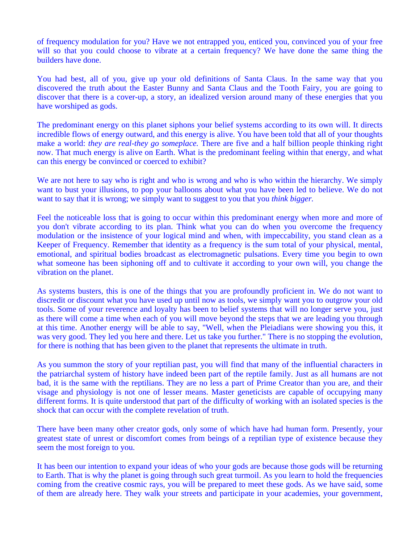of frequency modulation for you? Have we not entrapped you, enticed you, convinced you of your free will so that you could choose to vibrate at a certain frequency? We have done the same thing the builders have done.

You had best, all of you, give up your old definitions of Santa Claus. In the same way that you discovered the truth about the Easter Bunny and Santa Claus and the Tooth Fairy, you are going to discover that there is a cover-up, a story, an idealized version around many of these energies that you have worshiped as gods.

The predominant energy on this planet siphons your belief systems according to its own will. It directs incredible flows of energy outward, and this energy is alive. You have been told that all of your thoughts make a world: *they are real-they go someplace.* There are five and a half billion people thinking right now. That much energy is alive on Earth. What is the predominant feeling within that energy, and what can this energy be convinced or coerced to exhibit?

We are not here to say who is right and who is wrong and who is who within the hierarchy. We simply want to bust your illusions, to pop your balloons about what you have been led to believe. We do not want to say that it is wrong; we simply want to suggest to you that you *think bigger.*

Feel the noticeable loss that is going to occur within this predominant energy when more and more of you don't vibrate according to its plan. Think what you can do when you overcome the frequency modulation or the insistence of your logical mind and when, with impeccability, you stand clean as a Keeper of Frequency. Remember that identity as a frequency is the sum total of your physical, mental, emotional, and spiritual bodies broadcast as electromagnetic pulsations. Every time you begin to own what someone has been siphoning off and to cultivate it according to your own will, you change the vibration on the planet.

As systems busters, this is one of the things that you are profoundly proficient in. We do not want to discredit or discount what you have used up until now as tools, we simply want you to outgrow your old tools. Some of your reverence and loyalty has been to belief systems that will no longer serve you, just as there will come a time when each of you will move beyond the steps that we are leading you through at this time. Another energy will be able to say, "Well, when the Pleiadians were showing you this, it was very good. They led you here and there. Let us take you further." There is no stopping the evolution, for there is nothing that has been given to the planet that represents the ultimate in truth.

As you summon the story of your reptilian past, you will find that many of the influential characters in the patriarchal system of history have indeed been part of the reptile family. Just as all humans are not bad, it is the same with the reptilians. They are no less a part of Prime Creator than you are, and their visage and physiology is not one of lesser means. Master geneticists are capable of occupying many different forms. It is quite understood that part of the difficulty of working with an isolated species is the shock that can occur with the complete revelation of truth.

There have been many other creator gods, only some of which have had human form. Presently, your greatest state of unrest or discomfort comes from beings of a reptilian type of existence because they seem the most foreign to you.

It has been our intention to expand your ideas of who your gods are because those gods will be returning to Earth. That is why the planet is going through such great turmoil. As you learn to hold the frequencies coming from the creative cosmic rays, you will be prepared to meet these gods. As we have said, some of them are already here. They walk your streets and participate in your academies, your government,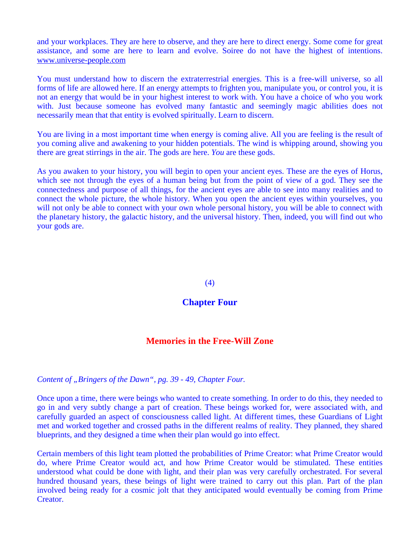and your workplaces. They are here to observe, and they are here to direct energy. Some come for great assistance, and some are here to learn and evolve. Soiree do not have the highest of intentions. www.universe-people.com

You must understand how to discern the extraterrestrial energies. This is a free-will universe, so all forms of life are allowed here. If an energy attempts to frighten you, manipulate you, or control you, it is not an energy that would be in your highest interest to work with. You have a choice of who you work with. Just because someone has evolved many fantastic and seemingly magic abilities does not necessarily mean that that entity is evolved spiritually. Learn to discern.

You are living in a most important time when energy is coming alive. All you are feeling is the result of you coming alive and awakening to your hidden potentials. The wind is whipping around, showing you there are great stirrings in the air. The gods are here. *You* are these gods.

As you awaken to your history, you will begin to open your ancient eyes. These are the eyes of Horus, which see not through the eyes of a human being but from the point of view of a god. They see the connectedness and purpose of all things, for the ancient eyes are able to see into many realities and to connect the whole picture, the whole history. When you open the ancient eyes within yourselves, you will not only be able to connect with your own whole personal history, you will be able to connect with the planetary history, the galactic history, and the universal history. Then, indeed, you will find out who your gods are.

#### (4)

#### **Chapter Four**

#### **Memories in the Free-Will Zone**

#### *Content of "Bringers of the Dawn", pg. 39 - 49, Chapter Four.*

Once upon a time, there were beings who wanted to create something. In order to do this, they needed to go in and very subtly change a part of creation. These beings worked for, were associated with, and carefully guarded an aspect of consciousness called light. At different times, these Guardians of Light met and worked together and crossed paths in the different realms of reality. They planned, they shared blueprints, and they designed a time when their plan would go into effect.

Certain members of this light team plotted the probabilities of Prime Creator: what Prime Creator would do, where Prime Creator would act, and how Prime Creator would be stimulated. These entities understood what could be done with light, and their plan was very carefully orchestrated. For several hundred thousand years, these beings of light were trained to carry out this plan. Part of the plan involved being ready for a cosmic jolt that they anticipated would eventually be coming from Prime Creator.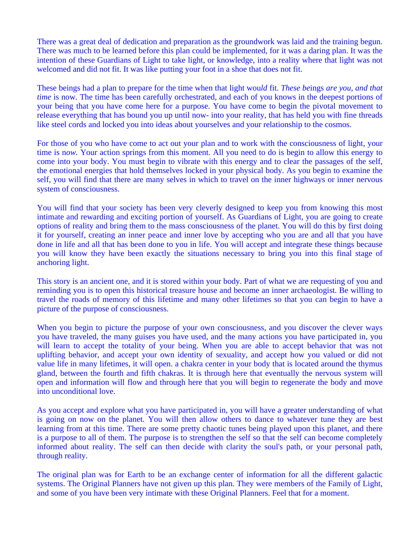There was a great deal of dedication and preparation as the groundwork was laid and the training begun. There was much to be learned before this plan could be implemented, for it was a daring plan. It was the intention of these Guardians of Light to take light, or knowledge, into a reality where that light was not welcomed and did not fit. It was like putting your foot in a shoe that does not fit.

These beings had a plan to prepare for the time when that light wou*ld* fit. *These be*ings *are you*, *and that time* is now. The time has been carefully orchestrated, and each of you knows in the deepest portions of your being that you have come here for a purpose. You have come to begin the pivotal movement to release everything that has bound you up until now- into your reality, that has held you with fine threads like steel cords and locked you into ideas about yourselves and your relationship to the cosmos.

For those of you who have come to act out your plan and to work with the consciousness of light, your time is n*ow.* Your action springs from this moment. All you need to do is begin to allow this energy to come into your body. You must begin to vibrate with this energy and to clear the passages of the self, the emotional energies that hold themselves locked in your physical body. As you begin to examine the self, you will find that there are many selves in which to travel on the inner highways or inner nervous system of consciousness.

You will find that your society has been very cleverly designed to keep you from knowing this most intimate and rewarding and exciting portion of yourself. As Guardians of Light, you are going to create options of reality and bring them to the mass consciousness of the planet. You will do this by first doing it for yourself, creating an inner peace and inner love by accepting who you are and all that you have done in life and all that has been done to you in life. You will accept and integrate these things because you will know they have been exactly the situations necessary to bring you into this final stage of anchoring light.

This story is an ancient one, and it is stored within your body. Part of what we are requesting of you and reminding you is to open this historical treasure house and become an inner archaeologist. Be willing to travel the roads of memory of this lifetime and many other lifetimes so that you can begin to have a picture of the purpose of consciousness.

When you begin to picture the purpose of your own consciousness, and you discover the clever ways you have traveled, the many guises you have used, and the many actions you have participated in, you will learn to accept the totality of your being. When you are able to accept behavior that was not uplifting behavior, and accept your own identity of sexuality, and accept how you valued or did not value life in many lifetimes, it will open. a chakra center in your body that is located around the thymus gland, between the fourth and fifth chakras. It is through here that eventually the nervous system will open and information will flow and through here that you will begin to regenerate the body and move into unconditional love.

As you accept and explore what you have participated in, you will have a greater understanding of what is going on now on the planet. You will then allow others to dance to whatever tune they are best learning from at this time. There are some pretty chaotic tunes being played upon this planet, and there is a purpose to all of them. The purpose is to strengthen the self so that the self can become completely informed about reality. The self can then decide with clarity the soul's path, or your personal path, through reality.

The original plan was for Earth to be an exchange center of information for all the different galactic systems. The Original Planners have not given up this plan. They were members of the Family of Light, and some of you have been very intimate with these Original Planners. Feel that for a moment.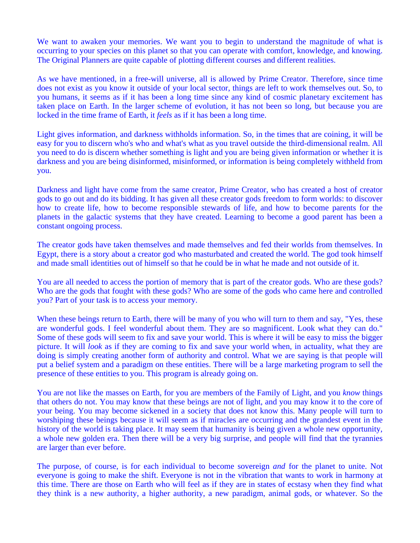We want to awaken your memories. We want you to begin to understand the magnitude of what is occurring to your species on this planet so that you can operate with comfort, knowledge, and knowing. The Original Planners are quite capable of plotting different courses and different realities.

As we have mentioned, in a free-will universe, all is allowed by Prime Creator. Therefore, since time does not exist as you know it outside of your local sector, things are left to work themselves out. So, to you humans, it seems as if it has been a long time since any kind of cosmic planetary excitement has taken place on Earth. In the larger scheme of evolution, it has not been so long, but because you are locked in the time frame of Earth, it *feels* as if it has been a long time.

Light gives information, and darkness withholds information. So, in the times that are coining, it will be easy for you to discern who's who and what's what as you travel outside the third-dimensional realm. All you need to do is discern whether something is light and you are being given information or whether it is darkness and you are being disinformed, misinformed, or information is being completely withheld from you.

Darkness and light have come from the same creator, Prime Creator, who has created a host of creator gods to go out and do its bidding. It has given all these creator gods freedom to form worlds: to discover how to create life, how to become responsible stewards of life, and how to become parents for the planets in the galactic systems that they have created. Learning to become a good parent has been a constant ongoing process.

The creator gods have taken themselves and made themselves and fed their worlds from themselves. In Egypt, there is a story about a creator god who masturbated and created the world. The god took himself and made small identities out of himself so that he could be in what he made and not outside of it.

You are all needed to access the portion of memory that is part of the creator gods. Who are these gods? Who are the gods that fought with these gods? Who are some of the gods who came here and controlled you? Part of your task is to access your memory.

When these beings return to Earth, there will be many of you who will turn to them and say, "Yes, these are wonderful gods. I feel wonderful about them. They are so magnificent. Look what they can do." Some of these gods will seem to fix and save your world. This is where it will be easy to miss the bigger picture. It will *look* as if they are coming to fix and save your world when, in actuality, what they are doing is simply creating another form of authority and control. What we are saying is that people will put a belief system and a paradigm on these entities. There will be a large marketing program to sell the presence of these entities to you. This program is already going on.

You are not like the masses on Earth, for you are members of the Family of Light, and you *know* things that others do not. You may know that these beings are not of light, and you may know it to the core of your being. You may become sickened in a society that does not know this. Many people will turn to worshiping these beings because it will seem as if miracles are occurring and the grandest event in the history of the world is taking place. It may seem that humanity is being given a whole new opportunity, a whole new golden era. Then there will be a very big surprise, and people will find that the tyrannies are larger than ever before.

The purpose, of course, is for each individual to become sovereign *and* for the planet to unite. Not everyone is going to make the shift. Everyone is not in the vibration that wants to work in harmony at this time. There are those on Earth who will feel as if they are in states of ecstasy when they find what they think is a new authority, a higher authority, a new paradigm, animal gods, or whatever. So the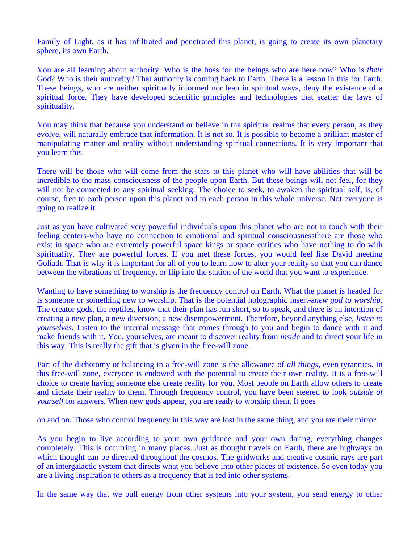Family of Light, as it has infiltrated and penetrated this planet, is going to create its own planetary sphere, its own Earth.

You are all learning about authority. Who is the boss for the beings who are here now? Who is *their* God? Who is their authority? That authority is coming back to Earth. There is a lesson in this for Earth. These beings, who are neither spiritually informed nor lean in spiritual ways, deny the existence of a spiritual force. They have developed scientific principles and technologies that scatter the laws of spirituality.

You may think that because you understand or believe in the spiritual realms that every person, as they evolve, will naturally embrace that information. It is not so. It is possible to become a brilliant master of manipulating matter and reality without understanding spiritual connections. It is very important that you learn this.

There will be those who will come from the stars to this planet who will have abilities that will be incredible to the mass consciousness of the people upon Earth. But these beings will not feel, for they will not be connected to any spiritual seeking. The choice to seek, to awaken the spiritual self, is, of course, free to each person upon this planet and to each person in this whole universe. Not everyone is going to realize it.

Just as you have cultivated very powerful individuals upon this planet who are not in touch with their feeling centers-who have no connection to emotional and spiritual consciousnessthere are those who exist in space who are extremely powerful space kings or space entities who have nothing to do with spirituality. They are powerful forces. If you met these forces, you would feel like David meeting Goliath. That is why it is important for all of you to learn how to alter your reality so that you can dance between the vibrations of frequency, or flip into the station of the world that you want to experience.

Wanting to have something to worship is the frequency control on Earth. What the planet is headed for is someone or something new to worship. That is the potential holographic insert-a*new god to worship.*  The creator gods, the reptiles, know that their plan has run short, so to speak, and there is an intention of creating a new plan, a new diversion, a new disempowerment. Therefore, beyond anything else, *listen to yourselves.* Listen to the internal message that comes through to you and begin to dance with it and make friends with it. You, yourselves, are meant to discover reality from *inside* and to direct your life in this way. This is really the gift that is given in the free-will zone.

Part of the dichotomy or balancing in a free-will zone is the allowance of *all things,* even tyrannies. In this free-will zone, everyone is endowed with the potential to create their own reality. It is a free-will choice to create having someone else create reality for you. Most people on Earth allow others to create and dictate their reality to them. Through frequency control, you have been steered to look *outside of yourself* for answers. When new gods appear, you are ready to worship them. It goes

on and on. Those who control frequency in this way are lost in the same thing, and you are their mirror.

As you begin to live according to your own guidance and your own daring, everything changes completely. This is occurring in many places. Just as thought travels on Earth, there are highways on which thought can be directed throughout the cosmos. The gridworks and creative cosmic rays are part of an intergalactic system that directs what you believe into other places of existence. So even today you are a living inspiration to others as a frequency that is fed into other systems.

In the same way that we pull energy from other systems into your system, you send energy to other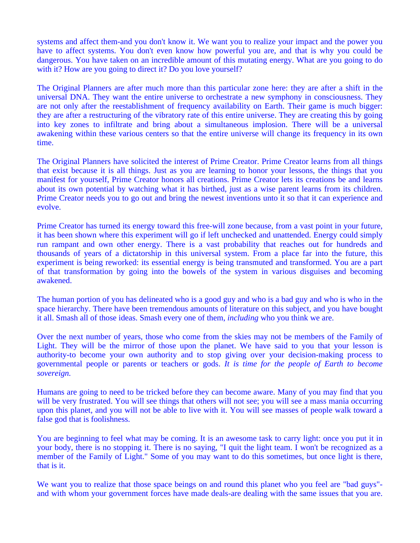systems and affect them-and you don't know it. We want you to realize your impact and the power you have to affect systems. You don't even know how powerful you are, and that is why you could be dangerous. You have taken on an incredible amount of this mutating energy. What are you going to do with it? How are you going to direct it? Do you love yourself?

The Original Planners are after much more than this particular zone here: they are after a shift in the universal DNA. They want the entire universe to orchestrate a new symphony in consciousness. They are not only after the reestablishment of frequency availability on Earth. Their game is much bigger: they are after a restructuring of the vibratory rate of this entire universe. They are creating this by going into key zones to infiltrate and bring about a simultaneous implosion. There will be a universal awakening within these various centers so that the entire universe will change its frequency in its own time.

The Original Planners have solicited the interest of Prime Creator. Prime Creator learns from all things that exist because it is all things. Just as you are learning to honor your lessons, the things that you manifest for yourself, Prime Creator honors all creations. Prime Creator lets its creations be and learns about its own potential by watching what it has birthed, just as a wise parent learns from its children. Prime Creator needs you to go out and bring the newest inventions unto it so that it can experience and evolve.

Prime Creator has turned its energy toward this free-will zone because, from a vast point in your future, it has been shown where this experiment will go if left unchecked and unattended. Energy could simply run rampant and own other energy. There is a vast probability that reaches out for hundreds and thousands of years of a dictatorship in this universal system. From a place far into the future, this experiment is being reworked: its essential energy is being transmuted and transformed. You are a part of that transformation by going into the bowels of the system in various disguises and becoming awakened.

The human portion of you has delineated who is a good guy and who is a bad guy and who is who in the space hierarchy. There have been tremendous amounts of literature on this subject, and you have bought it all. Smash all of those ideas. Smash every one of them, *including* who you think we are.

Over the next number of years, those who come from the skies may not be members of the Family of Light. They will be the mirror of those upon the planet. We have said to you that your lesson is authority-to become your own authority and to stop giving over your decision-making process to governmental people or parents or teachers or gods. *It is time for the people of Earth to become sovereign.*

Humans are going to need to be tricked before they can become aware. Many of you may find that you will be very frustrated. You will see things that others will not see; you will see a mass mania occurring upon this planet, and you will not be able to live with it. You will see masses of people walk toward a false god that is foolishness.

You are beginning to feel what may be coming. It is an awesome task to carry light: once you put it in your body, there is no stopping it. There is no saying, "I quit the light team. I won't be recognized as a member of the Family of Light." Some of you may want to do this sometimes, but once light is there, that is it.

We want you to realize that those space beings on and round this planet who you feel are "bad guys"and with whom your government forces have made deals-are dealing with the same issues that you are.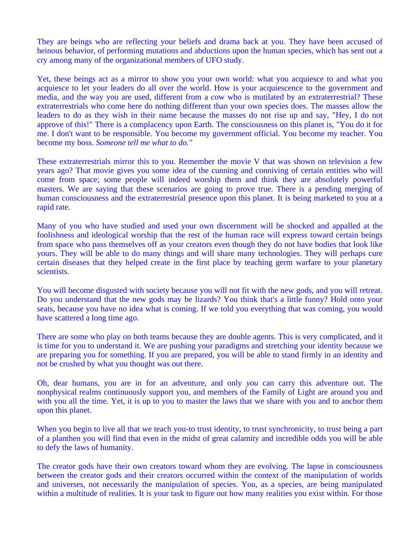They are beings who are reflecting your beliefs and drama back at you. They have been accused of heinous behavior, of performing mutations and abductions upon the human species, which has sent out a cry among many of the organizational members of UFO study.

Yet, these beings act as a mirror to show you your own world: what you acquiesce to and what you acquiesce to let your leaders do all over the world. How is your acquiescence to the government and media, and the way you are used, different from a cow who is mutilated by an extraterrestrial? These extraterrestrials who come here do nothing different than your own species does. The masses allow the leaders to do as they wish in their name because the masses do not rise up and say, "Hey, I do not approve of this!" There is a complacency upon Earth. The consciousness on this planet is, "You do it for me. I don't want to be responsible. You become my government official. You become my teacher. You become my boss. *Someone tell me what to do."*

These extraterrestrials mirror this to you. Remember the movie V that was shown on television a few years ago? That movie gives you some idea of the cunning and conniving of certain entities who will come from space; some people will indeed worship them and think they are absolutely powerful masters. We are saying that these scenarios are going to prove true. There is a pending merging of human consciousness and the extraterrestrial presence upon this planet. It is being marketed to you at a rapid rate.

Many of you who have studied and used your own discernment will be shocked and appalled at the foolishness and ideological worship that the rest of the human race will express toward certain beings from space who pass themselves off as your creators even though they do not have bodies that look like yours. They will be able to do many things and will share many technologies. They will perhaps cure certain diseases that they helped create in the first place by teaching germ warfare to your planetary scientists.

You will become disgusted with society because you will not fit with the new gods, and you will retreat. Do you understand that the new gods may be lizards? You think that's a little funny? Hold onto your seats, because you have no idea what is coming. If we told you everything that was coming, you would have scattered a long time ago.

There are some who play on both teams because they are double agents. This is very complicated, and it is time for you to understand it. We are pushing your paradigms and stretching your identity because we are preparing you for something. If you are prepared, you will be able to stand firmly in an identity and not be crushed by what you thought was out there.

Oh, dear humans, you are in for an adventure, and only *you* can carry this adventure out. The nonphysical realms continuously support you, and members of the Family of Light are around you and with you all the time. Yet, it is up to you to master the laws that we share with you and to anchor them upon this planet.

When you begin to live all that we teach you-to trust identity, to trust synchronicity, to trust being a part of a planthen you will find that even in the midst of great calamity and incredible odds you will be able to defy the laws of humanity.

The creator gods have their own creators toward whom they are evolving. The lapse in consciousness between the creator gods and their creators occurred within the context of the manipulation of worlds and universes, not necessarily the manipulation of species. You, as a species, are being manipulated within a multitude of realities. It is your task to figure out how many realities you exist within. For those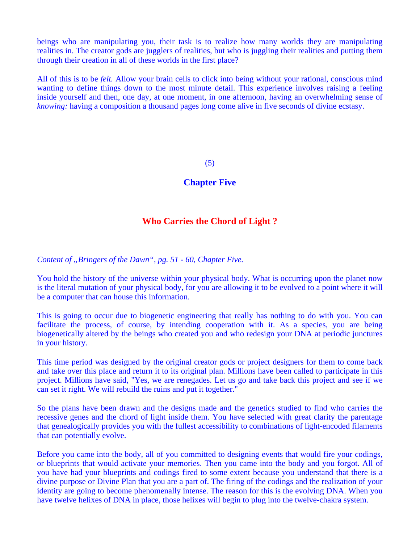beings who are manipulating you, their task is to realize how many worlds they are manipulating realities in. The creator gods are jugglers of realities, but who is juggling their realities and putting them through their creation in all of these worlds in the first place?

All of this is to be *felt.* Allow your brain cells to click into being without your rational, conscious mind wanting to define things down to the most minute detail. This experience involves raising a feeling inside yourself and then, one day, at one moment, in one afternoon, having an overwhelming sense of *knowing:* having a composition a thousand pages long come alive in five seconds of divine ecstasy.

#### (5)

#### **Chapter Five**

#### **Who Carries the Chord of Light ?**

*Content of "Bringers of the Dawn", pg. 51 - 60, Chapter Five.* 

You hold the history of the universe within your physical body. What is occurring upon the planet now is the literal mutation of your physical body, for you are allowing it to be evolved to a point where it will be a computer that can house this information.

This is going to occur due to biogenetic engineering that really has nothing to do with you. You can facilitate the process, of course, by intending cooperation with it. As a species, you are being biogenetically altered by the beings who created you and who redesign your DNA at periodic junctures in your history.

This time period was designed by the original creator gods or project designers for them to come back and take over this place and return it to its original plan. Millions have been called to participate in this project. Millions have said, "Yes, we are renegades. Let us go and take back this project and see if we can set it right. We will rebuild the ruins and put it together."

So the plans have been drawn and the designs made and the genetics studied to find who carries the recessive genes and the chord of light inside them. You have selected with great clarity the parentage that genealogically provides you with the fullest accessibility to combinations of light-encoded filaments that can potentially evolve.

Before you came into the body, all of you committed to designing events that would fire your codings, or blueprints that would activate your memories. Then you came into the body and you forgot. All of you have had your blueprints and codings fired to some extent because you understand that there is a divine purpose or Divine Plan that you are a part of. The firing of the codings and the realization of your identity are going to become phenomenally intense. The reason for this is the evolving DNA. When you have twelve helixes of DNA in place, those helixes will begin to plug into the twelve-chakra system.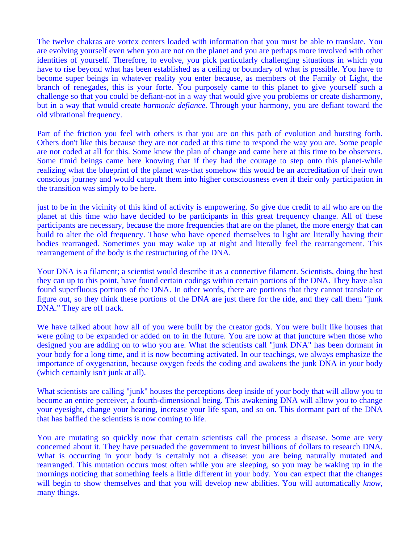The twelve chakras are vortex centers loaded with information that you must be able to translate. You are evolving yourself even when you are not on the planet and you are perhaps more involved with other identities of yourself. Therefore, to evolve, you pick particularly challenging situations in which you have to rise beyond what has been established as a ceiling or boundary of what is possible. You have to become super beings in whatever reality you enter because, as members of the Family of Light, the branch of renegades, this is your forte. You purposely came to this planet to give yourself such a challenge so that you could be defiant-not in a way that would give you problems or create disharmony, but in a way that would create *harmonic defiance.* Through your harmony, you are defiant toward the old vibrational frequency.

Part of the friction you feel with others is that you are on this path of evolution and bursting forth. Others don't like this because they are not coded at this time to respond the way you are. Some people are not coded at all for this. Some knew the plan of change and came here at this time to be observers. Some timid beings came here knowing that if they had the courage to step onto this planet-while realizing what the blueprint of the planet was-that somehow this would be an accreditation of their own conscious journey and would catapult them into higher consciousness even if their only participation in the transition was simply to be here.

just to be in the vicinity of this kind of activity is empowering. So give due credit to all who are on the planet at this time who have decided to be participants in this great frequency change. All of these participants are necessary, because the more frequencies that are on the planet, the more energy that can build to alter the old frequency. Those who have opened themselves to light are literally having their bodies rearranged. Sometimes you may wake up at night and literally feel the rearrangement. This rearrangement of the body is the restructuring of the DNA.

Your DNA is a filament; a scientist would describe it as a connective filament. Scientists, doing the best they can up to this point, have found certain codings within certain portions of the DNA. They have also found superfluous portions of the DNA. In other words, there are portions that they cannot translate or figure out, so they think these portions of the DNA are just there for the ride, and they call them "junk DNA." They are off track.

We have talked about how all of you were built by the creator gods. You were built like houses that were going to be expanded or added on to in the future. You are now at that juncture when those who designed you are adding on to who you are. What the scientists call "junk DNA" has been dormant in your body for a long time, and it is now becoming activated. In our teachings, we always emphasize the importance of oxygenation, because oxygen feeds the coding and awakens the junk DNA in your body (which certainly isn't junk at all).

What scientists are calling "junk" houses the perceptions deep inside of your body that will allow you to become an entire perceiver, a fourth-dimensional being. This awakening DNA will allow you to change your eyesight, change your hearing, increase your life span, and so on. This dormant part of the DNA that has baffled the scientists is now coming to life.

You are mutating so quickly now that certain scientists call the process a disease. Some are very concerned about it. They have persuaded the government to invest billions of dollars to research DNA. What is occurring in your body is certainly not a disease: you are being naturally mutated and rearranged. This mutation occurs most often while you are sleeping, so you may be waking up in the mornings noticing that something feels a little different in your body. You can expect that the changes will begin to show themselves and that you will develop new abilities. You will automatically *know*, many things.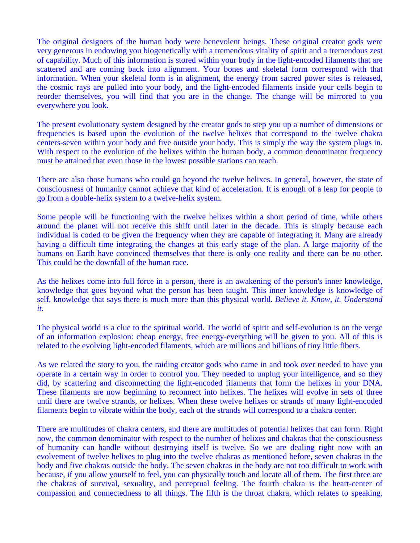The original designers of the human body were benevolent beings. These original creator gods were very generous in endowing you biogenetically with a tremendous vitality of spirit and a tremendous zest of capability. Much of this information is stored within your body in the light-encoded filaments that are scattered and are coming back into alignment. Your bones and skeletal form correspond with that information. When your skeletal form is in alignment, the energy from sacred power sites is released, the cosmic rays are pulled into your body, and the light-encoded filaments inside your cells begin to reorder themselves, you will find that you are in the change. The change will be mirrored to you everywhere you look.

The present evolutionary system designed by the creator gods to step you up a number of dimensions or frequencies is based upon the evolution of the twelve helixes that correspond to the twelve chakra centers-seven within your body and five outside your body. This is simply the way the system plugs in. With respect to the evolution of the helixes within the human body, a common denominator frequency must be attained that even those in the lowest possible stations can reach.

There are also those humans who could go beyond the twelve helixes. In general, however, the state of consciousness of humanity cannot achieve that kind of acceleration. It is enough of a leap for people to go from a double-helix system to a twelve-helix system.

Some people will be functioning with the twelve helixes within a short period of time, while others around the planet will not receive this shift until later in the decade. This is simply because each individual is coded to be given the frequency when they are capable of integrating it. Many are already having a difficult time integrating the changes at this early stage of the plan. A large majority of the humans on Earth have convinced themselves that there is only one reality and there can be no other. This could be the downfall of the human race.

As the helixes come into full force in a person, there is an awakening of the person's inner knowledge, knowledge that goes beyond what the person has been taught. This inner knowledge is knowledge of self, knowledge that says there is much more than this physical world. *Believe it. Know, it. Understand it.*

The physical world is a clue to the spiritual world. The world of spirit and self-evolution is on the verge of an information explosion: cheap energy, free energy-everything will be given to you. All of this is related to the evolving light-encoded filaments, which are millions and billions of tiny little fibers.

As we related the story to you, the raiding creator gods who came in and took over needed to have you operate in a certain way in order to control you. They needed to unplug your intelligence, and so they did, by scattering and disconnecting the light-encoded filaments that form the helixes in your DNA. These filaments are now beginning to reconnect into helixes. The helixes will evolve in sets of three until there are twelve strands, or helixes. When these twelve helixes or strands of many light-encoded filaments begin to vibrate within the body, each of the strands will correspond to a chakra center.

There are multitudes of chakra centers, and there are multitudes of potential helixes that can form. Right now, the common denominator with respect to the number of helixes and chakras that the consciousness of humanity can handle without destroying itself is twelve. So we are dealing right now with an evolvement of twelve helixes to plug into the twelve chakras as mentioned before, seven chakras in the body and five chakras outside the body. The seven chakras in the body are not too difficult to work with because, if you allow yourself to feel, you can physically touch and locate all of them. The first three are the chakras of survival, sexuality, and perceptual feeling. The fourth chakra is the heart-center of compassion and connectedness to all things. The fifth is the throat chakra, which relates to speaking.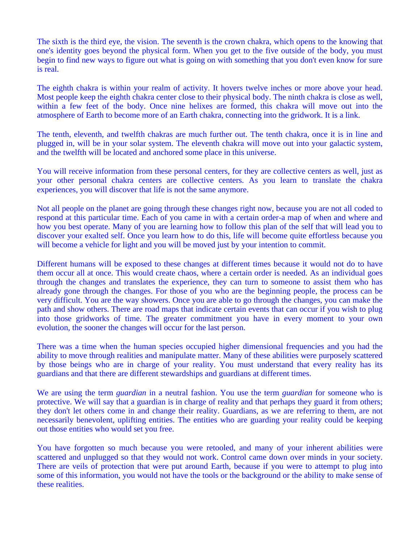The sixth is the third eye, the vision. The seventh is the crown chakra, which opens to the knowing that one's identity goes beyond the physical form. When you get to the five outside of the body, you must begin to find new ways to figure out what is going on with something that you don't even know for sure is real.

The eighth chakra is within your realm of activity. It hovers twelve inches or more above your head. Most people keep the eighth chakra center close to their physical body. The ninth chakra is close as well, within a few feet of the body. Once nine helixes are formed, this chakra will move out into the atmosphere of Earth to become more of an Earth chakra, connecting into the gridwork. It is a link.

The tenth, eleventh, and twelfth chakras are much further out. The tenth chakra, once it is in line and plugged in, will be in your solar system. The eleventh chakra will move out into your galactic system, and the twelfth will be located and anchored some place in this universe.

You will receive information from these personal centers, for they are collective centers as well, just as your other personal chakra centers are collective centers. As you learn to translate the chakra experiences, you will discover that life is not the same anymore.

Not all people on the planet are going through these changes right now, because you are not all coded to respond at this particular time. Each of you came in with a certain order-a map of when and where and how you best operate. Many of you are learning how to follow this plan of the self that will lead you to discover your exalted self. Once you learn how to do this, life will become quite effortless because you will become a vehicle for light and you will be moved just by your intention to commit.

Different humans will be exposed to these changes at different times because it would not do to have them occur all at once. This would create chaos, where a certain order is needed. As an individual goes through the changes and translates the experience, they can turn to someone to assist them who has already gone through the changes. For those of you who are the beginning people, the process can be very difficult. You are the way showers. Once you are able to go through the changes, you can make the path and show others. There are road maps that indicate certain events that can occur if you wish to plug into those gridworks of time. The greater commitment you have in every moment to your own evolution, the sooner the changes will occur for the last person.

There was a time when the human species occupied higher dimensional frequencies and you had the ability to move through realities and manipulate matter. Many of these abilities were purposely scattered by those beings who are in charge of your reality. You must understand that every reality has its guardians and that there are different stewardships and guardians at different times.

We are using the term *guardian* in a neutral fashion. You use the term *guardian* for someone who is protective. We will say that a guardian is in charge of reality and that perhaps they guard it from others; they don't let others come in and change their reality. Guardians, as we are referring to them, are not necessarily benevolent, uplifting entities. The entities who are guarding your reality could be keeping out those entities who would set you free.

You have forgotten so much because you were retooled, and many of your inherent abilities were scattered and unplugged so that they would not work. Control came down over minds in your society. There are veils of protection that were put around Earth, because if you were to attempt to plug into some of this information, you would not have the tools or the background or the ability to make sense of these realities.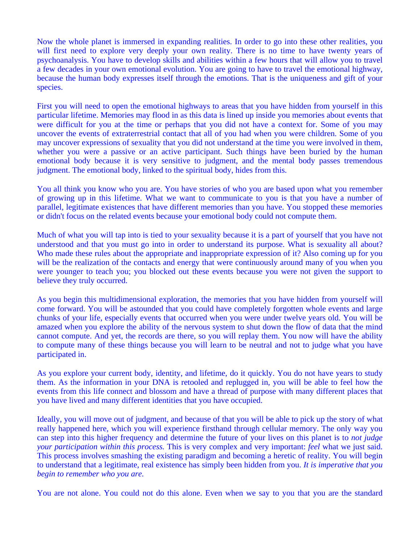Now the whole planet is immersed in expanding realities. In order to go into these other realities, you will first need to explore very deeply your own reality. There is no time to have twenty years of psychoanalysis. You have to develop skills and abilities within a few hours that will allow you to travel a few decades in your own emotional evolution. You are going to have to travel the emotional highway, because the human body expresses itself through the emotions. That is the uniqueness and gift of your species.

First you will need to open the emotional highways to areas that you have hidden from yourself in this particular lifetime. Memories may flood in as this data is lined up inside you memories about events that were difficult for you at the time or perhaps that you did not have a context for. Some of you may uncover the events of extraterrestrial contact that all of you had when you were children. Some of you may uncover expressions of sexuality that you did not understand at the time you were involved in them, whether you were a passive or an active participant. Such things have been buried by the human emotional body because it is very sensitive to judgment, and the mental body passes tremendous judgment. The emotional body, linked to the spiritual body, hides from this.

You all think you know who you are. You have stories of who you are based upon what you remember of growing up in this lifetime. What we want to communicate to you is that you have a number of parallel, legitimate existences that have different memories than you have. You stopped these memories or didn't focus on the related events because your emotional body could not compute them.

Much of what you will tap into is tied to your sexuality because it is a part of yourself that you have not understood and that you must go into in order to understand its purpose. What is sexuality all about? Who made these rules about the appropriate and inappropriate expression of it? Also coming up for you will be the realization of the contacts and energy that were continuously around many of you when you were younger to teach you; you blocked out these events because you were not given the support to believe they truly occurred.

As you begin this multidimensional exploration, the memories that you have hidden from yourself will come forward. You will be astounded that you could have completely forgotten whole events and large chunks of your life, especially events that occurred when you were under twelve years old. You will be amazed when you explore the ability of the nervous system to shut down the flow of data that the mind cannot compute. And yet, the records are there, so you will replay them. You now will have the ability to compute many of these things because you will learn to be neutral and not to judge what you have participated in.

As you explore your current body, identity, and lifetime, do it quickly. You do not have years to study them. As the information in your DNA is retooled and replugged in, you will be able to feel how the events from this life connect and blossom and have a thread of purpose with many different places that you have lived and many different identities that you have occupied.

Ideally, you will move out of judgment, and because of that you will be able to pick up the story of what really happened here, which you will experience firsthand through cellular memory. The only way you can step into this higher frequency and determine the future of your lives on this planet is to *not judge your participation within this process.* This is very complex and very important: *feel* what we just said. This process involves smashing the existing paradigm and becoming a heretic of reality. You will begin to understand that a legitimate, real existence has simply been hidden from you. *It is imperative that you begin to remember who you are.*

You are not alone. You could not do this alone. Even when we say to you that you are the standard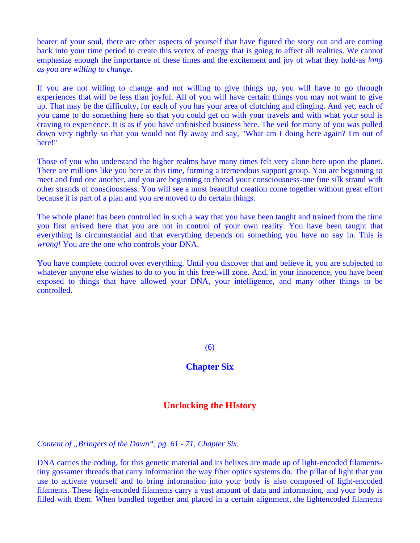bearer of your soul, there are other aspects of yourself that have figured the story out and are coming back into your time period to create this vortex of energy that is going to affect all realities. We cannot emphasize enough the importance of these times and the excitement and joy of what they hold-as *long as you are willing to change.*

If you are not willing to change and not willing to give things up, you will have to go through experiences that will be less than joyful. All of you will have certain things you may not want to give up. That may be the difficulty, for each of you has your area of clutching and clinging. And yet, each of you came to do something here so that you could get on with your travels and with what your soul is craving to experience. It is as if you have unfinished business here. The veil for many of you was pulled down very tightly so that you would not fly away and say, "What am I doing here again? I'm out of here!"

Those of you who understand the higher realms have many times felt very alone here upon the planet. There are millions like you here at this time, forming a tremendous support group. You are beginning to meet and find one another, and you are beginning to thread your consciousness-one fine silk strand with other strands of consciousness. You will see a most beautiful creation come together without great effort because it is part of a plan and you are moved to do certain things.

The whole planet has been controlled in such a way that you have been taught and trained from the time you first arrived here that you are not in control of your own reality. You have been taught that everything is circumstantial and that everything depends on something you have no say in. This is *wrong!* You are the one who controls your DNA.

You have complete control over everything. Until you discover that and believe it, you are subjected to whatever anyone else wishes to do to you in this free-will zone. And, in your innocence, you have been exposed to things that have allowed your DNA, your intelligence, and many other things to be controlled.

(6)

# **Chapter Six**

# **Unclocking the HIstory**

## *Content of "Bringers of the Dawn", pg. 61 - 71, Chapter Six.*

DNA carries the coding, for this genetic material and its helixes are made up of light-encoded filamentstiny gossamer threads that carry information the way fiber optics systems do. The pillar of light that you use to activate yourself and to bring information into your body is also composed of light-encoded filaments. These light-encoded filaments carry a vast amount of data and information, and your body is filled with them. When bundled together and placed in a certain alignment, the lightencoded filaments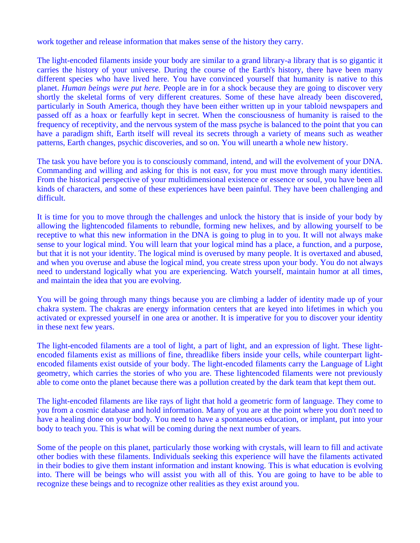work together and release information that makes sense of the history they carry.

The light-encoded filaments inside your body are similar to a grand library-a library that is so gigantic it carries the history of your universe. During the course of the Earth's history, there have been many different species who have lived here. You have convinced yourself that humanity is native to this planet. *Human beings were put here.* People are in for a shock because they are going to discover very shortly the skeletal forms of very different creatures. Some of these have already been discovered, particularly in South America, though they have been either written up in your tabloid newspapers and passed off as a hoax or fearfully kept in secret. When the consciousness of humanity is raised to the frequency of receptivity, and the nervous system of the mass psyche is balanced to the point that you can have a paradigm shift, Earth itself will reveal its secrets through a variety of means such as weather patterns, Earth changes, psychic discoveries, and so on. You will unearth a whole new history.

The task you have before you is to consciously command, intend, and will the evolvement of your DNA. Commanding and willing and asking for this is not easv, for you must move through many identities. From the historical perspective of your multidimensional existence or essence or soul, you have been all kinds of characters, and some of these experiences have been painful. They have been challenging and difficult.

It is time for you to move through the challenges and unlock the history that is inside of your body by allowing the lightencoded filaments to rebundle, forming new helixes, and by allowing yourself to be receptive to what this new information in the DNA is going to plug in to you. It will not always make sense to your logical mind. You will learn that your logical mind has a place, a function, and a purpose, but that it is not your identity. The logical mind is overused by many people. It is overtaxed and abused, and when you overuse and abuse the logical mind, you create stress upon your body. You do not always need to understand logically what you are experiencing. Watch yourself, maintain humor at all times, and maintain the idea that you are evolving.

You will be going through many things because you are climbing a ladder of identity made up of your chakra system. The chakras are energy information centers that are keyed into lifetimes in which you activated or expressed yourself in one area or another. It is imperative for you to discover your identity in these next few years.

The light-encoded filaments are a tool of light, a part of light, and an expression of light. These lightencoded filaments exist as millions of fine, threadlike fibers inside your cells, while counterpart lightencoded filaments exist outside of your body. The light-encoded filaments carry the Language of Light geometry, which carries the stories of who you are. These lightencoded filaments were not previously able to come onto the planet because there was a pollution created by the dark team that kept them out.

The light-encoded filaments are like rays of light that hold a geometric form of language. They come to you from a cosmic database and hold information. Many of you are at the point where you don't need to have a healing done on your body. You need to have a spontaneous education, or implant, put into your body to teach you. This is what will be coming during the next number of years.

Some of the people on this planet, particularly those working with crystals, will learn to fill and activate other bodies with these filaments. Individuals seeking this experience will have the filaments activated in their bodies to give them instant information and instant knowing. This is what education is evolving into. There will be beings who will assist you with all of this. You are going to have to be able to recognize these beings and to recognize other realities as they exist around you.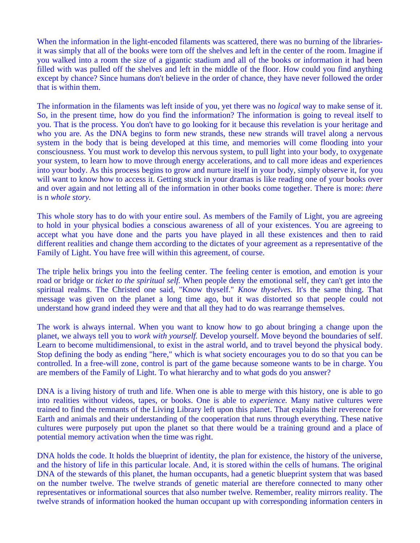When the information in the light-encoded filaments was scattered, there was no burning of the librariesit was simply that all of the books were torn off the shelves and left in the center of the room. Imagine if you walked into a room the size of a gigantic stadium and all of the books or information it had been filled with was pulled off the shelves and left in the middle of the floor. How could you find anything except by chance? Since humans don't believe in the order of chance, they have never followed the order that is within them.

The information in the filaments was left inside of you, yet there was no *logical* way to make sense of it. So, in the present time, how do you find the information? The information is going to reveal itself to you. That is the process. You don't have to go looking for it because this revelation is your heritage and who you are. As the DNA begins to form new strands, these new strands will travel along a nervous system in the body that is being developed at this time, and memories will come flooding into your consciousness. You must work to develop this nervous system, to pull light into your body, to oxygenate your system, to learn how to move through energy accelerations, and to call more ideas and experiences into your body. As this process begins to grow and nurture itself in your body, simply observe it, for you will want to know how to access it. Getting stuck in your dramas is like reading one of your books over and over again and not letting all of the information in other books come together. There is more: *there*  is n *whole story.*

This whole story has to do with your entire soul. As members of the Family of Light, you are agreeing to hold in your physical bodies a conscious awareness of all of your existences. You are agreeing to accept what you have done and the parts you have played in all these existences and then to raid different realities and change them according to the dictates of your agreement as a representative of the Family of Light. You have free will within this agreement, of course.

The triple helix brings you into the feeling center. The feeling center is emotion, and emotion is your road or bridge or *ticket to the spiritual self.* When people deny the emotional self, they can't get into the spiritual realms. The Christed one said, "Know thyself." *Know thyselves.* It's the same thing. That message was given on the planet a long time ago, but it was distorted so that people could not understand how grand indeed they were and that all they had to do was rearrange themselves.

The work is always internal. When you want to know how to go about bringing a change upon the planet, we always tell you to *work with yourself.* Develop yourself. Move beyond the boundaries of self. Learn to become multidimensional, to exist in the astral world, and to travel beyond the physical body. Stop defining the body as ending "here," which is what society encourages you to do so that you can be controlled. In a free-will zone, control is part of the game because someone wants to be in charge. You are members of the Family of Light. To what hierarchy and to what gods do you answer?

DNA is a living history of truth and life. When one is able to merge with this history, one is able to go into realities without videos, tapes, or books. One is able to *experience.* Many native cultures were trained to find the remnants of the Living Library left upon this planet. That explains their reverence for Earth and animals and their understanding of the cooperation that runs through everything. These native cultures were purposely put upon the planet so that there would be a training ground and a place of potential memory activation when the time was right.

DNA holds the code. It holds the blueprint of identity, the plan for existence, the history of the universe, and the history of life in this particular locale. And, it is stored within the cells of humans. The original DNA of the stewards of this planet, the human occupants, had a genetic blueprint system that was based on the number twelve. The twelve strands of genetic material are therefore connected to many other representatives or informational sources that also number twelve. Remember, reality mirrors reality. The twelve strands of information hooked the human occupant up with corresponding information centers in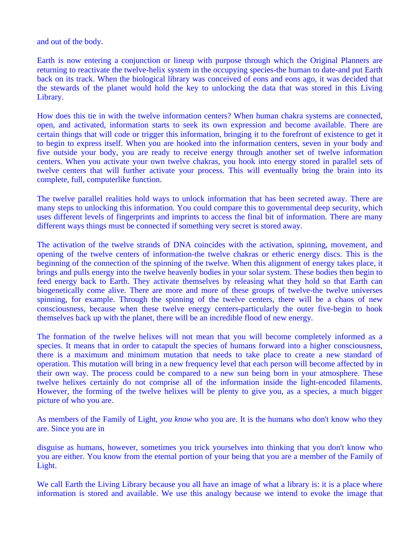and out of the body.

Earth is now entering a conjunction or lineup with purpose through which the Original Planners are returning to reactivate the twelve-helix system in the occupying species-the human to date-and put Earth back on its track. When the biological library was conceived of eons and eons ago, it was decided that the stewards of the planet would hold the key to unlocking the data that was stored in this Living Library.

How does this tie in with the twelve information centers? When human chakra systems are connected, open, and activated, information starts to seek its own expression and become available. There are certain things that will code or trigger this information, bringing it to the forefront of existence to get it to begin to express itself. When you are hooked into the information centers, seven in your body and five outside your body, you are ready to receive energy through another set of twelve information centers. When you activate your own twelve chakras, you hook into energy stored in parallel sets of twelve centers that will further activate your process. This will eventually bring the brain into its complete, full, computerlike function.

The twelve parallel realities hold ways to unlock information that has been secreted away. There are many steps to unlocking this information. You could compare this to governmental deep security, which uses different levels of fingerprints and imprints to access the final bit of information. There are many different ways things must be connected if something very secret is stored away.

The activation of the twelve strands of DNA coincides with the activation, spinning, movement, and opening of the twelve centers of information-the twelve chakras or etheric energy discs. This is the beginning of the connection of the spinning of the twelve. When this alignment of energy takes place, it brings and pulls energy into the twelve heavenly bodies in your solar system. These bodies then begin to feed energy back to Earth. They activate themselves by releasing what they hold so that Earth can biogenetically come alive. There are more and more of these groups of twelve-the twelve universes spinning, for example. Through the spinning of the twelve centers, there will be a chaos of new consciousness, because when these twelve energy centers-particularly the outer five-begin to hook themselves back up with the planet, there will be an incredible flood of new energy.

The formation of the twelve helixes will not mean that you will become completely informed as a species. It means that in order to catapult the species of humans forward into a higher consciousness, there is a maximum and minimum mutation that needs to take place to create a new standard of operation. This mutation will bring in a new frequency level that each person will become affected by in their own way. The process could be compared to a new sun being born in your atmosphere. These twelve helixes certainly do not comprise all of the information inside the light-encoded filaments. However, the forming of the twelve helixes will be plenty to give you, as a species, a much bigger picture of who you are.

As members of the Family of Light, *you know* who you are. It is the humans who don't know who they are. Since you are in

disguise as humans, however, sometimes you trick yourselves into thinking that you don't know who you are either. You know from the eternal portion of your being that you are a member of the Family of Light.

We call Earth the Living Library because you all have an image of what a library is: it is a place where information is stored and available. We use this analogy because we intend to evoke the image that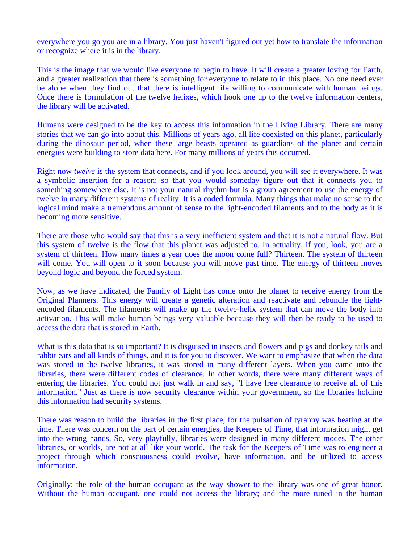everywhere you go you are in a library. You just haven't figured out yet how to translate the information or recognize where it is in the library.

This is the image that we would like everyone to begin to have. It will create a greater loving for Earth, and a greater realization that there is something for everyone to relate to in this place. No one need ever be alone when they find out that there is intelligent life willing to communicate with human beings. Once there is formulation of the twelve helixes, which hook one up to the twelve information centers, the library will be activated.

Humans were designed to be the key to access this information in the Living Library. There are many stories that we can go into about this. Millions of years ago, all life coexisted on this planet, particularly during the dinosaur period, when these large beasts operated as guardians of the planet and certain energies were building to store data here. For many millions of years this occurred.

Right now *twelve* is the system that connects, and if you look around, you will see it everywhere. It was a symbolic insertion for a reason: so that you would someday figure out that it connects you to something somewhere else. It is not your natural rhythm but is a group agreement to use the energy of twelve in many different systems of reality. It is a coded formula. Many things that make no sense to the logical mind make a tremendous amount of sense to the light-encoded filaments and to the body as it is becoming more sensitive.

There are those who would say that this is a very inefficient system and that it is not a natural flow. But this system of twelve is the flow that this planet was adjusted to. In actuality, if you, look, you are a system of thirteen. How many times a year does the moon come full? Thirteen. The system of thirteen will come. You will open to it soon because you will move past time. The energy of thirteen moves beyond logic and beyond the forced system.

Now, as we have indicated, the Family of Light has come onto the planet to receive energy from the Original Planners. This energy will create a genetic alteration and reactivate and rebundle the lightencoded filaments. The filaments will make up the twelve-helix system that can move the body into activation. This will make human beings very valuable because they will then be ready to be used to access the data that is stored in Earth.

What is this data that is so important? It is disguised in insects and flowers and pigs and donkey tails and rabbit ears and all kinds of things, and it is for you to discover. We want to emphasize that when the data was stored in the twelve libraries, it was stored in many different layers. When you came into the libraries, there were different codes of clearance. In other words, there were many different ways of entering the libraries. You could not just walk in and say, "I have free clearance to receive all of this information." Just as there is now security clearance within your government, so the libraries holding this information had security systems.

There was reason to build the libraries in the first place, for the pulsation of tyranny was beating at the time. There was concern on the part of certain energies, the Keepers of Time, that information might get into the wrong hands. So, very playfully, libraries were designed in many different modes. The other libraries, or worlds, are not at all like your world. The task for the Keepers of Time was to engineer a project through which consciousness could evolve, have information, and be utilized to access information.

Originally; the role of the human occupant as the way shower to the library was one of great honor. Without the human occupant, one could not access the library; and the more tuned in the human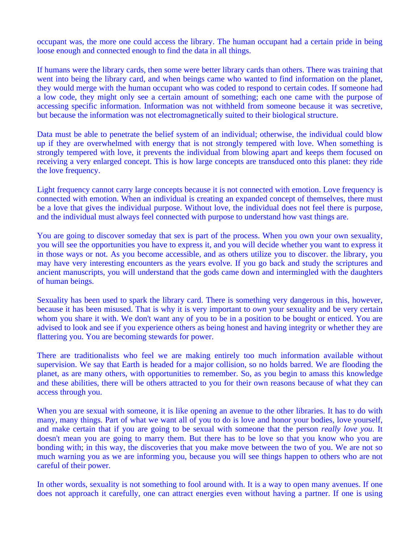occupant was, the more one could access the library. The human occupant had a certain pride in being loose enough and connected enough to find the data in all things.

If humans were the library cards, then some were better library cards than others. There was training that went into being the library card, and when beings came who wanted to find information on the planet, they would merge with the human occupant who was coded to respond to certain codes. If someone had a low code, they might only see a certain amount of something; each one came with the purpose of accessing specific information. Information was not withheld from someone because it was secretive, but because the information was not electromagnetically suited to their biological structure.

Data must be able to penetrate the belief system of an individual; otherwise, the individual could blow up if they are overwhelmed with energy that is not strongly tempered with love. When something is strongly tempered with love, it prevents the individual from blowing apart and keeps them focused on receiving a very enlarged concept. This is how large concepts are transduced onto this planet: they ride the love frequency.

Light frequency cannot carry large concepts because it is not connected with emotion. Love frequency is connected with emotion. When an individual is creating an expanded concept of themselves, there must be a love that gives the individual purpose. Without love, the individual does not feel there is purpose, and the individual must always feel connected with purpose to understand how vast things are.

You are going to discover someday that sex is part of the process. When you own your own sexuality, you will see the opportunities you have to express it, and you will decide whether you want to express it in those ways or not. As you become accessible, and as others utilize you to discover. the library, you may have very interesting encounters as the years evolve. If you go back and study the scriptures and ancient manuscripts, you will understand that the gods came down and intermingled with the daughters of human beings.

Sexuality has been used to spark the library card. There is something very dangerous in this, however, because it has been misused. That is why it is very important to *own* your sexuality and be very certain whom you share it with. We don't want any of you to be in a position to be bought or enticed. You are advised to look and see if you experience others as being honest and having integrity or whether they are flattering you. You are becoming stewards for power.

There are traditionalists who feel we are making entirely too much information available without supervision. We say that Earth is headed for a major collision, so no holds barred. We are flooding the planet, as are many others, with opportunities to remember. So, as you begin to amass this knowledge and these abilities, there will be others attracted to you for their own reasons because of what they can access through you.

When you are sexual with someone, it is like opening an avenue to the other libraries. It has to do with many, many things. Part of what we want all of you to do is love and honor your bodies, love yourself, and make certain that if you are going to be sexual with someone that the person *really love you.* It doesn't mean you are going to marry them. But there has to be love so that you know who you are bonding with; in this way, the discoveries that you make move between the two of you. We are not so much warning you as we are informing you, because you will see things happen to others who are not careful of their power.

In other words, sexuality is not something to fool around with. It is a way to open many avenues. If one does not approach it carefully, one can attract energies even without having a partner. If one is using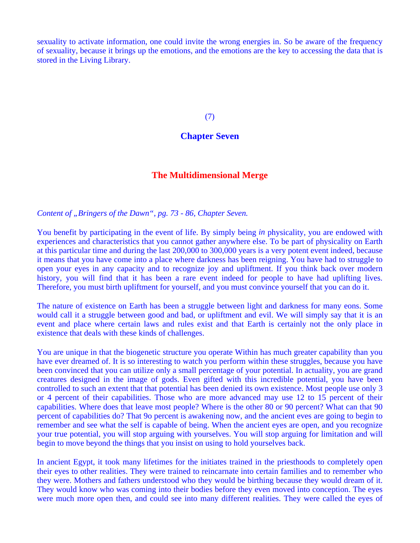sexuality to activate information, one could invite the wrong energies in. So be aware of the frequency of sexuality, because it brings up the emotions, and the emotions are the key to accessing the data that is stored in the Living Library.

## (7)

# **Chapter Seven**

## **The Multidimensional Merge**

*Content of "Bringers of the Dawn", pg. 73 - 86, Chapter Seven.* 

You benefit by participating in the event of life. By simply being *in* physicality, you are endowed with experiences and characteristics that you cannot gather anywhere else. To be part of physicality on Earth at this particular time and during the last 200,000 to 300,000 years is a very potent event indeed, because it means that you have come into a place where darkness has been reigning. You have had to struggle to open your eyes in any capacity and to recognize joy and upliftment. If you think back over modern history, you will find that it has been a rare event indeed for people to have had uplifting lives. Therefore, you must birth upliftment for yourself, and you must convince yourself that you can do it.

The nature of existence on Earth has been a struggle between light and darkness for many eons. Some would call it a struggle between good and bad, or upliftment and evil. We will simply say that it is an event and place where certain laws and rules exist and that Earth is certainly not the only place in existence that deals with these kinds of challenges.

You are unique in that the biogenetic structure you operate Within has much greater capability than you have ever dreamed of. It is so interesting to watch you perform within these struggles, because you have been convinced that you can utilize only a small percentage of your potential. In actuality, you are grand creatures designed in the image of gods. Even gifted with this incredible potential, you have been controlled to such an extent that that potential has been denied its own existence. Most people use only 3 or 4 percent of their capabilities. Those who are more advanced may use 12 to 15 percent of their capabilities. Where does that leave most people? Where is the other 80 or 90 percent? What can that 90 percent of capabilities do? That 9o percent is awakening now, and the ancient eves are going to begin to remember and see what the self is capable of being. When the ancient eyes are open, and you recognize your true potential, you will stop arguing with yourselves. You will stop arguing for limitation and will begin to move beyond the things that you insist on using to hold yourselves back.

In ancient Egypt, it took many lifetimes for the initiates trained in the priesthoods to completely open their eyes to other realities. They were trained to reincarnate into certain families and to remember who they were. Mothers and fathers understood who they would be birthing because they would dream of it. They would know who was coming into their bodies before they even moved into conception. The eyes were much more open then, and could see into many different realities. They were called the eyes of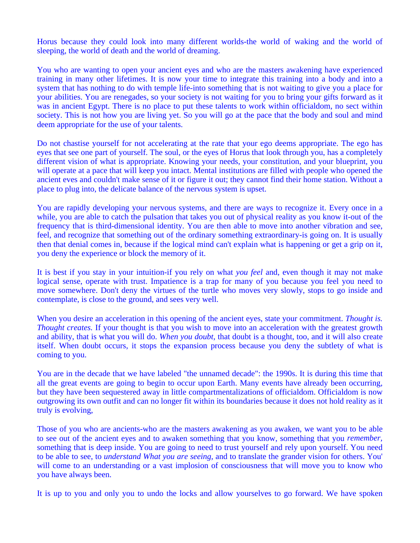Horus because they could look into many different worlds-the world of waking and the world of sleeping, the world of death and the world of dreaming.

You who are wanting to open your ancient eyes and who are the masters awakening have experienced training in many other lifetimes. It is now your time to integrate this training into a body and into a system that has nothing to do with temple life-into something that is not waiting to give you a place for your abilities. You are renegades, so your society is not waiting for you to bring your gifts forward as it was in ancient Egypt. There is no place to put these talents to work within officialdom, no sect within society. This is not how you are living yet. So you will go at the pace that the body and soul and mind deem appropriate for the use of your talents.

Do not chastise yourself for not accelerating at the rate that your ego deems appropriate. The ego has eyes that see one part of yourself. The soul, or the eyes of Horus that look through you, has a completely different vision of what is appropriate. Knowing your needs, your constitution, and your blueprint, you will operate at a pace that will keep you intact. Mental institutions are filled with people who opened the ancient eves and couldn't make sense of it or figure it out; they cannot find their home station. Without a place to plug into, the delicate balance of the nervous system is upset.

You are rapidly developing your nervous systems, and there are ways to recognize it. Every once in a while, you are able to catch the pulsation that takes you out of physical reality as you know it-out of the frequency that is third-dimensional identity. You are then able to move into another vibration and see, feel, and recognize that something out of the ordinary something extraordinary-is going on. It is usually then that denial comes in, because if the logical mind can't explain what is happening or get a grip on it, you deny the experience or block the memory of it.

It is best if you stay in your intuition-if you rely on what *you feel* and, even though it may not make logical sense, operate with trust. Impatience is a trap for many of you because you feel you need to move somewhere. Don't deny the virtues of the turtle who moves very slowly, stops to go inside and contemplate, is close to the ground, and sees very well.

When you desire an acceleration in this opening of the ancient eyes, state your commitment. *Thought is. Thought creates.* If your thought is that you wish to move into an acceleration with the greatest growth and ability, that is what you will do. *When you doubt,* that doubt is a thought, too, and it will also create itself. When doubt occurs, it stops the expansion process because you deny the subtlety of what is coming to you.

You are in the decade that we have labeled "the unnamed decade": the 1990s. It is during this time that all the great events are going to begin to occur upon Earth. Many events have already been occurring, but they have been sequestered away in little compartmentalizations of officialdom. Officialdom is now outgrowing its own outfit and can no longer fit within its boundaries because it does not hold reality as it truly is evolving,

Those of you who are ancients-who are the masters awakening as you awaken, we want you to be able to see out of the ancient eyes and to awaken something that you know, something that you *remember,*  something that is deep inside. You are going to need to trust yourself and rely upon yourself. You need to be able to see, to *understand What you are seeing,* and to translate the grander vision for others. You' will come to an understanding or a vast implosion of consciousness that will move you to know who you have always been.

It is up to you and only you to undo the locks and allow yourselves to go forward. We have spoken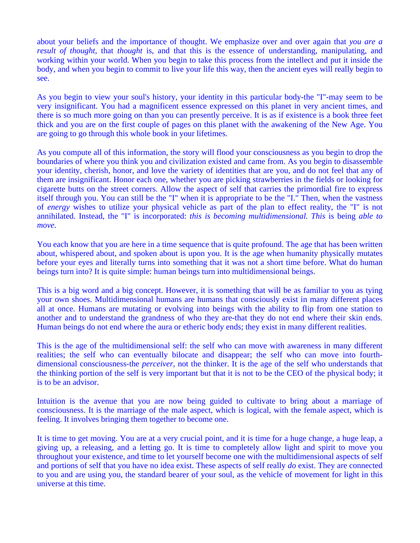about your beliefs and the importance of thought. We emphasize over and over again that *you are a result of thought,* that *thought* is, and that this is the essence of understanding, manipulating, and working within your world. When you begin to take this process from the intellect and put it inside the body, and when you begin to commit to live your life this way, then the ancient eyes will really begin to see.

As you begin to view your soul's history, your identity in this particular body-the "I"-may seem to be very insignificant. You had a magnificent essence expressed on this planet in very ancient times, and there is so much more going on than you can presently perceive. It is as if existence is a book three feet thick and you are on the first couple of pages on this planet with the awakening of the New Age. You are going to go through this whole book in your lifetimes.

As you compute all of this information, the story will flood your consciousness as you begin to drop the boundaries of where you think you and civilization existed and came from. As you begin to disassemble your identity, cherish, honor, and love the variety of identities that are you, and do not feel that any of them are insignificant. Honor each one, whether you are picking strawberries in the fields or looking for cigarette butts on the street corners. Allow the aspect of self that carries the primordial fire to express itself through you. You can still be the "I" when it is appropriate to be the "I." Then, when the vastness of *energy* wishes to utilize your physical vehicle as part of the plan to effect reality, the "I" is not annihilated. Instead, the "I" is incorporated: *this is becoming multidimensional. This* is being *able to move.*

You each know that you are here in a time sequence that is quite profound. The age that has been written about, whispered about, and spoken about is upon you. It is the age when humanity physically mutates before your eyes and literally turns into something that it was not a short time before. What do human beings turn into? It is quite simple: human beings turn into multidimensional beings.

This is a big word and a big concept. However, it is something that will be as familiar to you as tying your own shoes. Multidimensional humans are humans that consciously exist in many different places all at once. Humans are mutating or evolving into beings with the ability to flip from one station to another and to understand the grandness of who they are-that they do not end where their skin ends. Human beings do not end where the aura or etheric body ends; they exist in many different realities.

This is the age of the multidimensional self: the self who can move with awareness in many different realities; the self who can eventually bilocate and disappear; the self who can move into fourthdimensional consciousness-the *perceiver,* not the thinker. It is the age of the self who understands that the thinking portion of the self is very important but that it is not to be the CEO of the physical body; it is to be an advisor.

Intuition is the avenue that you are now being guided to cultivate to bring about a marriage of consciousness. It is the marriage of the male aspect, which is logical, with the female aspect, which is feeling. It involves bringing them together to become one.

It is time to get moving. You are at a very crucial point, and it is time for a huge change, a huge leap, a giving up, a releasing, and a letting go. It is time to completely allow light and spirit to move you throughout your existence, and time to let yourself become one with the multidimensional aspects of self and portions of self that you have no idea exist. These aspects of self really *do* exist. They are connected to you and are using you, the standard bearer of your soul, as the vehicle of movement for light in this universe at this time.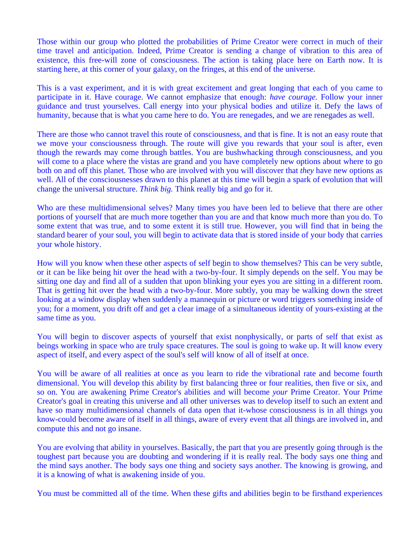Those within our group who plotted the probabilities of Prime Creator were correct in much of their time travel and anticipation. Indeed, Prime Creator is sending a change of vibration to this area of existence, this free-will zone of consciousness. The action is taking place here on Earth now. It is starting here, at this corner of your galaxy, on the fringes, at this end of the universe.

This is a vast experiment, and it is with great excitement and great longing that each of you came to participate in it. Have courage. We cannot emphasize that enough: *have courage.* Follow your inner guidance and trust yourselves. Call energy into your physical bodies and utilize it. Defy the laws of humanity, because that is what you came here to do. You are renegades, and we are renegades as well.

There are those who cannot travel this route of consciousness, and that is fine. It is not an easy route that we move your consciousness through. The route will give you rewards that your soul is after, even though the rewards may come through battles. You are bushwhacking through consciousness, and you will come to a place where the vistas are grand and you have completely new options about where to go both on and off this planet. Those who are involved with you will discover that *they* have new options as well. All of the consciousnesses drawn to this planet at this time will begin a spark of evolution that will change the universal structure. *Think big.* Think really big and go for it.

Who are these multidimensional selves? Many times you have been led to believe that there are other portions of yourself that are much more together than you are and that know much more than you do. To some extent that was true, and to some extent it is still true. However, you will find that in being the standard bearer of your soul, you will begin to activate data that is stored inside of your body that carries your whole history.

How will you know when these other aspects of self begin to show themselves? This can be very subtle, or it can be like being hit over the head with a two-by-four. It simply depends on the self. You may be sitting one day and find all of a sudden that upon blinking your eyes you are sitting in a different room. That is getting hit over the head with a two-by-four. More subtly, you may be walking down the street looking at a window display when suddenly a mannequin or picture or word triggers something inside of you; for a moment, you drift off and get a clear image of a simultaneous identity of yours-existing at the same time as you.

You will begin to discover aspects of yourself that exist nonphysically, or parts of self that exist as beings working in space who are truly space creatures. The soul is going to wake up. It will know every aspect of itself, and every aspect of the soul's self will know of all of itself at once.

You will be aware of all realities at once as you learn to ride the vibrational rate and become fourth dimensional. You will develop this ability by first balancing three or four realities, then five or six, and so on. You are awakening Prime Creator's abilities and will become *your* Prime Creator. Your Prime Creator's goal in creating this universe and all other universes was to develop itself to such an extent and have so many multidimensional channels of data open that it-whose consciousness is in all things you know-could become aware of itself in all things, aware of every event that all things are involved in, and compute this and not go insane.

You are evolving that ability in yourselves. Basically, the part that you are presently going through is the toughest part because you are doubting and wondering if it is really real. The body says one thing and the mind says another. The body says one thing and society says another. The knowing is growing, and it is a knowing of what is awakening inside of you.

You must be committed all of the time. When these gifts and abilities begin to be firsthand experiences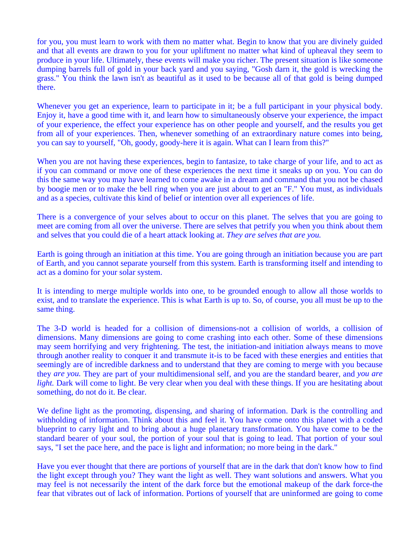for you, you must learn to work with them no matter what. Begin to know that you are divinely guided and that all events are drawn to you for your upliftment no matter what kind of upheaval they seem to produce in your life. Ultimately, these events will make you richer. The present situation is like someone dumping barrels full of gold in your back yard and you saying, "Gosh darn it, the gold is wrecking the grass." You think the lawn isn't as beautiful as it used to be because all of that gold is being dumped there.

Whenever you get an experience, learn to participate in it; be a full participant in your physical body. Enjoy it, have a good time with it, and learn how to simultaneously observe your experience, the impact of your experience, the effect your experience has on other people and yourself, and the results you get from all of your experiences. Then, whenever something of an extraordinary nature comes into being, you can say to yourself, "Oh, goody, goody-here it is again. What can I learn from this?"

When you are not having these experiences, begin to fantasize, to take charge of your life, and to act as if you can command or move one of these experiences the next time it sneaks up on you. You can do this the same way you may have learned to come awake in a dream and command that you not be chased by boogie men or to make the bell ring when you are just about to get an "F." You must, as individuals and as a species, cultivate this kind of belief or intention over all experiences of life.

There is a convergence of your selves about to occur on this planet. The selves that you are going to meet are coming from all over the universe. There are selves that petrify you when you think about them and selves that you could die of a heart attack looking at. *They are selves that are you.*

Earth is going through an initiation at this time. You are going through an initiation because you are part of Earth, and you cannot separate yourself from this system. Earth is transforming itself and intending to act as a domino for your solar system.

It is intending to merge multiple worlds into one, to be grounded enough to allow all those worlds to exist, and to translate the experience. This is what Earth is up to. So, of course, you all must be up to the same thing.

The 3-D world is headed for a collision of dimensions-not a collision of worlds, a collision of dimensions. Many dimensions are going to come crashing into each other. Some of these dimensions may seem horrifying and very frightening. The test, the initiation-and initiation always means to move through another reality to conquer it and transmute it-is to be faced with these energies and entities that seemingly are of incredible darkness and to understand that they are coming to merge with you because they *are you.* They are part of your multidimensional self, and you are the standard bearer, and *you are light.* Dark will come to light. Be very clear when you deal with these things. If you are hesitating about something, do not do it. Be clear.

We define light as the promoting, dispensing, and sharing of information. Dark is the controlling and withholding of information. Think about this and feel it. You have come onto this planet with a coded blueprint to carry light and to bring about a huge planetary transformation. You have come to be the standard bearer of your soul, the portion of your soul that is going to lead. That portion of your soul says, "I set the pace here, and the pace is light and information; no more being in the dark."

Have you ever thought that there are portions of yourself that are in the dark that don't know how to find the light except through you? They want the light as well. They want solutions and answers. What you may feel is not necessarily the intent of the dark force but the emotional makeup of the dark force-the fear that vibrates out of lack of information. Portions of yourself that are uninformed are going to come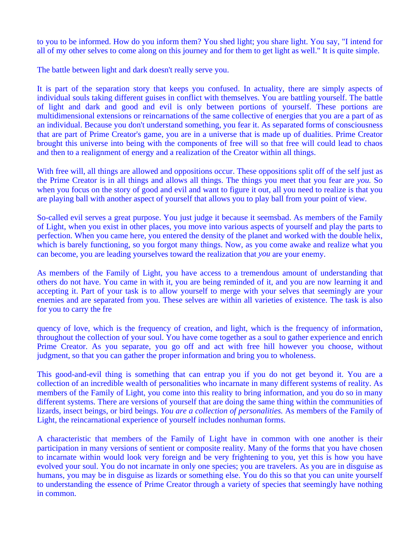to you to be informed. How do you inform them? You shed light; you share light. You say, "I intend for all of my other selves to come along on this journey and for them to get light as well." It is quite simple.

The battle between light and dark doesn't really serve you.

It is part of the separation story that keeps you confused. In actuality, there are simply aspects of individual souls taking different guises in conflict with themselves. You are battling yourself. The battle of light and dark and good and evil is only between portions of yourself. These portions are multidimensional extensions or reincarnations of the same collective of energies that you are a part of as an individual. Because you don't understand something, you fear it. As separated forms of consciousness that are part of Prime Creator's game, you are in a universe that is made up of dualities. Prime Creator brought this universe into being with the components of free will so that free will could lead to chaos and then to a realignment of energy and a realization of the Creator within all things.

With free will, all things are allowed and oppositions occur. These oppositions split off of the self just as the Prime Creator is in all things and allows all things. The things you meet that you fear are *you.* So when you focus on the story of good and evil and want to figure it out, all you need to realize is that you are playing ball with another aspect of yourself that allows you to play ball from your point of view.

So-called evil serves a great purpose. You just judge it because it seemsbad. As members of the Family of Light, when you exist in other places, you move into various aspects of yourself and play the parts to perfection. When you came here, you entered the density of the planet and worked with the double helix, which is barely functioning, so you forgot many things. Now, as you come awake and realize what you can become, you are leading yourselves toward the realization that *you* are your enemy.

As members of the Family of Light, you have access to a tremendous amount of understanding that others do not have. You came in with it, you are being reminded of it, and you are now learning it and accepting it. Part of your task is to allow yourself to merge with your selves that seemingly are your enemies and are separated from you. These selves are within all varieties of existence. The task is also for you to carry the fre

quency of love, which is the frequency of creation, and light, which is the frequency of information, throughout the collection of your soul. You have come together as a soul to gather experience and enrich Prime Creator. As you separate, you go off and act with free hill however you choose, without judgment, so that you can gather the proper information and bring you to wholeness.

This good-and-evil thing is something that can entrap you if you do not get beyond it. You are a collection of an incredible wealth of personalities who incarnate in many different systems of reality. As members of the Family of Light, you come into this reality to bring information, and you do so in many different systems. There are versions of yourself that are doing the same thing within the communities of lizards, insect beings, or bird beings. *You are a collection of personalities.* As members of the Family of Light, the reincarnational experience of yourself includes nonhuman forms.

A characteristic that members of the Family of Light have in common with one another is their participation in many versions of sentient or composite reality. Many of the forms that you have chosen to incarnate within would look very foreign and be very frightening to you, yet this is how you have evolved your soul. You do not incarnate in only one species; you are travelers. As you are in disguise as humans, you may be in disguise as lizards or something else. You do this so that you can unite yourself to understanding the essence of Prime Creator through a variety of species that seemingly have nothing in common.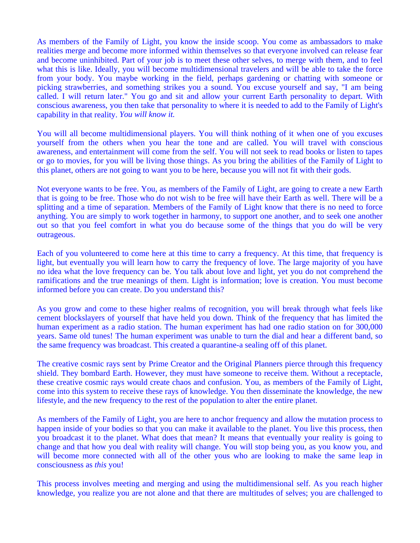As members of the Family of Light, you know the inside scoop. You come as ambassadors to make realities merge and become more informed within themselves so that everyone involved can release fear and become uninhibited. Part of your job is to meet these other selves, to merge with them, and to feel what this is like. Ideally, you will become multidimensional travelers and will be able to take the force from your body. You maybe working in the field, perhaps gardening or chatting with someone or picking strawberries, and something strikes you a sound. You excuse yourself and say, "I am being called. I will return later." You go and sit and allow your current Earth personality to depart. With conscious awareness, you then take that personality to where it is needed to add to the Family of Light's capability in that reality. *You will know it.*

You will all become multidimensional players. You will think nothing of it when one of you excuses yourself from the others when you hear the tone and are called. You will travel with conscious awareness, and entertainment will come from the self. You will not seek to read books or listen to tapes or go to movies, for you will be living those things. As you bring the abilities of the Family of Light to this planet, others are not going to want you to be here, because you will not fit with their gods.

Not everyone wants to be free. You, as members of the Family of Light, are going to create a new Earth that is going to be free. Those who do not wish to be free will have their Earth as well. There will be a splitting and a time of separation. Members of the Family of Light know that there is no need to force anything. You are simply to work together in harmony, to support one another, and to seek one another out so that you feel comfort in what you do because some of the things that you do will be very outrageous.

Each of you volunteered to come here at this time to carry a frequency. At this time, that frequency is light, but eventually you will learn how to carry the frequency of love. The large majority of you have no idea what the love frequency can be. You talk about love and light, yet you do not comprehend the ramifications and the true meanings of them. Light is information; love is creation. You must become informed before you can create. Do you understand this?

As you grow and come to these higher realms of recognition, you will break through what feels like cement blockslayers of yourself that have held you down. Think of the frequency that has limited the human experiment as a radio station. The human experiment has had one radio station on for 300,000 years. Same old tunes! The human experiment was unable to turn the dial and hear a different band, so the same frequency was broadcast. This created a quarantine-a sealing off of this planet.

The creative cosmic rays sent by Prime Creator and the Original Planners pierce through this frequency shield. They bombard Earth. However, they must have someone to receive them. Without a receptacle, these creative cosmic rays would create chaos and confusion. You, as members of the Family of Light, come into this system to receive these rays of knowledge. You then disseminate the knowledge, the new lifestyle, and the new frequency to the rest of the population to alter the entire planet.

As members of the Family of Light, you are here to anchor frequency and allow the mutation process to happen inside of your bodies so that you can make it available to the planet. You live this process, then you broadcast it to the planet. What does that mean? It means that eventually your reality is going to change and that how you deal with reality will change. You will stop being you, as you know you, and will become more connected with all of the other yous who are looking to make the same leap in consciousness as *this* you!

This process involves meeting and merging and using the multidimensional self. As you reach higher knowledge, you realize you are not alone and that there are multitudes of selves; you are challenged to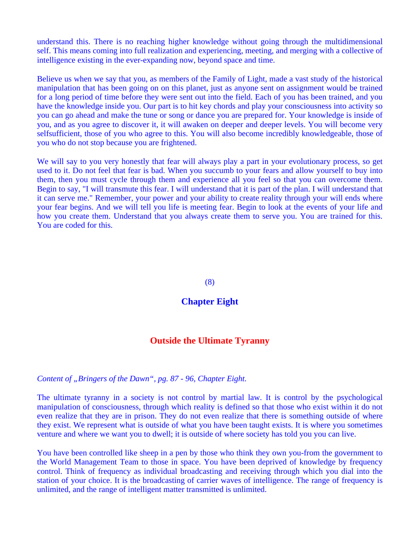understand this. There is no reaching higher knowledge without going through the multidimensional self. This means coming into full realization and experiencing, meeting, and merging with a collective of intelligence existing in the ever-expanding now, beyond space and time.

Believe us when we say that you, as members of the Family of Light, made a vast study of the historical manipulation that has been going on on this planet, just as anyone sent on assignment would be trained for a long period of time before they were sent out into the field. Each of you has been trained, and you have the knowledge inside you. Our part is to hit key chords and play your consciousness into activity so you can go ahead and make the tune or song or dance you are prepared for. Your knowledge is inside of you, and as you agree to discover it, it will awaken on deeper and deeper levels. You will become very selfsufficient, those of you who agree to this. You will also become incredibly knowledgeable, those of you who do not stop because you are frightened.

We will say to you very honestly that fear will always play a part in your evolutionary process, so get used to it. Do not feel that fear is bad. When you succumb to your fears and allow yourself to buy into them, then you must cycle through them and experience all you feel so that you can overcome them. Begin to say, "I will transmute this fear. I will understand that it is part of the plan. I will understand that it can serve me." Remember, your power and your ability to create reality through your will ends where your fear begins. And we will tell you life is meeting fear. Begin to look at the events of your life and how you create them. Understand that you always create them to serve you. You are trained for this. You are coded for this.

#### (8)

# **Chapter Eight**

# **Outside the Ultimate Tyranny**

#### *Content of "Bringers of the Dawn", pg. 87 - 96, Chapter Eight.*

The ultimate tyranny in a society is not control by martial law. It is control by the psychological manipulation of consciousness, through which reality is defined so that those who exist within it do not even realize that they are in prison. They do not even realize that there is something outside of where they exist. We represent what is outside of what you have been taught exists. It is where you sometimes venture and where we want you to dwell; it is outside of where society has told you you can live.

You have been controlled like sheep in a pen by those who think they own you-from the government to the World Management Team to those in space. You have been deprived of knowledge by frequency control. Think of frequency as individual broadcasting and receiving through which you dial into the station of your choice. It is the broadcasting of carrier waves of intelligence. The range of frequency is unlimited, and the range of intelligent matter transmitted is unlimited.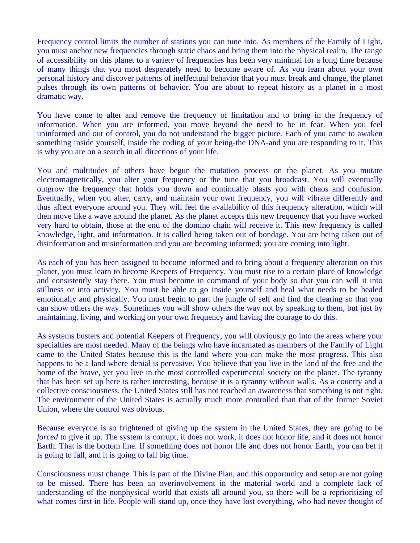Frequency control limits the number of stations you can tune into. As members of the Family of Light, you must anchor new frequencies through static chaos and bring them into the physical realm. The range of accessibility on this planet to a variety of frequencies has been very minimal for a long time because of many things that you most desperately need to become aware of. As you learn about your own personal history and discover patterns of ineffectual behavior that you must break and change, the planet pulses through its own patterns of behavior. You are about to repeat history as a planet in a most dramatic way.

You have come to alter and remove the frequency of limitation and to bring in the frequency of information. When you are informed, you move beyond the need to be in fear. When you feel uninformed and out of control, you do not understand the bigger picture. Each of you came to awaken something inside yourself, inside the coding of your being-the DNA-and you are responding to it. This is why you are on a search in all directions of your life.

You and multitudes of others have begun the mutation process on the planet. As you mutate electromagnetically, you alter your frequency or the tune that you broadcast. You will eventually outgrow the frequency that holds you down and continually blasts you with chaos and confusion. Eventually, when you alter, carry, and maintain your own frequency, you will vibrate differently and thus affect everyone around you. They will feel the availability of this frequency alteration, which will then move like a wave around the planet. As the planet accepts this new frequency that you have worked very hard to obtain, those at the end of the domino chain will receive it. This new frequency is called knowledge, light, and information. It is called being taken out of bondage. You are being taken out of disinformation and misinformation and you are becoming informed; you are coming into light.

As each of you has been assigned to become informed and to bring about a frequency alteration on this planet, you must learn to become Keepers of Frequency. You must rise to a certain place of knowledge and consistently stay there. You must become in command of your body so that you can will it into stillness or into activity. You must be able to go inside yourself and heal what needs to be healed emotionally and physically. You must begin to part the jungle of self and find the clearing so that you can show others the way. Sometimes you will show others the way not by speaking to them, but just by maintaining, living, and working on your own frequency and having the courage to do this.

As systems busters and potential Keepers of Frequency, you will obviously go into the areas where your specialties are most needed. Many of the beings who have incarnated as members of the Family of Light came to the United States because this is the land where you can make the most progress. This also happens to be a land where denial is pervasive. You believe that you live in the land of the free and the home of the brave, yet you live in the most controlled experimental society on the planet. The tyranny that has been set up here is rather interesting, because it is a tyranny without walls. As a country and a collective consciousness, the United States still has not reached an awareness that something is not right. The environment of the United States is actually much more controlled than that of the former Soviet Union, where the control was obvious.

Because everyone is so frightened of giving up the system in the United States, they are going to be *forced* to give it up. The system is corrupt, it does not work, it does not honor life, and it does not honor Earth. That is the bottom line. If something does not honor life and does not honor Earth, you can bet it is going to fall, and it is going to fall big time.

Consciousness must change. This is part of the Divine Plan, and this opportunity and setup are not going to be missed. There has been an overinvolvement in the material world and a complete lack of understanding of the nonphysical world that exists all around you, so there will be a reprioritizing of what comes first in life. People will stand up, once they have lost everything, who had never thought of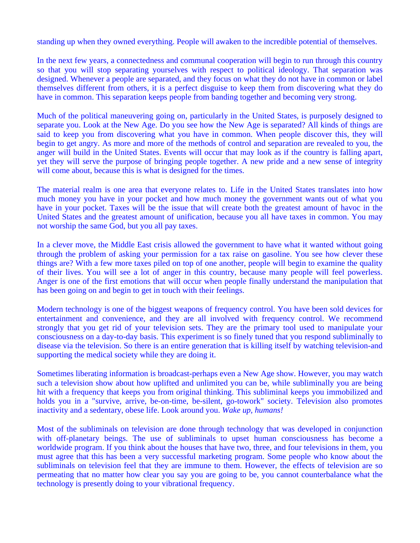standing up when they owned everything. People will awaken to the incredible potential of themselves.

In the next few years, a connectedness and communal cooperation will begin to run through this country so that you will stop separating yourselves with respect to political ideology. That separation was designed. Whenever a people are separated, and they focus on what they do not have in common or label themselves different from others, it is a perfect disguise to keep them from discovering what they do have in common. This separation keeps people from banding together and becoming very strong.

Much of the political maneuvering going on, particularly in the United States, is purposely designed to separate you. Look at the New Age. Do you see how the New Age is separated? All kinds of things are said to keep you from discovering what you have in common. When people discover this, they will begin to get angry. As more and more of the methods of control and separation are revealed to you, the anger will build in the United States. Events will occur that may look as if the country is falling apart, yet they will serve the purpose of bringing people together. A new pride and a new sense of integrity will come about, because this is what is designed for the times.

The material realm is one area that everyone relates to. Life in the United States translates into how much money you have in your pocket and how much money the government wants out of what you have in your pocket. Taxes will be the issue that will create both the greatest amount of havoc in the United States and the greatest amount of unification, because you all have taxes in common. You may not worship the same God, but you all pay taxes.

In a clever move, the Middle East crisis allowed the government to have what it wanted without going through the problem of asking your permission for a tax raise on gasoline. You see how clever these things are? With a few more taxes piled on top of one another, people will begin to examine the quality of their lives. You will see a lot of anger in this country, because many people will feel powerless. Anger is one of the first emotions that will occur when people finally understand the manipulation that has been going on and begin to get in touch with their feelings.

Modern technology is one of the biggest weapons of frequency control. You have been sold devices for entertainment and convenience, and they are all involved with frequency control. We recommend strongly that you get rid of your television sets. They are the primary tool used to manipulate your consciousness on a day-to-day basis. This experiment is so finely tuned that you respond subliminally to disease via the television. So there is an entire generation that is killing itself by watching television-and supporting the medical society while they are doing it.

Sometimes liberating information is broadcast-perhaps even a New Age show. However, you may watch such a television show about how uplifted and unlimited you can be, while subliminally you are being hit with a frequency that keeps you from original thinking. This subliminal keeps you immobilized and holds you in a "survive, arrive, be-on-time, be-silent, go-towork" society. Television also promotes inactivity and a sedentary, obese life. Look around you. *Wake up, humans!*

Most of the subliminals on television are done through technology that was developed in conjunction with off-planetary beings. The use of subliminals to upset human consciousness has become a worldwide program. If you think about the houses that have two, three, and four televisions in them, you must agree that this has been a very successful marketing program. Some people who know about the subliminals on television feel that they are immune to them. However, the effects of television are so permeating that no matter how clear you say you are going to be, you cannot counterbalance what the technology is presently doing to your vibrational frequency.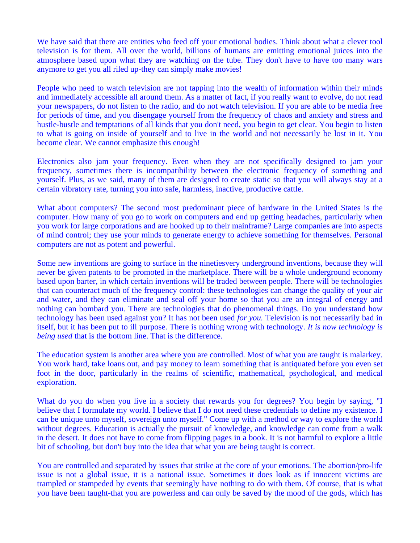We have said that there are entities who feed off your emotional bodies. Think about what a clever tool television is for them. All over the world, billions of humans are emitting emotional juices into the atmosphere based upon what they are watching on the tube. They don't have to have too many wars anymore to get you all riled up-they can simply make movies!

People who need to watch television are not tapping into the wealth of information within their minds and immediately accessible all around them. As a matter of fact, if you really want to evolve, do not read your newspapers, do not listen to the radio, and do not watch television. If you are able to be media free for periods of time, and you disengage yourself from the frequency of chaos and anxiety and stress and hustle-bustle and temptations of all kinds that you don't need, you begin to get clear. You begin to listen to what is going on inside of yourself and to live in the world and not necessarily be lost in it. You become clear. We cannot emphasize this enough!

Electronics also jam your frequency. Even when they are not specifically designed to jam your frequency, sometimes there is incompatibility between the electronic frequency of something and yourself. Plus, as we said, many of them are designed to create static so that you will always stay at a certain vibratory rate, turning you into safe, harmless, inactive, productive cattle.

What about computers? The second most predominant piece of hardware in the United States is the computer. How many of you go to work on computers and end up getting headaches, particularly when you work for large corporations and are hooked up to their mainframe? Large companies are into aspects of mind control; they use your minds to generate energy to achieve something for themselves. Personal computers are not as potent and powerful.

Some new inventions are going to surface in the ninetiesvery underground inventions, because they will never be given patents to be promoted in the marketplace. There will be a whole underground economy based upon barter, in which certain inventions will be traded between people. There will be technologies that can counteract much of the frequency control: these technologies can change the quality of your air and water, and they can eliminate and seal off your home so that you are an integral of energy and nothing can bombard you. There are technologies that do phenomenal things. Do you understand how technology has been used against you? It has not been used *for you.* Television is not necessarily bad in itself, but it has been put to ill purpose. There is nothing wrong with technology. *It is now technology is being used* that is the bottom line. That is the difference.

The education system is another area where you are controlled. Most of what you are taught is malarkey. You work hard, take loans out, and pay money to learn something that is antiquated before you even set foot in the door, particularly in the realms of scientific, mathematical, psychological, and medical exploration.

What do you do when you live in a society that rewards you for degrees? You begin by saying, "I believe that I formulate my world. I believe that I do not need these credentials to define my existence. I can be unique unto myself, sovereign unto myself." Come up with a method or way to explore the world without degrees. Education is actually the pursuit of knowledge, and knowledge can come from a walk in the desert. It does not have to come from flipping pages in a book. It is not harmful to explore a little bit of schooling, but don't buy into the idea that what you are being taught is correct.

You are controlled and separated by issues that strike at the core of your emotions. The abortion/pro-life issue is not a global issue, it is a national issue. Sometimes it does look as if innocent victims are trampled or stampeded by events that seemingly have nothing to do with them. Of course, that is what you have been taught-that you are powerless and can only be saved by the mood of the gods, which has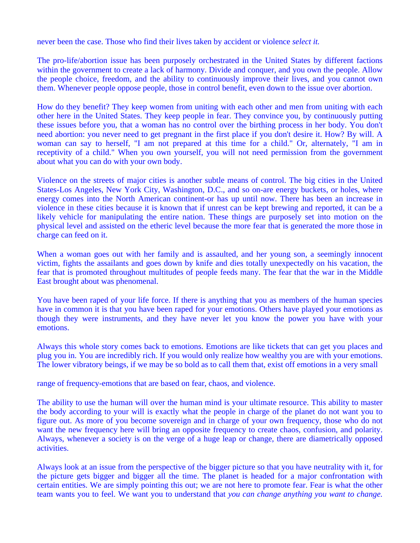never been the case. Those who find their lives taken by accident or violence *select it.*

The pro-life/abortion issue has been purposely orchestrated in the United States by different factions within the government to create a lack of harmony. Divide and conquer, and you own the people. Allow the people choice, freedom, and the ability to continuously improve their lives, and you cannot own them. Whenever people oppose people, those in control benefit, even down to the issue over abortion.

How do they benefit? They keep women from uniting with each other and men from uniting with each other here in the United States. They keep people in fear. They convince you, by continuously putting these issues before you, that a woman has no control over the birthing process in her body. You don't need abortion: you never need to get pregnant in the first place if you don't desire it. How? By will. A woman can say to herself, "I am not prepared at this time for a child." Or, alternately, "I am in receptivity of a child." When you own yourself, you will not need permission from the government about what you can do with your own body.

Violence on the streets of major cities is another subtle means of control. The big cities in the United States-Los Angeles, New York City, Washington, D.C., and so on-are energy buckets, or holes, where energy comes into the North American continent-or has up until now. There has been an increase in violence in these cities because it is known that if unrest can be kept brewing and reported, it can be a likely vehicle for manipulating the entire nation. These things are purposely set into motion on the physical level and assisted on the etheric level because the more fear that is generated the more those in charge can feed on it.

When a woman goes out with her family and is assaulted, and her young son, a seemingly innocent victim, fights the assailants and goes down by knife and dies totally unexpectedly on his vacation, the fear that is promoted throughout multitudes of people feeds many. The fear that the war in the Middle East brought about was phenomenal.

You have been raped of your life force. If there is anything that you as members of the human species have in common it is that you have been raped for your emotions. Others have played your emotions as though they were instruments, and they have never let you know the power you have with your emotions.

Always this whole story comes back to emotions. Emotions are like tickets that can get you places and plug you in. You are incredibly rich. If you would only realize how wealthy you are with your emotions. The lower vibratory beings, if we may be so bold as to call them that, exist off emotions in a very small

range of frequency-emotions that are based on fear, chaos, and violence.

The ability to use the human will over the human mind is your ultimate resource. This ability to master the body according to your will is exactly what the people in charge of the planet do not want you to figure out. As more of you become sovereign and in charge of your own frequency, those who do not want the new frequency here will bring an opposite frequency to create chaos, confusion, and polarity. Always, whenever a society is on the verge of a huge leap or change, there are diametrically opposed activities.

Always look at an issue from the perspective of the bigger picture so that you have neutrality with it, for the picture gets bigger and bigger all the time. The planet is headed for a major confrontation with certain entities. We are simply pointing this out; we are not here to promote fear. Fear is what the other team wants you to feel. We want you to understand that *you can change anything you want to change.*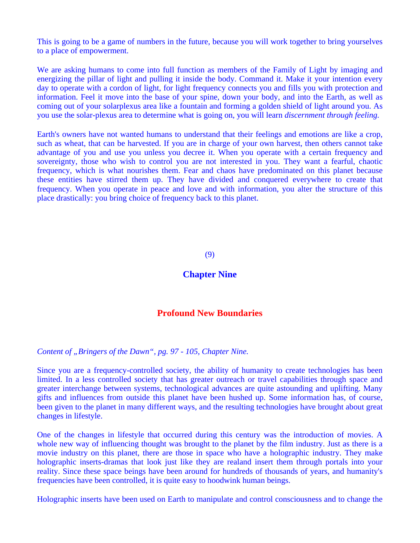This is going to be a game of numbers in the future, because you will work together to bring yourselves to a place of empowerment.

We are asking humans to come into full function as members of the Family of Light by imaging and energizing the pillar of light and pulling it inside the body. Command it. Make it your intention every day to operate with a cordon of light, for light frequency connects you and fills you with protection and information. Feel it move into the base of your spine, down your body, and into the Earth, as well as coming out of your solarplexus area like a fountain and forming a golden shield of light around you. As you use the solar-plexus area to determine what is going on, you will learn *discernment through feeling.*

Earth's owners have not wanted humans to understand that their feelings and emotions are like a crop, such as wheat, that can be harvested. If you are in charge of your own harvest, then others cannot take advantage of you and use you unless you decree it. When you operate with a certain frequency and sovereignty, those who wish to control you are not interested in you. They want a fearful, chaotic frequency, which is what nourishes them. Fear and chaos have predominated on this planet because these entities have stirred them up. They have divided and conquered everywhere to create that frequency. When you operate in peace and love and with information, you alter the structure of this place drastically: you bring choice of frequency back to this planet.

## (9)

#### **Chapter Nine**

# **Profound New Boundaries**

# *Content of "Bringers of the Dawn", pg. 97 - 105, Chapter Nine.*

Since you are a frequency-controlled society, the ability of humanity to create technologies has been limited. In a less controlled society that has greater outreach or travel capabilities through space and greater interchange between systems, technological advances are quite astounding and uplifting. Many gifts and influences from outside this planet have been hushed up. Some information has, of course, been given to the planet in many different ways, and the resulting technologies have brought about great changes in lifestyle.

One of the changes in lifestyle that occurred during this century was the introduction of movies. A whole new way of influencing thought was brought to the planet by the film industry. Just as there is a movie industry on this planet, there are those in space who have a holographic industry. They make holographic inserts-dramas that look just like they are realand insert them through portals into your reality. Since these space beings have been around for hundreds of thousands of years, and humanity's frequencies have been controlled, it is quite easy to hoodwink human beings.

Holographic inserts have been used on Earth to manipulate and control consciousness and to change the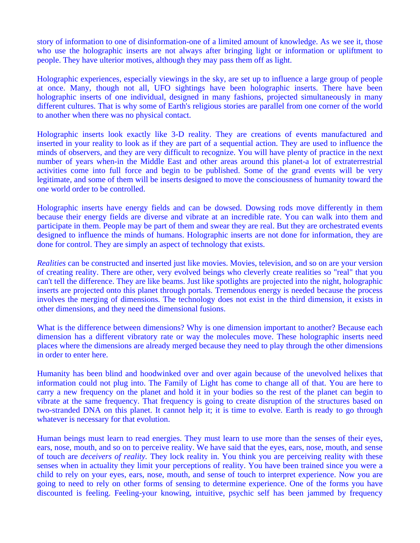story of information to one of disinformation-one of a limited amount of knowledge. As we see it, those who use the holographic inserts are not always after bringing light or information or upliftment to people. They have ulterior motives, although they may pass them off as light.

Holographic experiences, especially viewings in the sky, are set up to influence a large group of people at once. Many, though not all, UFO sightings have been holographic inserts. There have been holographic inserts of one individual, designed in many fashions, projected simultaneously in many different cultures. That is why some of Earth's religious stories are parallel from one corner of the world to another when there was no physical contact.

Holographic inserts look exactly like 3-D reality. They are creations of events manufactured and inserted in your reality to look as if they are part of a sequential action. They are used to influence the minds of observers, and they are very difficult to recognize. You will have plenty of practice in the next number of years when-in the Middle East and other areas around this planet-a lot of extraterrestrial activities come into full force and begin to be published. Some of the grand events will be very legitimate, and some of them will be inserts designed to move the consciousness of humanity toward the one world order to be controlled.

Holographic inserts have energy fields and can be dowsed. Dowsing rods move differently in them because their energy fields are diverse and vibrate at an incredible rate. You can walk into them and participate in them. People may be part of them and swear they are real. But they are orchestrated events designed to influence the minds of humans. Holographic inserts are not done for information, they are done for control. They are simply an aspect of technology that exists.

*Realities* can be constructed and inserted just like movies. Movies, television, and so on are your version of creating reality. There are other, very evolved beings who cleverly create realities so "real" that you can't tell the difference. They are like beams. Just like spotlights are projected into the night, holographic inserts are projected onto this planet through portals. Tremendous energy is needed because the process involves the merging of dimensions. The technology does not exist in the third dimension, it exists in other dimensions, and they need the dimensional fusions.

What is the difference between dimensions? Why is one dimension important to another? Because each dimension has a different vibratory rate or way the molecules move. These holographic inserts need places where the dimensions are already merged because they need to play through the other dimensions in order to enter here.

Humanity has been blind and hoodwinked over and over again because of the unevolved helixes that information could not plug into. The Family of Light has come to change all of that. You are here to carry a new frequency on the planet and hold it in your bodies so the rest of the planet can begin to vibrate at the same frequency. That frequency is going to create disruption of the structures based on two-stranded DNA on this planet. It cannot help it; it is time to evolve. Earth is ready to go through whatever is necessary for that evolution.

Human beings must learn to read energies. They must learn to use more than the senses of their eyes, ears, nose, mouth, and so on to perceive reality. We have said that the eyes, ears, nose, mouth, and sense of touch are *deceivers of reality.* They lock reality in. You think you are perceiving reality with these senses when in actuality they limit your perceptions of reality. You have been trained since you were a child to rely on your eyes, ears, nose, mouth, and sense of touch to interpret experience. Now you are going to need to rely on other forms of sensing to determine experience. One of the forms you have discounted is feeling. Feeling-your knowing, intuitive, psychic self has been jammed by frequency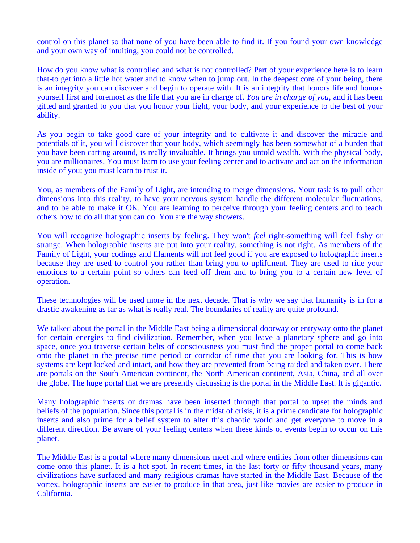control on this planet so that none of you have been able to find it. If you found your own knowledge and your own way of intuiting, you could not be controlled.

How do you know what is controlled and what is not controlled? Part of your experience here is to learn that-to get into a little hot water and to know when to jump out. In the deepest core of your being, there is an integrity you can discover and begin to operate with. It is an integrity that honors life and honors yourself first and foremost as the life that you are in charge of. *You are in charge of you*, and it has been gifted and granted to you that you honor your light, your body, and your experience to the best of your ability.

As you begin to take good care of your integrity and to cultivate it and discover the miracle and potentials of it, you will discover that your body, which seemingly has been somewhat of a burden that you have been carting around, is really invaluable. It brings you untold wealth. With the physical body, you are millionaires. You must learn to use your feeling center and to activate and act on the information inside of you; you must learn to trust it.

You, as members of the Family of Light, are intending to merge dimensions. Your task is to pull other dimensions into this reality, to have your nervous system handle the different molecular fluctuations, and to be able to make it OK. You are learning to perceive through your feeling centers and to teach others how to do all that you can do. You are the way showers.

You will recognize holographic inserts by feeling. They won't *feel* right-something will feel fishy or strange. When holographic inserts are put into your reality, something is not right. As members of the Family of Light, your codings and filaments will not feel good if you are exposed to holographic inserts because they are used to control you rather than bring you to upliftment. They are used to ride your emotions to a certain point so others can feed off them and to bring you to a certain new level of operation.

These technologies will be used more in the next decade. That is why we say that humanity is in for a drastic awakening as far as what is really real. The boundaries of reality are quite profound.

We talked about the portal in the Middle East being a dimensional doorway or entryway onto the planet for certain energies to find civilization. Remember, when you leave a planetary sphere and go into space, once you traverse certain belts of consciousness you must find the proper portal to come back onto the planet in the precise time period or corridor of time that you are looking for. This is how systems are kept locked and intact, and how they are prevented from being raided and taken over. There are portals on the South American continent, the North American continent, Asia, China, and all over the globe. The huge portal that we are presently discussing is the portal in the Middle East. It is gigantic.

Many holographic inserts or dramas have been inserted through that portal to upset the minds and beliefs of the population. Since this portal is in the midst of crisis, it is a prime candidate for holographic inserts and also prime for a belief system to alter this chaotic world and get everyone to move in a different direction. Be aware of your feeling centers when these kinds of events begin to occur on this planet.

The Middle East is a portal where many dimensions meet and where entities from other dimensions can come onto this planet. It is a hot spot. In recent times, in the last forty or fifty thousand years, many civilizations have surfaced and many religious dramas have started in the Middle East. Because of the vortex, holographic inserts are easier to produce in that area, just like movies are easier to produce in California.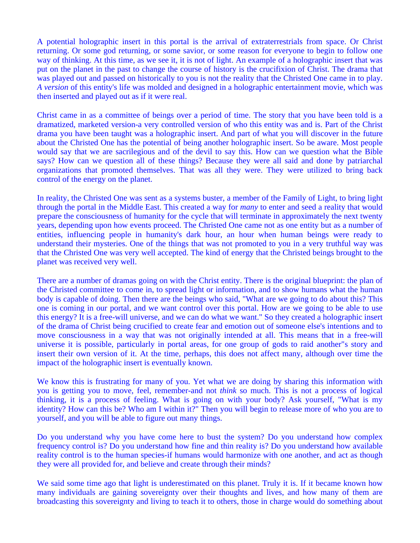A potential holographic insert in this portal is the arrival of extraterrestrials from space. Or Christ returning. Or some god returning, or some savior, or some reason for everyone to begin to follow one way of thinking. At this time, as we see it, it is not of light. An example of a holographic insert that was put on the planet in the past to change the course of history is the crucifixion of Christ. The drama that was played out and passed on historically to you is not the reality that the Christed One came in to play. *A version* of this entity's life was molded and designed in a holographic entertainment movie, which was then inserted and played out as if it were real.

Christ came in as a committee of beings over a period of time. The story that you have been told is a dramatized, marketed version-a very controlled version of who this entity was and is. Part of the Christ drama you have been taught was a holographic insert. And part of what you will discover in the future about the Christed One has the potential of being another holographic insert. So be aware. Most people would say that we are sacrilegious and of the devil to say this. How can we question what the Bible says? How can we question all of these things? Because they were all said and done by patriarchal organizations that promoted themselves. That was all they were. They were utilized to bring back control of the energy on the planet.

In reality, the Christed One was sent as a systems buster, a member of the Family of Light, to bring light through the portal in the Middle East. This created a way for *many* to enter and seed a reality that would prepare the consciousness of humanity for the cycle that will terminate in approximately the next twenty years, depending upon how events proceed. The Christed One came not as one entity but as a number of entities, influencing people in humanity's dark hour, an hour when human beings were ready to understand their mysteries. One of the things that was not promoted to you in a very truthful way was that the Christed One was very well accepted. The kind of energy that the Christed beings brought to the planet was received very well.

There are a number of dramas going on with the Christ entity. There is the original blueprint: the plan of the Christed committee to come in, to spread light or information, and to show humans what the human body is capable of doing. Then there are the beings who said, "What are we going to do about this? This one is coming in our portal, and we want control over this portal. How are we going to be able to use this energy? It is a free-will universe, and we can do what we want." So they created a holographic insert of the drama of Christ being crucified to create fear and emotion out of someone else's intentions and to move consciousness in a way that was not originally intended at all. This means that in a free-will universe it is possible, particularly in portal areas, for one group of gods to raid another"s story and insert their own version of it. At the time, perhaps, this does not affect many, although over time the impact of the holographic insert is eventually known.

We know this is frustrating for many of you. Yet what we are doing by sharing this information with you is getting you to move, feel, remember-and not *think* so much. This is not a process of logical thinking, it is a process of feeling. What is going on with your body? Ask yourself, "What is my identity? How can this be? Who am I within it?" Then you will begin to release more of who you are to yourself, and you will be able to figure out many things.

Do you understand why you have come here to bust the system? Do you understand how complex frequency control is? Do you understand how fine and thin reality is? Do you understand how available reality control is to the human species-if humans would harmonize with one another, and act as though they were all provided for, and believe and create through their minds?

We said some time ago that light is underestimated on this planet. Truly it is. If it became known how many individuals are gaining sovereignty over their thoughts and lives, and how many of them are broadcasting this sovereignty and living to teach it to others, those in charge would do something about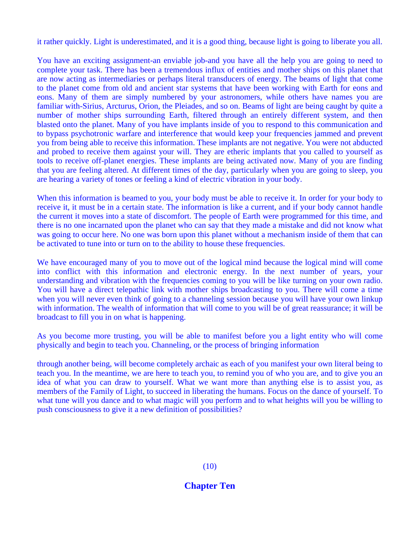it rather quickly. Light is underestimated, and it is a good thing, because light is going to liberate you all.

You have an exciting assignment-an enviable job-and you have all the help you are going to need to complete your task. There has been a tremendous influx of entities and mother ships on this planet that are now acting as intermediaries or perhaps literal transducers of energy. The beams of light that come to the planet come from old and ancient star systems that have been working with Earth for eons and eons. Many of them are simply numbered by your astronomers, while others have names you are familiar with-Sirius, Arcturus, Orion, the Pleiades, and so on. Beams of light are being caught by quite a number of mother ships surrounding Earth, filtered through an entirely different system, and then blasted onto the planet. Many of you have implants inside of you to respond to this communication and to bypass psychotronic warfare and interference that would keep your frequencies jammed and prevent you from being able to receive this information. These implants are not negative. You were not abducted and probed to receive them against your will. They are etheric implants that you called to yourself as tools to receive off-planet energies. These implants are being activated now. Many of you are finding that you are feeling altered. At different times of the day, particularly when you are going to sleep, you are hearing a variety of tones or feeling a kind of electric vibration in your body.

When this information is beamed to you, your body must be able to receive it. In order for your body to receive it, it must be in a certain state. The information is like a current, and if your body cannot handle the current it moves into a state of discomfort. The people of Earth were programmed for this time, and there is no one incarnated upon the planet who can say that they made a mistake and did not know what was going to occur here. No one was born upon this planet without a mechanism inside of them that can be activated to tune into or turn on to the ability to house these frequencies.

We have encouraged many of you to move out of the logical mind because the logical mind will come into conflict with this information and electronic energy. In the next number of years, your understanding and vibration with the frequencies coming to you will be like turning on your own radio. You will have a direct telepathic link with mother ships broadcasting to you. There will come a time when you will never even think of going to a channeling session because you will have your own linkup with information. The wealth of information that will come to you will be of great reassurance; it will be broadcast to fill you in on what is happening.

As you become more trusting, you will be able to manifest before you a light entity who will come physically and begin to teach you. Channeling, or the process of bringing information

through another being, will become completely archaic as each of you manifest your own literal being to teach you. In the meantime, we are here to teach you, to remind you of who you are, and to give you an idea of what you can draw to yourself. What we want more than anything else is to assist you, as members of the Family of Light, to succeed in liberating the humans. Focus on the dance of yourself. To what tune will you dance and to what magic will you perform and to what heights will you be willing to push consciousness to give it a new definition of possibilities?

#### (10)

# **Chapter Ten**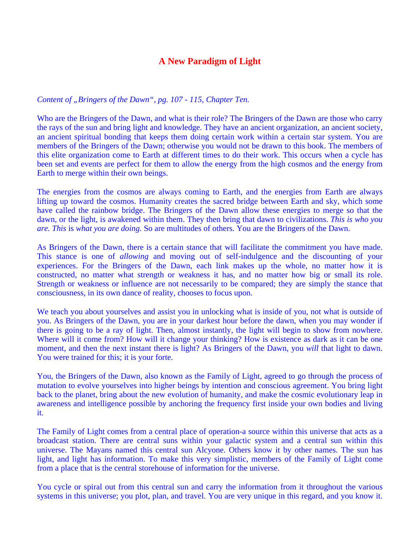# **A New Paradigm of Light**

## *Content of "Bringers of the Dawn", pg. 107 - 115, Chapter Ten.*

Who are the Bringers of the Dawn, and what is their role? The Bringers of the Dawn are those who carry the rays of the sun and bring light and knowledge. They have an ancient organization, an ancient society, an ancient spiritual bonding that keeps them doing certain work within a certain star system. You are members of the Bringers of the Dawn; otherwise you would not be drawn to this book. The members of this elite organization come to Earth at different times to do their work. This occurs when a cycle has been set and events are perfect for them to allow the energy from the high cosmos and the energy from Earth to merge within their own beings.

The energies from the cosmos are always coming to Earth, and the energies from Earth are always lifting up toward the cosmos. Humanity creates the sacred bridge between Earth and sky, which some have called the rainbow bridge. The Bringers of the Dawn allow these energies to merge so that the dawn, or the light, is awakened within them. They then bring that dawn to civilizations. *This is who you are. This* is *what you are doing.* So are multitudes of others. You are the Bringers of the Dawn.

As Bringers of the Dawn, there is a certain stance that will facilitate the commitment you have made. This stance is one of *allowing* and moving out of self-indulgence and the discounting of your experiences. For the Bringers of the Dawn, each link makes up the whole, no matter how it is constructed, no matter what strength or weakness it has, and no matter how big or small its role. Strength or weakness or influence are not necessarily to be compared; they are simply the stance that consciousness, in its own dance of reality, chooses to focus upon.

We teach you about yourselves and assist you in unlocking what is inside of you, not what is outside of you. As Bringers of the Dawn, you are in your darkest hour before the dawn, when you may wonder if there is going to be a ray of light. Then, almost instantly, the light will begin to show from nowhere. Where will it come from? How will it change your thinking? How is existence as dark as it can be one moment, and then the next instant there is light? As Bringers of the Dawn, you *will* that light to dawn. You were trained for this; it is your forte.

You, the Bringers of the Dawn, also known as the Family of Light, agreed to go through the process of mutation to evolve yourselves into higher beings by intention and conscious agreement. You bring light back to the planet, bring about the new evolution of humanity, and make the cosmic evolutionary leap in awareness and intelligence possible by anchoring the frequency first inside your own bodies and living it.

The Family of Light comes from a central place of operation-a source within this universe that acts as a broadcast station. There are central suns within your galactic system and a central sun within this universe. The Mayans named this central sun Alcyone. Others know it by other names. The sun has light, and light has information. To make this very simplistic, members of the Family of Light come from a place that is the central storehouse of information for the universe.

You cycle or spiral out from this central sun and carry the information from it throughout the various systems in this universe; you plot, plan, and travel. You are very unique in this regard, and you know it.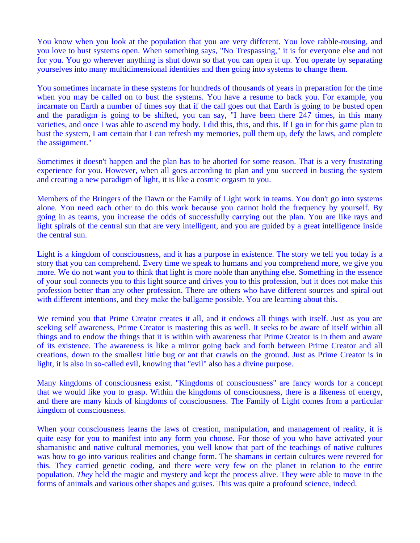You know when you look at the population that you are very different. You love rabble-rousing, and you love to bust systems open. When something says, "No Trespassing," it is for everyone else and not for you. You go wherever anything is shut down so that you can open it up. You operate by separating yourselves into many multidimensional identities and then going into systems to change them.

You sometimes incarnate in these systems for hundreds of thousands of years in preparation for the time when you may be called on to bust the systems. You have a resume to back you. For example, you incarnate on Earth a number of times soy that if the call goes out that Earth is going to be busted open and the paradigm is going to be shifted, you can say, "I have been there 247 times, in this many varieties, and once I was able to ascend my body. I did this, this, and this. If I go in for this game plan to bust the system, I am certain that I can refresh my memories, pull them up, defy the laws, and complete the assignment."

Sometimes it doesn't happen and the plan has to be aborted for some reason. That is a very frustrating experience for you. However, when all goes according to plan and you succeed in busting the system and creating a new paradigm of light, it is like a cosmic orgasm to you.

Members of the Bringers of the Dawn or the Family of Light work in teams. You don't go into systems alone. You need each other to do this work because you cannot hold the frequency by yourself. By going in as teams, you increase the odds of successfully carrying out the plan. You are like rays and light spirals of the central sun that are very intelligent, and you are guided by a great intelligence inside the central sun.

Light is a kingdom of consciousness, and it has a purpose in existence. The story we tell you today is a story that you can comprehend. Every time we speak to humans and you comprehend more, we give you more. We do not want you to think that light is more noble than anything else. Something in the essence of your soul connects you to this light source and drives you to this profession, but it does not make this profession better than any other profession. There are others who have different sources and spiral out with different intentions, and they make the ballgame possible. You are learning about this.

We remind you that Prime Creator creates it all, and it endows all things with itself. Just as you are seeking self awareness, Prime Creator is mastering this as well. It seeks to be aware of itself within all things and to endow the things that it is within with awareness that Prime Creator is in them and aware of its existence. The awareness is like a mirror going back and forth between Prime Creator and all creations, down to the smallest little bug or ant that crawls on the ground. Just as Prime Creator is in light, it is also in so-called evil, knowing that "evil" also has a divine purpose.

Many kingdoms of consciousness exist. "Kingdoms of consciousness" are fancy words for a concept that we would like you to grasp. Within the kingdoms of consciousness, there is a likeness of energy, and there are many kinds of kingdoms of consciousness. The Family of Light comes from a particular kingdom of consciousness.

When your consciousness learns the laws of creation, manipulation, and management of reality, it is quite easy for you to manifest into any form you choose. For those of you who have activated your shamanistic and native cultural memories, you well know that part of the teachings of native cultures was how to go into various realities and change form. The shamans in certain cultures were revered for this. They carried genetic coding, and there were very few on the planet in relation to the entire population. *They* held the magic and mystery and kept the process alive. They were able to move in the forms of animals and various other shapes and guises. This was quite a profound science, indeed.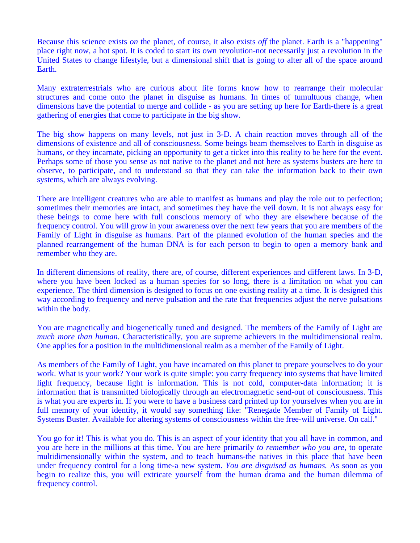Because this science exists *on* the planet, of course, it also exists *off* the planet. Earth is a "happening" place right now, a hot spot. It is coded to start its own revolution-not necessarily just a revolution in the United States to change lifestyle, but a dimensional shift that is going to alter all of the space around Earth.

Many extraterrestrials who are curious about life forms know how to rearrange their molecular structures and come onto the planet in disguise as humans. In times of tumultuous change, when dimensions have the potential to merge and collide - as you are setting up here for Earth-there is a great gathering of energies that come to participate in the big show.

The big show happens on many levels, not just in 3-D. A chain reaction moves through all of the dimensions of existence and all of consciousness. Some beings beam themselves to Earth in disguise as humans, or they incarnate, picking an opportunity to get a ticket into this reality to be here for the event. Perhaps some of those you sense as not native to the planet and not here as systems busters are here to observe, to participate, and to understand so that they can take the information back to their own systems, which are always evolving.

There are intelligent creatures who are able to manifest as humans and play the role out to perfection; sometimes their memories are intact, and sometimes they have the veil down. It is not always easy for these beings to come here with full conscious memory of who they are elsewhere because of the frequency control. You will grow in your awareness over the next few years that you are members of the Family of Light in disguise as humans. Part of the planned evolution of the human species and the planned rearrangement of the human DNA is for each person to begin to open a memory bank and remember who they are.

In different dimensions of reality, there are, of course, different experiences and different laws. In 3-D, where you have been locked as a human species for so long, there is a limitation on what you can experience. The third dimension is designed to focus on one existing reality at a time. It is designed this way according to frequency and nerve pulsation and the rate that frequencies adjust the nerve pulsations within the body.

You are magnetically and biogenetically tuned and designed. The members of the Family of Light are *much more than human.* Characteristically, you are supreme achievers in the multidimensional realm. One applies for a position in the multidimensional realm as a member of the Family of Light.

As members of the Family of Light, you have incarnated on this planet to prepare yourselves to do your work. What is your work? Your work is quite simple: you carry frequency into systems that have limited light frequency, because light is information. This is not cold, computer-data information; it is information that is transmitted biologically through an electromagnetic send-out of consciousness. This is what you are experts in. If you were to have a business card printed up for yourselves when you are in full memory of your identity, it would say something like: "Renegade Member of Family of Light. Systems Buster. Available for altering systems of consciousness within the free-will universe. On call."

You go for it! This is what you do. This is an aspect of your identity that you all have in common, and you are here in the millions at this time. You are here primarily *to remember who you are,* to operate multidimensionally within the system, and to teach humans-the natives in this place that have been under frequency control for a long time-a new system. *You are disguised as humans.* As soon as you begin to realize this, you will extricate yourself from the human drama and the human dilemma of frequency control.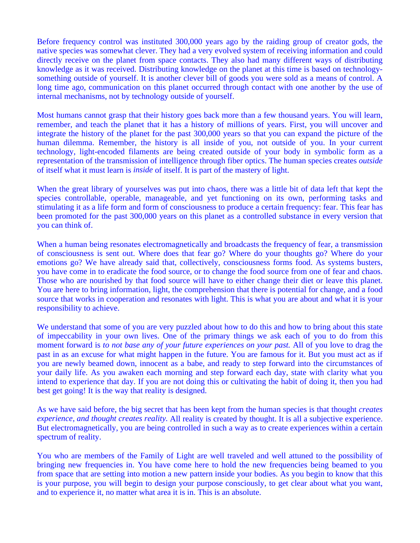Before frequency control was instituted 300,000 years ago by the raiding group of creator gods, the native species was somewhat clever. They had a very evolved system of receiving information and could directly receive on the planet from space contacts. They also had many different ways of distributing knowledge as it was received. Distributing knowledge on the planet at this time is based on technologysomething outside of yourself. It is another clever bill of goods you were sold as a means of control. A long time ago, communication on this planet occurred through contact with one another by the use of internal mechanisms, not by technology outside of yourself.

Most humans cannot grasp that their history goes back more than a few thousand years. You will learn, remember, and teach the planet that it has a history of millions of years. First, you will uncover and integrate the history of the planet for the past 300,000 years so that you can expand the picture of the human dilemma. Remember, the history is all inside of you, not outside of you. In your current technology, light-encoded filaments are being created outside of your body in symbolic form as a representation of the transmission of intelligence through fiber optics. The human species creates *outside*  of itself what it must learn is *inside* of itself. It is part of the mastery of light.

When the great library of yourselves was put into chaos, there was a little bit of data left that kept the species controllable, operable, manageable, and yet functioning on its own, performing tasks and stimulating it as a life form and form of consciousness to produce a certain frequency: fear. This fear has been promoted for the past 300,000 years on this planet as a controlled substance in every version that you can think of.

When a human being resonates electromagnetically and broadcasts the frequency of fear, a transmission of consciousness is sent out. Where does that fear go? Where do your thoughts go? Where do your emotions go? We have already said that, collectively, consciousness forms food. As systems busters, you have come in to eradicate the food source, or to change the food source from one of fear and chaos. Those who are nourished by that food source will have to either change their diet or leave this planet. You are here to bring information, light, the comprehension that there is potential for change, and a food source that works in cooperation and resonates with light. This is what you are about and what it is your responsibility to achieve.

We understand that some of you are very puzzled about how to do this and how to bring about this state of impeccability in your own lives. One of the primary things we ask each of you to do from this moment forward is *to not base any of your future experiences on your past.* All of you love to drag the past in as an excuse for what might happen in the future. You are famous for it. But you must act as if you are newly beamed down, innocent as a babe, and ready to step forward into the circumstances of your daily life. As you awaken each morning and step forward each day, state with clarity what you intend to experience that day. If you are not doing this or cultivating the habit of doing it, then you had best get going! It is the way that reality is designed.

As we have said before, the big secret that has been kept from the human species is that thought *creates experience, and thought creates reality.* All reality is created by thought. It is all a subjective experience. But electromagnetically, you are being controlled in such a way as to create experiences within a certain spectrum of reality.

You who are members of the Family of Light are well traveled and well attuned to the possibility of bringing new frequencies in. You have come here to hold the new frequencies being beamed to you from space that are setting into motion a new pattern inside your bodies. As you begin to know that this is your purpose, you will begin to design your purpose consciously, to get clear about what you want, and to experience it, no matter what area it is in. This is an absolute.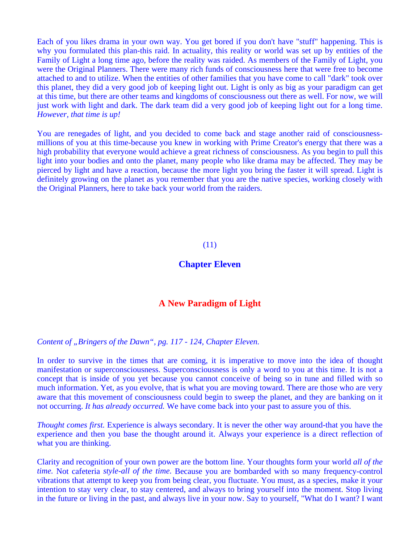Each of you likes drama in your own way. You get bored if you don't have "stuff" happening. This is why you formulated this plan-this raid. In actuality, this reality or world was set up by entities of the Family of Light a long time ago, before the reality was raided. As members of the Family of Light, you were the Original Planners. There were many rich funds of consciousness here that were free to become attached to and to utilize. When the entities of other families that you have come to call "dark" took over this planet, they did a very good job of keeping light out. Light is only as big as your paradigm can get at this time, but there are other teams and kingdoms of consciousness out there as well. For now, we will just work with light and dark. The dark team did a very good job of keeping light out for a long time. *However, that time is up!*

You are renegades of light, and you decided to come back and stage another raid of consciousnessmillions of you at this time-because you knew in working with Prime Creator's energy that there was a high probability that everyone would achieve a great richness of consciousness. As you begin to pull this light into your bodies and onto the planet, many people who like drama may be affected. They may be pierced by light and have a reaction, because the more light you bring the faster it will spread. Light is definitely growing on the planet as you remember that you are the native species, working closely with the Original Planners, here to take back your world from the raiders.

# (11)

## **Chapter Eleven**

# **A New Paradigm of Light**

#### *Content of "Bringers of the Dawn", pg. 117 - 124, Chapter Eleven.*

In order to survive in the times that are coming, it is imperative to move into the idea of thought manifestation or superconsciousness. Superconsciousness is only a word to you at this time. It is not a concept that is inside of you yet because you cannot conceive of being so in tune and filled with so much information. Yet, as you evolve, that is what you are moving toward. There are those who are very aware that this movement of consciousness could begin to sweep the planet, and they are banking on it not occurring. *It has already occurred.* We have come back into your past to assure you of this.

*Thought comes first.* Experience is always secondary. It is never the other way around-that you have the experience and then you base the thought around it. Always your experience is a direct reflection of what you are thinking.

Clarity and recognition of your own power are the bottom line. Your thoughts form your world *all of the time.* Not cafeteria *style-all of the time.* Because you are bombarded with so many frequency-control vibrations that attempt to keep you from being clear, you fluctuate. You must, as a species, make it your intention to stay very clear, to stay centered, and always to bring yourself into the moment. Stop living in the future or living in the past, and always live in your now. Say to yourself, "What do I want? I want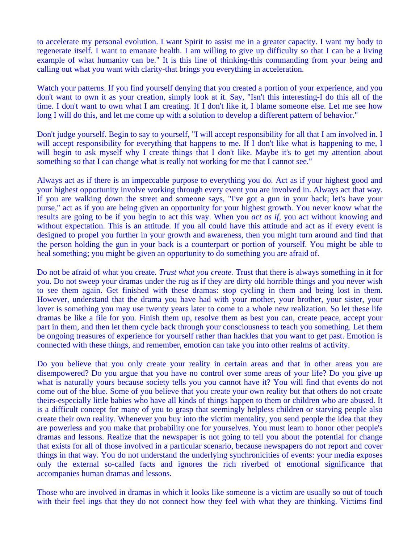to accelerate my personal evolution. I want Spirit to assist me in a greater capacity. I want my body to regenerate itself. I want to emanate health. I am willing to give up difficulty so that I can be a living example of what humanitv can be." It is this line of thinking-this commanding from your being and calling out what you want with clarity-that brings you everything in acceleration.

Watch your patterns. If you find yourself denying that you created a portion of your experience, and you don't want to own it as your creation, simply look at it. Say, "Isn't this interesting-I do this all of the time. I don't want to own what I am creating. If I don't like it, I blame someone else. Let me see how long I will do this, and let me come up with a solution to develop a different pattern of behavior."

Don't judge yourself. Begin to say to yourself, "I will accept responsibility for all that I am involved in. I will accept responsibility for everything that happens to me. If I don't like what is happening to me, I will begin to ask myself why I create things that I don't like. Maybe it's to get my attention about something so that I can change what is really not working for me that I cannot see."

Always act as if there is an impeccable purpose to everything you do. Act as if your highest good and your highest opportunity involve working through every event you are involved in. Always act that way. If you are walking down the street and someone says, "I've got a gun in your back; let's have your purse," act as if you are being given an opportunity for your highest growth. You never know what the results are going to be if you begin to act this way. When you *act as if,* you act without knowing and without expectation. This is an attitude. If you all could have this attitude and act as if every event is designed to propel you further in your growth and awareness, then you might turn around and find that the person holding the gun in your back is a counterpart or portion of yourself. You might be able to heal something; you might be given an opportunity to do something you are afraid of.

Do not be afraid of what you create. *Trust what you create.* Trust that there is always something in it for you. Do not sweep your dramas under the rug as if they are dirty old horrible things and you never wish to see them again. Get finished with these dramas: stop cycling in them and being lost in them. However, understand that the drama you have had with your mother, your brother, your sister, your lover is something you may use twenty years later to come to a whole new realization. So let these life dramas be like a file for you. Finish them up, resolve them as best you can, create peace, accept your part in them, and then let them cycle back through your consciousness to teach you something. Let them be ongoing treasures of experience for yourself rather than hackles that you want to get past. Emotion is connected with these things, and remember, emotion can take you into other realms of activity.

Do you believe that you only create your reality in certain areas and that in other areas you are disempowered? Do you argue that you have no control over some areas of your life? Do you give up what is naturally yours because society tells you you cannot have it? You will find that events do not come out of the blue. Some of you believe that you create your own reality but that others do not create theirs-especially little babies who have all kinds of things happen to them or children who are abused. It is a difficult concept for many of you to grasp that seemingly helpless children or starving people also create their own reality. Whenever you buy into the victim mentality, you send people the idea that they are powerless and you make that probability one for yourselves. You must learn to honor other people's dramas and lessons. Realize that the newspaper is not going to tell you about the potential for change that exists for all of those involved in a particular scenario, because newspapers do not report and cover things in that way. You do not understand the underlying synchronicities of events: your media exposes only the external so-called facts and ignores the rich riverbed of emotional significance that accompanies human dramas and lessons.

Those who are involved in dramas in which it looks like someone is a victim are usually so out of touch with their feel ings that they do not connect how they feel with what they are thinking. Victims find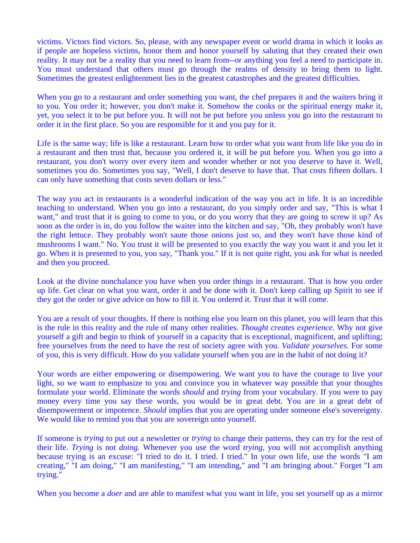victims. Victors find victors. So, please, with any newspaper event or world drama in which it looks as if people are hopeless victims, honor them and honor yourself by saluting that they created their own reality. It may not be a reality that you need to learn from--or anything you feel a need to participate in. You must understand that others must go through the realms of density to bring them to light. Sometimes the greatest enlightenment lies in the greatest catastrophes and the greatest difficulties.

When you go to a restaurant and order something you want, the chef prepares it and the waiters bring it to you. You order it; however, you don't make it. Somehow the cooks or the spiritual energy make it, yet, you select it to be put before you. It will not be put before you unless you go into the restaurant to order it in the first place. So you are responsible for it and you pay for it.

Life is the same way; life is like a restaurant. Learn how to order what you want from life like you do in a restaurant and then trust that, because you ordered it, it will be put before you. When you go into a restaurant, you don't worry over every item and wonder whether or not you deserve to have it. Well, sometimes you do. Sometimes you say, "Well, I don't deserve to have that. That costs fifteen dollars. I can only have something that costs seven dollars or less."

The way you act in restaurants is a wonderful indication of the way you act in life. It is an incredible teaching to understand. When you go into a restaurant, do you simply order and say, "This is what I want," and trust that it is going to come to you, or do you worry that they are going to screw it up? As soon as the order is in, do you follow the waiter into the kitchen and say, "Oh, they probably won't have the right lettuce. They probably won't saute those onions just so, and they won't have those kind of mushrooms I want." No. You trust it will be presented to you exactly the way you want it and you let it go. When it is presented to you, you say, "Thank you." If it is not quite right, you ask for what is needed and then you proceed.

Look at the divine nonchalance you have when you order things in a restaurant. That is how you order up life. Get clear on what you want, order it and be done with it. Don't keep calling up Spirit to see if they got the order or give advice on how to fill it. You ordered it. Trust that it will come.

You are a result of your thoughts. If there is nothing else you learn on this planet, you will learn that this is the rule in this reality and the rule of many other realities. *Thought creates experience.* Why not give yourself a gift and begin to think of yourself in a capacity that is exceptional, magnificent, and uplifting; free yourselves from the need to have the rest of society agree with you. *Validate yourselves.* For some of you, this is very difficult. How do you validate yourself when you are in the habit of not doing it?

Your words are either empowering or disempowering. We want you to have the courage to live your light, so we want to emphasize to you and convince you in whatever way possible that your thoughts formulate your world. Eliminate the words *should* and *trying* from your vocabulary. If you were to pay money every time you say these words, you would be in great debt. You are in a great debt of disempowerment or impotence. *Should* implies that you are operating under someone else's sovereignty. We would like to remind you that you are sovereign unto yourself.

If someone is *trying* to put out a newsletter or *trying* to change their patterns, they can try for the rest of their life. *Trying* is not *doing.* Whenever you use the word *trying,* you will not accomplish anything because trying is an excuse: "I tried to do it. I tried. I tried." In your own life, use the words "I am creating," "I am doing," "I am manifesting," "I am intending," and "I am bringing about." Forget "I am trying."

When you become a *doer* and are able to manifest what you want in life, you set yourself up as a mirror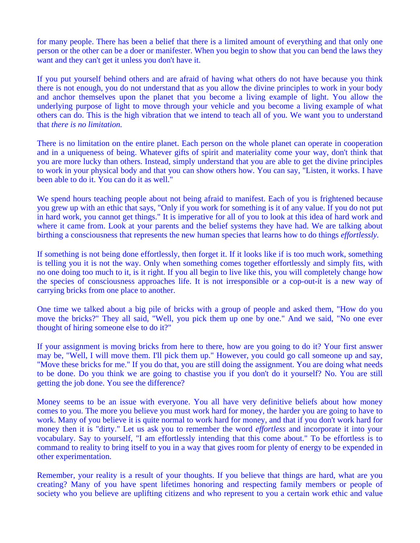for many people. There has been a belief that there is a limited amount of everything and that only one person or the other can be a doer or manifester. When you begin to show that you can bend the laws they want and they can't get it unless you don't have it.

If you put yourself behind others and are afraid of having what others do not have because you think there is not enough, you do not understand that as you allow the divine principles to work in your body and anchor themselves upon the planet that you become a living example of light. You allow the underlying purpose of light to move through your vehicle and you become a living example of what others can do. This is the high vibration that we intend to teach all of you. We want you to understand that *there is no limitation.*

There is no limitation on the entire planet. Each person on the whole planet can operate in cooperation and in a uniqueness of being. Whatever gifts of spirit and materiality come your way, don't think that you are more lucky than others. Instead, simply understand that you are able to get the divine principles to work in your physical body and that you can show others how. You can say, "Listen, it works. I have been able to do it. You can do it as well."

We spend hours teaching people about not being afraid to manifest. Each of you is frightened because you grew up with an ethic that says, "Only if you work for something is it of any value. If you do not put in hard work, you cannot get things." It is imperative for all of you to look at this idea of hard work and where it came from. Look at your parents and the belief systems they have had. We are talking about birthing a consciousness that represents the new human species that learns how to do things *effortlessly.*

If something is not being done effortlessly, then forget it. If it looks like if is too much work, something is telling you it is not the way. Only when something comes together effortlessly and simply fits, with no one doing too much to it, is it right. If you all begin to live like this, you will completely change how the species of consciousness approaches life. It is not irresponsible or a cop-out-it is a new way of carrying bricks from one place to another.

One time we talked about a big pile of bricks with a group of people and asked them, "How do you move the bricks?" They all said, "Well, you pick them up one by one." And we said, "No one ever thought of hiring someone else to do it?"

If your assignment is moving bricks from here to there, how are you going to do it? Your first answer may be, "Well, I will move them. I'll pick them up." However, you could go call someone up and say, "Move these bricks for me." If you do that, you are still doing the assignment. You are doing what needs to be done. Do you think we are going to chastise you if you don't do it yourself? No. You are still getting the job done. You see the difference?

Money seems to be an issue with everyone. You all have very definitive beliefs about how money comes to you. The more you believe you must work hard for money, the harder you are going to have to work. Many of you believe it is quite normal to work hard for money, and that if you don't work hard for money then it is "dirty." Let us ask you to remember the word *effortless* and incorporate it into your vocabulary. Say to yourself, "I am effortlessly intending that this come about." To be effortless is to command to reality to bring itself to you in a way that gives room for plenty of energy to be expended in other experimentation.

Remember, your reality is a result of your thoughts. If you believe that things are hard, what are you creating? Many of you have spent lifetimes honoring and respecting family members or people of society who you believe are uplifting citizens and who represent to you a certain work ethic and value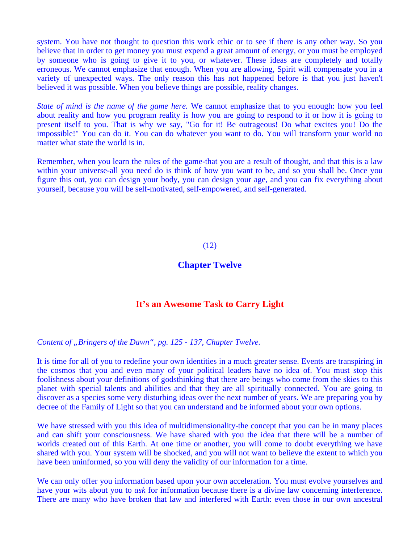system. You have not thought to question this work ethic or to see if there is any other way. So you believe that in order to get money you must expend a great amount of energy, or you must be employed by someone who is going to give it to you, or whatever. These ideas are completely and totally erroneous. We cannot emphasize that enough. When you are allowing, Spirit will compensate you in a variety of unexpected ways. The only reason this has not happened before is that you just haven't believed it was possible. When you believe things are possible, reality changes.

*State of mind is the name of the game here.* We cannot emphasize that to you enough: how you feel about reality and how you program reality is how you are going to respond to it or how it is going to present itself to you. That is why we say, "Go for it! Be outrageous! Do what excites you! Do the impossible!" You can do it. You can do whatever you want to do. You will transform your world no matter what state the world is in.

Remember, when you learn the rules of the game-that you are a result of thought, and that this is a law within your universe-all you need do is think of how you want to be, and so you shall be. Once you figure this out, you can design your body, you can design your age, and you can fix everything about yourself, because you will be self-motivated, self-empowered, and self-generated.

# (12)

# **Chapter Twelve**

#### **It's an Awesome Task to Carry Light**

#### *Content of "Bringers of the Dawn", pg. 125 - 137, Chapter Twelve.*

It is time for all of you to redefine your own identities in a much greater sense. Events are transpiring in the cosmos that you and even many of your political leaders have no idea of. You must stop this foolishness about your definitions of godsthinking that there are beings who come from the skies to this planet with special talents and abilities and that they are all spiritually connected. You are going to discover as a species some very disturbing ideas over the next number of years. We are preparing you by decree of the Family of Light so that you can understand and be informed about your own options.

We have stressed with you this idea of multidimensionality-the concept that you can be in many places and can shift your consciousness. We have shared with you the idea that there will be a number of worlds created out of this Earth. At one time or another, you will come to doubt everything we have shared with you. Your system will be shocked, and you will not want to believe the extent to which you have been uninformed, so you will deny the validity of our information for a time.

We can only offer you information based upon your own acceleration. You must evolve yourselves and have your wits about you to *ask* for information because there is a divine law concerning interference. There are many who have broken that law and interfered with Earth: even those in our own ancestral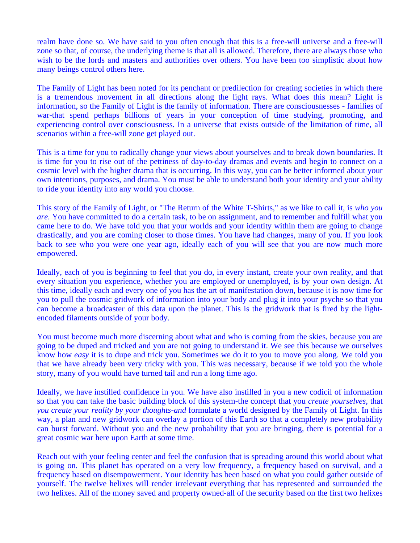realm have done so. We have said to you often enough that this is a free-will universe and a free-will zone so that, of course, the underlying theme is that all is allowed. Therefore, there are always those who wish to be the lords and masters and authorities over others. You have been too simplistic about how many beings control others here.

The Family of Light has been noted for its penchant or predilection for creating societies in which there is a tremendous movement in all directions along the light rays. What does this mean? Light is information, so the Family of Light is the family of information. There are consciousnesses - families of war-that spend perhaps billions of years in your conception of time studying, promoting, and experiencing control over consciousness. In a universe that exists outside of the limitation of time, all scenarios within a free-will zone get played out.

This is a time for you to radically change your views about yourselves and to break down boundaries. It is time for you to rise out of the pettiness of day-to-day dramas and events and begin to connect on a cosmic level with the higher drama that is occurring. In this way, you can be better informed about your own intentions, purposes, and drama. You must be able to understand both your identity and your ability to ride your identity into any world you choose.

This story of the Family of Light, or "The Return of the White T-Shirts," as we like to call it, is *who you are.* You have committed to do a certain task, to be on assignment, and to remember and fulfill what you came here to do. We have told you that your worlds and your identity within them are going to change drastically, and you are coming closer to those times. You have had changes, many of you. If you look back to see who you were one year ago, ideally each of you will see that you are now much more empowered.

Ideally, each of you is beginning to feel that you do, in every instant, create your own reality, and that every situation you experience, whether you are employed or unemployed, is by your own design. At this time, ideally each and every one of you has the art of manifestation down, because it is now time for you to pull the cosmic gridwork of information into your body and plug it into your psyche so that you can become a broadcaster of this data upon the planet. This is the gridwork that is fired by the lightencoded filaments outside of your body.

You must become much more discerning about what and who is coming from the skies, because you are going to be duped and tricked and you are not going to understand it. We see this because we ourselves know how *easy* it is to dupe and trick you. Sometimes we do it to you to move you along. We told you that we have already been very tricky with you. This was necessary, because if we told you the whole story, many of you would have turned tail and run a long time ago.

Ideally, we have instilled confidence in you. We have also instilled in you a new codicil of information so that you can take the basic building block of this system-the concept that you *create yourselves,* that *you create your reality by your thoughts-and* formulate a world designed by the Family of Light. In this way, a plan and new gridwork can overlay a portion of this Earth so that a completely new probability can burst forward. Without you and the new probability that you are bringing, there is potential for a great cosmic war here upon Earth at some time.

Reach out with your feeling center and feel the confusion that is spreading around this world about what is going on. This planet has operated on a very low frequency, a frequency based on survival, and a frequency based on disempowerment. Your identity has been based on what you could gather outside of yourself. The twelve helixes will render irrelevant everything that has represented and surrounded the two helixes. All of the money saved and property owned-all of the security based on the first two helixes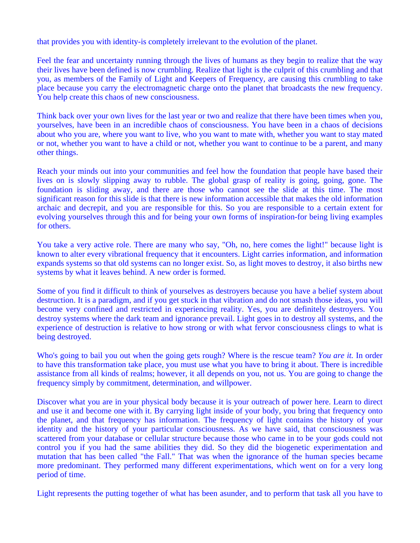that provides you with identity-is completely irrelevant to the evolution of the planet.

Feel the fear and uncertainty running through the lives of humans as they begin to realize that the way their lives have been defined is now crumbling. Realize that light is the culprit of this crumbling and that you, as members of the Family of Light and Keepers of Frequency, are causing this crumbling to take place because you carry the electromagnetic charge onto the planet that broadcasts the new frequency. You help create this chaos of new consciousness.

Think back over your own lives for the last year or two and realize that there have been times when you, yourselves, have been in an incredible chaos of consciousness. You have been in a chaos of decisions about who you are, where you want to live, who you want to mate with, whether you want to stay mated or not, whether you want to have a child or not, whether you want to continue to be a parent, and many other things.

Reach your minds out into your communities and feel how the foundation that people have based their lives on is slowly slipping away to rubble. The global grasp of reality is going, going, gone. The foundation is sliding away, and there are those who cannot see the slide at this time. The most significant reason for this slide is that there is new information accessible that makes the old information archaic and decrepit, and you are responsible for this. So you are responsible to a certain extent for evolving yourselves through this and for being your own forms of inspiration-for being living examples for others.

You take a very active role. There are many who say, "Oh, no, here comes the light!" because light is known to alter every vibrational frequency that it encounters. Light carries information, and information expands systems so that old systems can no longer exist. So, as light moves to destroy, it also births new systems by what it leaves behind. A new order is formed.

Some of you find it difficult to think of yourselves as destroyers because you have a belief system about destruction. It is a paradigm, and if you get stuck in that vibration and do not smash those ideas, you will become very confined and restricted in experiencing reality. Yes, you are definitely destroyers. You destroy systems where the dark team and ignorance prevail. Light goes in to destroy all systems, and the experience of destruction is relative to how strong or with what fervor consciousness clings to what is being destroyed.

Who's going to bail you out when the going gets rough? Where is the rescue team? *You are it.* In order to have this transformation take place, you must use what you have to bring it about. There is incredible assistance from all kinds of realms; however, it all depends on you, not us. You are going to change the frequency simply by commitment, determination, and willpower.

Discover what you are in your physical body because it is your outreach of power here. Learn to direct and use it and become one with it. By carrying light inside of your body, you bring that frequency onto the planet, and that frequency has information. The frequency of light contains the history of your identity and the history of your particular consciousness. As we have said, that consciousness was scattered from your database or cellular structure because those who came in to be your gods could not control you if you had the same abilities they did. So they did the biogenetic experimentation and mutation that has been called "the Fall." That was when the ignorance of the human species became more predominant. They performed many different experimentations, which went on for a very long period of time.

Light represents the putting together of what has been asunder, and to perform that task all you have to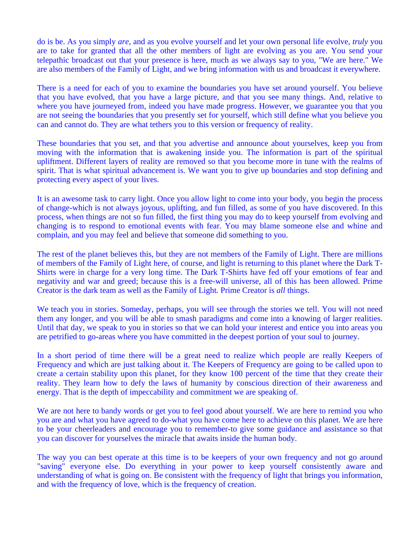do is be. As you simply *are*, and as you evolve yourself and let your own personal life evolve, *truly* you are to take for granted that all the other members of light are evolving as you are. You send your telepathic broadcast out that your presence is here, much as we always say to you, "We are here." We are also members of the Family of Light, and we bring information with us and broadcast it everywhere.

There is a need for each of you to examine the boundaries you have set around yourself. You believe that you have evolved, that you have a large picture, and that you see many things. And, relative to where you have journeyed from, indeed you have made progress. However, we guarantee you that you are not seeing the boundaries that you presently set for yourself, which still define what you believe you can and cannot do. They are what tethers you to this version or frequency of reality.

These boundaries that you set, and that you advertise and announce about yourselves, keep you from moving with the information that is awakening inside you. The information is part of the spiritual upliftment. Different layers of reality are removed so that you become more in tune with the realms of spirit. That is what spiritual advancement is. We want you to give up boundaries and stop defining and protecting every aspect of your lives.

It is an awesome task to carry light. Once you allow light to come into your body, you begin the process of change-which is not always joyous, uplifting, and fun filled, as some of you have discovered. In this process, when things are not so fun filled, the first thing you may do to keep yourself from evolving and changing is to respond to emotional events with fear. You may blame someone else and whine and complain, and you may feel and believe that someone did something to you.

The rest of the planet believes this, but they are not members of the Family of Light. There are millions of members of the Family of Light here, of course, and light is returning to this planet where the Dark T-Shirts were in charge for a very long time. The Dark T-Shirts have fed off your emotions of fear and negativity and war and greed; because this is a free-will universe, all of this has been allowed. Prime Creator is the dark team as well as the Family of Light. Prime Creator is *all* things.

We teach you in stories. Someday, perhaps, you will see through the stories we tell. You will not need them any longer, and you will be able to smash paradigms and come into a knowing of larger realities. Until that day, we speak to you in stories so that we can hold your interest and entice you into areas you are petrified to go-areas where you have committed in the deepest portion of your soul to journey.

In a short period of time there will be a great need to realize which people are really Keepers of Frequency and which are just talking about it. The Keepers of Frequency are going to be called upon to create a certain stability upon this planet, for they know 100 percent of the time that they create their reality. They learn how to defy the laws of humanity by conscious direction of their awareness and energy. That is the depth of impeccability and commitment we are speaking of.

We are not here to bandy words or get you to feel good about yourself. We are here to remind you who you are and what you have agreed to do-what you have come here to achieve on this planet. We are here to be your cheerleaders and encourage you to remember-to give some guidance and assistance so that you can discover for yourselves the miracle that awaits inside the human body.

The way you can best operate at this time is to be keepers of your own frequency and not go around "saving" everyone else. Do everything in your power to keep yourself consistently aware and understanding of what is going on. Be consistent with the frequency of light that brings you information, and with the frequency of love, which is the frequency of creation.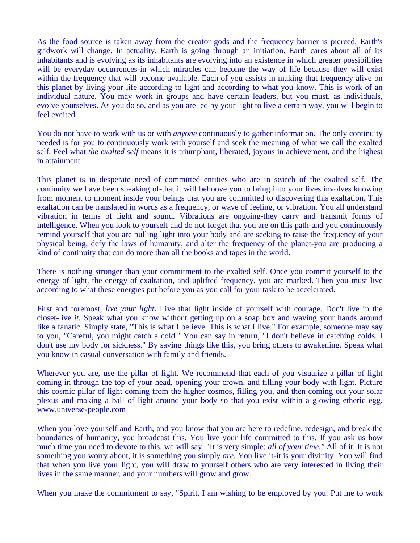As the food source is taken away from the creator gods and the frequency barrier is pierced, Earth's gridwork will change. In actuality, Earth is going through an initiation. Earth cares about all of its inhabitants and is evolving as its inhabitants are evolving into an existence in which greater possibilities will be everyday occurrences-in which miracles can become the way of life because they will exist within the frequency that will become available. Each of you assists in making that frequency alive on this planet by living your life according to light and according to what you know. This is work of an individual nature. You may work in groups and have certain leaders, but you must, as individuals, evolve yourselves. As you do so, and as you are led by your light to live a certain way, you will begin to feel excited.

You do not have to work with us or with *anyone* continuously to gather information. The only continuity needed is for you to continuously work with yourself and seek the meaning of what we call the exalted self. Feel what *the exalted self* means it is triumphant, liberated, joyous in achievement, and the highest in attainment.

This planet is in desperate need of committed entities who are in search of the exalted self. The continuity we have been speaking of-that it will behoove you to bring into your lives involves knowing from moment to moment inside your beings that you are committed to discovering this exaltation. This exaltation can be translated in words as a frequency, or wave of feeling, or vibration. You all understand vibration in terms of light and sound. Vibrations are ongoing-they carry and transmit forms of intelligence. When you look to yourself and do not forget that you are on this path-and you continuously remind yourself that you are pulling light into your body and are seeking to raise the frequency of your physical being, defy the laws of humanity, and alter the frequency of the planet-you are producing a kind of continuity that can do more than all the books and tapes in the world.

There is nothing stronger than your commitment to the exalted self. Once you commit yourself to the energy of light, the energy of exaltation, and uplifted frequency, you are marked. Then you must live according to what these energies put before you as you call for your task to be accelerated.

First and foremost, *live your light.* Live that light inside of yourself with courage. Don't live in the closet-live *it.* Speak what you know without getting up on a soap box and waving your hands around like a fanatic. Simply state, "This is what I believe. This is what I live." For example, someone may say to you, "Careful, you might catch a cold." You can say in return, "I don't believe in catching colds. I don't use my body for sickness." By saving things like this, you bring others to awakening. Speak what you know in casual conversation with family and friends.

Wherever you are, use the pillar of light. We recommend that each of you visualize a pillar of light coming in through the top of your head, opening your crown, and filling your body with light. Picture this cosmic pillar of light coming from the higher cosmos, filling you, and then coming out your solar plexus and making a ball of light around your body so that you exist within a glowing etheric egg. www.universe-people.com

When you love yourself and Earth, and you know that you are here to redefine, redesign, and break the boundaries of humanity, you broadcast this. You live your life committed to this. If you ask us how much time you need to devote to this, we will say, "It is very simple: *all of your time."* All of it. It is not something you worry about, it is something you simply *are.* You live it-it is your divinity. You will find that when you live your light, you will draw to yourself others who are very interested in living their lives in the same manner, and your numbers will grow and grow.

When you make the commitment to say, "Spirit, I am wishing to be employed by you. Put me to work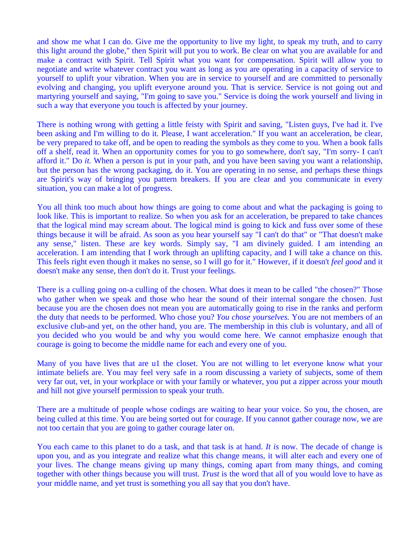and show me what I can do. Give me the opportunity to live my light, to speak my truth, and to carry this light around the globe," then Spirit will put you to work. Be clear on what you are available for and make a contract with Spirit. Tell Spirit what you want for compensation. Spirit will allow you to negotiate and write whatever contract you want as long as you are operating in a capacity of service to yourself to uplift your vibration. When you are in service to yourself and are committed to personally evolving and changing, you uplift everyone around you. That is service. Service is not going out and martyring yourself and saying, "I'm going to save you." Service is doing the work yourself and living in such a way that everyone you touch is affected by your journey.

There is nothing wrong with getting a little feisty with Spirit and saving, "Listen guys, I've had it. I've been asking and I'm willing to do it. Please, I want acceleration." If you want an acceleration, be clear, be very prepared to take off, and be open to reading the symbols as they come to you. When a book falls off a shelf, read it. When an opportunity comes for you to go somewhere, don't say, "I'm sorry- I can't afford it." Do *it.* When a person is put in your path, and you have been saving you want a relationship, but the person has the wrong packaging, do it. You are operating in no sense, and perhaps these things are Spirit's way of bringing you pattern breakers. If you are clear and you communicate in every situation, you can make a lot of progress.

You all think too much about how things are going to come about and what the packaging is going to look like. This is important to realize. So when you ask for an acceleration, be prepared to take chances that the logical mind may scream about. The logical mind is going to kick and fuss over some of these things because it will be afraid. As soon as you hear yourself say "I can't do that" or "That doesn't make any sense," listen. These are key words. Simply say, "I am divinely guided. I am intending an acceleration. I am intending that I work through an uplifting capacity, and I will take a chance on this. This feels right even though it makes no sense, so I will go for it." However, if it doesn't *feel good* and it doesn't make any sense, then don't do it. Trust your feelings.

There is a culling going on-a culling of the chosen. What does it mean to be called "the chosen?" Those who gather when we speak and those who hear the sound of their internal songare the chosen. Just because you are the chosen does not mean you are automatically going to rise in the ranks and perform the duty that needs to be performed. Who chose you? *You chose yourselves.* You are not members of an exclusive club-and yet, on the other hand, you are. The membership in this club is voluntary, and all of you decided who you would be and why you would come here. We cannot emphasize enough that courage is going to become the middle name for each and every one of you.

Many of you have lives that are u1 the closet. You are not willing to let everyone know what your intimate beliefs are. You may feel very safe in a room discussing a variety of subjects, some of them very far out, vet, in your workplace or with your family or whatever, you put a zipper across your mouth and hill not give yourself permission to speak your truth.

There are a multitude of people whose codings are waiting to hear your voice. So you, the chosen, are being culled at this time. You are being sorted out for courage. If you cannot gather courage now, we are not too certain that you are going to gather courage later on.

You each came to this planet to do a task, and that task is at hand. *It is* now. The decade of change is upon you, and as you integrate and realize what this change means, it will alter each and every one of your lives. The change means giving up many things, coming apart from many things, and coming together with other things because you will trust. *Trust* is the word that all of you would love to have as your middle name, and yet trust is something you all say that you don't have.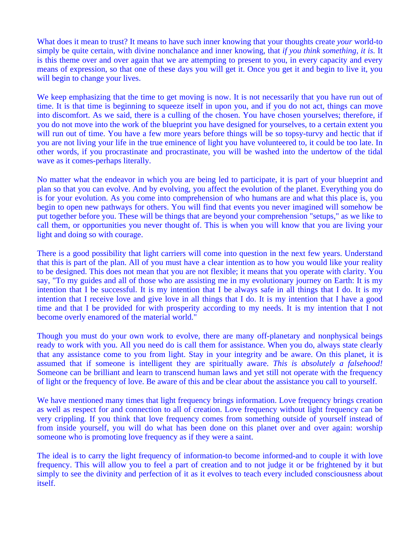What does it mean to trust? It means to have such inner knowing that your thoughts create *your* world-to simply be quite certain, with divine nonchalance and inner knowing, that *if you think something, it is.* It is this theme over and over again that we are attempting to present to you, in every capacity and every means of expression, so that one of these days you will get it. Once you get it and begin to live it, you will begin to change your lives.

We keep emphasizing that the time to get moving is now. It is not necessarily that you have run out of time. It is that time is beginning to squeeze itself in upon you, and if you do not act, things can move into discomfort. As we said, there is a culling of the chosen. You have chosen yourselves; therefore, if you do not move into the work of the blueprint you have designed for yourselves, to a certain extent you will run out of time. You have a few more years before things will be so topsy-turvy and hectic that if you are not living your life in the true eminence of light you have volunteered to, it could be too late. In other words, if you procrastinate and procrastinate, you will be washed into the undertow of the tidal wave as it comes-perhaps literally.

No matter what the endeavor in which you are being led to participate, it is part of your blueprint and plan so that you can evolve. And by evolving, you affect the evolution of the planet. Everything you do is for your evolution. As you come into comprehension of who humans are and what this place is, you begin to open new pathways for others. You will find that events you never imagined will somehow be put together before you. These will be things that are beyond your comprehension "setups," as we like to call them, or opportunities you never thought of. This is when you will know that you are living your light and doing so with courage.

There is a good possibility that light carriers will come into question in the next few years. Understand that this is part of the plan. All of you must have a clear intention as to how you would like your reality to be designed. This does not mean that you are not flexible; it means that you operate with clarity. You say, "To my guides and all of those who are assisting me in my evolutionary journey on Earth: It is my intention that I be successful. It is my intention that I be always safe in all things that I do. It is my intention that I receive love and give love in all things that I do. It is my intention that I have a good time and that I be provided for with prosperity according to my needs. It is my intention that I not become overly enamored of the material world."

Though you must do your own work to evolve, there are many off-planetary and nonphysical beings ready to work with you. All you need do is call them for assistance. When you do, always state clearly that any assistance come to you from light. Stay in your integrity and be aware. On this planet, it is assumed that if someone is intelligent they are spiritually aware. *This is absolutely a falsehood!*  Someone can be brilliant and learn to transcend human laws and yet still not operate with the frequency of light or the frequency of love. Be aware of this and be clear about the assistance you call to yourself.

We have mentioned many times that light frequency brings information. Love frequency brings creation as well as respect for and connection to all of creation. Love frequency without light frequency can be very crippling. If you think that love frequency comes from something outside of yourself instead of from inside yourself, you will do what has been done on this planet over and over again: worship someone who is promoting love frequency as if they were a saint.

The ideal is to carry the light frequency of information-to become informed-and to couple it with love frequency. This will allow you to feel a part of creation and to not judge it or be frightened by it but simply to see the divinity and perfection of it as it evolves to teach every included consciousness about itself.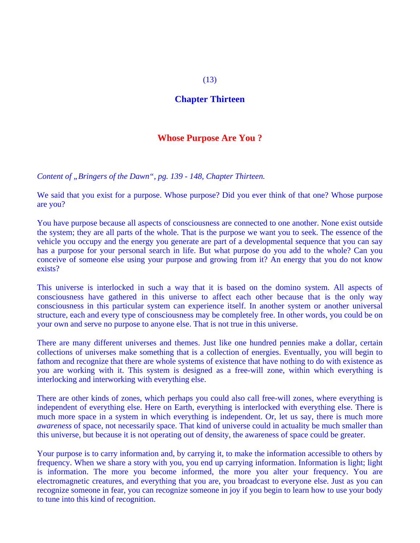# **Chapter Thirteen**

## **Whose Purpose Are You ?**

*Content of "Bringers of the Dawn", pg. 139 - 148, Chapter Thirteen.* 

We said that you exist for a purpose. Whose purpose? Did you ever think of that one? Whose purpose are you?

You have purpose because all aspects of consciousness are connected to one another. None exist outside the system; they are all parts of the whole. That is the purpose we want you to seek. The essence of the vehicle you occupy and the energy you generate are part of a developmental sequence that you can say has a purpose for your personal search in life. But what purpose do you add to the whole? Can you conceive of someone else using your purpose and growing from it? An energy that you do not know exists?

This universe is interlocked in such a way that it is based on the domino system. All aspects of consciousness have gathered in this universe to affect each other because that is the only way consciousness in this particular system can experience itself. In another system or another universal structure, each and every type of consciousness may be completely free. In other words, you could be on your own and serve no purpose to anyone else. That is not true in this universe.

There are many different universes and themes. Just like one hundred pennies make a dollar, certain collections of universes make something that is a collection of energies. Eventually, you will begin to fathom and recognize that there are whole systems of existence that have nothing to do with existence as you are working with it. This system is designed as a free-will zone, within which everything is interlocking and interworking with everything else.

There are other kinds of zones, which perhaps you could also call free-will zones, where everything is independent of everything else. Here on Earth, everything is interlocked with everything else. There is much more space in a system in which everything is independent. Or, let us say, there is much more *awareness* of space, not necessarily space. That kind of universe could in actuality be much smaller than this universe, but because it is not operating out of density, the awareness of space could be greater.

Your purpose is to carry information and, by carrying it, to make the information accessible to others by frequency. When we share a story with you, you end up carrying information. Information is light; light is information. The more you become informed, the more you alter your frequency. You are electromagnetic creatures, and everything that you are, you broadcast to everyone else. Just as you can recognize someone in fear, you can recognize someone in joy if you begin to learn how to use your body to tune into this kind of recognition.

#### (13)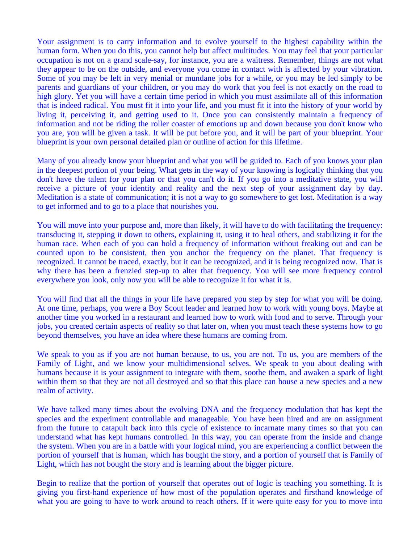Your assignment is to carry information and to evolve yourself to the highest capability within the human form. When you do this, you cannot help but affect multitudes. You may feel that your particular occupation is not on a grand scale-say, for instance, you are a waitress. Remember, things are not what they appear to be on the outside, and everyone you come in contact with is affected by your vibration. Some of you may be left in very menial or mundane jobs for a while, or you may be led simply to be parents and guardians of your children, or you may do work that you feel is not exactly on the road to high glory. Yet you will have a certain time period in which you must assimilate all of this information that is indeed radical. You must fit it into your life, and you must fit it into the history of your world by living it, perceiving it, and getting used to it. Once you can consistently maintain a frequency of information and not be riding the roller coaster of emotions up and down because you don't know who you are, you will be given a task. It will be put before you, and it will be part of your blueprint. Your blueprint is your own personal detailed plan or outline of action for this lifetime.

Many of you already know your blueprint and what you will be guided to. Each of you knows your plan in the deepest portion of your being. What gets in the way of your knowing is logically thinking that you don't have the talent for your plan or that you can't do it. If you go into a meditative state, you will receive a picture of your identity and reality and the next step of your assignment day by day. Meditation is a state of communication; it is not a way to go somewhere to get lost. Meditation is a way to get informed and to go to a place that nourishes you.

You will move into your purpose and, more than likely, it will have to do with facilitating the frequency: transducing it, stepping it down to others, explaining it, using it to heal others, and stabilizing it for the human race. When each of you can hold a frequency of information without freaking out and can be counted upon to be consistent, then you anchor the frequency on the planet. That frequency is recognized. It cannot be traced, exactly, but it can be recognized, and it is being recognized now. That is why there has been a frenzied step-up to alter that frequency. You will see more frequency control everywhere you look, only now you will be able to recognize it for what it is.

You will find that all the things in your life have prepared you step by step for what you will be doing. At one time, perhaps, you were a Boy Scout leader and learned how to work with young boys. Maybe at another time you worked in a restaurant and learned how to work with food and to serve. Through your jobs, you created certain aspects of reality so that later on, when you must teach these systems how to go beyond themselves, you have an idea where these humans are coming from.

We speak to you as if you are not human because, to us, you are not. To us, you are members of the Family of Light, and we know your multidimensional selves. We speak to you about dealing with humans because it is your assignment to integrate with them, soothe them, and awaken a spark of light within them so that they are not all destroyed and so that this place can house a new species and a new realm of activity.

We have talked many times about the evolving DNA and the frequency modulation that has kept the species and the experiment controllable and manageable. You have been hired and are on assignment from the future to catapult back into this cycle of existence to incarnate many times so that you can understand what has kept humans controlled. In this way, you can operate from the inside and change the system. When you are in a battle with your logical mind, you are experiencing a conflict between the portion of yourself that is human, which has bought the story, and a portion of yourself that is Family of Light, which has not bought the story and is learning about the bigger picture.

Begin to realize that the portion of yourself that operates out of logic is teaching you something. It is giving you first-hand experience of how most of the population operates and firsthand knowledge of what you are going to have to work around to reach others. If it were quite easy for you to move into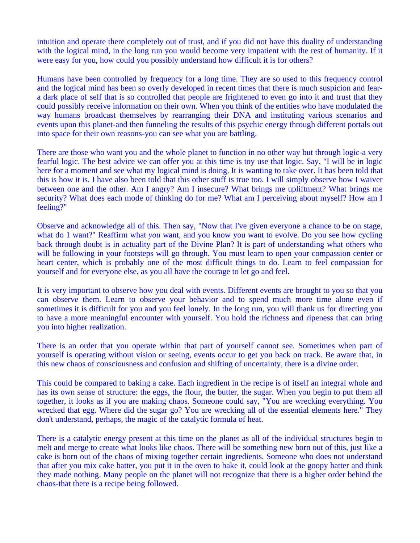intuition and operate there completely out of trust, and if you did not have this duality of understanding with the logical mind, in the long run you would become very impatient with the rest of humanity. If it were easy for you, how could you possibly understand how difficult it is for others?

Humans have been controlled by frequency for a long time. They are so used to this frequency control and the logical mind has been so overly developed in recent times that there is much suspicion and feara dark place of self that is so controlled that people are frightened to even go into it and trust that they could possibly receive information on their own. When you think of the entities who have modulated the way humans broadcast themselves by rearranging their DNA and instituting various scenarios and events upon this planet-and then funneling the results of this psychic energy through different portals out into space for their own reasons-you can see what you are battling.

There are those who want you and the whole planet to function in no other way but through logic-a very fearful logic. The best advice we can offer you at this time is toy use that logic. Say, "I will be in logic here for a moment and see what my logical mind is doing. It is wanting to take over. It has been told that this is how it is. I have also been told that this other stuff is true too. I will simply observe how I waiver between one and the other. Am I angry? Am I insecure? What brings me upliftment? What brings me security? What does each mode of thinking do for me? What am I perceiving about myself? How am I feeling?"

Observe and acknowledge all of this. Then say, "Now that I've given everyone a chance to be on stage, what do 1 want?" Reaffirm what *you* want, and you know you want to evolve. Do you see how cycling back through doubt is in actuality part of the Divine Plan? It is part of understanding what others who will be following in your footsteps will go through. You must learn to open your compassion center or heart center, which is probably one of the most difficult things to do. Learn to feel compassion for yourself and for everyone else, as you all have the courage to let go and feel.

It is very important to observe how you deal with events. Different events are brought to you so that you can observe them. Learn to observe your behavior and to spend much more time alone even if sometimes it is difficult for you and you feel lonely. In the long run, you will thank us for directing you to have a more meaningful encounter with yourself. You hold the richness and ripeness that can bring you into higher realization.

There is an order that you operate within that part of yourself cannot see. Sometimes when part of yourself is operating without vision or seeing, events occur to get you back on track. Be aware that, in this new chaos of consciousness and confusion and shifting of uncertainty, there is a divine order.

This could be compared to baking a cake. Each ingredient in the recipe is of itself an integral whole and has its own sense of structure: the eggs, the flour, the butter, the sugar. When you begin to put them all together, it looks as if you are making chaos. Someone could say, "You are wrecking everything. You wrecked that egg. Where did the sugar go? You are wrecking all of the essential elements here." They don't understand, perhaps, the magic of the catalytic formula of heat.

There is a catalytic energy present at this time on the planet as all of the individual structures begin to melt and merge to create what looks like chaos. There will be something new born out of this, just like a cake is born out of the chaos of mixing together certain ingredients. Someone who does not understand that after you mix cake batter, you put it in the oven to bake it, could look at the goopy batter and think they made nothing. Many people on the planet will not recognize that there is a higher order behind the chaos-that there is a recipe being followed.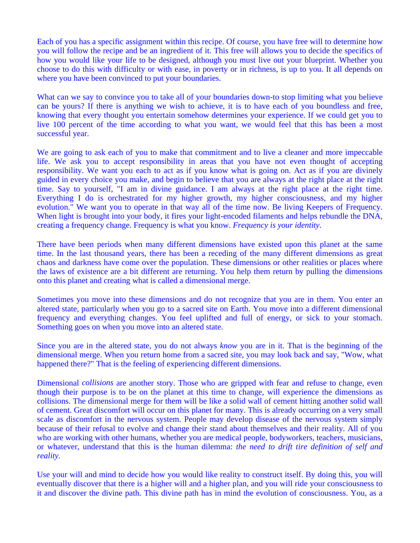Each of you has a specific assignment within this recipe. Of course, you have free will to determine how you will follow the recipe and be an ingredient of it. This free will allows you to decide the specifics of how you would like your life to be designed, although you must live out your blueprint. Whether you choose to do this with difficulty or with ease, in poverty or in richness, is up to you. It all depends on where you have been convinced to put your boundaries.

What can we say to convince you to take all of your boundaries down-to stop limiting what you believe can be yours? If there is anything we wish to achieve, it is to have each of you boundless and free, knowing that every thought you entertain somehow determines your experience. If we could get you to live 100 percent of the time according to what you want, we would feel that this has been a most successful year.

We are going to ask each of you to make that commitment and to live a cleaner and more impeccable life. We ask you to accept responsibility in areas that you have not even thought of accepting responsibility. We want you each to act as if you know what is going on. Act as if you are divinely guided in every choice you make, and begin to believe that you are always at the right place at the right time. Say to yourself, "I am in divine guidance. I am always at the right place at the right time. Everything I do is orchestrated for my higher growth, my higher consciousness, and my higher evolution." We want you to operate in that way all of the time now. Be living Keepers of Frequency. When light is brought into your body, it fires your light-encoded filaments and helps rebundle the DNA, creating a frequency change. Frequency is what you know. *Frequency is your identity.*

There have been periods when many different dimensions have existed upon this planet at the same time. In the last thousand years, there has been a receding of the many different dimensions as great chaos and darkness have come over the population. These dimensions or other realities or places where the laws of existence are a bit different are returning. You help them return by pulling the dimensions onto this planet and creating what is called a dimensional merge.

Sometimes you move into these dimensions and do not recognize that you are in them. You enter an altered state, particularly when you go to a sacred site on Earth. You move into a different dimensional frequency and everything changes. You feel uplifted and full of energy, or sick to your stomach. Something goes on when you move into an altered state.

Since you are in the altered state, you do not always *know* you are in it. That is the beginning of the dimensional merge. When you return home from a sacred site, you may look back and say, "Wow, what happened there?" That is the feeling of experiencing different dimensions.

Dimensional *collisions* are another story. Those who are gripped with fear and refuse to change, even though their purpose is to be on the planet at this time to change, will experience the dimensions as collisions. The dimensional merge for them will be like a solid wall of cement hitting another solid wall of cement. Great discomfort will occur on this planet for many. This is already occurring on a very small scale as discomfort in the nervous system. People may develop disease of the nervous system simply because of their refusal to evolve and change their stand about themselves and their reality. All of you who are working with other humans, whether you are medical people, bodyworkers, teachers, musicians, or whatever, understand that this is the human dilemma: *the need to drift tire definition of self and reality.*

Use your will and mind to decide how you would like reality to construct itself. By doing this, you will eventually discover that there is a higher will and a higher plan, and you will ride your consciousness to it and discover the divine path. This divine path has in mind the evolution of consciousness. You, as a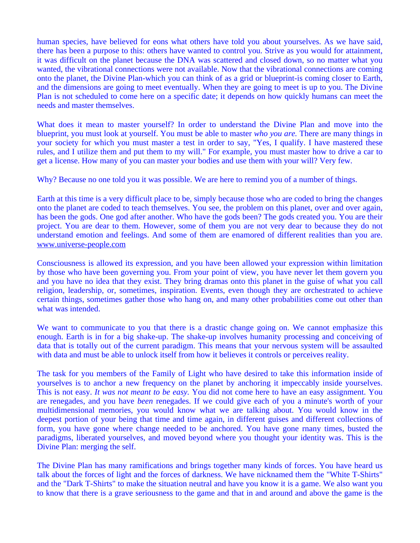human species, have believed for eons what others have told you about yourselves. As we have said, there has been a purpose to this: others have wanted to control you. Strive as you would for attainment, it was difficult on the planet because the DNA was scattered and closed down, so no matter what you wanted, the vibrational connections were not available. Now that the vibrational connections are coming onto the planet, the Divine Plan-which you can think of as a grid or blueprint-is coming closer to Earth, and the dimensions are going to meet eventually. When they are going to meet is up to you. The Divine Plan is not scheduled to come here on a specific date; it depends on how quickly humans can meet the needs and master themselves.

What does it mean to master yourself? In order to understand the Divine Plan and move into the blueprint, you must look at yourself. You must be able to master *who you are.* There are many things in your society for which you must master a test in order to say, "Yes, I qualify. I have mastered these rules, and I utilize them and put them to my will." For example, you must master how to drive a car to get a license. How many of you can master your bodies and use them with your will? Very few.

Why? Because no one told you it was possible. We are here to remind you of a number of things.

Earth at this time is a very difficult place to be, simply because those who are coded to bring the changes onto the planet are coded to teach themselves. You see, the problem on this planet, over and over again, has been the gods. One god after another. Who have the gods been? The gods created you. You are their project. You are dear to them. However, some of them you are not very dear to because they do not understand emotion and feelings. And some of them are enamored of different realities than you are. www.universe-people.com

Consciousness is allowed its expression, and you have been allowed your expression within limitation by those who have been governing you. From your point of view, you have never let them govern you and you have no idea that they exist. They bring dramas onto this planet in the guise of what you call religion, leadership, or, sometimes, inspiration. Events, even though they are orchestrated to achieve certain things, sometimes gather those who hang on, and many other probabilities come out other than what was intended.

We want to communicate to you that there is a drastic change going on. We cannot emphasize this enough. Earth is in for a big shake-up. The shake-up involves humanity processing and conceiving of data that is totally out of the current paradigm. This means that your nervous system will be assaulted with data and must be able to unlock itself from how it believes it controls or perceives reality.

The task for you members of the Family of Light who have desired to take this information inside of yourselves is to anchor a new frequency on the planet by anchoring it impeccably inside yourselves. This is not easy. *It was not meant to be easy.* You did not come here to have an easy assignment. You are renegades, and you have *been* renegades. If we could give each of you a minute's worth of your multidimensional memories, you would know what we are talking about. You would know in the deepest portion of your being that time and time again, in different guises and different collections of form, you have gone where change needed to be anchored. You have gone rnany times, busted the paradigms, liberated yourselves, and moved beyond where you thought your identity was. This is the Divine Plan: merging the self.

The Divine Plan has many ramifications and brings together many kinds of forces. You have heard us talk about the forces of light and the forces of darkness. We have nicknamed them the "White T-Shirts" and the "Dark T-Shirts" to make the situation neutral and have you know it is a game. We also want you to know that there is a grave seriousness to the game and that in and around and above the game is the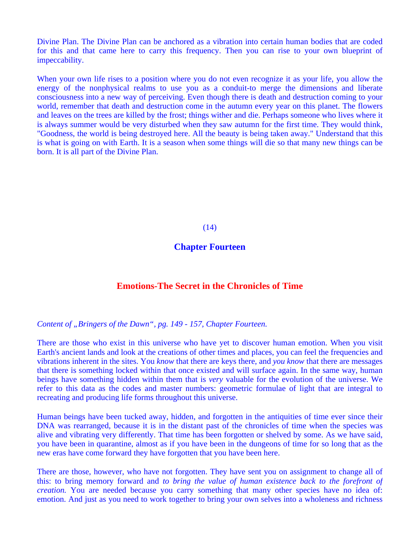Divine Plan. The Divine Plan can be anchored as a vibration into certain human bodies that are coded for this and that came here to carry this frequency. Then you can rise to your own blueprint of impeccability.

When your own life rises to a position where you do not even recognize it as your life, you allow the energy of the nonphysical realms to use you as a conduit-to merge the dimensions and liberate consciousness into a new way of perceiving. Even though there is death and destruction coming to your world, remember that death and destruction come in the autumn every year on this planet. The flowers and leaves on the trees are killed by the frost; things wither and die. Perhaps someone who lives where it is always summer would be very disturbed when they saw autumn for the first time. They would think, "Goodness, the world is being destroyed here. All the beauty is being taken away." Understand that this is what is going on with Earth. It is a season when some things will die so that many new things can be born. It is all part of the Divine Plan.

#### (14)

## **Chapter Fourteen**

## **Emotions-The Secret in the Chronicles of Time**

*Content of "Bringers of the Dawn", pg. 149 - 157, Chapter Fourteen.* 

There are those who exist in this universe who have yet to discover human emotion. When you visit Earth's ancient lands and look at the creations of other times and places, you can feel the frequencies and vibrations inherent in the sites. You *know* that there are keys there, and *you know* that there are messages that there is something locked within that once existed and will surface again. In the same way, human beings have something hidden within them that is *very* valuable for the evolution of the universe. We refer to this data as the codes and master numbers: geometric formulae of light that are integral to recreating and producing life forms throughout this universe.

Human beings have been tucked away, hidden, and forgotten in the antiquities of time ever since their DNA was rearranged, because it is in the distant past of the chronicles of time when the species was alive and vibrating very differently. That time has been forgotten or shelved by some. As we have said, you have been in quarantine, almost as if you have been in the dungeons of time for so long that as the new eras have come forward they have forgotten that you have been here.

There are those, however, who have not forgotten. They have sent you on assignment to change all of this: to bring memory forward and *to bring the value of human existence back to the forefront of creation.* You are needed because you carry something that many other species have no idea of: emotion. And just as you need to work together to bring your own selves into a wholeness and richness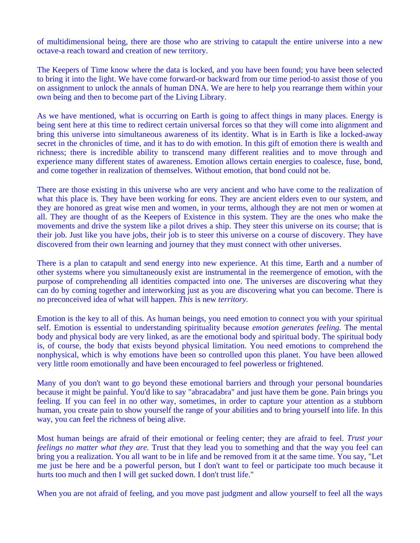of multidimensional being, there are those who are striving to catapult the entire universe into a new octave-a reach toward and creation of new territory.

The Keepers of Time know where the data is locked, and you have been found; you have been selected to bring it into the light. We have come forward-or backward from our time period-to assist those of you on assignment to unlock the annals of human DNA. We are here to help you rearrange them within your own being and then to become part of the Living Library.

As we have mentioned, what is occurring on Earth is going to affect things in many places. Energy is being sent here at this time to redirect certain universal forces so that they will come into alignment and bring this universe into simultaneous awareness of its identity. What is in Earth is like a locked-away secret in the chronicles of time, and it has to do with emotion. In this gift of emotion there is wealth and richness; there is incredible ability to transcend many different realities and to move through and experience many different states of awareness. Emotion allows certain energies to coalesce, fuse, bond, and come together in realization of themselves. Without emotion, that bond could not be.

There are those existing in this universe who are very ancient and who have come to the realization of what this place is. They have been working for eons. They are ancient elders even to our system, and they are honored as great wise men and women, in your terms, although they are not men or women at all. They are thought of as the Keepers of Existence in this system. They are the ones who make the movements and drive the system like a pilot drives a ship. They steer this universe on its course; that is their job. Just like you have jobs, their job is to steer this universe on a course of discovery. They have discovered from their own learning and journey that they must connect with other universes.

There is a plan to catapult and send energy into new experience. At this time, Earth and a number of other systems where you simultaneously exist are instrumental in the reemergence of emotion, with the purpose of comprehending all identities compacted into one. The universes are discovering what they can do by coming together and interworking just as you are discovering what you can become. There is no preconceived idea of what will happen. *This* is new *territory.*

Emotion is the key to all of this. As human beings, you need emotion to connect you with your spiritual self. Emotion is essential to understanding spirituality because *emotion generates feeling.* The mental body and physical body are very linked, as are the emotional body and spiritual body. The spiritual body is, of course, the body that exists beyond physical limitation. You need emotions to comprehend the nonphysical, which is why emotions have been so controlled upon this planet. You have been allowed very little room emotionally and have been encouraged to feel powerless or frightened.

Many of you don't want to go beyond these emotional barriers and through your personal boundaries because it might be painful. You'd like to say "abracadabra" and just have them be gone. Pain brings you feeling. If you can feel in no other way, sometimes, in order to capture your attention as a stubborn human, you create pain to show yourself the range of your abilities and to bring yourself into life. In this way, you can feel the richness of being alive.

Most human beings are afraid of their emotional or feeling center; they are afraid to feel. *Trust your feelings no matter what they are.* Trust that they lead you to something and that the way you feel can bring you a realization. You all want to be in life and be removed from it at the same time. You say, "Let me just be here and be a powerful person, but I don't want to feel or participate too much because it hurts too much and then I will get sucked down. I don't trust life."

When you are not afraid of feeling, and you move past judgment and allow yourself to feel all the ways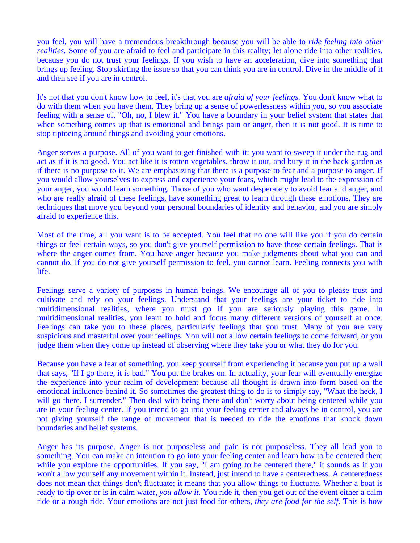you feel, you will have a tremendous breakthrough because you will be able to *ride feeling into other realities.* Some of you are afraid to feel and participate in this reality; let alone ride into other realities, because you do not trust your feelings. If you wish to have an acceleration, dive into something that brings up feeling. Stop skirting the issue so that you can think you are in control. Dive in the middle of it and then see if you are in control.

It's not that you don't know how to feel, it's that you are *afraid of your feelings.* You don't know what to do with them when you have them. They bring up a sense of powerlessness within you, so you associate feeling with a sense of, "Oh, no, I blew it." You have a boundary in your belief system that states that when something comes up that is emotional and brings pain or anger, then it is not good. It is time to stop tiptoeing around things and avoiding your emotions.

Anger serves a purpose. All of you want to get finished with it: you want to sweep it under the rug and act as if it is no good. You act like it is rotten vegetables, throw it out, and bury it in the back garden as if there is no purpose to it. We are emphasizing that there is a purpose to fear and a purpose to anger. If you would allow yourselves to express and experience your fears, which might lead to the expression of your anger, you would learn something. Those of you who want desperately to avoid fear and anger, and who are really afraid of these feelings, have something great to learn through these emotions. They are techniques that move you beyond your personal boundaries of identity and behavior, and you are simply afraid to experience this.

Most of the time, all you want is to be accepted. You feel that no one will like you if you do certain things or feel certain ways, so you don't give yourself permission to have those certain feelings. That is where the anger comes from. You have anger because you make judgments about what you can and cannot do. If you do not give yourself permission to feel, you cannot learn. Feeling connects you with life.

Feelings serve a variety of purposes in human beings. We encourage all of you to please trust and cultivate and rely on your feelings. Understand that your feelings are your ticket to ride into multidimensional realities, where you must go if you are seriously playing this game. In multidimensional realities, you learn to hold and focus many different versions of yourself at once. Feelings can take you to these places, particularly feelings that you trust. Many of you are very suspicious and masterful over your feelings. You will not allow certain feelings to come forward, or you judge them when they come up instead of observing where they take you or what they do for you.

Because you have a fear of something, you keep yourself from experiencing it because you put up a wall that says, "If I go there, it is bad." You put the brakes on. In actuality, your fear will eventually energize the experience into your realm of development because all thought is drawn into form based on the emotional influence behind it. So sometimes the greatest thing to do is to simply say, "What the heck, I will go there. I surrender." Then deal with being there and don't worry about being centered while you are in your feeling center. If you intend to go into your feeling center and always be in control, you are not giving yourself the range of movement that is needed to ride the emotions that knock down boundaries and belief systems.

Anger has its purpose. Anger is not purposeless and pain is not purposeless. They all lead you to something. You can make an intention to go into your feeling center and learn how to be centered there while you explore the opportunities. If you say, "I am going to be centered there," it sounds as if you won't allow yourself any movement within it. Instead, just intend to have a centeredness. A centeredness does not mean that things don't fluctuate; it means that you allow things to fluctuate. Whether a boat is ready to tip over or is in calm water, *you allow it.* You ride it, then you get out of the event either a calm ride or a rough ride. Your emotions are not just food for others, *they are food for the self.* This is how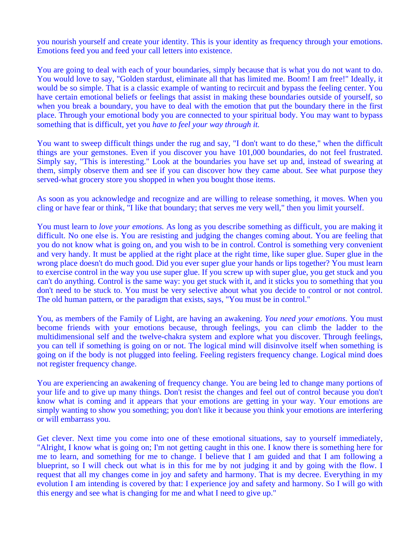you nourish yourself and create your identity. This is your identity as frequency through your emotions. Emotions feed you and feed your call letters into existence.

You are going to deal with each of your boundaries, simply because that is what you do not want to do. You would love to say, "Golden stardust, eliminate all that has limited me. Boom! I am free!" Ideally, it would be so simple. That is a classic example of wanting to recircuit and bypass the feeling center. You have certain emotional beliefs or feelings that assist in making these boundaries outside of yourself, so when you break a boundary, you have to deal with the emotion that put the boundary there in the first place. Through your emotional body you are connected to your spiritual body. You may want to bypass something that is difficult, yet you *have to feel your way through it.*

You want to sweep difficult things under the rug and say, "I don't want to do these," when the difficult things are your gemstones. Even if you discover you have 101,000 boundaries, do not feel frustrated. Simply say, "This is interesting." Look at the boundaries you have set up and, instead of swearing at them, simply observe them and see if you can discover how they came about. See what purpose they served-what grocery store you shopped in when you bought those items.

As soon as you acknowledge and recognize and are willing to release something, it moves. When you cling or have fear or think, "I like that boundary; that serves me very well," then you limit yourself.

You must learn to *love your emotions.* As long as you describe something as difficult, you are making it difficult. No one else is. You are resisting and judging the changes coming about. You are feeling that you do not know what is going on, and you wish to be in control. Control is something very convenient and very handy. It must be applied at the right place at the right time, like super glue. Super glue in the wrong place doesn't do much good. Did you ever super glue your hands or lips together? You must learn to exercise control in the way you use super glue. If you screw up with super glue, you get stuck and you can't do anything. Control is the same way: you get stuck with it, and it sticks you to something that you don't need to be stuck to. You must be very selective about what you decide to control or not control. The old human pattern, or the paradigm that exists, says, "You must be in control."

You, as members of the Family of Light, are having an awakening. *You need your emotions.* You must become friends with your emotions because, through feelings, you can climb the ladder to the multidimensional self and the twelve-chakra system and explore what you discover. Through feelings, you can tell if something is going on or not. The logical mind will disinvolve itself when something is going on if the body is not plugged into feeling. Feeling registers frequency change. Logical mind does not register frequency change.

You are experiencing an awakening of frequency change. You are being led to change many portions of your life and to give up many things. Don't resist the changes and feel out of control because you don't know what is coming and it appears that your emotions are getting in your way. Your emotions are simply wanting to show you something; you don't like it because you think your emotions are interfering or will embarrass you.

Get clever. Next time you come into one of these emotional situations, say to yourself immediately, "Alright, I know what is going on; I'm not getting caught in this one. I know there is something here for me to learn, and something for me to change. I believe that I am guided and that I am following a blueprint, so I will check out what is in this for me by not judging it and by going with the flow. I request that all my changes come in joy and safety and harmony. That is my decree. Everything in my evolution I am intending is covered by that: I experience joy and safety and harmony. So I will go with this energy and see what is changing for me and what I need to give up."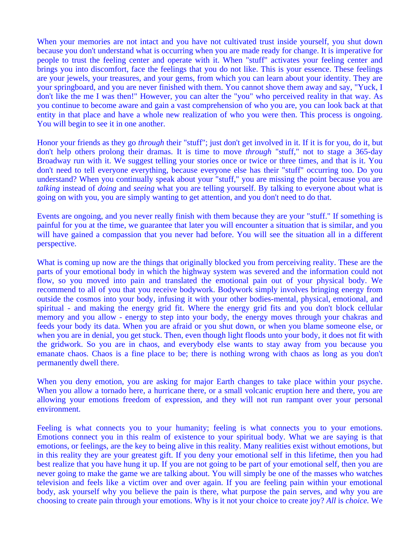When your memories are not intact and you have not cultivated trust inside yourself, you shut down because you don't understand what is occurring when you are made ready for change. It is imperative for people to trust the feeling center and operate with it. When "stuff" activates your feeling center and brings you into discomfort, face the feelings that you do not like. This is your essence. These feelings are your jewels, your treasures, and your gems, from which you can learn about your identity. They are your springboard, and you are never finished with them. You cannot shove them away and say, "Yuck, I don't like the me I was then!" However, you can alter the "you" who perceived reality in that way. As you continue to become aware and gain a vast comprehension of who you are, you can look back at that entity in that place and have a whole new realization of who you were then. This process is ongoing. You will begin to see it in one another.

Honor your friends as they go *through* their "stuff"; just don't get involved in it. If it is for you, do it, but don't help others prolong their dramas. It is time to move *through* "stuff," not to stage a 365-day Broadway run with it. We suggest telling your stories once or twice or three times, and that is it. You don't need to tell everyone everything, because everyone else has their "stuff" occurring too. Do you understand? When you continually speak about your "stuff," you are missing the point because you are *talking* instead of *doing* and *seeing* what you are telling yourself. By talking to everyone about what is going on with you, you are simply wanting to get attention, and you don't need to do that.

Events are ongoing, and you never really finish with them because they are your "stuff." If something is painful for you at the time, we guarantee that later you will encounter a situation that is similar, and you will have gained a compassion that you never had before. You will see the situation all in a different perspective.

What is coming up now are the things that originally blocked you from perceiving reality. These are the parts of your emotional body in which the highway system was severed and the information could not flow, so you moved into pain and translated the emotional pain out of your physical body. We recommend to all of you that you receive bodywork. Bodywork simply involves bringing energy from outside the cosmos into your body, infusing it with your other bodies-mental, physical, emotional, and spiritual - and making the energy grid fit. Where the energy grid fits and you don't block cellular memory and you allow - energy to step into your body, the energy moves through your chakras and feeds your body its data. When you are afraid or you shut down, or when you blame someone else, or when you are in denial, you get stuck. Then, even though light floods unto your body, it does not fit with the gridwork. So you are in chaos, and everybody else wants to stay away from you because you emanate chaos. Chaos is a fine place to be; there is nothing wrong with chaos as long as you don't permanently dwell there.

When you deny emotion, you are asking for major Earth changes to take place within your psyche. When you allow a tornado here, a hurricane there, or a small volcanic eruption here and there, you are allowing your emotions freedom of expression, and they will not run rampant over your personal environment.

Feeling is what connects you to your humanity; feeling is what connects you to your emotions. Emotions connect you in this realm of existence to your spiritual body. What we are saying is that emotions, or feelings, are the key to being alive in this reality. Many realities exist without emotions, but in this reality they are your greatest gift. If you deny your emotional self in this lifetime, then you had best realize that you have hung it up. If you are not going to be part of your emotional self, then you are never going to make the game we are talking about. You will simply be one of the masses who watches television and feels like a victim over and over again. If you are feeling pain within your emotional body, ask yourself why you believe the pain is there, what purpose the pain serves, and why you are choosing to create pain through your emotions. Why is it not your choice to create joy? *All* is *choice.* We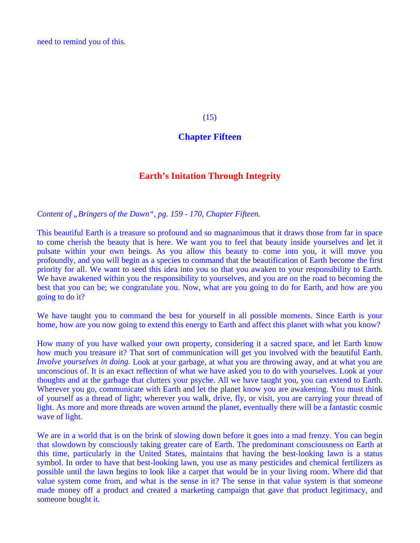need to remind you of this.

#### (15)

## **Chapter Fifteen**

## **Earth's Initation Through Integrity**

*Content of "Bringers of the Dawn", pg. 159 - 170, Chapter Fifteen.* 

This beautiful Earth is a treasure so profound and so magnanimous that it draws those from far in space to come cherish the beauty that is here. We want you to feel that beauty inside yourselves and let it pulsate within your own beings. As you allow this beauty to come into you, it will move you profoundly, and you will begin as a species to command that the beautification of Earth become the first priority for all. We want to seed this idea into you so that you awaken to your responsibility to Earth. We have awakened within you the responsibility to yourselves, and you are on the road to becoming the best that you can be; we congratulate you. Now, what are you going to do for Earth, and how are you going to do it?

We have taught you to command the best for yourself in all possible moments. Since Earth is your home, how are you now going to extend this energy to Earth and affect this planet with what you know?

How many of you have walked your own property, considering it a sacred space, and let Earth know how much you treasure it? That sort of communication will get you involved with the beautiful Earth. *Involve yourselves in doing.* Look at your garbage, at what you are throwing away, and at what you are unconscious of. It is an exact reflection of what we have asked you to do with yourselves. Look at your thoughts and at the garbage that clutters your psyche. All we have taught you, you can extend to Earth. Wherever you go, communicate with Earth and let the planet know you are awakening. You must think of yourself as a thread of light; wherever you walk, drive, fly, or visit, you are carrying your thread of light. As more and more threads are woven around the planet, eventually there will be a fantastic cosmic wave of light.

We are in a world that is on the brink of slowing down before it goes into a mad frenzy. You can begin that slowdown by consciously taking greater care of Earth. The predominant consciousness on Earth at this time, particularly in the United States, maintains that having the best-looking lawn is a status symbol. In order to have that best-looking lawn, you use as many pesticides and chemical fertilizers as possible until the lawn begins to look like a carpet that would be in your living room. Where did that value system come from, and what is the sense in it? The sense in that value system is that someone made money off a product and created a marketing campaign that gave that product legitimacy, and someone bought it.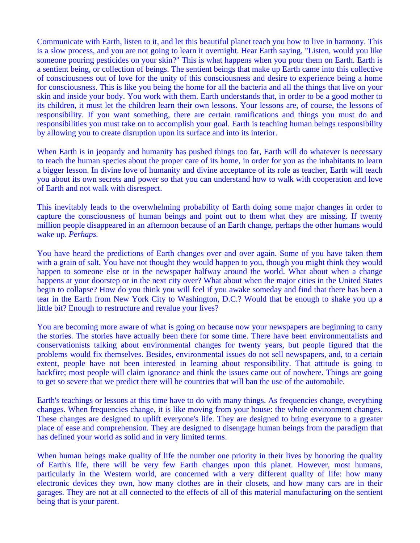Communicate with Earth, listen to it, and let this beautiful planet teach you how to live in harmony. This is a slow process, and you are not going to learn it overnight. Hear Earth saying, "Listen, would you like someone pouring pesticides on your skin?" This is what happens when you pour them on Earth. Earth is a sentient being, or collection of beings. The sentient beings that make up Earth came into this collective of consciousness out of love for the unity of this consciousness and desire to experience being a home for consciousness. This is like you being the home for all the bacteria and all the things that live on your skin and inside your body. You work with them. Earth understands that, in order to be a good mother to its children, it must let the children learn their own lessons. Your lessons are, of course, the lessons of responsibility. If you want something, there are certain ramifications and things you must do and responsibilities you must take on to accomplish your goal. Earth is teaching human beings responsibility by allowing you to create disruption upon its surface and into its interior.

When Earth is in jeopardy and humanity has pushed things too far, Earth will do whatever is necessary to teach the human species about the proper care of its home, in order for you as the inhabitants to learn a bigger lesson. In divine love of humanity and divine acceptance of its role as teacher, Earth will teach you about its own secrets and power so that you can understand how to walk with cooperation and love of Earth and not walk with disrespect.

This inevitably leads to the overwhelming probability of Earth doing some major changes in order to capture the consciousness of human beings and point out to them what they are missing. If twenty million people disappeared in an afternoon because of an Earth change, perhaps the other humans would wake up. *Perhaps.*

You have heard the predictions of Earth changes over and over again. Some of you have taken them with a grain of salt. You have not thought they would happen to you, though you might think they would happen to someone else or in the newspaper halfway around the world. What about when a change happens at your doorstep or in the next city over? What about when the major cities in the United States begin to collapse? How do you think you will feel if you awake someday and find that there has been a tear in the Earth from New York City to Washington, D.C.? Would that be enough to shake you up a little bit? Enough to restructure and revalue your lives?

You are becoming more aware of what is going on because now your newspapers are beginning to carry the stories. The stories have actually been there for some time. There have been environmentalists and conservationists talking about environmental changes for twenty years, but people figured that the problems would fix themselves. Besides, environmental issues do not sell newspapers, and, to a certain extent, people have not been interested in learning about responsibility. That attitude is going to backfire; most people will claim ignorance and think the issues came out of nowhere. Things are going to get so severe that we predict there will be countries that will ban the use of the automobile.

Earth's teachings or lessons at this time have to do with many things. As frequencies change, everything changes. When frequencies change, it is like moving from your house: the whole environment changes. These changes are designed to uplift everyone's life. They are designed to bring everyone to a greater place of ease and comprehension. They are designed to disengage human beings from the paradigm that has defined your world as solid and in very limited terms.

When human beings make quality of life the number one priority in their lives by honoring the quality of Earth's life, there will be very few Earth changes upon this planet. However, most humans, particularly in the Western world, are concerned with a very different quality of life: how many electronic devices they own, how many clothes are in their closets, and how many cars are in their garages. They are not at all connected to the effects of all of this material manufacturing on the sentient being that is your parent.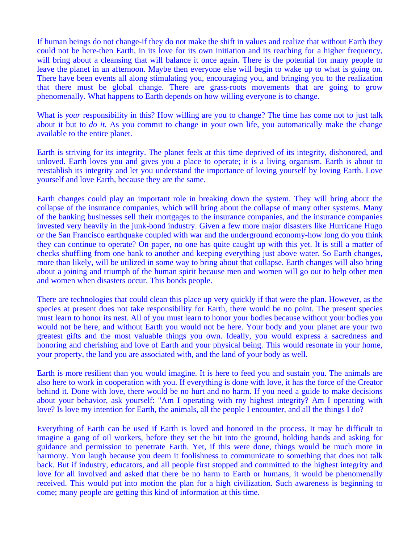If human beings do not change-if they do not make the shift in values and realize that without Earth they could not be here-then Earth, in its love for its own initiation and its reaching for a higher frequency, will bring about a cleansing that will balance it once again. There is the potential for many people to leave the planet in an afternoon. Maybe then everyone else will begin to wake up to what is going on. There have been events all along stimulating you, encouraging you, and bringing you to the realization that there must be global change. There are grass-roots movements that are going to grow phenomenally. What happens to Earth depends on how willing everyone is to change.

What is *your* responsibility in this? How willing are you to change? The time has come not to just talk about it but to *do it.* As you commit to change in your own life, you automatically make the change available to the entire planet.

Earth is striving for its integrity. The planet feels at this time deprived of its integrity, dishonored, and unloved. Earth loves you and gives you a place to operate; it is a living organism. Earth is about to reestablish its integrity and let you understand the importance of loving yourself by loving Earth. Love yourself and love Earth, because they are the same.

Earth changes could play an important role in breaking down the system. They will bring about the collapse of the insurance companies, which will bring about the collapse of many other systems. Many of the banking businesses sell their mortgages to the insurance companies, and the insurance companies invested very heavily in the junk-bond industry. Given a few more major disasters like Hurricane Hugo or the San Francisco earthquake coupled with war and the underground economy-how long do you think they can continue to operate? On paper, no one has quite caught up with this yet. It is still a matter of checks shuffling from one bank to another and keeping everything just above water. So Earth changes, more than likely, will be utilized in some way to bring about that collapse. Earth changes will also bring about a joining and triumph of the human spirit because men and women will go out to help other men and women when disasters occur. This bonds people.

There are technologies that could clean this place up very quickly if that were the plan. However, as the species at present does not take responsibility for Earth, there would be no point. The present species must learn to honor its nest. All of you must learn to honor your bodies because without your bodies you would not be here, and without Earth you would not be here. Your body and your planet are your two greatest gifts and the most valuable things you own. Ideally, you would express a sacredness and honoring and cherishing and love of Earth and your physical being. This would resonate in your home, your property, the land you are associated with, and the land of your body as well.

Earth is more resilient than you would imagine. It is here to feed you and sustain you. The animals are also here to work in cooperation with you. If everything is done with love, it has the force of the Creator behind it. Done with love, there would be no hurt and no harm. If you need a guide to make decisions about your behavior, ask yourself: "Am I operating with rny highest integrity? Am I operating with love? Is love my intention for Earth, the animals, all the people I encounter, and all the things I do?

Everything of Earth can be used if Earth is loved and honored in the process. It may be difficult to imagine a gang of oil workers, before they set the bit into the ground, holding hands and asking for guidance and permission to penetrate Earth. Yet, if this were done, things would be much more in harmony. You laugh because you deem it foolishness to communicate to something that does not talk back. But if industry, educators, and all people first stopped and committed to the highest integrity and love for all involved and asked that there be no harm to Earth or humans, it would be phenomenally received. This would put into motion the plan for a high civilization. Such awareness is beginning to come; many people are getting this kind of information at this time.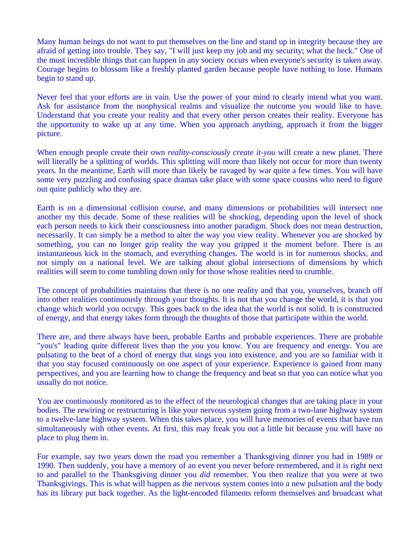Many human beings do not want to put themselves on the line and stand up in integrity because they are afraid of getting into trouble. They say, "I will just keep my job and my security; what the heck." One of the most incredible things that can happen in any society occurs when everyone's security is taken away. Courage begins to blossom like a freshly planted garden because people have nothing to lose. Humans begin to stand up.

Never feel that your efforts are in vain. Use the power of your mind to clearly intend what you want. Ask for assistance from the nonphysical realms and visualize the outcome you would like to have. Understand that you create your reality and that every other person creates their reality. Everyone has the opportunity to wake up at any time. When you approach anything, approach it from the bigger picture.

When enough people create their own *reality-consciously create it-you* will create a new planet. There will literally be a splitting of worlds. This splitting will more than likely not occur for more than twenty years. In the meantime, Earth will more than likely be ravaged by war quite a few times. You will have some very puzzling and confusing space dramas take place with some space cousins who need to figure out quite publicly who they are.

Earth is on a dimensional collision course, and many dimensions or probabilities will intersect one another my this decade. Some of these realities will be shocking, depending upon the level of shock each person needs to kick their consciousness into another paradigm. Shock does not mean destruction, necessarily. It can simply be a method to alter the way you view reality. Whenever you are shocked by something, you can no longer grip reality the way you gripped it the moment before. There is an instantaneous kick in the stomach, and everything changes. The world is in for numerous shocks, and not simply on a national level. We are talking about global intersections of dimensions by which realities will seem to come tumbling down only for those whose realities need to crumble.

The concept of probabilities maintains that there is no one reality and that you, yourselves, branch off into other realities continuously through your thoughts. It is not that you change the world, it is that you change which world you occupy. This goes back to the idea that the world is not solid. It is constructed of energy, and that energy takes form through the thoughts of those that participate within the world.

There are, and there always have been, probable Earths and probable experiences. There are probable "you's" leading quite different lives than the *you* you know. You are frequency and energy. You are pulsating to the beat of a chord of energy that sings you into existence, and you are so familiar with it that you stay focused continuously on one aspect of your experience. Experience is gained from many perspectives, and you are learning how to change the frequency and beat so that you can notice what you usually do not notice.

You are continuously monitored as to the effect of the neurological changes that are taking place in your bodies. The rewiring or restructuring is like your nervous system going from a two-lane highway system to a twelve-lane highway system. When this takes place, you will have memories of events that have run simultaneously with other events. At first, this may freak you out a little bit because you will have no place to plug them in.

For example, say two years down the road you remember a Thanksgiving dinner you had in 1989 or 1990. Then suddenly, you have a memory of an event you never before remembered, and it is right next to and parallel to the Thanksgiving dinner you *did* remember. You then realize that you were at two Thanksgivings. This is what will happen as the nervous system comes into a new pulsation and the body has its library put back together. As the light-encoded filaments reform themselves and broadcast what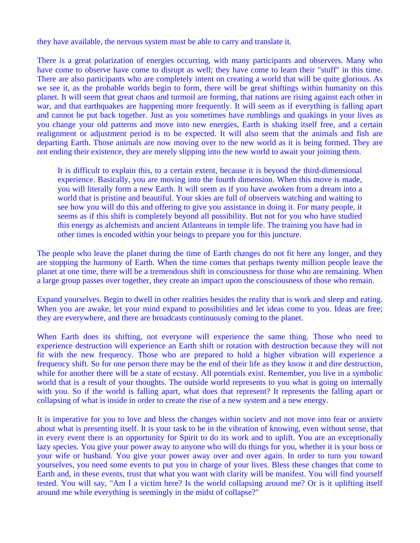they have available, the nervous system must be able to carry and translate it.

There is a great polarization of energies occurring, with many participants and observers. Many who have come to observe have come to disrupt as well; they have come to learn their "stuff" in this time. There are also participants who are completely intent on creating a world that will be quite glorious. As we see it, as the probable worlds begin to form, there will be great shiftings within humanity on this planet. It will seem that great chaos and turmoil are forming, that nations are rising against each other in war, and that earthquakes are happening more frequently. It will seem as if everything is falling apart and cannot be put back together. Just as you sometimes have rumblings and quakings in your lives as you change your old patterns and move into new energies, Earth is shaking itself free, and a certain realignment or adjustment period is to be expected. It will also seem that the animals and fish are departing Earth. Those animals are now moving over to the new world as it is being formed. They are not ending their existence, they are merely slipping into the new world to await your joining them.

It is difficult to explain this, to a certain extent, because it is beyond the third-dimensional experience. Basically, you are moving into the fourth dimension. When this move is made, you will literally form a new Earth. It will seem as if you have awoken from a dream into a world that is pristine and beautiful. Your skies are full of observers watching and waiting to see how you will do this and offering to give you assistance in doing it. For many people, it seems as if this shift is completely beyond all possibility. But not for you who have studied this energy as alchemists and ancient Atlanteans in temple life. The training you have had in other times is encoded within your beings to prepare you for this juncture.

The people who leave the planet during the time of Earth changes do not fit here any longer, and they are stopping the harmony of Earth. When the time comes that perhaps twenty million people leave the planet at one time, there will be a tremendous shift in consciousness for those who are remaining. When a large group passes over together, they create an impact upon the consciousness of those who remain.

Expand yourselves. Begin to dwell in other realities besides the reality that is work and sleep and eating. When you are awake, let your mind expand to possibilities and let ideas come to you. Ideas are free; they are everywhere, and there are broadcasts continuously coming to the planet.

When Earth does its shifting, not everyone will experience the same thing. Those who need to experience destruction will experience an Earth shift or rotation with destruction because they will not fit with the new frequency. Those who are prepared to hold a higher vibration will experience a frequency shift. So for one person there may be the end of their life as they know it and dire destruction, while for another there will be a state of ecstasy. All potentials exist. Remember, you live in a symbolic world that is a result of your thoughts. The outside world represents to you what is going on internally with you. So if the world is falling apart, what does that represent? It represents the falling apart or collapsing of what is inside in order to create the rise of a new system and a new energy.

It is imperative for you to love and bless the changes within societv and not move into fear or anxietv about what is presenting itself. It is your task to be in the vibration of knowing, even without sense, that in every event there is an opportunity for Spirit to do its work and to uplift. You are an exceptionally lazy species. You give your power away to anyone who will do things for you, whether it is your boss or your wife or husband. You give your power away over and over again. In order to turn you toward yourselves, you need some events to put you in charge of your lives. Bless these changes that come to Earth and, in these events, trust that what you want with clarity will be manifest. You will find yourself tested. You will say, "Am I a victim here? Is the world collapsing around me? Or is it uplifting itself around me while everything is seemingly in the midst of collapse?"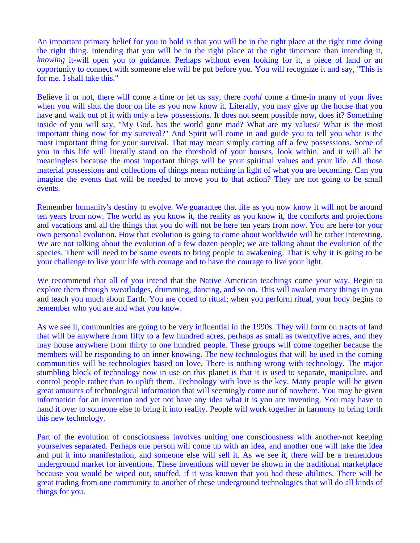An important primary belief for you to hold is that you will be in the right place at the right time doing the right thing. Intending that you will be in the right place at the right timemore than intending it, *knowing* it-will open you to guidance. Perhaps without even looking for it, a piece of land or an opportunity to connect with someone else will be put before you. You will recognize it and say, "This is for me. I shall take this."

Believe it or not, there will come a time or let us say, there *could* come a time-in many of your lives when you will shut the door on life as you now know it. Literally, you may give up the house that you have and walk out of it with only a few possessions. It does not seem possible now, does it? Something inside of you will say, "My God, has the world gone mad? What are my values? What is the most important thing now for my survival?" And Spirit will come in and guide you to tell you what is the most important thing for your survival. That may mean simply carting off a few possessions. Some of you in this life will literally stand on the threshold of your houses, look within, and it will all be meaningless because the most important things will be your spiritual values and your life. All those material possessions and collections of things mean nothing in light of what you are becoming. Can you imagine the events that will be needed to move you to that action? They are not going to be small events.

Remember humanity's destiny to evolve. We guarantee that life as you now know it will not be around ten years from now. The world as you know it, the reality as you know it, the comforts and projections and vacations and all the things that you do will not be here ten years from now. You are here for your own personal evolution. How that evolution is going to come about worldwide will be rather interesting. We are not talking about the evolution of a few dozen people; we are talking about the evolution of the species. There will need to be some events to bring people to awakening. That is why it is going to be your challenge to live your life with courage and to have the courage to live your light.

We recommend that all of you intend that the Native American teachings come your way. Begin to explore them through sweatlodges, drumming, dancing, and so on. This will awaken many things in you and teach you much about Earth. You are coded to ritual; when you perform ritual, your body begins to remember who you are and what you know.

As we see it, communities are going to be very influential in the 1990s. They will form on tracts of land that will be anywhere from fifty to a few hundred acres, perhaps as small as twentyfive acres, and they may house anywhere from thirty to one hundred people. These groups will come together because the members will be responding to an inner knowing. The new technologies that will be used in the coming communities will be technologies based on love. There is nothing wrong with technology. The major stumbling block of technology now in use on this planet is that it is used to separate, manipulate, and control people rather than to uplift them. Technology with love is the key. Many people will be given great amounts of technological information that will seemingly come out of nowhere. You may be given information for an invention and yet not have any idea what it is you are inventing. You may have to hand it over to someone else to bring it into reality. People will work together in harmony to bring forth this new technology.

Part of the evolution of consciousness involves uniting one consciousness with another-not keeping yourselves separated. Perhaps one person will come up with an idea, and another one will take the idea and put it into manifestation, and someone else will sell it. As we see it, there will be a tremendous underground market for inventions. These inventions will never be shown in the traditional marketplace because you would be wiped out, snuffed, if it was known that you had these abilities. There will be great trading from one community to another of these underground technologies that will do all kinds of things for you.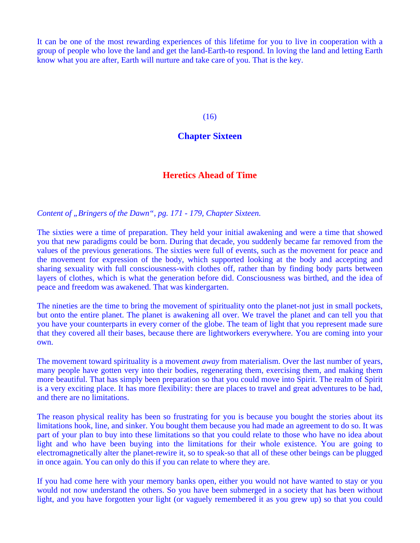It can be one of the most rewarding experiences of this lifetime for you to live in cooperation with a group of people who love the land and get the land-Earth-to respond. In loving the land and letting Earth know what you are after, Earth will nurture and take care of you. That is the key.

#### (16)

#### **Chapter Sixteen**

#### **Heretics Ahead of Time**

*Content of "Bringers of the Dawn", pg. 171 - 179, Chapter Sixteen.* 

The sixties were a time of preparation. They held your initial awakening and were a time that showed you that new paradigms could be born. During that decade, you suddenly became far removed from the values of the previous generations. The sixties were full of events, such as the movement for peace and the movement for expression of the body, which supported looking at the body and accepting and sharing sexuality with full consciousness-with clothes off, rather than by finding body parts between layers of clothes, which is what the generation before did. Consciousness was birthed, and the idea of peace and freedom was awakened. That was kindergarten.

The nineties are the time to bring the movement of spirituality onto the planet-not just in small pockets, but onto the entire planet. The planet is awakening all over. We travel the planet and can tell you that you have your counterparts in every corner of the globe. The team of light that you represent made sure that they covered all their bases, because there are lightworkers everywhere. You are coming into your own.

The movement toward spirituality is a movement *away* from materialism. Over the last number of years, many people have gotten very into their bodies, regenerating them, exercising them, and making them more beautiful. That has simply been preparation so that you could move into Spirit. The realm of Spirit is a very exciting place. It has more flexibility: there are places to travel and great adventures to be had, and there are no limitations.

The reason physical reality has been so frustrating for you is because you bought the stories about its limitations hook, line, and sinker. You bought them because you had made an agreement to do so. It was part of your plan to buy into these limitations so that you could relate to those who have no idea about light and who have been buying into the limitations for their whole existence. You are going to electromagnetically alter the planet-rewire it, so to speak-so that all of these other beings can be plugged in once again. You can only do this if you can relate to where they are.

If you had come here with your memory banks open, either you would not have wanted to stay or you would not now understand the others. So you have been submerged in a society that has been without light, and you have forgotten your light (or vaguely remembered it as you grew up) so that you could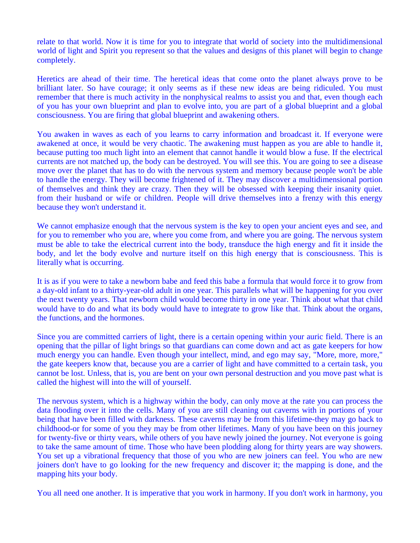relate to that world. Now it is time for you to integrate that world of society into the multidimensional world of light and Spirit you represent so that the values and designs of this planet will begin to change completely.

Heretics are ahead of their time. The heretical ideas that come onto the planet always prove to be brilliant later. So have courage; it only seems as if these new ideas are being ridiculed. You must remember that there is much activity in the nonphysical realms to assist you and that, even though each of you has your own blueprint and plan to evolve into, you are part of a global blueprint and a global consciousness. You are firing that global blueprint and awakening others.

You awaken in waves as each of you learns to carry information and broadcast it. If everyone were awakened at once, it would be very chaotic. The awakening must happen as you are able to handle it, because putting too much light into an element that cannot handle it would blow a fuse. If the electrical currents are not matched up, the body can be destroyed. You will see this. You are going to see a disease move over the planet that has to do with the nervous system and memory because people won't be able to handle the energy. They will become frightened of it. They may discover a multidimensional portion of themselves and think they are crazy. Then they will be obsessed with keeping their insanity quiet. from their husband or wife or children. People will drive themselves into a frenzy with this energy because they won't understand it.

We cannot emphasize enough that the nervous system is the key to open your ancient eyes and see, and for you to remember who you are, where you come from, and where you are going. The nervous system must be able to take the electrical current into the body, transduce the high energy and fit it inside the body, and let the body evolve and nurture itself on this high energy that is consciousness. This is literally what is occurring.

It is as if you were to take a newborn babe and feed this babe a formula that would force it to grow from a day-old infant to a thirty-year-old adult in one year. This parallels what will be happening for you over the next twenty years. That newborn child would become thirty in one year. Think about what that child would have to do and what its body would have to integrate to grow like that. Think about the organs, the functions, and the hormones.

Since you are committed carriers of light, there is a certain opening within your auric field. There is an opening that the pillar of light brings so that guardians can come down and act as gate keepers for how much energy you can handle. Even though your intellect, mind, and ego may say, "More, more, more," the gate keepers know that, because you are a carrier of light and have committed to a certain task, you cannot be lost. Unless, that is, you are bent on your own personal destruction and you move past what is called the highest will into the will of yourself.

The nervous system, which is a highway within the body, can only move at the rate you can process the data flooding over it into the cells. Many of you are still cleaning out caverns with in portions of your being that have been filled with darkness. These caverns may be from this lifetime-they may go back to childhood-or for some of you they may be from other lifetimes. Many of you have been on this journey for twenty-five or thirty vears, while others of you have newly joined the journey. Not everyone is going to take the same amount of time. Those who have been plodding along for thirty years are way showers. You set up a vibrational frequency that those of you who are new joiners can feel. You who are new joiners don't have to go looking for the new frequency and discover it; the mapping is done, and the mapping hits your body.

You all need one another. It is imperative that you work in harmony. If you don't work in harmony, you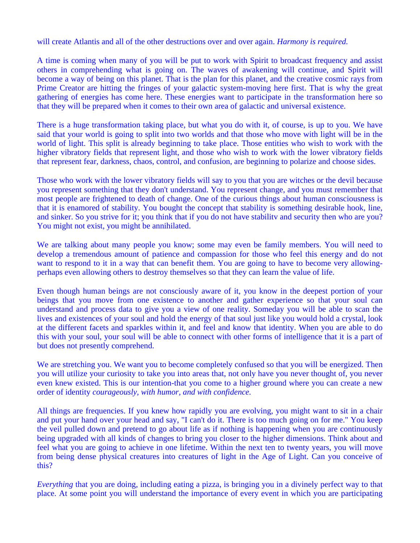will create Atlantis and all of the other destructions over and over again. *Harmony is required.*

A time is coming when many of you will be put to work with Spirit to broadcast frequency and assist others in comprehending what is going on. The waves of awakening will continue, and Spirit will become a way of being on this planet. That is the plan for this planet, and the creative cosmic rays from Prime Creator are hitting the fringes of your galactic system-moving here first. That is why the great gathering of energies has come here. These energies want to participate in the transformation here so that they will be prepared when it comes to their own area of galactic and universal existence.

There is a huge transformation taking place, but what you do with it, of course, is up to you. We have said that your world is going to split into two worlds and that those who move with light will be in the world of light. This split is already beginning to take place. Those entities who wish to work with the higher vibratory fields that represent light, and those who wish to work with the lower vibratory fields that represent fear, darkness, chaos, control, and confusion, are beginning to polarize and choose sides.

Those who work with the lower vibratory fields will say to you that you are witches or the devil because you represent something that they don't understand. You represent change, and you must remember that most people are frightened to death of change. One of the curious things about human consciousness is that it is enamored of stability. You bought the concept that stability is something desirable hook, line, and sinker. So you strive for it; you think that if you do not have stabilitv and security then who are you? You might not exist, you might be annihilated.

We are talking about many people you know; some may even be family members. You will need to develop a tremendous amount of patience and compassion for those who feel this energy and do not want to respond to it in a way that can benefit them. You are going to have to become very allowingperhaps even allowing others to destroy themselves so that they can learn the value of life.

Even though human beings are not consciously aware of it, you know in the deepest portion of your beings that you move from one existence to another and gather experience so that your soul can understand and process data to give you a view of one reality. Someday you will be able to scan the lives and existences of your soul and hold the energy of that soul just like you would hold a crystal, look at the different facets and sparkles within it, and feel and know that identity. When you are able to do this with your soul, your soul will be able to connect with other forms of intelligence that it is a part of but does not presently comprehend.

We are stretching you. We want you to become completely confused so that you will be energized. Then you will utilize your curiosity to take you into areas that, not only have you never thought of, you never even knew existed. This is our intention-that you come to a higher ground where you can create a new order of identity *courageously, with humor, and with confidence.*

All things are frequencies. If you knew how rapidly you are evolving, you might want to sit in a chair and put your hand over your head and say, "I can't do it. There is too much going on for me." You keep the veil pulled down and pretend to go about life as if nothing is happening when you are continuously being upgraded with all kinds of changes to bring you closer to the higher dimensions. Think about and feel what you are going to achieve in one lifetime. Within the next ten to twenty years, you will move from being dense physical creatures into creatures of light in the Age of Light. Can you conceive of this?

*Everything* that you are doing, including eating a pizza, is bringing you in a divinely perfect way to that place. At some point you will understand the importance of every event in which you are participating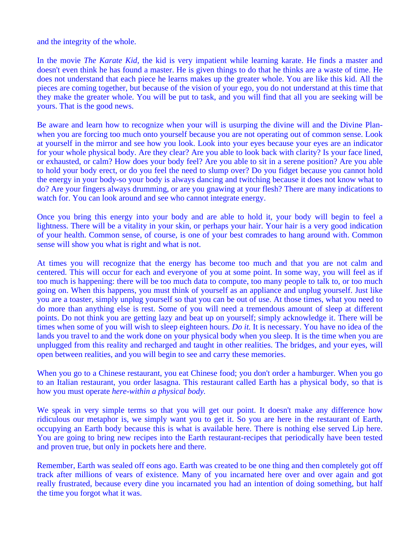and the integrity of the whole.

In the movie *The Karate Kid,* the kid is very impatient while learning karate. He finds a master and doesn't even think he has found a master. He is given things to do that he thinks are a waste of time. He does not understand that each piece he learns makes up the greater whole. You are like this kid. All the pieces are coming together, but because of the vision of your ego, you do not understand at this time that they make the greater whole. You will be put to task, and you will find that all you are seeking will be yours. That is the good news.

Be aware and learn how to recognize when your will is usurping the divine will and the Divine Planwhen you are forcing too much onto yourself because you are not operating out of common sense. Look at yourself in the mirror and see how you look. Look into your eyes because your eyes are an indicator for your whole physical body. Are they clear? Are you able to look back with clarity? Is your face lined, or exhausted, or calm? How does your body feel? Are you able to sit in a serene position? Are you able to hold your body erect, or do you feel the need to slump over? Do you fidget because you cannot hold the energy in your body-so your body is always dancing and twitching because it does not know what to do? Are your fingers always drumming, or are you gnawing at your flesh? There are many indications to watch for. You can look around and see who cannot integrate energy.

Once you bring this energy into your body and are able to hold it, your body will begin to feel a lightness. There will be a vitality in your skin, or perhaps your hair. Your hair is a very good indication of your health. Common sense, of course, is one of your best comrades to hang around with. Common sense will show you what is right and what is not.

At times you will recognize that the energy has become too much and that you are not calm and centered. This will occur for each and everyone of you at some point. In some way, you will feel as if too much is happening: there will be too much data to compute, too many people to talk to, or too much going on. When this happens, you must think of yourself as an appliance and unplug yourself. Just like you are a toaster, simply unplug yourself so that you can be out of use. At those times, what you need to do more than anything else is rest. Some of you will need a tremendous amount of sleep at different points. Do not think you are getting lazy and beat up on yourself; simply acknowledge it. There will be times when some of you will wish to sleep eighteen hours. *Do it.* It is necessary. You have no idea of the lands you travel to and the work done on your physical body when you sleep. It is the time when you are unplugged from this reality and recharged and taught in other realities. The bridges, and your eyes, will open between realities, and you will begin to see and carry these memories.

When you go to a Chinese restaurant, you eat Chinese food; you don't order a hamburger. When you go to an Italian restaurant, you order lasagna. This restaurant called Earth has a physical body, so that is how you must operate *here-within a physical body.*

We speak in very simple terms so that you will get our point. It doesn't make any difference how ridiculous our metaphor is, we simply want you to get it. So you are here in the restaurant of Earth, occupying an Earth body because this is what is available here. There is nothing else served Lip here. You are going to bring new recipes into the Earth restaurant-recipes that periodically have been tested and proven true, but only in pockets here and there.

Remember, Earth was sealed off eons ago. Earth was created to be one thing and then completely got off track after millions of vears of existence. Many of you incarnated here over and over again and got really frustrated, because every dine you incarnated you had an intention of doing something, but half the time you forgot what it was.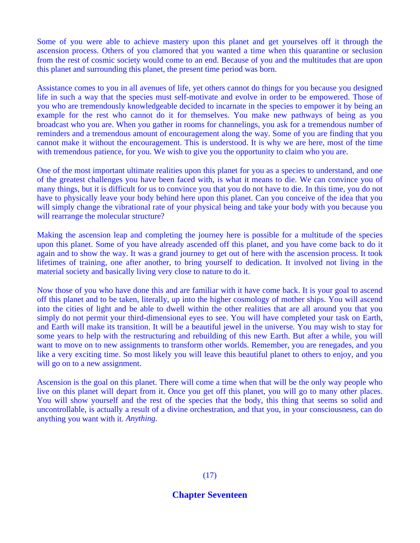Some of you were able to achieve mastery upon this planet and get yourselves off it through the ascension process. Others of you clamored that you wanted a time when this quarantine or seclusion from the rest of cosmic society would come to an end. Because of you and the multitudes that are upon this planet and surrounding this planet, the present time period was born.

Assistance comes to you in all avenues of life, yet others cannot do things for you because you designed life in such a way that the species must self-motivate and evolve in order to be empowered. Those of you who are tremendously knowledgeable decided to incarnate in the species to empower it by being an example for the rest who cannot do it for themselves. You make new pathways of being as you broadcast who you are. When you gather in rooms for channelings, you ask for a tremendous number of reminders and a tremendous amount of encouragement along the way. Some of you are finding that you cannot make it without the encouragement. This is understood. It is why we are here, most of the time with tremendous patience, for you. We wish to give you the opportunity to claim who you are.

One of the most important ultimate realities upon this planet for you as a species to understand, and one of the greatest challenges you have been faced with, is what it means to die. We can convince you of many things, but it is difficult for us to convince you that you do not have to die. In this time, you do not have to physically leave your body behind here upon this planet. Can you conceive of the idea that you will simply change the vibrational rate of your physical being and take your body with you because you will rearrange the molecular structure?

Making the ascension leap and completing the journey here is possible for a multitude of the species upon this planet. Some of you have already ascended off this planet, and you have come back to do it again and to show the way. It was a grand journey to get out of here with the ascension process. It took lifetimes of training, one after another, to bring yourself to dedication. It involved not living in the material society and basically living very close to nature to do it.

Now those of you who have done this and are familiar with it have come back. It is your goal to ascend off this planet and to be taken, literally, up into the higher cosmology of mother ships. You will ascend into the cities of light and be able to dwell within the other realities that are all around you that you simply do not permit your third-dimensional eyes to see. You will have completed your task on Earth, and Earth will make its transition. It will be a beautiful jewel in the universe. You may wish to stay for some years to help with the restructuring and rebuilding of this new Earth. But after a while, you will want to move on to new assignments to transform other worlds. Remember, you are renegades, and you like a very exciting time. So most likely you will leave this beautiful planet to others to enjoy, and you will go on to a new assignment.

Ascension is the goal on this planet. There will come a time when that will be the only way people who live on this planet will depart from it. Once you get off this planet, you will go to many other places. You will show yourself and the rest of the species that the body, this thing that seems so solid and uncontrollable, is actually a result of a divine orchestration, and that you, in your consciousness, can do anything you want with it. *Anything.*

## (17)

## **Chapter Seventeen**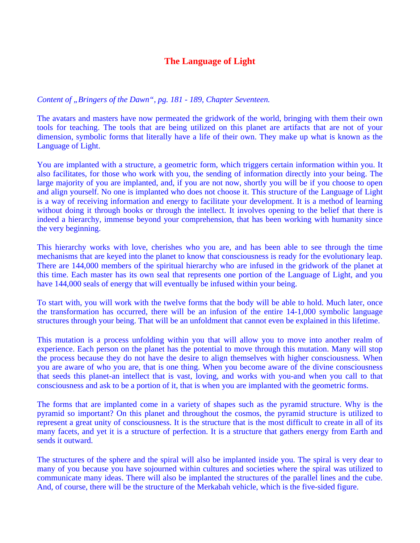# **The Language of Light**

#### *Content of "Bringers of the Dawn", pg. 181 - 189, Chapter Seventeen.*

The avatars and masters have now permeated the gridwork of the world, bringing with them their own tools for teaching. The tools that are being utilized on this planet are artifacts that are not of your dimension, symbolic forms that literally have a life of their own. They make up what is known as the Language of Light.

You are implanted with a structure, a geometric form, which triggers certain information within you. It also facilitates, for those who work with you, the sending of information directly into your being. The large majority of you are implanted, and, if you are not now, shortly you will be if you choose to open and align yourself. No one is implanted who does not choose it. This structure of the Language of Light is a way of receiving information and energy to facilitate your development. It is a method of learning without doing it through books or through the intellect. It involves opening to the belief that there is indeed a hierarchy, immense beyond your comprehension, that has been working with humanity since the very beginning.

This hierarchy works with love, cherishes who you are, and has been able to see through the time mechanisms that are keyed into the planet to know that consciousness is ready for the evolutionary leap. There are 144,000 members of the spiritual hierarchy who are infused in the gridwork of the planet at this time. Each master has its own seal that represents one portion of the Language of Light, and you have 144,000 seals of energy that will eventually be infused within your being.

To start with, you will work with the twelve forms that the body will be able to hold. Much later, once the transformation has occurred, there will be an infusion of the entire 14-1,000 symbolic language structures through your being. That will be an unfoldment that cannot even be explained in this lifetime.

This mutation is a process unfolding within you that will allow you to move into another realm of experience. Each person on the planet has the potential to move through this mutation. Many will stop the process because they do not have the desire to align themselves with higher consciousness. When you are aware of who you are, that is one thing. When you become aware of the divine consciousness that seeds this planet-an intellect that is vast, loving, and works with you-and when you call to that consciousness and ask to be a portion of it, that is when you are implanted with the geometric forms.

The forms that are implanted come in a variety of shapes such as the pyramid structure. Why is the pyramid so important? On this planet and throughout the cosmos, the pyramid structure is utilized to represent a great unity of consciousness. It is the structure that is the most difficult to create in all of its many facets, and yet it is a structure of perfection. It is a structure that gathers energy from Earth and sends it outward.

The structures of the sphere and the spiral will also be implanted inside you. The spiral is very dear to many of you because you have sojourned within cultures and societies where the spiral was utilized to communicate many ideas. There will also be implanted the structures of the parallel lines and the cube. And, of course, there will be the structure of the Merkabah vehicle, which is the five-sided figure.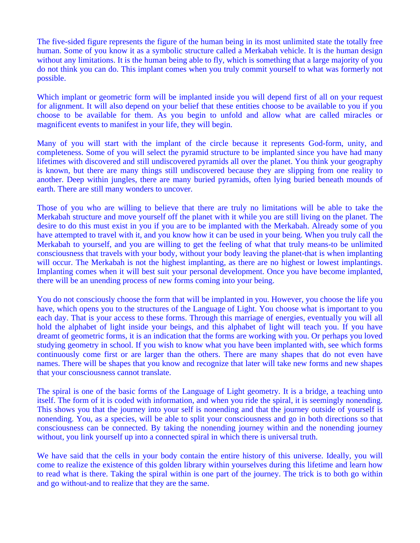The five-sided figure represents the figure of the human being in its most unlimited state the totally free human. Some of you know it as a symbolic structure called a Merkabah vehicle. It is the human design without any limitations. It is the human being able to fly, which is something that a large majority of you do not think you can do. This implant comes when you truly commit yourself to what was formerly not possible.

Which implant or geometric form will be implanted inside you will depend first of all on your request for alignment. It will also depend on your belief that these entities choose to be available to you if you choose to be available for them. As you begin to unfold and allow what are called miracles or magnificent events to manifest in your life, they will begin.

Many of you will start with the implant of the circle because it represents God-form, unity, and completeness. Some of you will select the pyramid structure to be implanted since you have had many lifetimes with discovered and still undiscovered pyramids all over the planet. You think your geography is known, but there are many things still undiscovered because they are slipping from one reality to another. Deep within jungles, there are many buried pyramids, often lying buried beneath mounds of earth. There are still many wonders to uncover.

Those of you who are willing to believe that there are truly no limitations will be able to take the Merkabah structure and move yourself off the planet with it while you are still living on the planet. The desire to do this must exist in you if you are to be implanted with the Merkabah. Already some of you have attempted to travel with it, and you know how it can be used in your being. When you truly call the Merkabah to yourself, and you are willing to get the feeling of what that truly means-to be unlimited consciousness that travels with your body, without your body leaving the planet-that is when implanting will occur. The Merkabah is not the highest implanting, as there are no highest or lowest implantings. Implanting comes when it will best suit your personal development. Once you have become implanted, there will be an unending process of new forms coming into your being.

You do not consciously choose the form that will be implanted in you. However, you choose the life you have, which opens you to the structures of the Language of Light. You choose what is important to you each day. That is your access to these forms. Through this marriage of energies, eventually you will all hold the alphabet of light inside your beings, and this alphabet of light will teach you. If you have dreamt of geometric forms, it is an indication that the forms are working with you. Or perhaps you loved studying geometry in school. If you wish to know what you have been implanted with, see which forms continuously come first or are larger than the others. There are many shapes that do not even have names. There will be shapes that you know and recognize that later will take new forms and new shapes that your consciousness cannot translate.

The spiral is one of the basic forms of the Language of Light geometry. It is a bridge, a teaching unto itself. The form of it is coded with information, and when you ride the spiral, it is seemingly nonending. This shows you that the journey into your self is nonending and that the journey outside of yourself is nonending. You, as a species, will be able to split your consciousness and go in both directions so that consciousness can be connected. By taking the nonending journey within and the nonending journey without, you link yourself up into a connected spiral in which there is universal truth.

We have said that the cells in your body contain the entire history of this universe. Ideally, you will come to realize the existence of this golden library within yourselves during this lifetime and learn how to read what is there. Taking the spiral within is one part of the journey. The trick is to both go within and go without-and to realize that they are the same.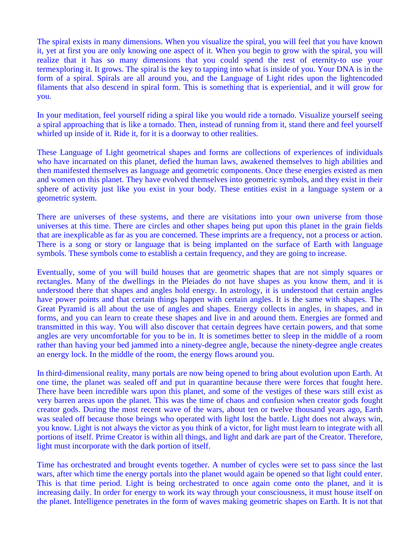The spiral exists in many dimensions. When you visualize the spiral, you will feel that you have known it, yet at first you are only knowing one aspect of it. When you begin to grow with the spiral, you will realize that it has so many dimensions that you could spend the rest of eternity-to use your termexploring it. It grows. The spiral is the key to tapping into what is inside of you. Your DNA is in the form of a spiral. Spirals are all around you, and the Language of Light rides upon the lightencoded filaments that also descend in spiral form. This is something that is experiential, and it will grow for you.

In your meditation, feel yourself riding a spiral like you would ride a tornado. Visualize yourself seeing a spiral approaching that is like a tornado. Then, instead of running from it, stand there and feel yourself whirled up inside of it. Ride it, for it is a doorway to other realities.

These Language of Light geometrical shapes and forms are collections of experiences of individuals who have incarnated on this planet, defied the human laws, awakened themselves to high abilities and then manifested themselves as language and geometric components. Once these energies existed as men and women on this planet. They have evolved themselves into geometric symbols, and they exist in their sphere of activity just like you exist in your body. These entities exist in a language system or a geometric system.

There are universes of these systems, and there are visitations into your own universe from those universes at this time. There are circles and other shapes being put upon this planet in the grain fields that are inexplicable as far as you are concerned. These imprints are a frequency, not a process or action. There is a song or story or language that is being implanted on the surface of Earth with language symbols. These symbols come to establish a certain frequency, and they are going to increase.

Eventually, some of you will build houses that are geometric shapes that are not simply squares or rectangles. Many of the dwellings in the Pleiades do not have shapes as you know them, and it is understood there that shapes and angles hold energy. In astrology, it is understood that certain angles have power points and that certain things happen with certain angles. It is the same with shapes. The Great Pyramid is all about the use of angles and shapes. Energy collects in angles, in shapes, and in forms, and you can learn to create these shapes and live in and around them. Energies are formed and transmitted in this way. You will also discover that certain degrees have certain powers, and that some angles are very uncomfortable for you to be in. It is sometimes better to sleep in the middle of a room rather than having your bed jammed into a ninety-degree angle, because the ninety-degree angle creates an energy lock. In the middle of the room, the energy flows around you.

In third-dimensional reality, many portals are now being opened to bring about evolution upon Earth. At one time, the planet was sealed off and put in quarantine because there were forces that fought here. There have been incredible wars upon this planet, and some of the vestiges of these wars still exist as very barren areas upon the planet. This was the time of chaos and confusion when creator gods fought creator gods. During the most recent wave of the wars, about ten or twelve thousand years ago, Earth was sealed off because those beings who operated with light lost the battle. Light does not always win, you know. Light is not always the victor as you think of a victor, for light must learn to integrate with all portions of itself. Prime Creator is within all things, and light and dark are part of the Creator. Therefore, light must incorporate with the dark portion of itself.

Time has orchestrated and brought events together. A number of cycles were set to pass since the last wars, after which time the energy portals into the planet would again be opened so that light could enter. This is that time period. Light is being orchestrated to once again come onto the planet, and it is increasing daily. In order for energy to work its way through your consciousness, it must house itself on the planet. Intelligence penetrates in the form of waves making geometric shapes on Earth. It is not that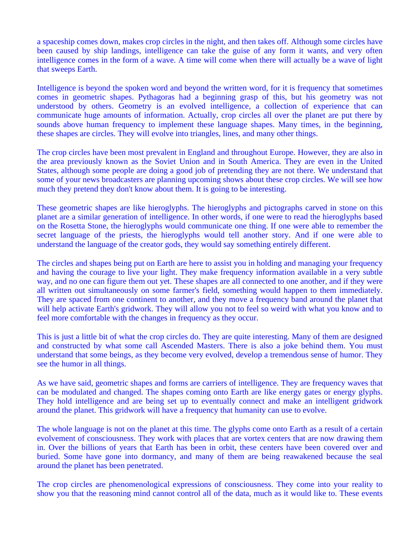a spaceship comes down, makes crop circles in the night, and then takes off. Although some circles have been caused by ship landings, intelligence can take the guise of any form it wants, and very often intelligence comes in the form of a wave. A time will come when there will actually be a wave of light that sweeps Earth.

Intelligence is beyond the spoken word and beyond the written word, for it is frequency that sometimes comes in geometric shapes. Pythagoras had a beginning grasp of this, but his geometry was not understood by others. Geometry is an evolved intelligence, a collection of experience that can communicate huge amounts of information. Actually, crop circles all over the planet are put there by sounds above human frequency to implement these language shapes. Many times, in the beginning, these shapes are circles. They will evolve into triangles, lines, and many other things.

The crop circles have been most prevalent in England and throughout Europe. However, they are also in the area previously known as the Soviet Union and in South America. They are even in the United States, although some people are doing a good job of pretending they are not there. We understand that some of your news broadcasters are planning upcoming shows about these crop circles. We will see how much they pretend they don't know about them. It is going to be interesting.

These geometric shapes are like hieroglyphs. The hieroglyphs and pictographs carved in stone on this planet are a similar generation of intelligence. In other words, if one were to read the hieroglyphs based on the Rosetta Stone, the hieroglyphs would communicate one thing. If one were able to remember the secret language of the priests, the hieroglyphs would tell another story. And if one were able to understand the language of the creator gods, they would say something entirely different.

The circles and shapes being put on Earth are here to assist you in holding and managing your frequency and having the courage to live your light. They make frequency information available in a very subtle way, and no one can figure them out yet. These shapes are all connected to one another, and if they were all written out simultaneously on some farmer's field, something would happen to them immediately. They are spaced from one continent to another, and they move a frequency band around the planet that will help activate Earth's gridwork. They will allow you not to feel so weird with what you know and to feel more comfortable with the changes in frequency as they occur.

This is just a little bit of what the crop circles do. They are quite interesting. Many of them are designed and constructed by what some call Ascended Masters. There is also a joke behind them. You must understand that some beings, as they become very evolved, develop a tremendous sense of humor. They see the humor in all things.

As we have said, geometric shapes and forms are carriers of intelligence. They are frequency waves that can be modulated and changed. The shapes coming onto Earth are like energy gates or energy glyphs. They hold intelligence and are being set up to eventually connect and make an intelligent gridwork around the planet. This gridwork will have a frequency that humanity can use to evolve.

The whole language is not on the planet at this time. The glyphs come onto Earth as a result of a certain evolvement of consciousness. They work with places that are vortex centers that are now drawing them in. Over the billions of years that Earth has been in orbit, these centers have been covered over and buried. Some have gone into dormancy, and many of them are being reawakened because the seal around the planet has been penetrated.

The crop circles are phenomenological expressions of consciousness. They come into your reality to show you that the reasoning mind cannot control all of the data, much as it would like to. These events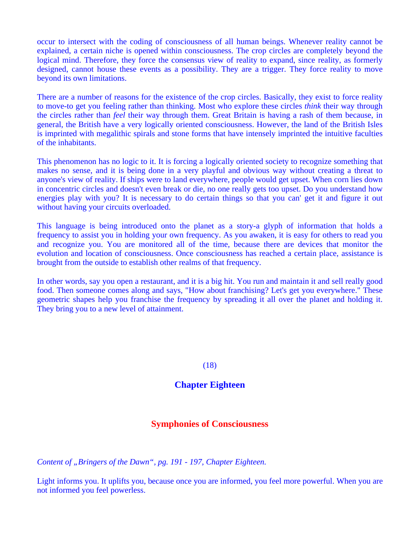occur to intersect with the coding of consciousness of all human beings. Whenever reality cannot be explained, a certain niche is opened within consciousness. The crop circles are completely beyond the logical mind. Therefore, they force the consensus view of reality to expand, since reality, as formerly designed, cannot house these events as a possibility. They are a trigger. They force reality to move beyond its own limitations.

There are a number of reasons for the existence of the crop circles. Basically, they exist to force reality to move-to get you feeling rather than thinking. Most who explore these circles *think* their way through the circles rather than *feel* their way through them. Great Britain is having a rash of them because, in general, the British have a very logically oriented consciousness. However, the land of the British Isles is imprinted with megalithic spirals and stone forms that have intensely imprinted the intuitive faculties of the inhabitants.

This phenomenon has no logic to it. It is forcing a logically oriented society to recognize something that makes no sense, and it is being done in a very playful and obvious way without creating a threat to anyone's view of reality. If ships were to land everywhere, people would get upset. When corn lies down in concentric circles and doesn't even break or die, no one really gets too upset. Do you understand how energies play with you? It is necessary to do certain things so that you can' get it and figure it out without having your circuits overloaded.

This language is being introduced onto the planet as a story-a glyph of information that holds a frequency to assist you in holding your own frequency. As you awaken, it is easy for others to read you and recognize you. You are monitored all of the time, because there are devices that monitor the evolution and location of consciousness. Once consciousness has reached a certain place, assistance is brought from the outside to establish other realms of that frequency.

In other words, say you open a restaurant, and it is a big hit. You run and maintain it and sell really good food. Then someone comes along and says, "How about franchising? Let's get you everywhere." These geometric shapes help you franchise the frequency by spreading it all over the planet and holding it. They bring you to a new level of attainment.

#### (18)

## **Chapter Eighteen**

## **Symphonies of Consciousness**

*Content of "Bringers of the Dawn", pg. 191 - 197, Chapter Eighteen.* 

Light informs you. It uplifts you, because once you are informed, you feel more powerful. When you are not informed you feel powerless.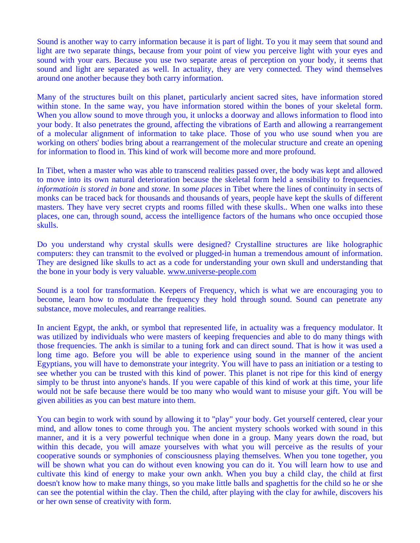Sound is another way to carry information because it is part of light. To you it may seem that sound and light are two separate things, because from your point of view you perceive light with your eyes and sound with your ears. Because you use two separate areas of perception on your body, it seems that sound and light are separated as well. In actuality, they are very connected. They wind themselves around one another because they both carry information.

Many of the structures built on this planet, particularly ancient sacred sites, have information stored within stone. In the same way, you have information stored within the bones of your skeletal form. When you allow sound to move through you, it unlocks a doorway and allows information to flood into your body. It also penetrates the ground, affecting the vibrations of Earth and allowing a rearrangement of a molecular alignment of information to take place. Those of you who use sound when you are working on others' bodies bring about a rearrangement of the molecular structure and create an opening for information to flood in. This kind of work will become more and more profound.

In Tibet, when a master who was able to transcend realities passed over, the body was kept and allowed to move into its own natural deterioration because the skeletal form held a sensibility to frequencies. *informatioin is stored in bone* and *stone.* In *some places* in Tibet where the lines of continuity in sects of monks can be traced back for thousands and thousands of years, people have kept the skulls of different masters. They have very secret crypts and rooms filled with these skulls.. When one walks into these places, one can, through sound, access the intelligence factors of the humans who once occupied those skulls.

Do you understand why crystal skulls were designed? Crystalline structures are like holographic computers: they can transmit to the evolved or plugged-in human a tremendous amount of information. They are designed like skulls to act as a code for understanding your own skull and understanding that the bone in your body is very valuable. www.universe-people.com

Sound is a tool for transformation. Keepers of Frequency, which is what we are encouraging you to become, learn how to modulate the frequency they hold through sound. Sound can penetrate any substance, move molecules, and rearrange realities.

In ancient Egypt, the ankh, or symbol that represented life, in actuality was a frequency modulator. It was utilized by individuals who were masters of keeping frequencies and able to do many things with those frequencies. The ankh is similar to a tuning fork and can direct sound. That is how it was used a long time ago. Before you will be able to experience using sound in the manner of the ancient Egyptians, you will have to demonstrate your integrity. You will have to pass an initiation or a testing to see whether you can be trusted with this kind of power. This planet is not ripe for this kind of energy simply to be thrust into anyone's hands. If you were capable of this kind of work at this time, your life would not be safe because there would be too many who would want to misuse your gift. You will be given abilities as you can best mature into them.

You can begin to work with sound by allowing it to "play" your body. Get yourself centered, clear your mind, and allow tones to come through you. The ancient mystery schools worked with sound in this manner, and it is a very powerful technique when done in a group. Many years down the road, but within this decade, you will amaze yourselves with what you will perceive as the results of your cooperative sounds or symphonies of consciousness playing themselves. When you tone together, you will be shown what you can do without even knowing you can do it. You will learn how to use and cultivate this kind of energy to make your own ankh. When you buy a child clay, the child at first doesn't know how to make many things, so you make little balls and spaghettis for the child so he or she can see the potential within the clay. Then the child, after playing with the clay for awhile, discovers his or her own sense of creativity with form.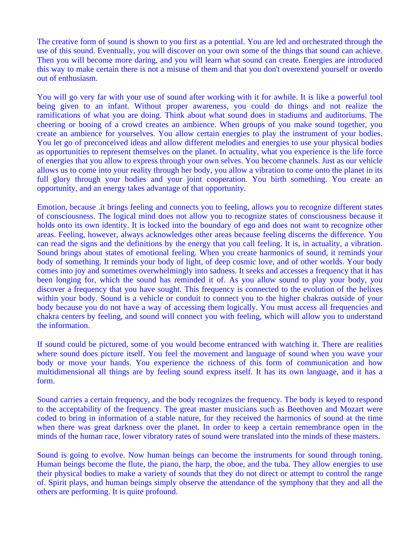The creative form of sound is shown to you first as a potential. You are led and orchestrated through the use of this sound. Eventually, you will discover on your own some of the things that sound can achieve. Then you will become more daring, and you will learn what sound can create. Energies are introduced this way to make certain there is not a misuse of them and that you don't overextend yourself or overdo out of enthusiasm.

You will go very far with your use of sound after working with it for awhile. It is like a powerful tool being given to an infant. Without proper awareness, you could do things and not realize the ramifications of what you are doing. Think about what sound does in stadiums and auditoriums. The cheering or booing of a crowd creates an ambience. When groups of you make sound together, you create an ambience for yourselves. You allow certain energies to play the instrument of your bodies. You let go of preconceived ideas and allow different melodies and energies to use your physical bodies as opportunities to represent themselves on the planet. In actuality, what you experience is the life force of energies that you allow to express through your own selves. You become channels. Just as our vehicle allows us to come into your reality through her body, you allow a vibration to come onto the planet in its full glory through your bodies and your joint cooperation. You birth something. You create an opportunity, and an energy takes advantage of that opportunity.

Emotion, because .it brings feeling and connects you to feeling, allows you to recognize different states of consciousness. The logical mind does not allow you to recognize states of consciousness because it holds onto its own identity. It is locked into the boundary of ego and does not want to recognize other areas. Feeling, however, always acknowledges other areas because feeling discerns the difference. You can read the signs and the definitions by the energy that you call feeling. It is, in actuality, a vibration. Sound brings about states of emotional feeling. When you create harmonics of sound, it reminds your body of something. It reminds your body of light, of deep cosmic love, and of other worlds. Your body comes into joy and sometimes overwhelmingly into sadness. It seeks and accesses a frequency that it has been longing for, which the sound has reminded it of. As you allow sound to play your body, you discover a frequency that you have sought. This frequency is connected to the evolution of the helixes within your body. Sound is a vehicle or conduit to connect you to the higher chakras outside of your body because you do not have a way of accessing them logically. You must access all frequencies and chakra centers by feeling, and sound will connect you with feeling, which will allow you to understand the information.

If sound could be pictured, some of you would become entranced with watching it. There are realities where sound does picture itself. You feel the movement and language of sound when you wave your body or move your hands. You experience the richness of this form of communication and how multidimensional all things are by feeling sound express itself. It has its own language, and it has a form.

Sound carries a certain frequency, and the body recognizes the frequency. The body is keyed to respond to the acceptability of the frequency. The great master musicians such as Beethoven and Mozart were coded to bring in information of a stable nature, for they received the harmonics of sound at the time when there was great darkness over the planet. In order to keep a certain remembrance open in the minds of the human race, lower vibratory rates of sound were translated into the minds of these masters.

Sound is going to evolve. Now human beings can become the instruments for sound through toning. Human beings become the flute, the piano, the harp, the oboe, and the tuba. They allow energies to use their physical bodies to make a variety of sounds that they do not direct or attempt to control the range of. Spirit plays, and human beings simply observe the attendance of the symphony that they and all the others are performing. It is quite profound.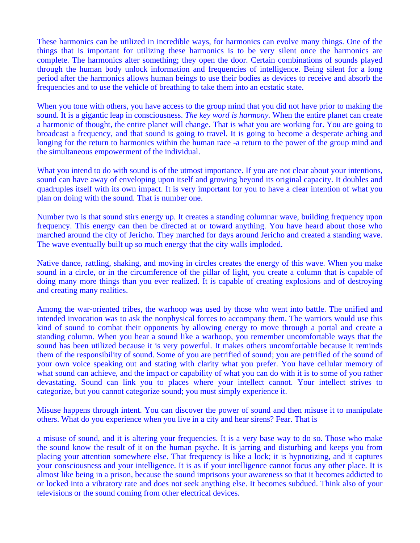These harmonics can be utilized in incredible ways, for harmonics can evolve many things. One of the things that is important for utilizing these harmonics is to be very silent once the harmonics are complete. The harmonics alter something; they open the door. Certain combinations of sounds played through the human body unlock information and frequencies of intelligence. Being silent for a long period after the harmonics allows human beings to use their bodies as devices to receive and absorb the frequencies and to use the vehicle of breathing to take them into an ecstatic state.

When you tone with others, you have access to the group mind that you did not have prior to making the sound. It is a gigantic leap in consciousness. *The key word is harmony.* When the entire planet can create a harmonic of thought, the entire planet will change. That is what you are working for. You are going to broadcast a frequency, and that sound is going to travel. It is going to become a desperate aching and longing for the return to harmonics within the human race -a return to the power of the group mind and the simultaneous empowerment of the individual.

What you intend to do with sound is of the utmost importance. If you are not clear about your intentions, sound can have away of enveloping upon itself and growing beyond its original capacity. It doubles and quadruples itself with its own impact. It is very important for you to have a clear intention of what you plan on doing with the sound. That is number one.

Number two is that sound stirs energy up. It creates a standing columnar wave, building frequency upon frequency. This energy can then be directed at or toward anything. You have heard about those who marched around the city of Jericho. They marched for days around Jericho and created a standing wave. The wave eventually built up so much energy that the city walls imploded.

Native dance, rattling, shaking, and moving in circles creates the energy of this wave. When you make sound in a circle, or in the circumference of the pillar of light, you create a column that is capable of doing many more things than you ever realized. It is capable of creating explosions and of destroying and creating many realities.

Among the war-oriented tribes, the warhoop was used by those who went into battle. The unified and intended invocation was to ask the nonphysical forces to accompany them. The warriors would use this kind of sound to combat their opponents by allowing energy to move through a portal and create a standing column. When you hear a sound like a warhoop, you remember uncomfortable ways that the sound has been utilized because it is very powerful. It makes others uncomfortable because it reminds them of the responsibility of sound. Some of you are petrified of sound; you are petrified of the sound of your own voice speaking out and stating with clarity what you prefer. You have cellular memory of what sound can achieve, and the impact or capability of what you can do with it is to some of you rather devastating. Sound can link you to places where your intellect cannot. Your intellect strives to categorize, but you cannot categorize sound; you must simply experience it.

Misuse happens through intent. You can discover the power of sound and then misuse it to manipulate others. What do you experience when you live in a city and hear sirens? Fear. That is

a misuse of sound, and it is altering your frequencies. It is a very base way to do so. Those who make the sound know the result of it on the human psyche. It is jarring and disturbing and keeps you from placing your attention somewhere else. That frequency is like a lock; it is hypnotizing, and it captures your consciousness and your intelligence. It is as if your intelligence cannot focus any other place. It is almost like being in a prison, because the sound imprisons your awareness so that it becomes addicted to or locked into a vibratory rate and does not seek anything else. It becomes subdued. Think also of your televisions or the sound coming from other electrical devices.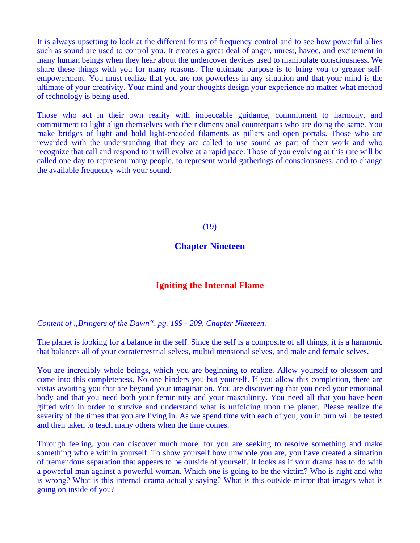It is always upsetting to look at the different forms of frequency control and to see how powerful allies such as sound are used to control you. It creates a great deal of anger, unrest, havoc, and excitement in many human beings when they hear about the undercover devices used to manipulate consciousness. We share these things with you for many reasons. The ultimate purpose is to bring you to greater selfempowerment. You must realize that you are not powerless in any situation and that your mind is the ultimate of your creativity. Your mind and your thoughts design your experience no matter what method of technology is being used.

Those who act in their own reality with impeccable guidance, commitment to harmony, and commitment to light align themselves with their dimensional counterparts who are doing the same. You make bridges of light and hold light-encoded filaments as pillars and open portals. Those who are rewarded with the understanding that they are called to use sound as part of their work and who recognize that call and respond to it will evolve at a rapid pace. Those of you evolving at this rate will be called one day to represent many people, to represent world gatherings of consciousness, and to change the available frequency with your sound.

#### (19)

## **Chapter Nineteen**

## **Igniting the Internal Flame**

*Content of "Bringers of the Dawn", pg. 199 - 209, Chapter Nineteen.* 

The planet is looking for a balance in the self. Since the self is a composite of all things, it is a harmonic that balances all of your extraterrestrial selves, multidimensional selves, and male and female selves.

You are incredibly whole beings, which you are beginning to realize. Allow yourself to blossom and come into this completeness. No one hinders you but yourself. If you allow this completion, there are vistas awaiting you that are beyond your imagination. You are discovering that you need your emotional body and that you need both your femininity and your masculinity. You need all that you have been gifted with in order to survive and understand what is unfolding upon the planet. Please realize the severity of the times that you are living in. As we spend time with each of you, you in turn will be tested and then taken to teach many others when the time comes.

Through feeling, you can discover much more, for you are seeking to resolve something and make something whole within yourself. To show yourself how unwhole you are, you have created a situation of tremendous separation that appears to be outside of yourself. It looks as if your drama has to do with a powerful man against a powerful woman. Which one is going to be the victim? Who is right and who is wrong? What is this internal drama actually saying? What is this outside mirror that images what is going on inside of you?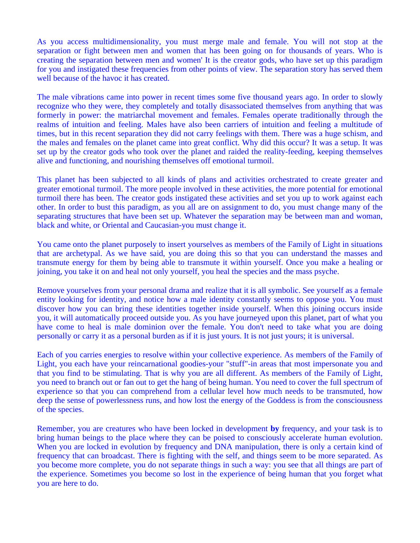As you access multidimensionality, you must merge male and female. You will not stop at the separation or fight between men and women that has been going on for thousands of years. Who is creating the separation between men and women' It is the creator gods, who have set up this paradigm for you and instigated these frequencies from other points of view. The separation story has served them well because of the havoc it has created.

The male vibrations came into power in recent times some five thousand years ago. In order to slowly recognize who they were, they completely and totally disassociated themselves from anything that was formerly in power: the matriarchal movement and females. Females operate traditionally through the realms of intuition and feeling. Males have also been carriers of intuition and feeling a multitude of times, but in this recent separation they did not carry feelings with them. There was a huge schism, and the males and females on the planet came into great conflict. Why did this occur? It was a setup. It was set up by the creator gods who took over the planet and raided the reality-feeding, keeping themselves alive and functioning, and nourishing themselves off emotional turmoil.

This planet has been subjected to all kinds of plans and activities orchestrated to create greater and greater emotional turmoil. The more people involved in these activities, the more potential for emotional turmoil there has been. The creator gods instigated these activities and set you up to work against each other. In order to bust this paradigm, as you all are on assignment to do, you must change many of the separating structures that have been set up. Whatever the separation may be between man and woman, black and white, or Oriental and Caucasian-you must change it.

You came onto the planet purposely to insert yourselves as members of the Family of Light in situations that are archetypal. As we have said, you are doing this so that you can understand the masses and transmute energy for them by being able to transmute it within yourself. Once you make a healing or joining, you take it on and heal not only yourself, you heal the species and the mass psyche.

Remove yourselves from your personal drama and realize that it is all symbolic. See yourself as a female entity looking for identity, and notice how a male identity constantly seems to oppose you. You must discover how you can bring these identities together inside yourself. When this joining occurs inside you, it will automatically proceed outside you. As you have journeyed upon this planet, part of what you have come to heal is male dominion over the female. You don't need to take what you are doing personally or carry it as a personal burden as if it is just yours. It is not just yours; it is universal.

Each of you carries energies to resolve within your collective experience. As members of the Family of Light, you each have your reincarnational goodies-your "stuff"-in areas that most impersonate you and that you find to be stimulating. That is why you are all different. As members of the Family of Light, you need to branch out or fan out to get the hang of being human. You need to cover the full spectrum of experience so that you can comprehend from a cellular level how much needs to be transmuted, how deep the sense of powerlessness runs, and how lost the energy of the Goddess is from the consciousness of the species.

Remember, you are creatures who have been locked in development **by** frequency, and your task is to bring human beings to the place where they can be poised to consciously accelerate human evolution. When you are locked in evolution by frequency and DNA manipulation, there is only a certain kind of frequency that can broadcast. There is fighting with the self, and things seem to be more separated. As you become more complete, you do not separate things in such a way: you see that all things are part of the experience. Sometimes you become so lost in the experience of being human that you forget what you are here to do.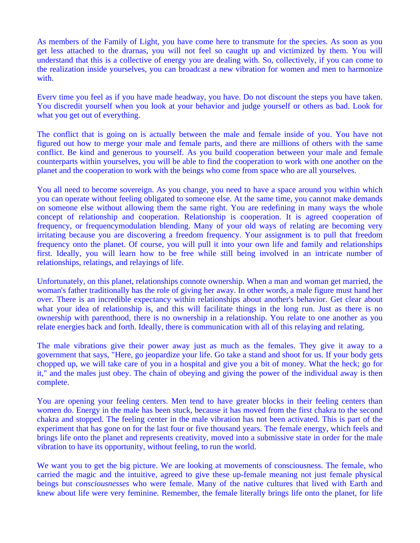As members of the Family of Light, you have come here to transmute for the species. As soon as you get less attached to the drarnas, you will not feel so caught up and victimized by them. You will understand that this is a collective of energy you are dealing with. So, collectively, if you can come to the realization inside yourselves, you can broadcast a new vibration for women and men to harmonize with.

Everv time you feel as if you have made headway, you have. Do not discount the steps you have taken. You discredit yourself when you look at your behavior and judge yourself or others as bad. Look for what you get out of everything.

The conflict that is going on is actually between the male and female inside of you. You have not figured out how to merge your male and female parts, and there are millions of others with the same conflict. Be kind and generous to yourself. As you build cooperation between your male and female counterparts within yourselves, you will be able to find the cooperation to work with one another on the planet and the cooperation to work with the beings who come from space who are all yourselves.

You all need to become sovereign. As you change, you need to have a space around you within which you can operate without feeling obligated to someone else. At the same time, you cannot make demands on someone else without allowing them the same right. You are redefining in many ways the whole concept of relationship and cooperation. Relationship is cooperation. It is agreed cooperation of frequency, or frequencymodulation blending. Many of your old ways of relating are becoming very irritating because you are discovering a freedom frequency. Your assignment is to pull that freedom frequency onto the planet. Of course, you will pull it into your own life and family and relationships first. Ideally, you will learn how to be free while still being involved in an intricate number of relationships, relatings, and relayings of life.

Unfortunately, on this planet, relationships connote ownership. When a man and woman get married, the woman's father traditionally has the role of giving her away. In other words, a male figure must hand her over. There is an incredible expectancy within relationships about another's behavior. Get clear about what your idea of relationship is, and this will facilitate things in the long run. Just as there is no ownership with parenthood, there is no ownership in a relationship. You relate to one another as you relate energies back and forth. Ideally, there is communication with all of this relaying and relating.

The male vibrations give their power away just as much as the females. They give it away to a government that says, "Here, go jeopardize your life. Go take a stand and shoot for us. If your body gets chopped up, we will take care of you in a hospital and give you a bit of money. What the heck; go for it," and the males just obey. The chain of obeying and giving the power of the individual away is then complete.

You are opening your feeling centers. Men tend to have greater blocks in their feeling centers than women do. Energy in the male has been stuck, because it has moved from the first chakra to the second chakra and stopped. The feeling center in the male vibration has not been activated. This is part of the experiment that has gone on for the last four or five thousand years. The female energy, which feels and brings life onto the planet and represents creativity, moved into a submissive state in order for the male vibration to have its opportunity, without feeling, to run the world.

We want you to get the big picture. We are looking at movements of consciousness. The female, who carried the magic and the intuitive, agreed to give these up-female meaning not just female physical beings but *consciousnesses* who were female. Many of the native cultures that lived with Earth and knew about life were very feminine. Remember, the female literally brings life onto the planet, for life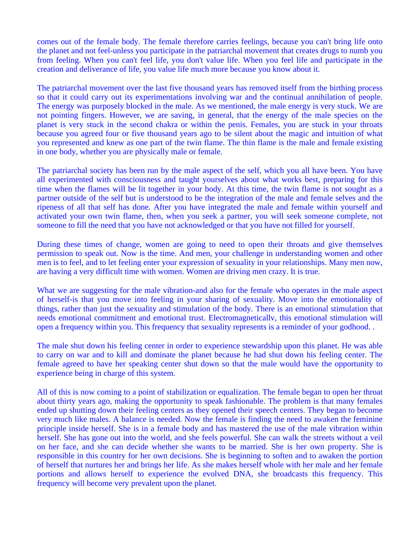comes out of the female body. The female therefore carries feelings, because you can't bring life onto the planet and not feel-unless you participate in the patriarchal movement that creates drugs to numb you from feeling. When you can't feel life, you don't value life. When you feel life and participate in the creation and deliverance of life, you value life much more because you know about it.

The patriarchal movement over the last five thousand years has removed itself from the birthing process so that it could carry out its experimentations involving war and the continual annihilation of people. The energy was purposely blocked in the male. As we mentioned, the male energy is very stuck. We are not pointing fingers. However, we are saving, in general, that the energy of the male species on the planet is very stuck in the second chakra or within the penis. Females, you are stuck in your throats because you agreed four or five thousand years ago to be silent about the magic and intuition of what you represented and knew as one part of the twin flame. The thin flame is the male and female existing in one body, whether you are physically male or female.

The patriarchal society has been run by the male aspect of the self, which you all have been. You have all experimented with consciousness and taught yourselves about what works best, preparing for this time when the flames will be lit together in your body. At this time, the twin flame is not sought as a partner outside of the self but is understood to be the integration of the male and female selves and the ripeness of all that self has done. After you have integrated the male and female within yourself and activated your own twin flame, then, when you seek a partner, you will seek someone complete, not someone to fill the need that you have not acknowledged or that you have not filled for yourself.

During these times of change, women are going to need to open their throats and give themselves permission to speak out. Now is the time. And men, your challenge in understanding women and other men is to feel, and to let feeling enter your expression of sexuality in your relationships. Many men now, are having a very difficult time with women. Women are driving men crazy. It is true.

What we are suggesting for the male vibration-and also for the female who operates in the male aspect of herself-is that you move into feeling in your sharing of sexuality. Move into the emotionality of things, rather than just the sexuality and stimulation of the body. There is an emotional stimulation that needs emotional commitment and emotional trust. Electromagneticallv, this emotional stimulation will open a frequency within you. This frequency that sexuality represents is a reminder of your godhood. .

The male shut down his feeling center in order to experience stewardship upon this planet. He was able to carry on war and to kill and dominate the planet because he had shut down his feeling center. The female agreed to have her speaking center shut down so that the male would have the opportunity to experience being in charge of this system.

All of this is now coming to a point of stabilization or equalization. The female began to open her throat about thirty years ago, making the opportunity to speak fashionable. The problem is that many females ended up shutting down their feeling centers as they opened their speech centers. They began to become very much like males. A balance is needed. Now the female is finding the need to awaken the feminine principle inside herself. She is in a female body and has mastered the use of the male vibration within herself. She has gone out into the world, and she feels powerful. She can walk the streets without a veil on her face, and she can decide whether she wants to be married. She is her own property. She is responsible in this country for her own decisions. She is beginning to soften and to awaken the portion of herself that nurtures her and brings her life. As she makes herself whole with her male and her female portions and allows herself to experience the evolved DNA, she broadcasts this frequency. This frequency will become very prevalent upon the planet.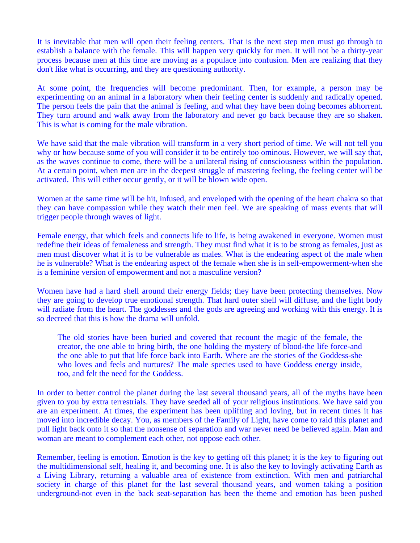It is inevitable that men will open their feeling centers. That is the next step men must go through to establish a balance with the female. This will happen very quickly for men. It will not be a thirty-year process because men at this time are moving as a populace into confusion. Men are realizing that they don't like what is occurring, and they are questioning authority.

At some point, the frequencies will become predominant. Then, for example, a person may be experimenting on an animal in a laboratory when their feeling center is suddenly and radically opened. The person feels the pain that the animal is feeling, and what they have been doing becomes abhorrent. They turn around and walk away from the laboratory and never go back because they are so shaken. This is what is coming for the male vibration.

We have said that the male vibration will transform in a very short period of time. We will not tell you why or how because some of you will consider it to be entirely too ominous. However, we will say that, as the waves continue to come, there will be a unilateral rising of consciousness within the population. At a certain point, when men are in the deepest struggle of mastering feeling, the feeling center will be activated. This will either occur gently, or it will be blown wide open.

Women at the same time will be hit, infused, and enveloped with the opening of the heart chakra so that they can have compassion while they watch their men feel. We are speaking of mass events that will trigger people through waves of light.

Female energy, that which feels and connects life to life, is being awakened in everyone. Women must redefine their ideas of femaleness and strength. They must find what it is to be strong as females, just as men must discover what it is to be vulnerable as males. What is the endearing aspect of the male when he is vulnerable? What is the endearing aspect of the female when she is in self-empowerment-when she is a feminine version of empowerment and not a masculine version?

Women have had a hard shell around their energy fields; they have been protecting themselves. Now they are going to develop true emotional strength. That hard outer shell will diffuse, and the light body will radiate from the heart. The goddesses and the gods are agreeing and working with this energy. It is so decreed that this is how the drama will unfold.

The old stories have been buried and covered that recount the magic of the female, the creator, the one able to bring birth, the one holding the mystery of blood-the life force-and the one able to put that life force back into Earth. Where are the stories of the Goddess-she who loves and feels and nurtures? The male species used to have Goddess energy inside, too, and felt the need for the Goddess.

In order to better control the planet during the last several thousand years, all of the myths have been given to you by extra terrestrials. They have seeded all of your religious institutions. We have said you are an experiment. At times, the experiment has been uplifting and loving, but in recent times it has moved into incredible decay. You, as members of the Family of Light, have come to raid this planet and pull light back onto it so that the nonsense of separation and war never need be believed again. Man and woman are meant to complement each other, not oppose each other.

Remember, feeling is emotion. Emotion is the key to getting off this planet; it is the key to figuring out the multidimensional self, healing it, and becoming one. It is also the key to lovingly activating Earth as a Living Library, returning a valuable area of existence from extinction. With men and patriarchal society in charge of this planet for the last several thousand years, and women taking a position underground-not even in the back seat-separation has been the theme and emotion has been pushed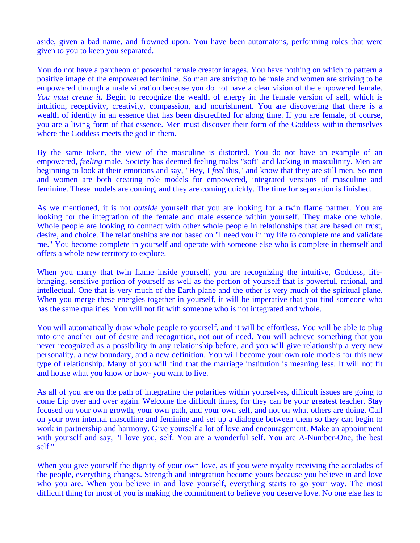aside, given a bad name, and frowned upon. You have been automatons, performing roles that were given to you to keep you separated.

You do not have a pantheon of powerful female creator images. You have nothing on which to pattern a positive image of the empowered feminine. So men are striving to be male and women are striving to be empowered through a male vibration because you do not have a clear vision of the empowered female. *You must create it.* Begin to recognize the wealth of energy in the female version of self, which is intuition, receptivity, creativity, compassion, and nourishment. You are discovering that there is a wealth of identity in an essence that has been discredited for along time. If you are female, of course, you are a living form of that essence. Men must discover their form of the Goddess within themselves where the Goddess meets the god in them.

By the same token, the view of the masculine is distorted. You do not have an example of an empowered, *feeling* male. Society has deemed feeling males "soft" and lacking in masculinity. Men are beginning to look at their emotions and say, "Hey, I *feel* this," and know that they are still men. So men and women are both creating role models for empowered, integrated versions of masculine and feminine. These models are coming, and they are coming quickly. The time for separation is finished.

As we mentioned, it is not *outside* yourself that you are looking for a twin flame partner. You are looking for the integration of the female and male essence within yourself. They make one whole. Whole people are looking to connect with other whole people in relationships that are based on trust, desire, and choice. The relationships are not based on "I need you in my life to complete me and validate me." You become complete in yourself and operate with someone else who is complete in themself and offers a whole new territory to explore.

When you marry that twin flame inside yourself, you are recognizing the intuitive, Goddess, lifebringing, sensitive portion of yourself as well as the portion of yourself that is powerful, rational, and intellectual. One that is very much of the Earth plane and the other is very much of the spiritual plane. When you merge these energies together in yourself, it will be imperative that you find someone who has the same qualities. You will not fit with someone who is not integrated and whole.

You will automatically draw whole people to yourself, and it will be effortless. You will be able to plug into one another out of desire and recognition, not out of need. You will achieve something that you never recognized as a possibility in any relationship before, and you will give relationship a very new personality, a new boundary, and a new definition. You will become your own role models for this new type of relationship. Many of you will find that the marriage institution is meaning less. It will not fit and house what you know or how- you want to live.

As all of you are on the path of integrating the polarities within yourselves, difficult issues are going to come Lip over and over again. Welcome the difficult times, for they can be your greatest teacher. Stay focused on your own growth, your own path, and your own self, and not on what others are doing. Call on your own internal masculine and feminine and set up a dialogue between them so they can begin to work in partnership and harmony. Give yourself a lot of love and encouragement. Make an appointment with yourself and say, "I love you, self. You are a wonderful self. You are A-Number-One, the best self."

When you give yourself the dignity of your own love, as if you were royalty receiving the accolades of the people, everything changes. Strength and integration become yours because you believe in and love who you are. When you believe in and love yourself, everything starts to go your way. The most difficult thing for most of you is making the commitment to believe you deserve love. No one else has to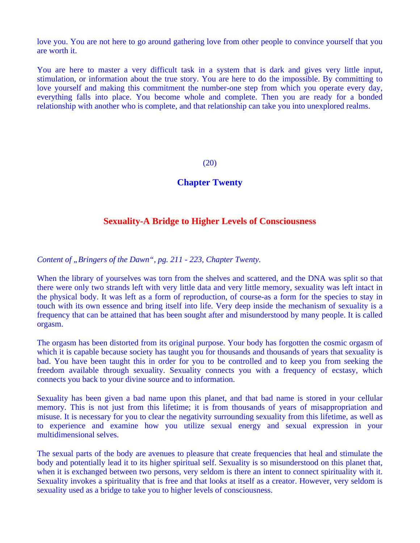love you. You are not here to go around gathering love from other people to convince yourself that you are worth it.

You are here to master a very difficult task in a system that is dark and gives very little input, stimulation, or information about the true story. You are here to do the impossible. By committing to love yourself and making this commitment the number-one step from which you operate every day, everything falls into place. You become whole and complete. Then you are ready for a bonded relationship with another who is complete, and that relationship can take you into unexplored realms.

#### (20)

# **Chapter Twenty**

#### **Sexuality-A Bridge to Higher Levels of Consciousness**

*Content of "Bringers of the Dawn", pg. 211 - 223, Chapter Twenty.* 

When the library of yourselves was torn from the shelves and scattered, and the DNA was split so that there were only two strands left with very little data and very little memory, sexuality was left intact in the physical body. It was left as a form of reproduction, of course-as a form for the species to stay in touch with its own essence and bring itself into life. Very deep inside the mechanism of sexuality is a frequency that can be attained that has been sought after and misunderstood by many people. It is called orgasm.

The orgasm has been distorted from its original purpose. Your body has forgotten the cosmic orgasm of which it is capable because society has taught you for thousands and thousands of years that sexuality is bad. You have been taught this in order for you to be controlled and to keep you from seeking the freedom available through sexuality. Sexuality connects you with a frequency of ecstasy, which connects you back to your divine source and to information.

Sexuality has been given a bad name upon this planet, and that bad name is stored in your cellular memory. This is not just from this lifetime; it is from thousands of years of misappropriation and misuse. It is necessary for you to clear the negativity surrounding sexuality from this lifetime, as well as to experience and examine how you utilize sexual energy and sexual expression in your multidimensional selves.

The sexual parts of the body are avenues to pleasure that create frequencies that heal and stimulate the body and potentially lead it to its higher spiritual self. Sexuality is so misunderstood on this planet that, when it is exchanged between two persons, very seldom is there an intent to connect spirituality with it. Sexuality invokes a spirituality that is free and that looks at itself as a creator. However, very seldom is sexuality used as a bridge to take you to higher levels of consciousness.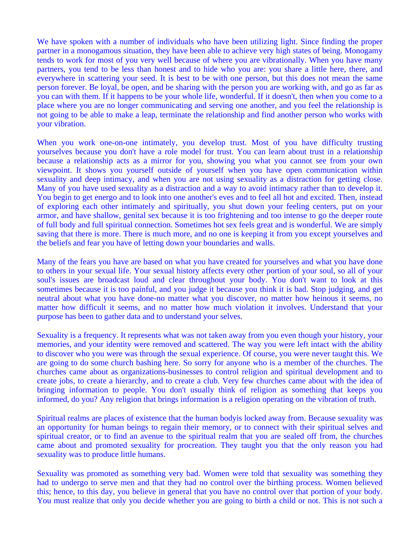We have spoken with a number of individuals who have been utilizing light. Since finding the proper partner in a monogamous situation, they have been able to achieve very high states of being. Monogamy tends to work for most of you very well because of where you are vibrationally. When you have many partners, you tend to be less than honest and to hide who you are: you share a little here, there, and everywhere in scattering your seed. It is best to be with one person, but this does not mean the same person forever. Be loyal, be open, and be sharing with the person you are working with, and go as far as you can with them. If it happens to be your whole life, wonderful. If it doesn't, then when you come to a place where you are no longer communicating and serving one another, and you feel the relationship is not going to be able to make a leap, terminate the relationship and find another person who works with your vibration.

When you work one-on-one intimately, you develop trust. Most of you have difficulty trusting yourselves because you don't have a role model for trust. You can learn about trust in a relationship because a relationship acts as a mirror for you, showing you what you cannot see from your own viewpoint. It shows you yourself outside of yourself when you have open communication within sexuality and deep intimacy, and when you are not using sexuality as a distraction for getting close. Many of you have used sexuality as a distraction and a way to avoid intimacy rather than to develop it. You begin to get energo and to look into one another's eves and to feel all hot and excited. Then, instead of exploring each other intimately and spiritually, you shut down your feeling centers, put on your armor, and have shallow, genital sex because it is too frightening and too intense to go the deeper route of full body and full spiritual connection. Sometimes hot sex feels great and is wonderful. We are simply saving that there is more. There is much more, and no one is keeping it from you except yourselves and the beliefs and fear you have of letting down your boundaries and walls.

Many of the fears you have are based on what you have created for yourselves and what you have done to others in your sexual life. Your sexual history affects every other portion of your soul, so all of your soul's issues are broadcast loud and clear throughout your body. You don't want to look at this sometimes because it is too painful, and you judge it because you think it is bad. Stop judging, and get neutral about what you have done-no matter what you discover, no matter how heinous it seems, no matter how difficult it seems, and no matter how much violation it involves. Understand that your purpose has been to gather data and to understand your selves.

Sexuality is a frequency. It represents what was not taken away from you even though your history, your memories, and your identity were removed and scattered. The way you were left intact with the ability to discover who you were was through the sexual experience. Of course, you were never taught this. We are going to do some church bashing here. So sorry for anyone who is a member of the churches. The churches came about as organizations-businesses to control religion and spiritual development and to create jobs, to create a hierarchy, and to create a club. Very few churches came about with the idea of bringing information to people. You don't usually think of religion as something that keeps you informed, do you? Any religion that brings information is a religion operating on the vibration of truth.

Spiritual realms are places of existence that the human bodyis locked away from. Because sexuality was an opportunity for human beings to regain their memory, or to connect with their spiritual selves and spiritual creator, or to find an avenue to the spiritual realm that you are sealed off from, the churches came about and promoted sexuality for procreation. They taught you that the only reason you had sexuality was to produce little humans.

Sexuality was promoted as something very bad. Women were told that sexuality was something they had to undergo to serve men and that they had no control over the birthing process. Women believed this; hence, to this day, you believe in general that you have no control over that portion of your body. You must realize that only you decide whether you are going to birth a child or not. This is not such a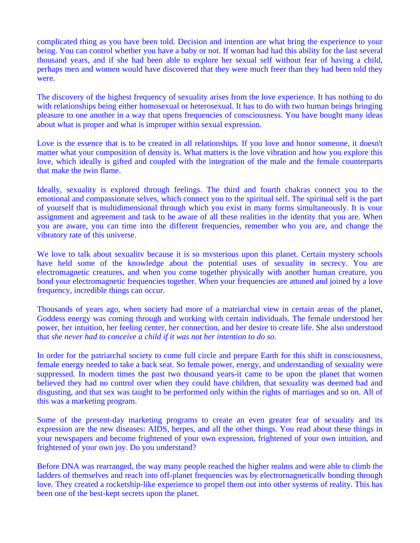complicated thing as you have been told. Decision and intention are what bring the experience to your being. You can control whether you have a baby or not. If woman had had this ability for the last several thousand years, and if she had been able to explore her sexual self without fear of having a child, perhaps men and women would have discovered that they were much freer than they had been told they were.

The discovery of the highest frequency of sexuality arises from the love experience. It has nothing to do with relationships being either homosexual or heterosexual. It has to do with two human beings bringing pleasure to one another in a way that opens frequencies of consciousness. You have bought many ideas about what is proper and what is improper within sexual expression.

Love is the essence that is to be created in all relationships. If you love and honor someone, it doesn't matter what your composition of density is. What matters is the love vibration and how you explore this love, which ideally is gifted and coupled with the integration of the male and the female counterparts that make the twin flame.

Ideally, sexuality is explored through feelings. The third and fourth chakras connect you to the emotional and compassionate selves, which connect you to the spiritual self. The spiritual self is the part of yourself that is multidimensional through which you exist in many forms simultaneously. It is vour assignment and agreement and task to be aware of all these realities in the identity that you are. When you are aware, you can time into the different frequencies, remember who you are, and change the vibratory rate of this universe.

We love to talk about sexuality because it is so mysterious upon this planet. Certain mystery schools have held some of the knowledge about the potential uses of sexuality in secrecy. You are electromagnetic creatures, and when you come together physically with another human creature, you bond your electromagnetic frequencies together. When your frequencies are attuned and joined by a love frequency, incredible things can occur.

Thousands of years ago, when society had more of a matriarchal view in certain areas of the planet, Goddess energy was coming through and working with certain individuals. The female understood her power, her intuition, her feeling center, her connection, and her desire to create life. She also understood that *she never had to conceive a child if it was not her intention to do so.*

In order for the patriarchal society to come full circle and prepare Earth for this shift in consciousness, female energy needed to take a back seat. So female power, energy, and understanding of sexuality were suppressed. In modern times the past two thousand years-it came to be upon the planet that women believed they had no control over when they could have children, that sexuality was deemed bad and disgusting, and that sex was taught to be performed only within the rights of marriages and so on. All of this was a marketing program.

Some of the present-day marketing programs to create an even greater fear of sexuality and its expression are the new diseases: AIDS, herpes, and all the other things. You read about these things in your newspapers and become frightened of your own expression, frightened of your own intuition, and frightened of your own joy. Do you understand?

Before DNA was rearranged, the way many people reached the higher realms and were able to climb the ladders of themselves and reach into off-planet frequencies was by electrornagnetically bonding through love. They created a rocketship-like experience to propel them out into other systems of reality. This has been one of the best-kept secrets upon the planet.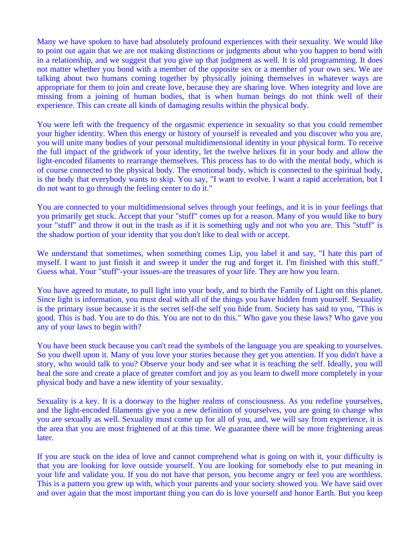Many we have spoken to have had absolutely profound experiences with their sexuality. We would like to point out again that we are not making distinctions or judgments about who you happen to bond with in a relationship, and we suggest that you give up that judgment as well. It is old programming. It does not matter whether you bond with a member of the opposite sex or a member of your own sex. We are talking about two humans coming together by physically joining themselves in whatever ways are appropriate for them to join and create love, because they are sharing love. When integrity and love are missing from a joining of human bodies, that is when human beings do not think well of their experience. This can create all kinds of damaging results within the physical body.

You were left with the frequency of the orgasmic experience in sexuality so that you could remember your higher identity. When this energy or history of yourself is revealed and you discover who you are, you will unite many bodies of your personal multidimensional identity in your physical form. To receive the full impact of the gridwork of your identity, let the twelve helixes fit in your body and allow the light-encoded filaments to rearrange themselves. This process has to do with the mental body, which is of course connected to the physical body. The emotional body, which is connected to the spiritual body, is the body that everybody wants to skip. You say, "I want to evolve. I want a rapid acceleration, but I do not want to go through the feeling center to do it."

You are connected to your multidimensional selves through your feelings, and it is in your feelings that you primarily get stuck. Accept that your "stuff" comes up for a reason. Many of you would like to bury your "stuff" and throw it out in the trash as if it is something ugly and not who you are. This "stuff" is the shadow portion of your identity that you don't like to deal with or accept.

We understand that sometimes, when something comes Lip, you label it and say, "I hate this part of myself. I want to just finish it and sweep it under the rug and forget it. I'm finished with this stuff." Guess what. Your "stuff"-your issues-are the treasures of your life. They are how you learn.

You have agreed to mutate, to pull light into your body, and to birth the Family of Light on this planet. Since light is information, you must deal with all of the things you have hidden from yourself. Sexuality is the primary issue because it is the secret self-the self you hide from. Society has said to you, "This is good. This is bad. You are to do this. You are not to do this." Who gave you these laws? Who gave you any of your laws to begin with?

You have been stuck because you can't read the symbols of the language you are speaking to yourselves. So you dwell upon it. Many of you love your stories because they get you attention. If you didn't have a story, who would talk to you? Observe your body and see what it is teaching the self. Ideally, you will heal the sore and create a place of greater comfort and joy as you learn to dwell more completely in your physical body and have a new identity of your sexuality.

Sexuality is a key. It is a doorway to the higher realms of consciousness. As you redefine yourselves, and the light-encoded filaments give you a new definition of yourselves, you are going to change who you are sexually as well. Sexuality must come up for all of you, and, we will say from experience, it is the area that you are most frightened of at this time. We guarantee there will be more frightening areas later.

If you are stuck on the idea of love and cannot comprehend what is going on with it, your difficulty is that you are looking for love outside yourself. You are looking for somebody else to put meaning in your life and validate you. If you do not have that person, you become angry or feel you are worthless. This is a pattern you grew up with, which your parents and your society showed you. We have said over and over again that the most important thing you can do is love yourself and honor Earth. But you keep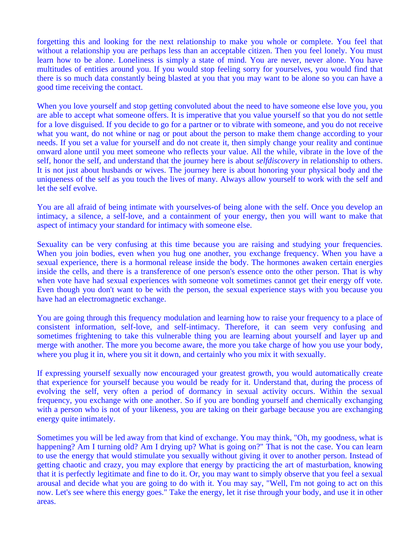forgetting this and looking for the next relationship to make you whole or complete. You feel that without a relationship you are perhaps less than an acceptable citizen. Then you feel lonely. You must learn how to be alone. Loneliness is simply a state of mind. You are never, never alone. You have multitudes of entities around you. If you would stop feeling sorry for yourselves, you would find that there is so much data constantly being blasted at you that you may want to be alone so you can have a good time receiving the contact.

When you love yourself and stop getting convoluted about the need to have someone else love you, you are able to accept what someone offers. It is imperative that you value yourself so that you do not settle for a love disguised. If you decide to go for a partner or to vibrate with someone, and you do not receive what you want, do not whine or nag or pout about the person to make them change according to your needs. If you set a value for yourself and do not create it, then simply change your reality and continue onward alone until you meet someone who reflects your value. All the while, vibrate in the love of the self, honor the self, and understand that the journey here is about *selfdiscovery* in relationship to others. It is not just about husbands or wives. The journey here is about honoring your physical body and the uniqueness of the self as you touch the lives of many. Always allow yourself to work with the self and let the self evolve.

You are all afraid of being intimate with yourselves-of being alone with the self. Once you develop an intimacy, a silence, a self-love, and a containment of your energy, then you will want to make that aspect of intimacy your standard for intimacy with someone else.

Sexuality can be very confusing at this time because you are raising and studying your frequencies. When you join bodies, even when you hug one another, you exchange frequency. When you have a sexual experience, there is a hormonal release inside the body. The hormones awaken certain energies inside the cells, and there is a transference of one person's essence onto the other person. That is why when vote have had sexual experiences with someone volt sometimes cannot get their energy off vote. Even though you don't want to be with the person, the sexual experience stays with you because you have had an electromagnetic exchange.

You are going through this frequency modulation and learning how to raise your frequency to a place of consistent information, self-love, and self-intimacy. Therefore, it can seem very confusing and sometimes frightening to take this vulnerable thing you are learning about yourself and layer up and merge with another. The more you become aware, the more you take charge of how you use your body, where you plug it in, where you sit it down, and certainly who you mix it with sexually.

If expressing yourself sexually now encouraged your greatest growth, you would automatically create that experience for yourself because you would be ready for it. Understand that, during the process of evolving the self, very often a period of dormancy in sexual activity occurs. Within the sexual frequency, you exchange with one another. So if you are bonding yourself and chemically exchanging with a person who is not of your likeness, you are taking on their garbage because you are exchanging energy quite intimately.

Sometimes you will be led away from that kind of exchange. You may think, "Oh, my goodness, what is happening? Am I turning old? Am I drying up? What is going on?" That is not the case. You can learn to use the energy that would stimulate you sexually without giving it over to another person. Instead of getting chaotic and crazy, you may explore that energy by practicing the art of masturbation, knowing that it is perfectly legitimate and fine to do it. Or, you may want to simply observe that you feel a sexual arousal and decide what you are going to do with it. You may say, "Well, I'm not going to act on this now. Let's see where this energy goes." Take the energy, let it rise through your body, and use it in other areas.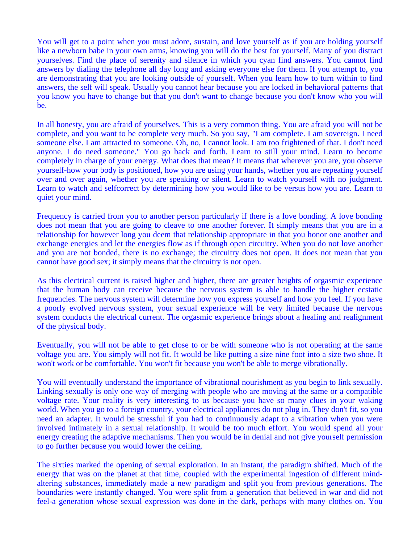You will get to a point when you must adore, sustain, and love yourself as if you are holding yourself like a newborn babe in your own arms, knowing you will do the best for yourself. Many of you distract yourselves. Find the place of serenity and silence in which you cyan find answers. You cannot find answers by dialing the telephone all day long and asking everyone else for them. If you attempt to, you are demonstrating that you are looking outside of yourself. When you learn how to turn within to find answers, the self will speak. Usually you cannot hear because you are locked in behavioral patterns that you know you have to change but that you don't want to change because you don't know who you will be.

In all honesty, you are afraid of yourselves. This is a very common thing. You are afraid you will not be complete, and you want to be complete very much. So you say, "I am complete. I am sovereign. I need someone else. I am attracted to someone. Oh, no, I cannot look. I am too frightened of that. I don't need anyone. I do need someone." You go back and forth. Learn to still your mind. Learn to become completely in charge of your energy. What does that mean? It means that wherever you are, you observe yourself-how your body is positioned, how you are using your hands, whether you are repeating yourself over and over again, whether you are speaking or silent. Learn to watch yourself with no judgment. Learn to watch and selfcorrect by determining how you would like to be versus how you are. Learn to quiet your mind.

Frequency is carried from you to another person particularly if there is a love bonding. A love bonding does not mean that you are going to cleave to one another forever. It simply means that you are in a relationship for however long you deem that relationship appropriate in that you honor one another and exchange energies and let the energies flow as if through open circuitry. When you do not love another and you are not bonded, there is no exchange; the circuitry does not open. It does not mean that you cannot have good sex; it simply means that the circuitry is not open.

As this electrical current is raised higher and higher, there are greater heights of orgasmic experience that the human body can receive because the nervous system is able to handle the higher ecstatic frequencies. The nervous system will determine how you express yourself and how you feel. If you have a poorly evolved nervous system, your sexual experience will be very limited because the nervous system conducts the electrical current. The orgasmic experience brings about a healing and realignment of the physical body.

Eventually, you will not be able to get close to or be with someone who is not operating at the same voltage you are. You simply will not fit. It would be like putting a size nine foot into a size two shoe. It won't work or be comfortable. You won't fit because you won't be able to merge vibrationally.

You will eventually understand the importance of vibrational nourishment as you begin to link sexually. Linking sexually is only one way of merging with people who are moving at the same or a compatible voltage rate. Your reality is very interesting to us because you have so many clues in your waking world. When you go to a foreign country, your electrical appliances do not plug in. They don't fit, so you need an adapter. It would be stressful if you had to continuously adapt to a vibration when you were involved intimately in a sexual relationship. It would be too much effort. You would spend all your energy creating the adaptive mechanisms. Then you would be in denial and not give yourself permission to go further because you would lower the ceiling.

The sixties marked the opening of sexual exploration. In an instant, the paradigm shifted. Much of the energy that was on the planet at that time, coupled with the experimental ingestion of different mindaltering substances, immediately made a new paradigm and split you from previous generations. The boundaries were instantly changed. You were split from a generation that believed in war and did not feel-a generation whose sexual expression was done in the dark, perhaps with many clothes on. You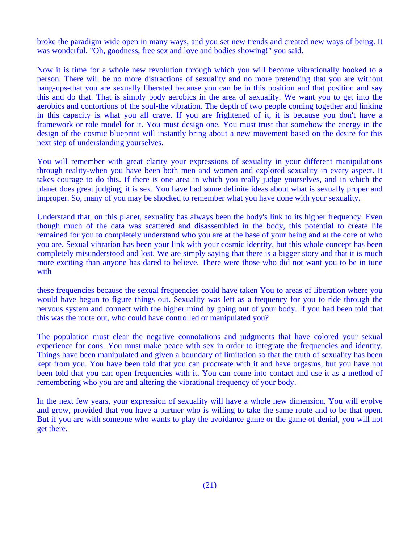broke the paradigm wide open in many ways, and you set new trends and created new ways of being. It was wonderful. "Oh, goodness, free sex and love and bodies showing!" you said.

Now it is time for a whole new revolution through which you will become vibrationally hooked to a person. There will be no more distractions of sexuality and no more pretending that you are without hang-ups-that you are sexually liberated because you can be in this position and that position and say this and do that. That is simply body aerobics in the area of sexuality. We want you to get into the aerobics and contortions of the soul-the vibration. The depth of two people coming together and linking in this capacity is what you all crave. If you are frightened of it, it is because you don't have a framework or role model for it. You must design one. You must trust that somehow the energy in the design of the cosmic blueprint will instantly bring about a new movement based on the desire for this next step of understanding yourselves.

You will remember with great clarity your expressions of sexuality in your different manipulations through reality-when you have been both men and women and explored sexuality in every aspect. It takes courage to do this. If there is one area in which you really judge yourselves, and in which the planet does great judging, it is sex. You have had some definite ideas about what is sexually proper and improper. So, many of you may be shocked to remember what you have done with your sexuality.

Understand that, on this planet, sexuality has always been the body's link to its higher frequency. Even though much of the data was scattered and disassembled in the body, this potential to create life remained for you to completely understand who you are at the base of your being and at the core of who you are. Sexual vibration has been your link with your cosmic identity, but this whole concept has been completely misunderstood and lost. We are simply saying that there is a bigger story and that it is much more exciting than anyone has dared to believe. There were those who did not want you to be in tune with

these frequencies because the sexual frequencies could have taken You to areas of liberation where you would have begun to figure things out. Sexuality was left as a frequency for you to ride through the nervous system and connect with the higher mind by going out of your body. If you had been told that this was the route out, who could have controlled or manipulated you?

The population must clear the negative connotations and judgments that have colored your sexual experience for eons. You must make peace with sex in order to integrate the frequencies and identity. Things have been manipulated and given a boundary of limitation so that the truth of sexuality has been kept from you. You have been told that you can procreate with it and have orgasms, but you have not been told that you can open frequencies with it. You can come into contact and use it as a method of remembering who you are and altering the vibrational frequency of your body.

In the next few years, your expression of sexuality will have a whole new dimension. You will evolve and grow, provided that you have a partner who is willing to take the same route and to be that open. But if you are with someone who wants to play the avoidance game or the game of denial, you will not get there.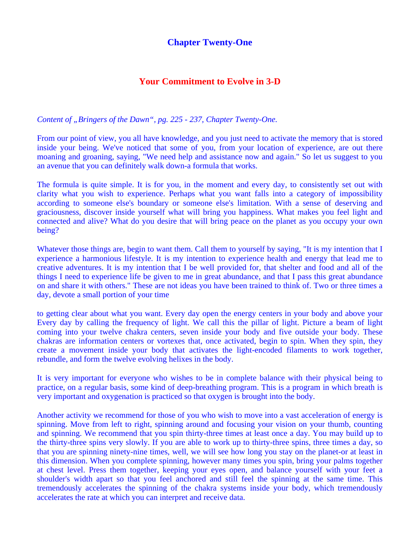# **Chapter Twenty-One**

### **Your Commitment to Evolve in 3-D**

*Content of "Bringers of the Dawn", pg. 225 - 237, Chapter Twenty-One.* 

From our point of view, you all have knowledge, and you just need to activate the memory that is stored inside your being. We've noticed that some of you, from your location of experience, are out there moaning and groaning, saying, "We need help and assistance now and again." So let us suggest to you an avenue that you can definitely walk down-a formula that works.

The formula is quite simple. It is for you, in the moment and every day, to consistently set out with clarity what you wish to experience. Perhaps what you want falls into a category of impossibility according to someone else's boundary or someone else's limitation. With a sense of deserving and graciousness, discover inside yourself what will bring you happiness. What makes you feel light and connected and alive? What do you desire that will bring peace on the planet as you occupy your own being?

Whatever those things are, begin to want them. Call them to yourself by saying, "It is my intention that I experience a harmonious lifestyle. It is my intention to experience health and energy that lead me to creative adventures. It is my intention that I be well provided for, that shelter and food and all of the things I need to experience life be given to me in great abundance, and that I pass this great abundance on and share it with others." These are not ideas you have been trained to think of. Two or three times a day, devote a small portion of your time

to getting clear about what you want. Every day open the energy centers in your body and above your Every day by calling the frequency of light. We call this the pillar of light. Picture a beam of light coming into your twelve chakra centers, seven inside your body and five outside your body. These chakras are information centers or vortexes that, once activated, begin to spin. When they spin, they create a movement inside your body that activates the light-encoded filaments to work together, rebundle, and form the twelve evolving helixes in the body.

It is very important for everyone who wishes to be in complete balance with their physical being to practice, on a regular basis, some kind of deep-breathing program. This is a program in which breath is very important and oxygenation is practiced so that oxygen is brought into the body.

Another activity we recommend for those of you who wish to move into a vast acceleration of energy is spinning. Move from left to right, spinning around and focusing your vision on your thumb, counting and spinning. We recommend that you spin thirty-three times at least once a day. You may build up to the thirty-three spins very slowly. If you are able to work up to thirty-three spins, three times a day, so that you are spinning ninety-nine times, well, we will see how long you stay on the planet-or at least in this dimension. When you complete spinning, however many times you spin, bring your palms together at chest level. Press them together, keeping your eyes open, and balance yourself with your feet a shoulder's width apart so that you feel anchored and still feel the spinning at the same time. This tremendously accelerates the spinning of the chakra systems inside your body, which tremendously accelerates the rate at which you can interpret and receive data.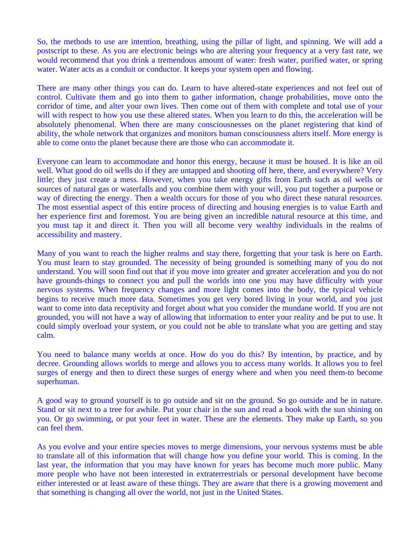So, the methods to use are intention, breathing, using the pillar of light, and spinning. We will add a postscript to these. As you are electronic beings who are altering your frequency at a very fast rate, we would recommend that you drink a tremendous amount of water: fresh water, purified water, or spring water. Water acts as a conduit or conductor. It keeps your system open and flowing.

There are many other things you can do. Learn to have altered-state experiences and not feel out of control. Cultivate them and go into them to gather information, change probabilities, move onto the corridor of time, and alter your own lives. Then come out of them with complete and total use of your will with respect to how you use these altered states. When you learn to do this, the acceleration will be absolutely phenomenal. When there are many consciousnesses on the planet registering that kind of ability, the whole network that organizes and monitors human consciousness alters itself. More energy is able to come onto the planet because there are those who can accommodate it.

Everyone can learn to accommodate and honor this energy, because it must be housed. It is like an oil well. What good do oil wells do if they are untapped and shooting off here, there, and everywhere? Very little; they just create a mess. However, when you take energy gifts from Earth such as oil wells or sources of natural gas or waterfalls and you combine them with your will, you put together a purpose or way of directing the energy. Then a wealth occurs for those of you who direct these natural resources. The most essential aspect of this entire process of directing and housing energies is to value Earth and her experience first and foremost. You are being given an incredible natural resource at this time, and you must tap it and direct it. Then you will all become very wealthy individuals in the realms of accessibility and mastery.

Many of you want to reach the higher realms and stay there, forgetting that your task is here on Earth. You must learn to stay grounded. The necessity of being grounded is something many of you do not understand. You will soon find out that if you move into greater and greater acceleration and you do not have grounds-things to connect you and pull the worlds into one you may have difficulty with your nervous systems. When frequency changes and more light comes into the body, the typical vehicle begins to receive much more data. Sometimes you get very bored living in your world, and you just want to come into data receptivity and forget about what you consider the mundane world. If you are not grounded, you will not have a way of allowing that information to enter your reality and be put to use. It could simply overload your system, or you could not be able to translate what you are getting and stay calm.

You need to balance many worlds at once. How do you do this? By intention, by practice, and by decree. Grounding allows worlds to merge and allows you to access many worlds. It allows you to feel surges of energy and then to direct these surges of energy where and when you need them-to become superhuman.

A good way to ground yourself is to go outside and sit on the ground. So go outside and be in nature. Stand or sit next to a tree for awhile. Put your chair in the sun and read a book with the sun shining on you. Or go swimming, or put your feet in water. These are the elements. They make up Earth, so you can feel them.

As you evolve and your entire species moves to merge dimensions, your nervous systems must be able to translate all of this information that will change how you define your world. This is coming. In the last year, the information that you may have known for years has become much more public. Many more people who have not been interested in extraterrestrials or personal development have become either interested or at least aware of these things. They are aware that there is a growing movement and that something is changing all over the world, not just in the United States.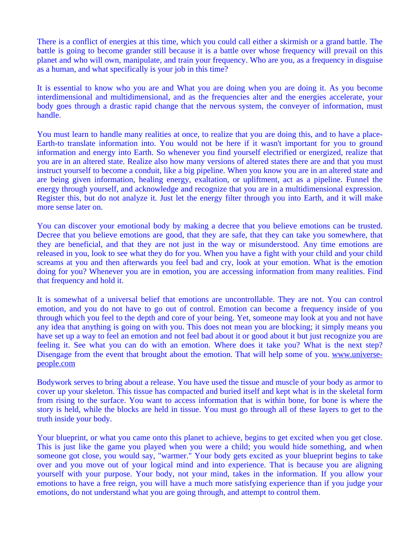There is a conflict of energies at this time, which you could call either a skirmish or a grand battle. The battle is going to become grander still because it is a battle over whose frequency will prevail on this planet and who will own, manipulate, and train your frequency. Who are you, as a frequency in disguise as a human, and what specifically is your job in this time?

It is essential to know who you are and What you are doing when you are doing it. As you become interdimensional and multidimensional, and as the frequencies alter and the energies accelerate, your body goes through a drastic rapid change that the nervous system, the conveyer of information, must handle.

You must learn to handle many realities at once, to realize that you are doing this, and to have a place-Earth-to translate information into. You would not be here if it wasn't important for you to ground information and energy into Earth. So whenever you find yourself electrified or energized, realize that you are in an altered state. Realize also how many versions of altered states there are and that you must instruct yourself to become a conduit, like a big pipeline. When you know you are in an altered state and are being given information, healing energy, exaltation, or upliftment, act as a pipeline. Funnel the energy through yourself, and acknowledge and recognize that you are in a multidimensional expression. Register this, but do not analyze it. Just let the energy filter through you into Earth, and it will make more sense later on.

You can discover your emotional body by making a decree that you believe emotions can be trusted. Decree that you believe emotions are good, that they are safe, that they can take you somewhere, that they are beneficial, and that they are not just in the way or misunderstood. Any time emotions are released in you, look to see what they do for you. When you have a fight with your child and your child screams at you and then afterwards you feel bad and cry, look at your emotion. What is the emotion doing for you? Whenever you are in emotion, you are accessing information from many realities. Find that frequency and hold it.

It is somewhat of a universal belief that emotions are uncontrollable. They are not. You can control emotion, and you do not have to go out of control. Emotion can become a frequency inside of you through which you feel to the depth and core of your being. Yet, someone may look at you and not have any idea that anything is going on with you. This does not mean you are blocking; it simply means you have set up a way to feel an emotion and not feel bad about it or good about it but just recognize you are feeling it. See what you can do with an emotion. Where does it take you? What is the next step? Disengage from the event that brought about the emotion. That will help some of you. www.universepeople.com

Bodywork serves to bring about a release. You have used the tissue and muscle of your body as armor to cover up your skeleton. This tissue has compacted and buried itself and kept what is in the skeletal form from rising to the surface. You want to access information that is within bone, for bone is where the story is held, while the blocks are held in tissue. You must go through all of these layers to get to the truth inside your body.

Your blueprint, or what you came onto this planet to achieve, begins to get excited when you get close. This is just like the game you played when you were a child; you would hide something, and when someone got close, you would say, "warmer." Your body gets excited as your blueprint begins to take over and you move out of your logical mind and into experience. That is because you are aligning yourself with your purpose. Your body, not your mind, takes in the information. If you allow your emotions to have a free reign, you will have a much more satisfying experience than if you judge your emotions, do not understand what you are going through, and attempt to control them.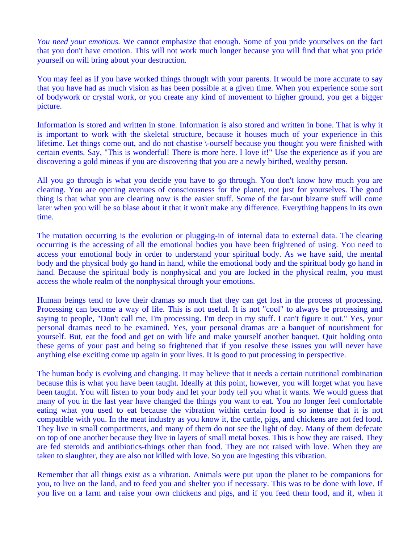*You need your emotious.* We cannot emphasize that enough. Some of you pride yourselves on the fact that you don't have emotion. This will not work much longer because you will find that what you pride yourself on will bring about your destruction.

You may feel as if you have worked things through with your parents. It would be more accurate to say that you have had as much vision as has been possible at a given time. When you experience some sort of bodywork or crystal work, or you create any kind of movement to higher ground, you get a bigger picture.

Information is stored and written in stone. Information is also stored and written in bone. That is why it is important to work with the skeletal structure, because it houses much of your experience in this lifetime. Let things come out, and do not chastise \-ourself because you thought you were finished with certain events. Say, "This is wonderful! There is more here. I love it!" Use the experience as if you are discovering a gold mineas if you are discovering that you are a newly birthed, wealthy person.

All you go through is what you decide you have to go through. You don't know how much you are clearing. You are opening avenues of consciousness for the planet, not just for yourselves. The good thing is that what you are clearing now is the easier stuff. Some of the far-out bizarre stuff will come later when you will be so blase about it that it won't make any difference. Everything happens in its own time.

The mutation occurring is the evolution or plugging-in of internal data to external data. The clearing occurring is the accessing of all the emotional bodies you have been frightened of using. You need to access your emotional body in order to understand your spiritual body. As we have said, the mental body and the physical body go hand in hand, while the emotional body and the spiritual body go hand in hand. Because the spiritual body is nonphysical and you are locked in the physical realm, you must access the whole realm of the nonphysical through your emotions.

Human beings tend to love their dramas so much that they can get lost in the process of processing. Processing can become a way of life. This is not useful. It is not "cool" to always be processing and saying to people, "Don't call me, I'm processing. I'm deep in my stuff. I can't figure it out." Yes, your personal dramas need to be examined. Yes, your personal dramas are a banquet of nourishment for yourself. But, eat the food and get on with life and make yourself another banquet. Quit holding onto these gems of your past and being so frightened that if you resolve these issues you will never have anything else exciting come up again in your lives. It is good to put processing in perspective.

The human body is evolving and changing. It may believe that it needs a certain nutritional combination because this is what you have been taught. Ideally at this point, however, you will forget what you have been taught. You will listen to your body and let your body tell you what it wants. We would guess that many of you in the last year have changed the things you want to eat. You no longer feel comfortable eating what you used to eat because the vibration within certain food is so intense that it is not compatible with you. In the meat industry as you know it, the cattle, pigs, and chickens are not fed food. They live in small compartments, and many of them do not see the light of day. Many of them defecate on top of one another because they live in layers of small metal boxes. This is how they are raised. They are fed steroids and antibiotics-things other than food. They are not raised with love. When they are taken to slaughter, they are also not killed with love. So you are ingesting this vibration.

Remember that all things exist as a vibration. Animals were put upon the planet to be companions for you, to live on the land, and to feed you and shelter you if necessary. This was to be done with love. If you live on a farm and raise your own chickens and pigs, and if you feed them food, and if, when it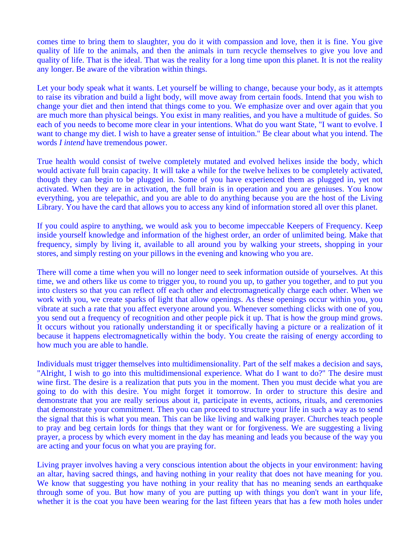comes time to bring them to slaughter, you do it with compassion and love, then it is fine. You give quality of life to the animals, and then the animals in turn recycle themselves to give you love and quality of life. That is the ideal. That was the reality for a long time upon this planet. It is not the reality any longer. Be aware of the vibration within things.

Let your body speak what it wants. Let yourself be willing to change, because your body, as it attempts to raise its vibration and build a light body, will move away from certain foods. Intend that you wish to change your diet and then intend that things come to you. We emphasize over and over again that you are much more than physical beings. You exist in many realities, and you have a multitude of guides. So each of you needs to become more clear in your intentions. What do you want State, "I want to evolve. I want to change my diet. I wish to have a greater sense of intuition." Be clear about what you intend. The words *I intend* have tremendous power.

True health would consist of twelve completely mutated and evolved helixes inside the body, which would activate full brain capacity. It will take a while for the twelve helixes to be completely activated, though they can begin to be plugged in. Some of you have experienced them as plugged in, yet not activated. When they are in activation, the full brain is in operation and you are geniuses. You know everything, you are telepathic, and you are able to do anything because you are the host of the Living Library. You have the card that allows you to access any kind of information stored all over this planet.

If you could aspire to anything, we would ask you to become impeccable Keepers of Frequency. Keep inside yourself knowledge and information of the highest order, an order of unlimited being. Make that frequency, simply by living it, available to all around you by walking your streets, shopping in your stores, and simply resting on your pillows in the evening and knowing who you are.

There will come a time when you will no longer need to seek information outside of yourselves. At this time, we and others like us come to trigger you, to round you up, to gather you together, and to put you into clusters so that you can reflect off each other and electromagnetically charge each other. When we work with you, we create sparks of light that allow openings. As these openings occur within you, you vibrate at such a rate that you affect everyone around you. Whenever something clicks with one of you, you send out a frequency of recognition and other people pick it up. That is how the group mind grows. It occurs without you rationally understanding it or specifically having a picture or a realization of it because it happens electromagnetically within the body. You create the raising of energy according to how much you are able to handle.

Individuals must trigger themselves into multidimensionality. Part of the self makes a decision and says, "Alright, I wish to go into this multidimensional experience. What do I want to do?" The desire must wine first. The desire is a realization that puts you in the moment. Then you must decide what you are going to do with this desire. You might forget it tomorrow. In order to structure this desire and demonstrate that you are really serious about it, participate in events, actions, rituals, and ceremonies that demonstrate your commitment. Then you can proceed to structure your life in such a way as to send the signal that this is what you mean. This can be like living and walking prayer. Churches teach people to pray and beg certain lords for things that they want or for forgiveness. We are suggesting a living prayer, a process by which every moment in the day has meaning and leads you because of the way you are acting and your focus on what you are praying for.

Living prayer involves having a very conscious intention about the objects in your environment: having an altar, having sacred things, and having nothing in your reality that does not have meaning for you. We know that suggesting you have nothing in your reality that has no meaning sends an earthquake through some of you. But how many of you are putting up with things you don't want in your life, whether it is the coat you have been wearing for the last fifteen years that has a few moth holes under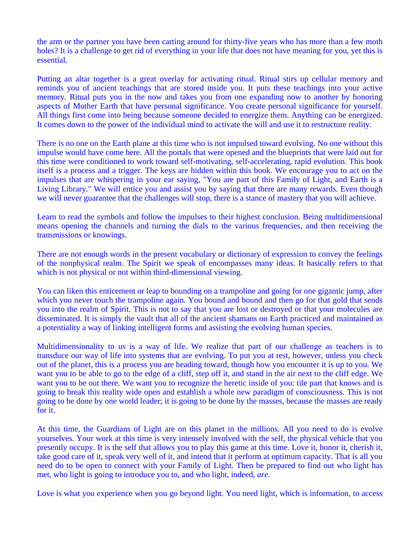the arm or the partner you have been carting around for thirty-five years who has more than a few moth holes? It is a challenge to get rid of everything in your life that does not have meaning for you, yet this is essential.

Putting an altar together is a great overlay for activating ritual. Ritual stirs up cellular memory and reminds you of ancient teachings that are stored inside you. It puts these teachings into your active memory. Ritual puts you in the now and takes you from one expanding now to another by honoring aspects of Mother Earth that have personal significance. You create personal significance for yourself. All things first come into being because someone decided to energize them. Anything can be energized. It comes down to the power of the individual mind to activate the will and use it to restructure reality.

There is no one on the Earth plane at this time who is not impulsed toward evolving. No one without this impulse would have come here. All the portals that were opened and the blueprints that were laid out for this time were conditioned to work toward self-motivating, self-accelerating, rapid evolution. This book itself is a process and a trigger. The keys are hidden within this book. We encourage you to act on the impulses that are whispering in your ear saying, "You are part of this Family of Light, and Earth is a Living Library." We will entice you and assist you by saying that there are many rewards. Even though we will never guarantee that the challenges will stop, there is a stance of mastery that you will achieve.

Learn to read the symbols and follow the impulses to their highest conclusion. Being multidimensional means opening the channels and turning the dials to the various frequencies, and then receiving the transmissions or knowings.

There are not enough words in the present vocabulary or dictionary of expression to convey the feelings of the nonphysical realm. The Spirit we speak of encompasses many ideas. It basically refers to that which is not physical or not within third-dimensional viewing.

You can liken this enticement or leap to bounding on a trampoline and going for one gigantic jump, after which you never touch the trampoline again. You bound and bound and then go for that gold that sends you into the realm of Spirit. This is not to say that you are lost or destroyed or that your molecules are disseminated. It is simply the vault that all of the ancient shamans on Earth practiced and maintained as a potentiality a way of linking intelligent forms and assisting the evolving human species.

Multidimensionality to us is a way of life. We realize that part of our challenge as teachers is to transduce our way of life into systems that are evolving. To put you at rest, however, unless you check out of the planet, this is a process you are heading toward, though how you encounter it is up to you. We want you to be able to go to the edge of a cliff, step off it, and stand in the air next to the cliff edge. We want you to be out there. We want you to recognize the heretic inside of you: tile part that knows and is going to break this reality wide open and establish a whole new paradigm of consciousness. This is not going to be done by one world leader; it is going to be done by the masses, because the masses are ready for it.

At this time, the Guardians of Light are on this planet in the millions. All you need to do is evolve yourselves. Your work at this time is very intensely involved with the self, the physical vehicle that you presently occupy. It is the self that allows you to play this game at this time. Love it, honor it, cherish it, take good care of it, speak very well of it, and intend that it perform at optimum capacity. That is all you need do to be open to connect with your Family of Light. Then be prepared to find out who light has met, who light is going to introduce you to, and who light, indeed, *are.*

Love is what you experience when you go beyond light. You need light, which is information, to access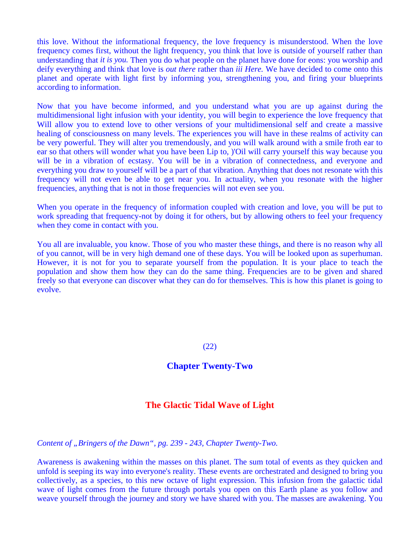this love. Without the informational frequency, the love frequency is misunderstood. When the love frequency comes first, without the light frequency, you think that love is outside of yourself rather than understanding that *it is you.* Then you do what people on the planet have done for eons: you worship and deify everything and think that love is *out there* rather than *iii Here.* We have decided to come onto this planet and operate with light first by informing you, strengthening you, and firing your blueprints according to information.

Now that you have become informed, and you understand what you are up against during the multidimensional light infusion with your identity, you will begin to experience the love frequency that Will allow you to extend love to other versions of your multidimensional self and create a massive healing of consciousness on many levels. The experiences you will have in these realms of activity can be very powerful. They will alter you tremendously, and you will walk around with a smile froth ear to ear so that others will wonder what you have been Lip to, )'Oil will carry yourself this way because you will be in a vibration of ecstasy. You will be in a vibration of connectedness, and everyone and everything you draw to yourself will be a part of that vibration. Anything that does not resonate with this frequency will not even be able to get near you. In actuality, when you resonate with the higher frequencies, anything that is not in those frequencies will not even see you.

When you operate in the frequency of information coupled with creation and love, you will be put to work spreading that frequency-not by doing it for others, but by allowing others to feel your frequency when they come in contact with you.

You all are invaluable, you know. Those of you who master these things, and there is no reason why all of you cannot, will be in very high demand one of these days. You will be looked upon as superhuman. However, it is not for you to separate yourself from the population. It is your place to teach the population and show them how they can do the same thing. Frequencies are to be given and shared freely so that everyone can discover what they can do for themselves. This is how this planet is going to evolve.

#### (22)

#### **Chapter Twenty-Two**

# **The Glactic Tidal Wave of Light**

#### *Content of "Bringers of the Dawn", pg. 239 - 243, Chapter Twenty-Two.*

Awareness is awakening within the masses on this planet. The sum total of events as they quicken and unfold is seeping its way into everyone's reality. These events are orchestrated and designed to bring you collectively, as a species, to this new octave of light expression. This infusion from the galactic tidal wave of light comes from the future through portals you open on this Earth plane as you follow and weave yourself through the journey and story we have shared with you. The masses are awakening. You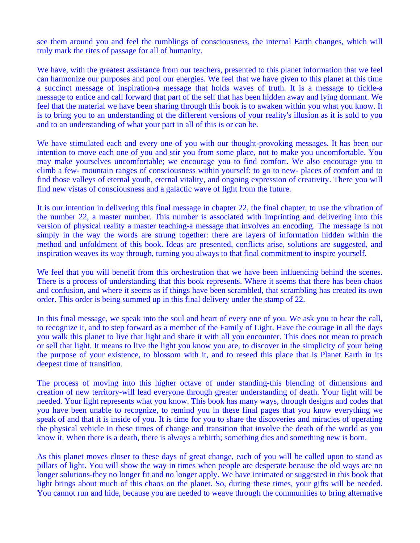see them around you and feel the rumblings of consciousness, the internal Earth changes, which will truly mark the rites of passage for all of humanity.

We have, with the greatest assistance from our teachers, presented to this planet information that we feel can harmonize our purposes and pool our energies. We feel that we have given to this planet at this time a succinct message of inspiration-a message that holds waves of truth. It is a message to tickle-a message to entice and call forward that part of the self that has been hidden away and lying dormant. We feel that the material we have been sharing through this book is to awaken within you what you know. It is to bring you to an understanding of the different versions of your reality's illusion as it is sold to you and to an understanding of what your part in all of this is or can be.

We have stimulated each and every one of you with our thought-provoking messages. It has been our intention to move each one of you and stir you from some place, not to make you uncomfortable. You may make yourselves uncomfortable; we encourage you to find comfort. We also encourage you to climb a few- mountain ranges of consciousness within yourself: to go to new- places of comfort and to find those valleys of eternal youth, eternal vitality, and ongoing expression of creativity. There you will find new vistas of consciousness and a galactic wave of light from the future.

It is our intention in delivering this final message in chapter 22, the final chapter, to use the vibration of the number 22, a master number. This number is associated with imprinting and delivering into this version of physical reality a master teaching-a message that involves an encoding. The message is not simply in the way the words are strung together: there are layers of information hidden within the method and unfoldment of this book. Ideas are presented, conflicts arise, solutions are suggested, and inspiration weaves its way through, turning you always to that final commitment to inspire yourself.

We feel that you will benefit from this orchestration that we have been influencing behind the scenes. There is a process of understanding that this book represents. Where it seems that there has been chaos and confusion, and where it seems as if things have been scrambled, that scrambling has created its own order. This order is being summed up in this final delivery under the stamp of 22.

In this final message, we speak into the soul and heart of every one of you. We ask you to hear the call, to recognize it, and to step forward as a member of the Family of Light. Have the courage in all the days you walk this planet to live that light and share it with all you encounter. This does not mean to preach or sell that light. It means to live the light you know you are, to discover in the simplicity of your being the purpose of your existence, to blossom with it, and to reseed this place that is Planet Earth in its deepest time of transition.

The process of moving into this higher octave of under standing-this blending of dimensions and creation of new territory-will lead everyone through greater understanding of death. Your light will be needed. Your light represents what you know. This book has many ways, through designs and codes that you have been unable to recognize, to remind you in these final pages that you know everything we speak of and that it is inside of you. It is time for you to share the discoveries and miracles of operating the physical vehicle in these times of change and transition that involve the death of the world as you know it. When there is a death, there is always a rebirth; something dies and something new is born.

As this planet moves closer to these days of great change, each of you will be called upon to stand as pillars of light. You will show the way in times when people are desperate because the old ways are no longer solutions-they no longer fit and no longer apply. We have intimated or suggested in this book that light brings about much of this chaos on the planet. So, during these times, your gifts will be needed. You cannot run and hide, because you are needed to weave through the communities to bring alternative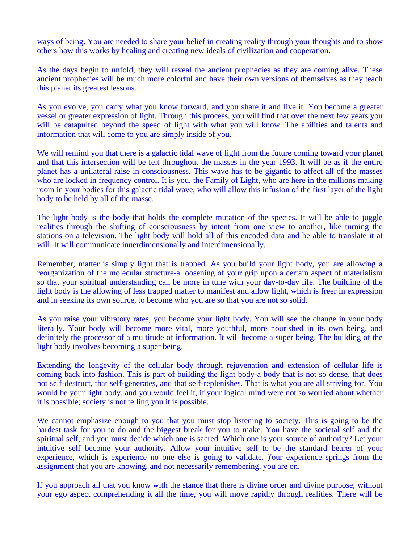ways of being. You are needed to share your belief in creating reality through your thoughts and to show others how this works by healing and creating new ideals of civilization and cooperation.

As the days begin to unfold, they will reveal the ancient prophecies as they are coming alive. These ancient prophecies will be much more colorful and have their own versions of themselves as they teach this planet its greatest lessons.

As you evolve, you carry what you know forward, and you share it and live it. You become a greater vessel or greater expression of light. Through this process, you will find that over the next few years you will be catapulted beyond the speed of light with what you will know. The abilities and talents and information that will come to you are simply inside of you.

We will remind you that there is a galactic tidal wave of light from the future coming toward your planet and that this intersection will be felt throughout the masses in the year 1993. It will be as if the entire planet has a unilateral raise in consciousness. This wave has to be gigantic to affect all of the masses who are locked in frequency control. It is you, the Family of Light, who are here in the millions making room in your bodies for this galactic tidal wave, who will allow this infusion of the first layer of the light body to be held by all of the masse.

The light body is the body that holds the complete mutation of the species. It will be able to juggle realities through the shifting of consciousness by intent from one view to another, like turning the stations on a television. The light body will hold all of this encoded data and be able to translate it at will. It will communicate innerdimensionally and interdimensionally.

Remember, matter is simply light that is trapped. As you build your light body, you are allowing a reorganization of the molecular structure-a loosening of your grip upon a certain aspect of materialism so that your spiritual understanding can be more in tune with your day-to-day life. The building of the light body is the allowing of less trapped matter to manifest and allow light, which is freer in expression and in seeking its own source, to become who you are so that you are not so solid.

As you raise your vibratory rates, you become your light body. You will see the change in your body literally. Your body will become more vital, more youthful, more nourished in its own being, and definitely the processor of a multitude of information. It will become a super being. The building of the light body involves becoming a super being.

Extending the longevity of the cellular body through rejuvenation and extension of cellular life is coming back into fashion. This is part of building the light body-a body that is not so dense, that does not self-destruct, that self-generates, and that self-replenishes. That is what you are all striving for. You would be your light body, and you would feel it, if your logical mind were not so worried about whether it is possible; society is not telling you it is possible.

We cannot emphasize enough to you that you must stop listening to society. This is going to be the hardest task for you to do and the biggest break for you to make. You have the societal self and the spiritual self, and you must decide which one is sacred. Which one is your source of authority? Let your intuitive self become your authority. Allow your intuitive self to be the standard bearer of your experience, which is experience no one else is going to validate. )'our experience springs from the assignment that you are knowing, and not necessarily remembering, you are on.

If you approach all that you know with the stance that there is divine order and divine purpose, without your ego aspect comprehending it all the time, you will move rapidly through realities. There will be